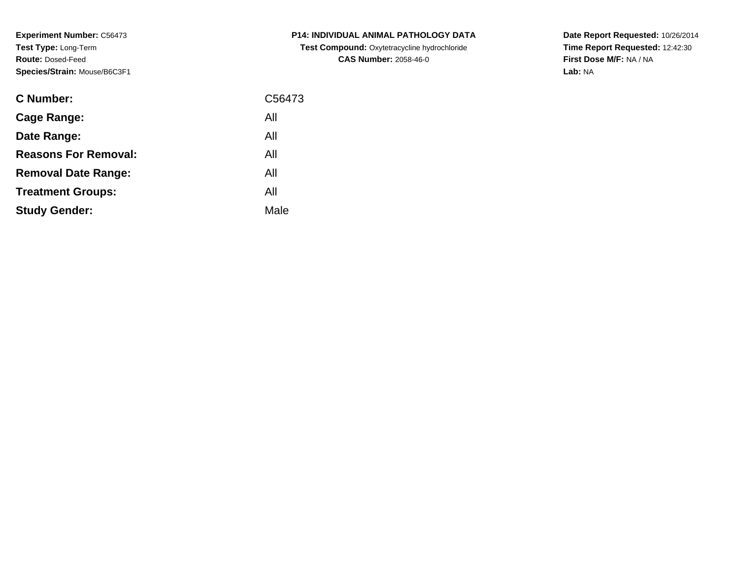**Experiment Number:** C56473**Test Type:** Long-Term**Route:** Dosed-Feed**Species/Strain:** Mouse/B6C3F1

| <b>C Number:</b>            | C56473 |
|-----------------------------|--------|
| <b>Cage Range:</b>          | All    |
| Date Range:                 | All    |
| <b>Reasons For Removal:</b> | All    |
| <b>Removal Date Range:</b>  | All    |
| <b>Treatment Groups:</b>    | All    |
| <b>Study Gender:</b>        | Male   |
|                             |        |

**P14: INDIVIDUAL ANIMAL PATHOLOGY DATA Test Compound:** Oxytetracycline hydrochloride**CAS Number:** 2058-46-0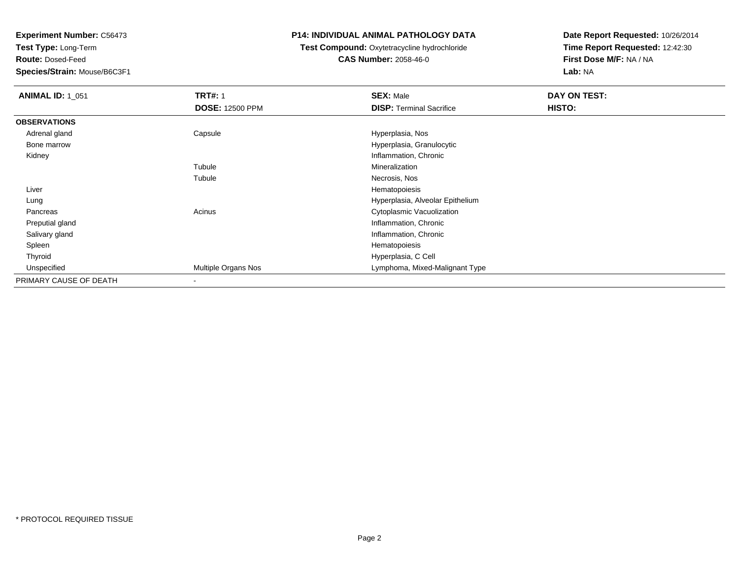**Test Type:** Long-Term

**Route:** Dosed-Feed

**Species/Strain:** Mouse/B6C3F1

## **P14: INDIVIDUAL ANIMAL PATHOLOGY DATA**

# **Test Compound:** Oxytetracycline hydrochloride**CAS Number:** 2058-46-0

| <b>ANIMAL ID: 1_051</b> | <b>TRT#: 1</b><br><b>DOSE: 12500 PPM</b> | <b>SEX: Male</b><br><b>DISP: Terminal Sacrifice</b> | DAY ON TEST:<br>HISTO: |
|-------------------------|------------------------------------------|-----------------------------------------------------|------------------------|
| <b>OBSERVATIONS</b>     |                                          |                                                     |                        |
| Adrenal gland           | Capsule                                  | Hyperplasia, Nos                                    |                        |
| Bone marrow             |                                          | Hyperplasia, Granulocytic                           |                        |
| Kidney                  |                                          | Inflammation, Chronic                               |                        |
|                         | Tubule                                   | Mineralization                                      |                        |
|                         | Tubule                                   | Necrosis, Nos                                       |                        |
| Liver                   |                                          | Hematopoiesis                                       |                        |
| Lung                    |                                          | Hyperplasia, Alveolar Epithelium                    |                        |
| Pancreas                | Acinus                                   | Cytoplasmic Vacuolization                           |                        |
| Preputial gland         |                                          | Inflammation, Chronic                               |                        |
| Salivary gland          |                                          | Inflammation, Chronic                               |                        |
| Spleen                  |                                          | Hematopoiesis                                       |                        |
| Thyroid                 |                                          | Hyperplasia, C Cell                                 |                        |
| Unspecified             | Multiple Organs Nos                      | Lymphoma, Mixed-Malignant Type                      |                        |
| PRIMARY CAUSE OF DEATH  |                                          |                                                     |                        |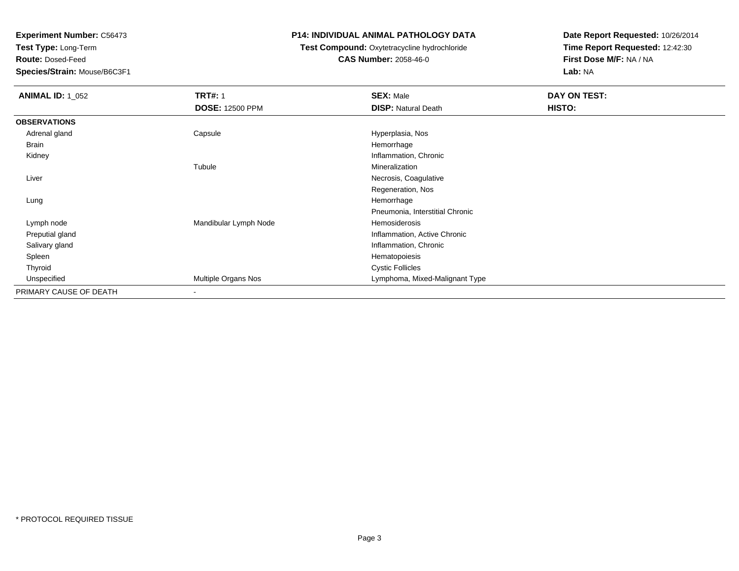**Test Type:** Long-Term

**Route:** Dosed-Feed

**Species/Strain:** Mouse/B6C3F1

### **P14: INDIVIDUAL ANIMAL PATHOLOGY DATA**

## **Test Compound:** Oxytetracycline hydrochloride**CAS Number:** 2058-46-0

| <b>ANIMAL ID: 1_052</b> | <b>TRT#: 1</b>           | <b>SEX: Male</b>                | DAY ON TEST: |
|-------------------------|--------------------------|---------------------------------|--------------|
|                         | <b>DOSE: 12500 PPM</b>   | <b>DISP: Natural Death</b>      | HISTO:       |
| <b>OBSERVATIONS</b>     |                          |                                 |              |
| Adrenal gland           | Capsule                  | Hyperplasia, Nos                |              |
| Brain                   |                          | Hemorrhage                      |              |
| Kidney                  |                          | Inflammation, Chronic           |              |
|                         | Tubule                   | Mineralization                  |              |
| Liver                   |                          | Necrosis, Coagulative           |              |
|                         |                          | Regeneration, Nos               |              |
| Lung                    |                          | Hemorrhage                      |              |
|                         |                          | Pneumonia, Interstitial Chronic |              |
| Lymph node              | Mandibular Lymph Node    | Hemosiderosis                   |              |
| Preputial gland         |                          | Inflammation, Active Chronic    |              |
| Salivary gland          |                          | Inflammation, Chronic           |              |
| Spleen                  |                          | Hematopoiesis                   |              |
| Thyroid                 |                          | <b>Cystic Follicles</b>         |              |
| Unspecified             | Multiple Organs Nos      | Lymphoma, Mixed-Malignant Type  |              |
| PRIMARY CAUSE OF DEATH  | $\overline{\phantom{a}}$ |                                 |              |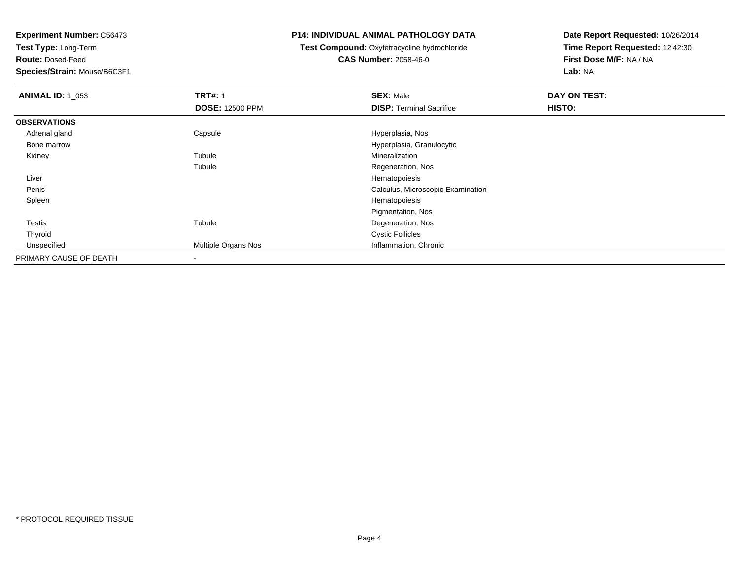**Test Type:** Long-Term

**Route:** Dosed-Feed

**Species/Strain:** Mouse/B6C3F1

### **P14: INDIVIDUAL ANIMAL PATHOLOGY DATA**

# **Test Compound:** Oxytetracycline hydrochloride**CAS Number:** 2058-46-0

| <b>ANIMAL ID: 1_053</b> | <b>TRT#: 1</b>         | <b>SEX: Male</b>                  | DAY ON TEST: |  |
|-------------------------|------------------------|-----------------------------------|--------------|--|
|                         | <b>DOSE: 12500 PPM</b> | <b>DISP: Terminal Sacrifice</b>   | HISTO:       |  |
| <b>OBSERVATIONS</b>     |                        |                                   |              |  |
| Adrenal gland           | Capsule                | Hyperplasia, Nos                  |              |  |
| Bone marrow             |                        | Hyperplasia, Granulocytic         |              |  |
| Kidney                  | Tubule                 | Mineralization                    |              |  |
|                         | Tubule                 | Regeneration, Nos                 |              |  |
| Liver                   |                        | Hematopoiesis                     |              |  |
| Penis                   |                        | Calculus, Microscopic Examination |              |  |
| Spleen                  |                        | Hematopoiesis                     |              |  |
|                         |                        | Pigmentation, Nos                 |              |  |
| <b>Testis</b>           | Tubule                 | Degeneration, Nos                 |              |  |
| Thyroid                 |                        | <b>Cystic Follicles</b>           |              |  |
| Unspecified             | Multiple Organs Nos    | Inflammation, Chronic             |              |  |
| PRIMARY CAUSE OF DEATH  |                        |                                   |              |  |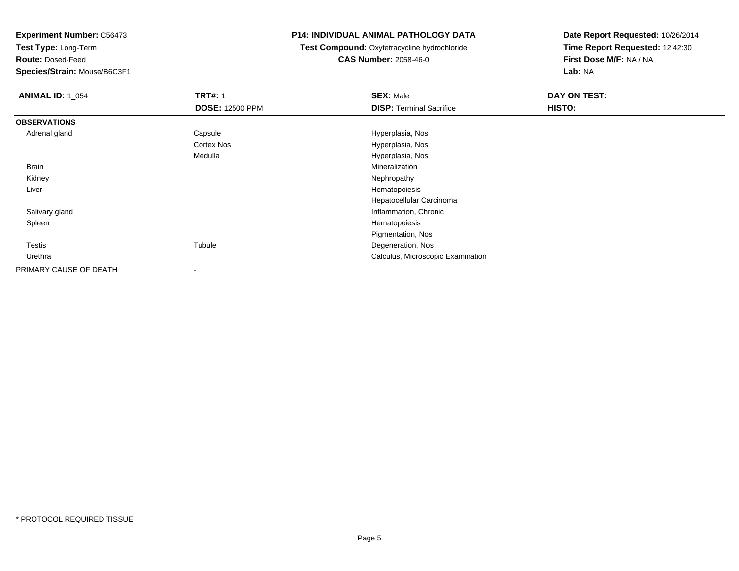**Test Type:** Long-Term

**Route:** Dosed-Feed

**Species/Strain:** Mouse/B6C3F1

## **P14: INDIVIDUAL ANIMAL PATHOLOGY DATA**

**Test Compound:** Oxytetracycline hydrochloride**CAS Number:** 2058-46-0

| <b>ANIMAL ID: 1 054</b> | <b>TRT#: 1</b><br><b>DOSE: 12500 PPM</b> | <b>SEX: Male</b><br><b>DISP: Terminal Sacrifice</b> | DAY ON TEST:<br>HISTO: |
|-------------------------|------------------------------------------|-----------------------------------------------------|------------------------|
| <b>OBSERVATIONS</b>     |                                          |                                                     |                        |
| Adrenal gland           | Capsule                                  | Hyperplasia, Nos                                    |                        |
|                         | Cortex Nos                               | Hyperplasia, Nos                                    |                        |
|                         | Medulla                                  | Hyperplasia, Nos                                    |                        |
| Brain                   |                                          | Mineralization                                      |                        |
| Kidney                  |                                          | Nephropathy                                         |                        |
| Liver                   |                                          | Hematopoiesis                                       |                        |
|                         |                                          | Hepatocellular Carcinoma                            |                        |
| Salivary gland          |                                          | Inflammation, Chronic                               |                        |
| Spleen                  |                                          | Hematopoiesis                                       |                        |
|                         |                                          | Pigmentation, Nos                                   |                        |
| <b>Testis</b>           | Tubule                                   | Degeneration, Nos                                   |                        |
| Urethra                 |                                          | Calculus, Microscopic Examination                   |                        |
| PRIMARY CAUSE OF DEATH  | $\overline{\phantom{a}}$                 |                                                     |                        |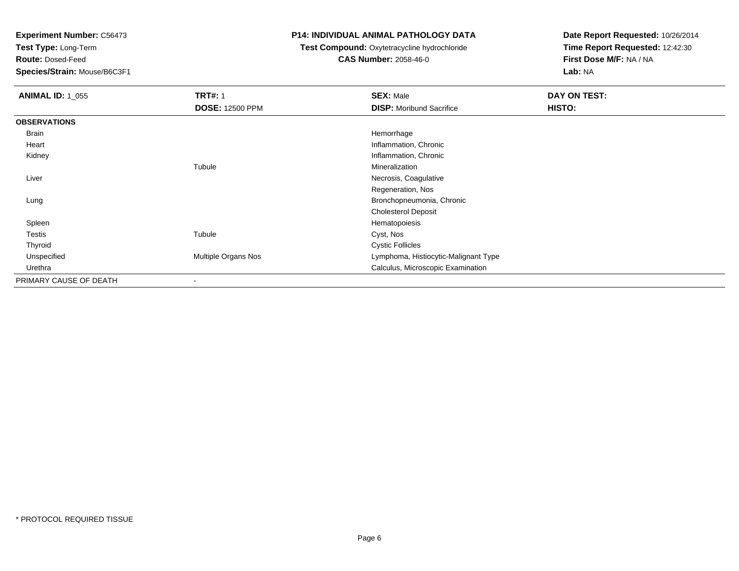**Test Type:** Long-Term

**Route:** Dosed-Feed

**Species/Strain:** Mouse/B6C3F1

## **P14: INDIVIDUAL ANIMAL PATHOLOGY DATA**

# **Test Compound:** Oxytetracycline hydrochloride**CAS Number:** 2058-46-0

| <b>ANIMAL ID: 1_055</b> | <b>TRT#: 1</b>         | <b>SEX: Male</b>                     | DAY ON TEST: |  |
|-------------------------|------------------------|--------------------------------------|--------------|--|
|                         | <b>DOSE: 12500 PPM</b> | <b>DISP:</b> Moribund Sacrifice      | HISTO:       |  |
| <b>OBSERVATIONS</b>     |                        |                                      |              |  |
| Brain                   |                        | Hemorrhage                           |              |  |
| Heart                   |                        | Inflammation, Chronic                |              |  |
| Kidney                  |                        | Inflammation, Chronic                |              |  |
|                         | Tubule                 | Mineralization                       |              |  |
| Liver                   |                        | Necrosis, Coagulative                |              |  |
|                         |                        | Regeneration, Nos                    |              |  |
| Lung                    |                        | Bronchopneumonia, Chronic            |              |  |
|                         |                        | <b>Cholesterol Deposit</b>           |              |  |
| Spleen                  |                        | Hematopoiesis                        |              |  |
| Testis                  | Tubule                 | Cyst, Nos                            |              |  |
| Thyroid                 |                        | <b>Cystic Follicles</b>              |              |  |
| Unspecified             | Multiple Organs Nos    | Lymphoma, Histiocytic-Malignant Type |              |  |
| Urethra                 |                        | Calculus, Microscopic Examination    |              |  |
| PRIMARY CAUSE OF DEATH  |                        |                                      |              |  |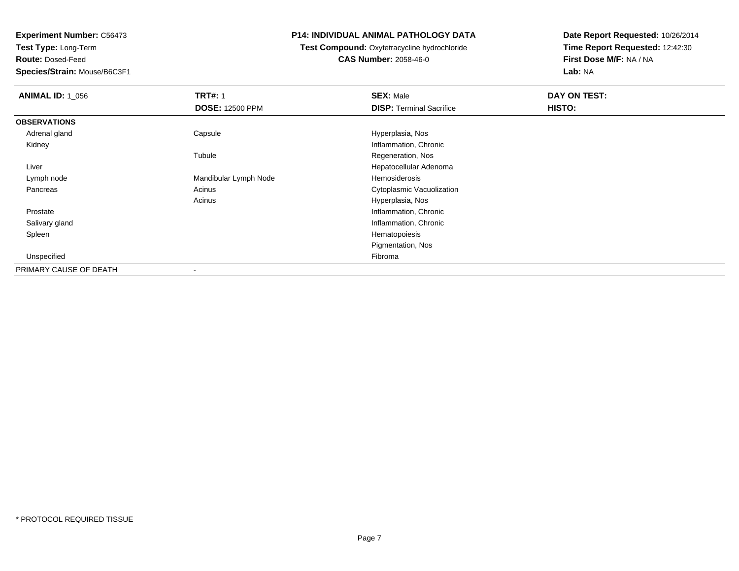**Test Type:** Long-Term

**Route:** Dosed-Feed

**Species/Strain:** Mouse/B6C3F1

## **P14: INDIVIDUAL ANIMAL PATHOLOGY DATA**

 **Test Compound:** Oxytetracycline hydrochloride**CAS Number:** 2058-46-0

| <b>ANIMAL ID: 1 056</b> | <b>TRT#: 1</b>         | <b>SEX: Male</b>                | DAY ON TEST: |  |
|-------------------------|------------------------|---------------------------------|--------------|--|
|                         | <b>DOSE: 12500 PPM</b> | <b>DISP: Terminal Sacrifice</b> | HISTO:       |  |
| <b>OBSERVATIONS</b>     |                        |                                 |              |  |
| Adrenal gland           | Capsule                | Hyperplasia, Nos                |              |  |
| Kidney                  |                        | Inflammation, Chronic           |              |  |
|                         | Tubule                 | Regeneration, Nos               |              |  |
| Liver                   |                        | Hepatocellular Adenoma          |              |  |
| Lymph node              | Mandibular Lymph Node  | Hemosiderosis                   |              |  |
| Pancreas                | Acinus                 | Cytoplasmic Vacuolization       |              |  |
|                         | Acinus                 | Hyperplasia, Nos                |              |  |
| Prostate                |                        | Inflammation, Chronic           |              |  |
| Salivary gland          |                        | Inflammation, Chronic           |              |  |
| Spleen                  |                        | Hematopoiesis                   |              |  |
|                         |                        | Pigmentation, Nos               |              |  |
| Unspecified             |                        | Fibroma                         |              |  |
| PRIMARY CAUSE OF DEATH  | $\,$                   |                                 |              |  |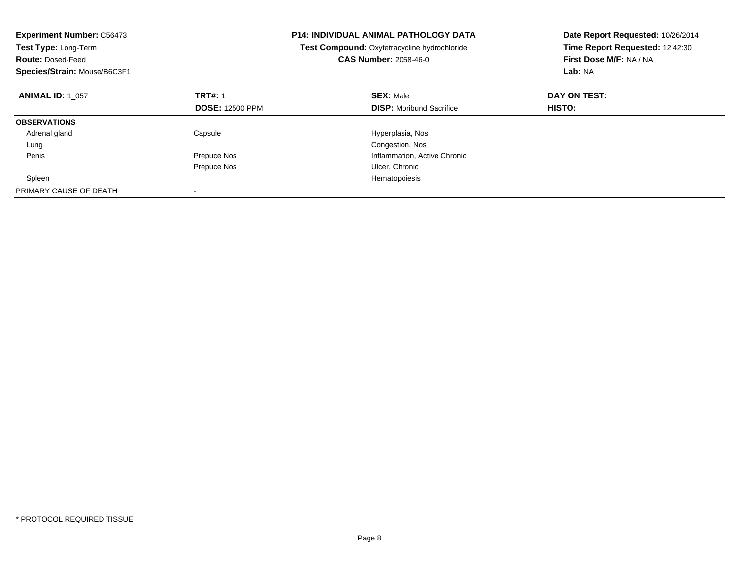| <b>Experiment Number: C56473</b><br><b>Test Type: Long-Term</b><br><b>Route: Dosed-Feed</b><br>Species/Strain: Mouse/B6C3F1 | <b>P14: INDIVIDUAL ANIMAL PATHOLOGY DATA</b><br>Test Compound: Oxytetracycline hydrochloride<br><b>CAS Number: 2058-46-0</b> |                                 | Date Report Requested: 10/26/2014<br>Time Report Requested: 12:42:30<br>First Dose M/F: NA / NA<br>Lab: NA |
|-----------------------------------------------------------------------------------------------------------------------------|------------------------------------------------------------------------------------------------------------------------------|---------------------------------|------------------------------------------------------------------------------------------------------------|
| <b>ANIMAL ID: 1 057</b>                                                                                                     | <b>TRT#: 1</b>                                                                                                               | <b>SEX: Male</b>                | DAY ON TEST:                                                                                               |
|                                                                                                                             | <b>DOSE: 12500 PPM</b>                                                                                                       | <b>DISP:</b> Moribund Sacrifice | HISTO:                                                                                                     |
| <b>OBSERVATIONS</b>                                                                                                         |                                                                                                                              |                                 |                                                                                                            |
| Adrenal gland                                                                                                               | Capsule                                                                                                                      | Hyperplasia, Nos                |                                                                                                            |
| Lung                                                                                                                        |                                                                                                                              | Congestion, Nos                 |                                                                                                            |
| Penis                                                                                                                       | Prepuce Nos                                                                                                                  | Inflammation, Active Chronic    |                                                                                                            |
|                                                                                                                             | Prepuce Nos                                                                                                                  | Ulcer, Chronic                  |                                                                                                            |
| Spleen                                                                                                                      |                                                                                                                              | Hematopoiesis                   |                                                                                                            |
| PRIMARY CAUSE OF DEATH                                                                                                      |                                                                                                                              |                                 |                                                                                                            |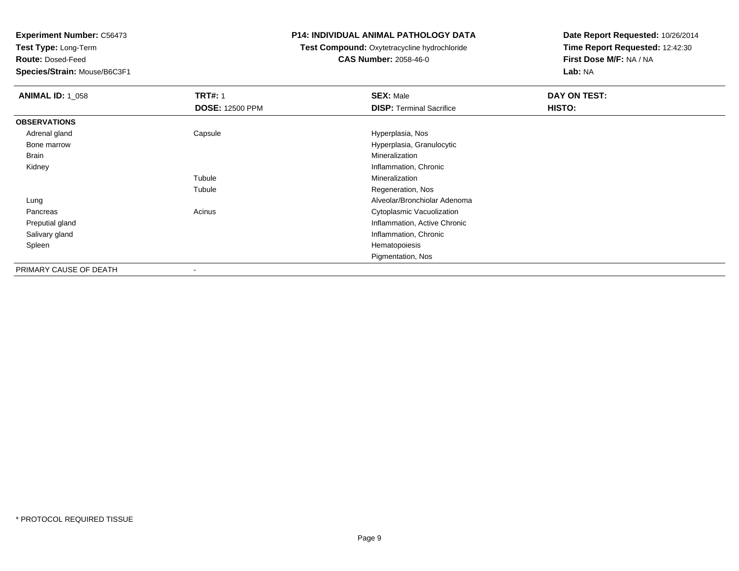**Test Type:** Long-Term

**Route:** Dosed-Feed

**Species/Strain:** Mouse/B6C3F1

### **P14: INDIVIDUAL ANIMAL PATHOLOGY DATA**

# **Test Compound:** Oxytetracycline hydrochloride**CAS Number:** 2058-46-0

| <b>ANIMAL ID: 1 058</b> | <b>TRT#: 1</b><br><b>DOSE: 12500 PPM</b> | <b>SEX: Male</b><br><b>DISP: Terminal Sacrifice</b> | DAY ON TEST:<br>HISTO: |
|-------------------------|------------------------------------------|-----------------------------------------------------|------------------------|
| <b>OBSERVATIONS</b>     |                                          |                                                     |                        |
| Adrenal gland           | Capsule                                  | Hyperplasia, Nos                                    |                        |
| Bone marrow             |                                          | Hyperplasia, Granulocytic                           |                        |
| Brain                   |                                          | Mineralization                                      |                        |
| Kidney                  |                                          | Inflammation, Chronic                               |                        |
|                         | Tubule                                   | Mineralization                                      |                        |
|                         | Tubule                                   | Regeneration, Nos                                   |                        |
| Lung                    |                                          | Alveolar/Bronchiolar Adenoma                        |                        |
| Pancreas                | Acinus                                   | Cytoplasmic Vacuolization                           |                        |
| Preputial gland         |                                          | Inflammation, Active Chronic                        |                        |
| Salivary gland          |                                          | Inflammation, Chronic                               |                        |
| Spleen                  |                                          | Hematopoiesis                                       |                        |
|                         |                                          | Pigmentation, Nos                                   |                        |
| PRIMARY CAUSE OF DEATH  | $\overline{\phantom{a}}$                 |                                                     |                        |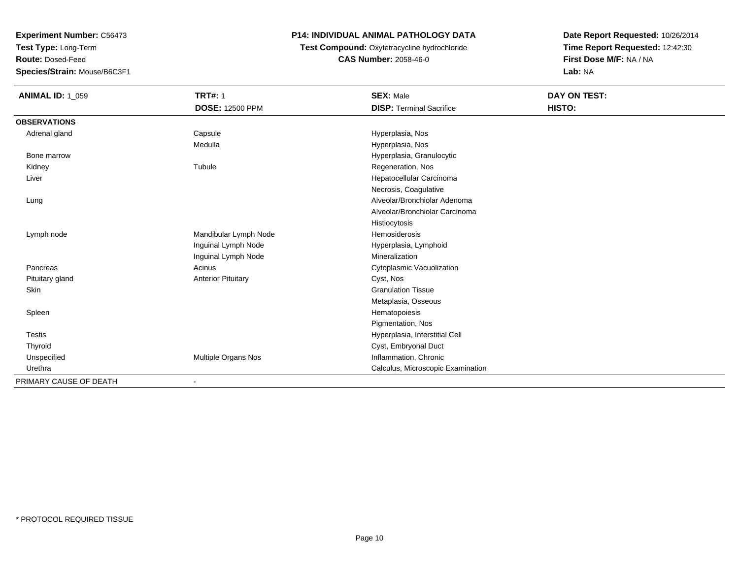**Test Type:** Long-Term

**Route:** Dosed-Feed

**Species/Strain:** Mouse/B6C3F1

## **P14: INDIVIDUAL ANIMAL PATHOLOGY DATA**

**Test Compound:** Oxytetracycline hydrochloride**CAS Number:** 2058-46-0

| <b>ANIMAL ID: 1_059</b> | <b>TRT#: 1</b>            | <b>SEX: Male</b>                  | DAY ON TEST: |
|-------------------------|---------------------------|-----------------------------------|--------------|
|                         | <b>DOSE: 12500 PPM</b>    | <b>DISP: Terminal Sacrifice</b>   | HISTO:       |
| <b>OBSERVATIONS</b>     |                           |                                   |              |
| Adrenal gland           | Capsule                   | Hyperplasia, Nos                  |              |
|                         | Medulla                   | Hyperplasia, Nos                  |              |
| Bone marrow             |                           | Hyperplasia, Granulocytic         |              |
| Kidney                  | Tubule                    | Regeneration, Nos                 |              |
| Liver                   |                           | Hepatocellular Carcinoma          |              |
|                         |                           | Necrosis, Coagulative             |              |
| Lung                    |                           | Alveolar/Bronchiolar Adenoma      |              |
|                         |                           | Alveolar/Bronchiolar Carcinoma    |              |
|                         |                           | Histiocytosis                     |              |
| Lymph node              | Mandibular Lymph Node     | <b>Hemosiderosis</b>              |              |
|                         | Inguinal Lymph Node       | Hyperplasia, Lymphoid             |              |
|                         | Inguinal Lymph Node       | Mineralization                    |              |
| Pancreas                | Acinus                    | Cytoplasmic Vacuolization         |              |
| Pituitary gland         | <b>Anterior Pituitary</b> | Cyst, Nos                         |              |
| Skin                    |                           | <b>Granulation Tissue</b>         |              |
|                         |                           | Metaplasia, Osseous               |              |
| Spleen                  |                           | Hematopoiesis                     |              |
|                         |                           | Pigmentation, Nos                 |              |
| <b>Testis</b>           |                           | Hyperplasia, Interstitial Cell    |              |
| Thyroid                 |                           | Cyst, Embryonal Duct              |              |
| Unspecified             | Multiple Organs Nos       | Inflammation, Chronic             |              |
| Urethra                 |                           | Calculus, Microscopic Examination |              |
| PRIMARY CAUSE OF DEATH  |                           |                                   |              |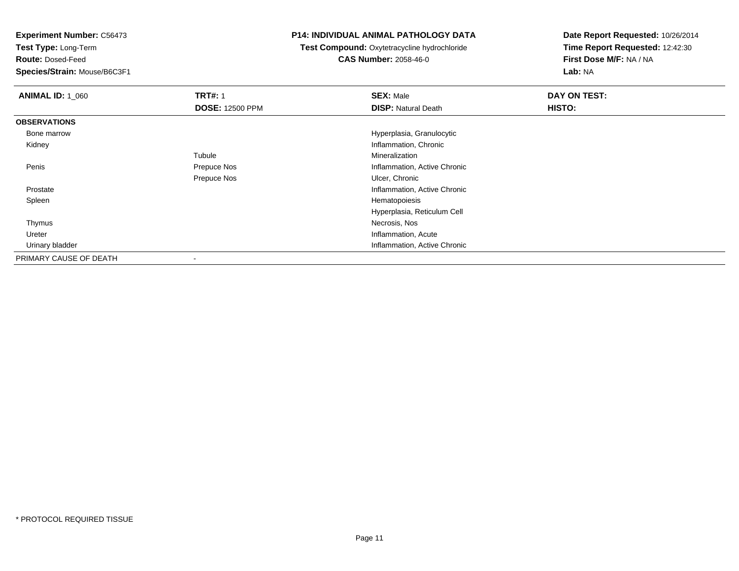**Test Type:** Long-Term

**Route:** Dosed-Feed

**Species/Strain:** Mouse/B6C3F1

### **P14: INDIVIDUAL ANIMAL PATHOLOGY DATA**

**Test Compound:** Oxytetracycline hydrochloride**CAS Number:** 2058-46-0

| <b>ANIMAL ID: 1_060</b> | <b>TRT#: 1</b>         | <b>SEX: Male</b>             | DAY ON TEST: |
|-------------------------|------------------------|------------------------------|--------------|
|                         | <b>DOSE: 12500 PPM</b> | <b>DISP: Natural Death</b>   | HISTO:       |
| <b>OBSERVATIONS</b>     |                        |                              |              |
| Bone marrow             |                        | Hyperplasia, Granulocytic    |              |
| Kidney                  |                        | Inflammation, Chronic        |              |
|                         | Tubule                 | Mineralization               |              |
| Penis                   | Prepuce Nos            | Inflammation, Active Chronic |              |
|                         | Prepuce Nos            | Ulcer, Chronic               |              |
| Prostate                |                        | Inflammation, Active Chronic |              |
| Spleen                  |                        | Hematopoiesis                |              |
|                         |                        | Hyperplasia, Reticulum Cell  |              |
| Thymus                  |                        | Necrosis, Nos                |              |
| Ureter                  |                        | Inflammation, Acute          |              |
| Urinary bladder         |                        | Inflammation, Active Chronic |              |
| PRIMARY CAUSE OF DEATH  |                        |                              |              |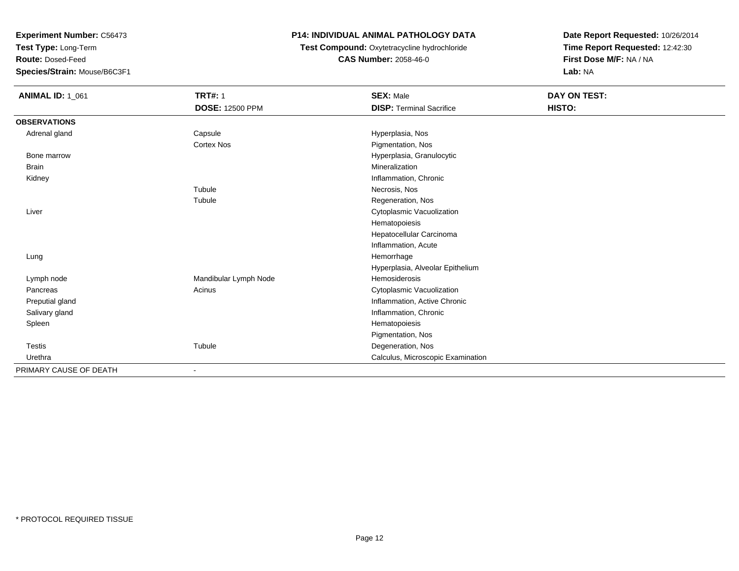**Test Type:** Long-Term

**Route:** Dosed-Feed

**Species/Strain:** Mouse/B6C3F1

## **P14: INDIVIDUAL ANIMAL PATHOLOGY DATA**

**Test Compound:** Oxytetracycline hydrochloride**CAS Number:** 2058-46-0

| <b>ANIMAL ID: 1_061</b> | <b>TRT#: 1</b>         | <b>SEX: Male</b>                  | DAY ON TEST: |  |
|-------------------------|------------------------|-----------------------------------|--------------|--|
|                         | <b>DOSE: 12500 PPM</b> | <b>DISP: Terminal Sacrifice</b>   | HISTO:       |  |
| <b>OBSERVATIONS</b>     |                        |                                   |              |  |
| Adrenal gland           | Capsule                | Hyperplasia, Nos                  |              |  |
|                         | <b>Cortex Nos</b>      | Pigmentation, Nos                 |              |  |
| Bone marrow             |                        | Hyperplasia, Granulocytic         |              |  |
| <b>Brain</b>            |                        | Mineralization                    |              |  |
| Kidney                  |                        | Inflammation, Chronic             |              |  |
|                         | Tubule                 | Necrosis, Nos                     |              |  |
|                         | Tubule                 | Regeneration, Nos                 |              |  |
| Liver                   |                        | Cytoplasmic Vacuolization         |              |  |
|                         |                        | Hematopoiesis                     |              |  |
|                         |                        | Hepatocellular Carcinoma          |              |  |
|                         |                        | Inflammation, Acute               |              |  |
| Lung                    |                        | Hemorrhage                        |              |  |
|                         |                        | Hyperplasia, Alveolar Epithelium  |              |  |
| Lymph node              | Mandibular Lymph Node  | Hemosiderosis                     |              |  |
| Pancreas                | Acinus                 | Cytoplasmic Vacuolization         |              |  |
| Preputial gland         |                        | Inflammation, Active Chronic      |              |  |
| Salivary gland          |                        | Inflammation, Chronic             |              |  |
| Spleen                  |                        | Hematopoiesis                     |              |  |
|                         |                        | Pigmentation, Nos                 |              |  |
| <b>Testis</b>           | Tubule                 | Degeneration, Nos                 |              |  |
| Urethra                 |                        | Calculus, Microscopic Examination |              |  |
| PRIMARY CAUSE OF DEATH  | $\blacksquare$         |                                   |              |  |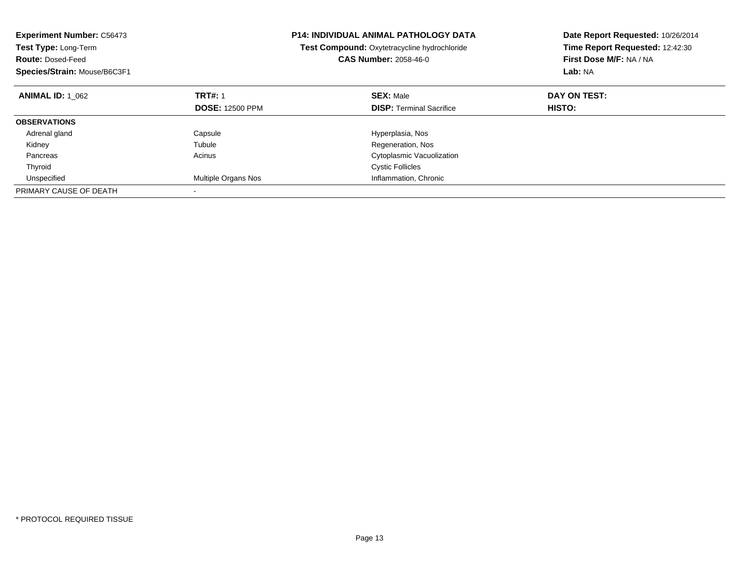| <b>Experiment Number: C56473</b><br><b>Test Type: Long-Term</b><br><b>Route: Dosed-Feed</b><br>Species/Strain: Mouse/B6C3F1 | <b>P14: INDIVIDUAL ANIMAL PATHOLOGY DATA</b><br>Test Compound: Oxytetracycline hydrochloride<br><b>CAS Number: 2058-46-0</b> |                                 | Date Report Requested: 10/26/2014<br>Time Report Requested: 12:42:30<br>First Dose M/F: NA / NA<br>Lab: NA |
|-----------------------------------------------------------------------------------------------------------------------------|------------------------------------------------------------------------------------------------------------------------------|---------------------------------|------------------------------------------------------------------------------------------------------------|
| <b>ANIMAL ID: 1 062</b>                                                                                                     | <b>TRT#: 1</b>                                                                                                               | <b>SEX: Male</b>                | DAY ON TEST:                                                                                               |
|                                                                                                                             | <b>DOSE: 12500 PPM</b>                                                                                                       | <b>DISP:</b> Terminal Sacrifice | <b>HISTO:</b>                                                                                              |
| <b>OBSERVATIONS</b>                                                                                                         |                                                                                                                              |                                 |                                                                                                            |
| Adrenal gland                                                                                                               | Capsule                                                                                                                      | Hyperplasia, Nos                |                                                                                                            |
| Kidney                                                                                                                      | Tubule                                                                                                                       | Regeneration, Nos               |                                                                                                            |
| Pancreas                                                                                                                    | Acinus                                                                                                                       | Cytoplasmic Vacuolization       |                                                                                                            |
| Thyroid                                                                                                                     |                                                                                                                              | <b>Cystic Follicles</b>         |                                                                                                            |
| Unspecified                                                                                                                 | <b>Multiple Organs Nos</b>                                                                                                   | Inflammation, Chronic           |                                                                                                            |
| PRIMARY CAUSE OF DEATH                                                                                                      |                                                                                                                              |                                 |                                                                                                            |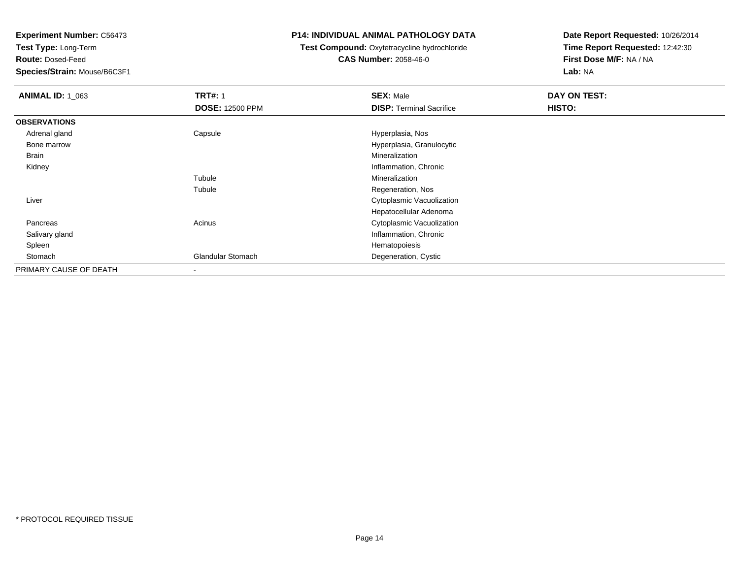**Test Type:** Long-Term

**Route:** Dosed-Feed

**Species/Strain:** Mouse/B6C3F1

### **P14: INDIVIDUAL ANIMAL PATHOLOGY DATA**

# **Test Compound:** Oxytetracycline hydrochloride**CAS Number:** 2058-46-0

| <b>ANIMAL ID: 1 063</b> | <b>TRT#: 1</b>           | <b>SEX: Male</b>                | DAY ON TEST: |  |
|-------------------------|--------------------------|---------------------------------|--------------|--|
|                         | <b>DOSE: 12500 PPM</b>   | <b>DISP: Terminal Sacrifice</b> | HISTO:       |  |
| <b>OBSERVATIONS</b>     |                          |                                 |              |  |
| Adrenal gland           | Capsule                  | Hyperplasia, Nos                |              |  |
| Bone marrow             |                          | Hyperplasia, Granulocytic       |              |  |
| Brain                   |                          | Mineralization                  |              |  |
| Kidney                  |                          | Inflammation, Chronic           |              |  |
|                         | Tubule                   | Mineralization                  |              |  |
|                         | Tubule                   | Regeneration, Nos               |              |  |
| Liver                   |                          | Cytoplasmic Vacuolization       |              |  |
|                         |                          | Hepatocellular Adenoma          |              |  |
| Pancreas                | Acinus                   | Cytoplasmic Vacuolization       |              |  |
| Salivary gland          |                          | Inflammation, Chronic           |              |  |
| Spleen                  |                          | Hematopoiesis                   |              |  |
| Stomach                 | <b>Glandular Stomach</b> | Degeneration, Cystic            |              |  |
| PRIMARY CAUSE OF DEATH  | $\overline{\phantom{a}}$ |                                 |              |  |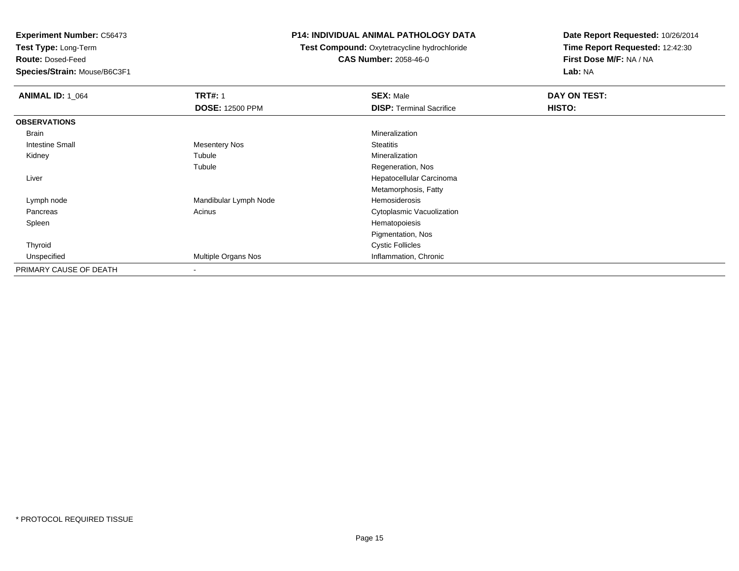**Test Type:** Long-Term

**Route:** Dosed-Feed

**Species/Strain:** Mouse/B6C3F1

### **P14: INDIVIDUAL ANIMAL PATHOLOGY DATA**

**Test Compound:** Oxytetracycline hydrochloride**CAS Number:** 2058-46-0

| <b>ANIMAL ID: 1_064</b> | <b>TRT#: 1</b>         | <b>SEX: Male</b>                | DAY ON TEST: |  |
|-------------------------|------------------------|---------------------------------|--------------|--|
|                         | <b>DOSE: 12500 PPM</b> | <b>DISP: Terminal Sacrifice</b> | HISTO:       |  |
| <b>OBSERVATIONS</b>     |                        |                                 |              |  |
| Brain                   |                        | Mineralization                  |              |  |
| Intestine Small         | <b>Mesentery Nos</b>   | <b>Steatitis</b>                |              |  |
| Kidney                  | Tubule                 | Mineralization                  |              |  |
|                         | Tubule                 | Regeneration, Nos               |              |  |
| Liver                   |                        | Hepatocellular Carcinoma        |              |  |
|                         |                        | Metamorphosis, Fatty            |              |  |
| Lymph node              | Mandibular Lymph Node  | Hemosiderosis                   |              |  |
| Pancreas                | Acinus                 | Cytoplasmic Vacuolization       |              |  |
| Spleen                  |                        | Hematopoiesis                   |              |  |
|                         |                        | Pigmentation, Nos               |              |  |
| Thyroid                 |                        | <b>Cystic Follicles</b>         |              |  |
| Unspecified             | Multiple Organs Nos    | Inflammation, Chronic           |              |  |
| PRIMARY CAUSE OF DEATH  |                        |                                 |              |  |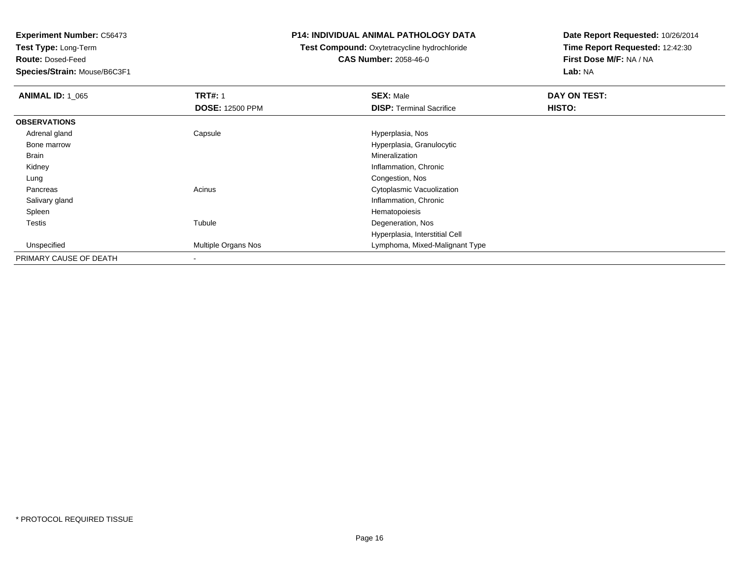**Test Type:** Long-Term

**Route:** Dosed-Feed

**Species/Strain:** Mouse/B6C3F1

### **P14: INDIVIDUAL ANIMAL PATHOLOGY DATA**

# **Test Compound:** Oxytetracycline hydrochloride**CAS Number:** 2058-46-0

| <b>ANIMAL ID: 1 065</b> | <b>TRT#: 1</b>         | <b>SEX: Male</b>                | DAY ON TEST: |  |
|-------------------------|------------------------|---------------------------------|--------------|--|
|                         | <b>DOSE: 12500 PPM</b> | <b>DISP: Terminal Sacrifice</b> | HISTO:       |  |
| <b>OBSERVATIONS</b>     |                        |                                 |              |  |
| Adrenal gland           | Capsule                | Hyperplasia, Nos                |              |  |
| Bone marrow             |                        | Hyperplasia, Granulocytic       |              |  |
| Brain                   |                        | Mineralization                  |              |  |
| Kidney                  |                        | Inflammation, Chronic           |              |  |
| Lung                    |                        | Congestion, Nos                 |              |  |
| Pancreas                | Acinus                 | Cytoplasmic Vacuolization       |              |  |
| Salivary gland          |                        | Inflammation, Chronic           |              |  |
| Spleen                  |                        | Hematopoiesis                   |              |  |
| <b>Testis</b>           | Tubule                 | Degeneration, Nos               |              |  |
|                         |                        | Hyperplasia, Interstitial Cell  |              |  |
| Unspecified             | Multiple Organs Nos    | Lymphoma, Mixed-Malignant Type  |              |  |
| PRIMARY CAUSE OF DEATH  |                        |                                 |              |  |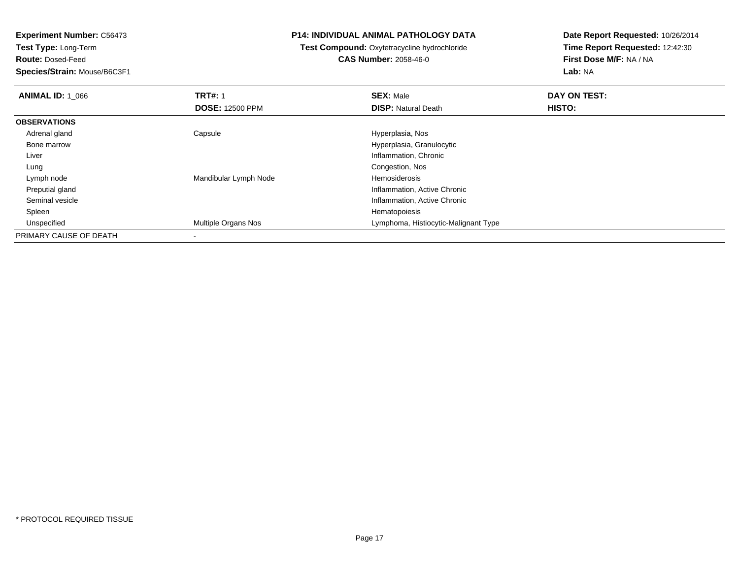**Test Type:** Long-Term

**Route:** Dosed-Feed

**Species/Strain:** Mouse/B6C3F1

### **P14: INDIVIDUAL ANIMAL PATHOLOGY DATA**

**Test Compound:** Oxytetracycline hydrochloride**CAS Number:** 2058-46-0

| <b>ANIMAL ID: 1 066</b> | <b>TRT#: 1</b>             | <b>SEX: Male</b>                     | DAY ON TEST: |  |
|-------------------------|----------------------------|--------------------------------------|--------------|--|
|                         | <b>DOSE: 12500 PPM</b>     | <b>DISP: Natural Death</b>           | HISTO:       |  |
| <b>OBSERVATIONS</b>     |                            |                                      |              |  |
| Adrenal gland           | Capsule                    | Hyperplasia, Nos                     |              |  |
| Bone marrow             |                            | Hyperplasia, Granulocytic            |              |  |
| Liver                   |                            | Inflammation, Chronic                |              |  |
| Lung                    |                            | Congestion, Nos                      |              |  |
| Lymph node              | Mandibular Lymph Node      | Hemosiderosis                        |              |  |
| Preputial gland         |                            | Inflammation, Active Chronic         |              |  |
| Seminal vesicle         |                            | Inflammation, Active Chronic         |              |  |
| Spleen                  |                            | Hematopoiesis                        |              |  |
| Unspecified             | <b>Multiple Organs Nos</b> | Lymphoma, Histiocytic-Malignant Type |              |  |
| PRIMARY CAUSE OF DEATH  | $\overline{\phantom{a}}$   |                                      |              |  |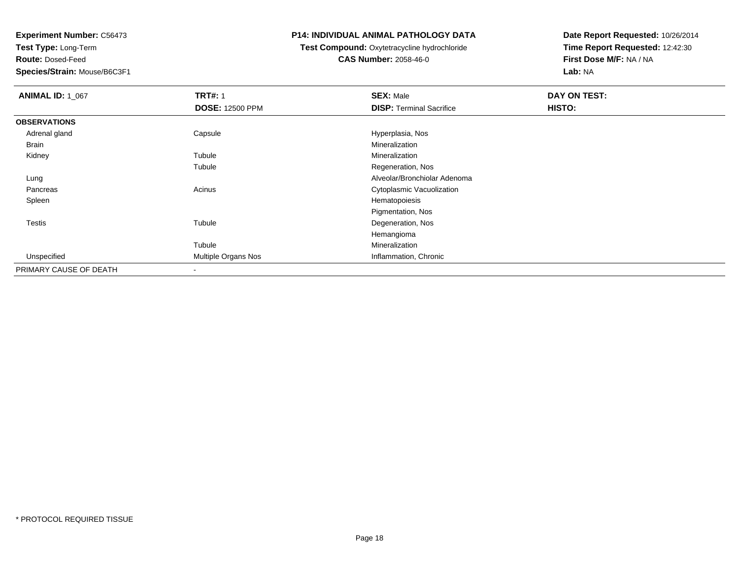**Test Type:** Long-Term

**Route:** Dosed-Feed

**Species/Strain:** Mouse/B6C3F1

### **P14: INDIVIDUAL ANIMAL PATHOLOGY DATA**

**Test Compound:** Oxytetracycline hydrochloride**CAS Number:** 2058-46-0

| <b>ANIMAL ID: 1_067</b> | <b>TRT#: 1</b>             | <b>SEX: Male</b>                | DAY ON TEST: |  |
|-------------------------|----------------------------|---------------------------------|--------------|--|
|                         | <b>DOSE: 12500 PPM</b>     | <b>DISP: Terminal Sacrifice</b> | HISTO:       |  |
| <b>OBSERVATIONS</b>     |                            |                                 |              |  |
| Adrenal gland           | Capsule                    | Hyperplasia, Nos                |              |  |
| Brain                   |                            | Mineralization                  |              |  |
| Kidney                  | Tubule                     | Mineralization                  |              |  |
|                         | Tubule                     | Regeneration, Nos               |              |  |
| Lung                    |                            | Alveolar/Bronchiolar Adenoma    |              |  |
| Pancreas                | Acinus                     | Cytoplasmic Vacuolization       |              |  |
| Spleen                  |                            | Hematopoiesis                   |              |  |
|                         |                            | Pigmentation, Nos               |              |  |
| <b>Testis</b>           | Tubule                     | Degeneration, Nos               |              |  |
|                         |                            | Hemangioma                      |              |  |
|                         | Tubule                     | Mineralization                  |              |  |
| Unspecified             | <b>Multiple Organs Nos</b> | Inflammation, Chronic           |              |  |
| PRIMARY CAUSE OF DEATH  | $\blacksquare$             |                                 |              |  |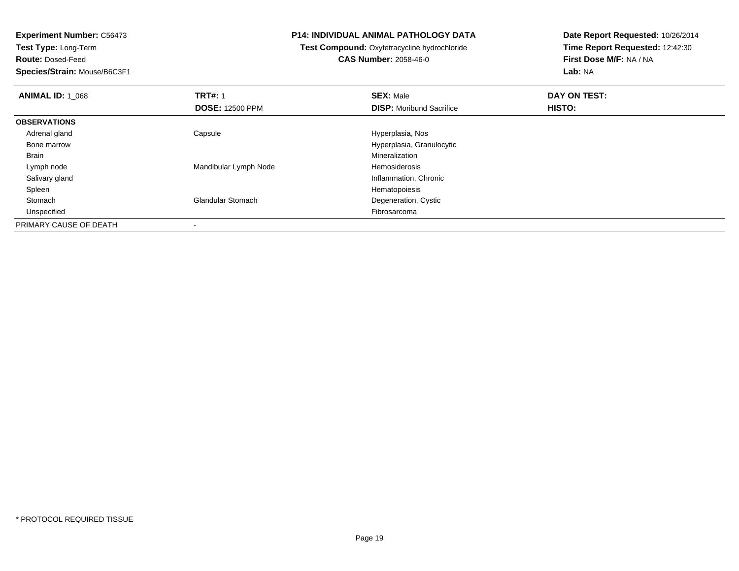**Test Type:** Long-Term

**Route:** Dosed-Feed

**Species/Strain:** Mouse/B6C3F1

### **P14: INDIVIDUAL ANIMAL PATHOLOGY DATA**

**Test Compound:** Oxytetracycline hydrochloride**CAS Number:** 2058-46-0

| <b>ANIMAL ID: 1_068</b> | <b>TRT#: 1</b>           | <b>SEX: Male</b>                | DAY ON TEST: |  |
|-------------------------|--------------------------|---------------------------------|--------------|--|
|                         | <b>DOSE: 12500 PPM</b>   | <b>DISP:</b> Moribund Sacrifice | HISTO:       |  |
| <b>OBSERVATIONS</b>     |                          |                                 |              |  |
| Adrenal gland           | Capsule                  | Hyperplasia, Nos                |              |  |
| Bone marrow             |                          | Hyperplasia, Granulocytic       |              |  |
| Brain                   |                          | Mineralization                  |              |  |
| Lymph node              | Mandibular Lymph Node    | Hemosiderosis                   |              |  |
| Salivary gland          |                          | Inflammation, Chronic           |              |  |
| Spleen                  |                          | Hematopoiesis                   |              |  |
| Stomach                 | <b>Glandular Stomach</b> | Degeneration, Cystic            |              |  |
| Unspecified             |                          | Fibrosarcoma                    |              |  |
| PRIMARY CAUSE OF DEATH  | $\overline{\phantom{a}}$ |                                 |              |  |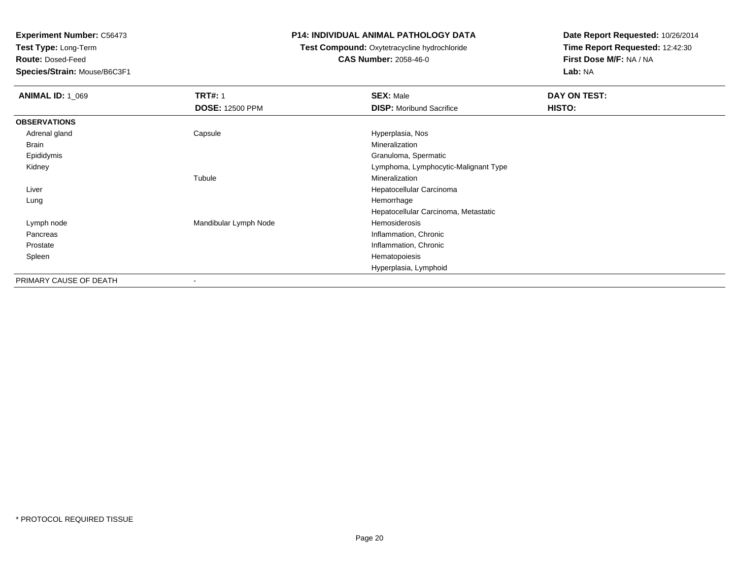**Test Type:** Long-Term

**Route:** Dosed-Feed

**Species/Strain:** Mouse/B6C3F1

### **P14: INDIVIDUAL ANIMAL PATHOLOGY DATA**

# **Test Compound:** Oxytetracycline hydrochloride**CAS Number:** 2058-46-0

| <b>ANIMAL ID: 1_069</b> | <b>TRT#: 1</b>         | <b>SEX: Male</b>                     | DAY ON TEST: |
|-------------------------|------------------------|--------------------------------------|--------------|
|                         | <b>DOSE: 12500 PPM</b> | <b>DISP:</b> Moribund Sacrifice      | HISTO:       |
| <b>OBSERVATIONS</b>     |                        |                                      |              |
| Adrenal gland           | Capsule                | Hyperplasia, Nos                     |              |
| Brain                   |                        | Mineralization                       |              |
| Epididymis              |                        | Granuloma, Spermatic                 |              |
| Kidney                  |                        | Lymphoma, Lymphocytic-Malignant Type |              |
|                         | Tubule                 | Mineralization                       |              |
| Liver                   |                        | Hepatocellular Carcinoma             |              |
| Lung                    |                        | Hemorrhage                           |              |
|                         |                        | Hepatocellular Carcinoma, Metastatic |              |
| Lymph node              | Mandibular Lymph Node  | Hemosiderosis                        |              |
| Pancreas                |                        | Inflammation, Chronic                |              |
| Prostate                |                        | Inflammation, Chronic                |              |
| Spleen                  |                        | Hematopoiesis                        |              |
|                         |                        | Hyperplasia, Lymphoid                |              |
| PRIMARY CAUSE OF DEATH  | ٠                      |                                      |              |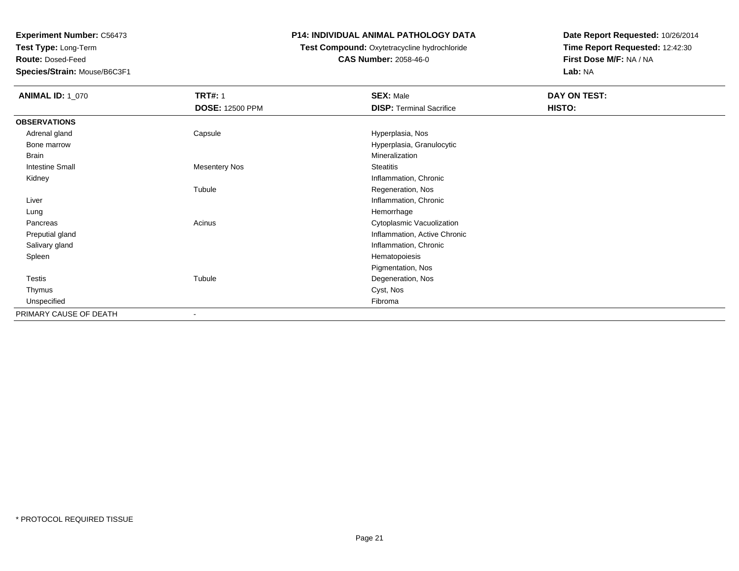**Test Type:** Long-Term

**Route:** Dosed-Feed

**Species/Strain:** Mouse/B6C3F1

## **P14: INDIVIDUAL ANIMAL PATHOLOGY DATA**

### **Test Compound:** Oxytetracycline hydrochloride**CAS Number:** 2058-46-0

| <b>ANIMAL ID: 1_070</b> | <b>TRT#: 1</b>           | <b>SEX: Male</b>                | DAY ON TEST: |  |
|-------------------------|--------------------------|---------------------------------|--------------|--|
|                         | <b>DOSE: 12500 PPM</b>   | <b>DISP: Terminal Sacrifice</b> | HISTO:       |  |
| <b>OBSERVATIONS</b>     |                          |                                 |              |  |
| Adrenal gland           | Capsule                  | Hyperplasia, Nos                |              |  |
| Bone marrow             |                          | Hyperplasia, Granulocytic       |              |  |
| Brain                   |                          | Mineralization                  |              |  |
| <b>Intestine Small</b>  | <b>Mesentery Nos</b>     | <b>Steatitis</b>                |              |  |
| Kidney                  |                          | Inflammation, Chronic           |              |  |
|                         | Tubule                   | Regeneration, Nos               |              |  |
| Liver                   |                          | Inflammation, Chronic           |              |  |
| Lung                    |                          | Hemorrhage                      |              |  |
| Pancreas                | Acinus                   | Cytoplasmic Vacuolization       |              |  |
| Preputial gland         |                          | Inflammation, Active Chronic    |              |  |
| Salivary gland          |                          | Inflammation, Chronic           |              |  |
| Spleen                  |                          | Hematopoiesis                   |              |  |
|                         |                          | Pigmentation, Nos               |              |  |
| Testis                  | Tubule                   | Degeneration, Nos               |              |  |
| Thymus                  |                          | Cyst, Nos                       |              |  |
| Unspecified             |                          | Fibroma                         |              |  |
| PRIMARY CAUSE OF DEATH  | $\overline{\phantom{a}}$ |                                 |              |  |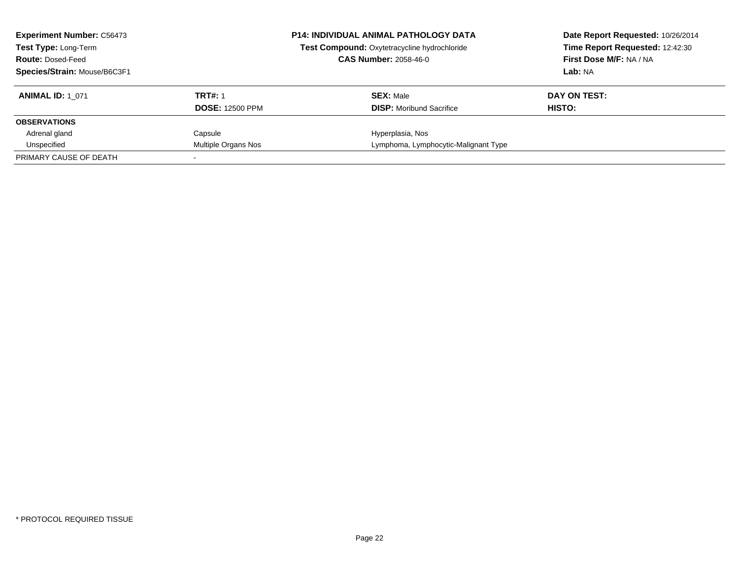| <b>Experiment Number: C56473</b><br>Test Type: Long-Term<br><b>Route: Dosed-Feed</b><br>Species/Strain: Mouse/B6C3F1 |                                          | P14: INDIVIDUAL ANIMAL PATHOLOGY DATA<br>Test Compound: Oxytetracycline hydrochloride<br><b>CAS Number: 2058-46-0</b> | Date Report Requested: 10/26/2014<br>Time Report Requested: 12:42:30<br>First Dose M/F: NA / NA<br>Lab: NA |
|----------------------------------------------------------------------------------------------------------------------|------------------------------------------|-----------------------------------------------------------------------------------------------------------------------|------------------------------------------------------------------------------------------------------------|
| <b>ANIMAL ID: 1 071</b>                                                                                              | <b>TRT#: 1</b><br><b>DOSE: 12500 PPM</b> | <b>SEX: Male</b><br><b>DISP:</b> Moribund Sacrifice                                                                   | DAY ON TEST:<br>HISTO:                                                                                     |
| <b>OBSERVATIONS</b>                                                                                                  |                                          |                                                                                                                       |                                                                                                            |
| Adrenal gland                                                                                                        | Capsule                                  | Hyperplasia, Nos                                                                                                      |                                                                                                            |
| Unspecified                                                                                                          | Multiple Organs Nos                      | Lymphoma, Lymphocytic-Malignant Type                                                                                  |                                                                                                            |
| PRIMARY CAUSE OF DEATH                                                                                               |                                          |                                                                                                                       |                                                                                                            |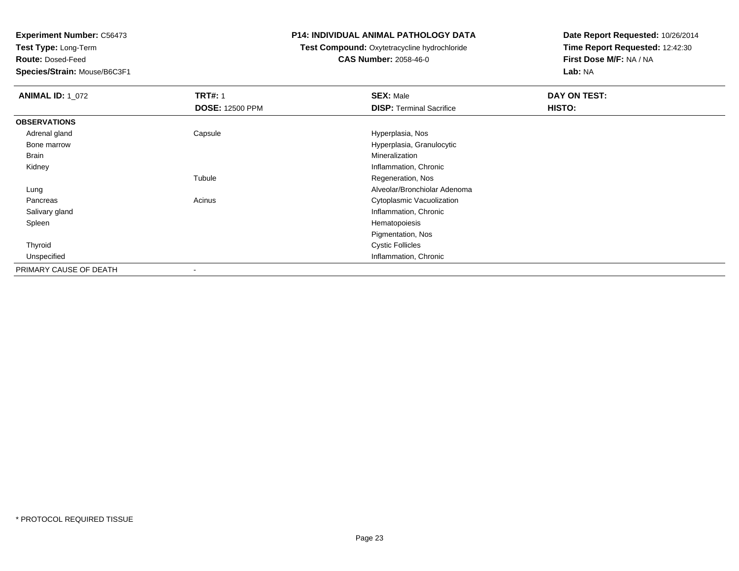**Test Type:** Long-Term

**Route:** Dosed-Feed

**Species/Strain:** Mouse/B6C3F1

### **P14: INDIVIDUAL ANIMAL PATHOLOGY DATA**

# **Test Compound:** Oxytetracycline hydrochloride**CAS Number:** 2058-46-0

| <b>ANIMAL ID: 1 072</b> | <b>TRT#: 1</b><br><b>DOSE: 12500 PPM</b> | <b>SEX: Male</b><br><b>DISP: Terminal Sacrifice</b> | <b>DAY ON TEST:</b><br>HISTO: |
|-------------------------|------------------------------------------|-----------------------------------------------------|-------------------------------|
| <b>OBSERVATIONS</b>     |                                          |                                                     |                               |
| Adrenal gland           | Capsule                                  | Hyperplasia, Nos                                    |                               |
| Bone marrow             |                                          | Hyperplasia, Granulocytic                           |                               |
| Brain                   |                                          | Mineralization                                      |                               |
| Kidney                  |                                          | Inflammation, Chronic                               |                               |
|                         | Tubule                                   | Regeneration, Nos                                   |                               |
| Lung                    |                                          | Alveolar/Bronchiolar Adenoma                        |                               |
| Pancreas                | Acinus                                   | Cytoplasmic Vacuolization                           |                               |
| Salivary gland          |                                          | Inflammation, Chronic                               |                               |
| Spleen                  |                                          | Hematopoiesis                                       |                               |
|                         |                                          | Pigmentation, Nos                                   |                               |
| Thyroid                 |                                          | <b>Cystic Follicles</b>                             |                               |
| Unspecified             |                                          | Inflammation, Chronic                               |                               |
| PRIMARY CAUSE OF DEATH  | $\,$                                     |                                                     |                               |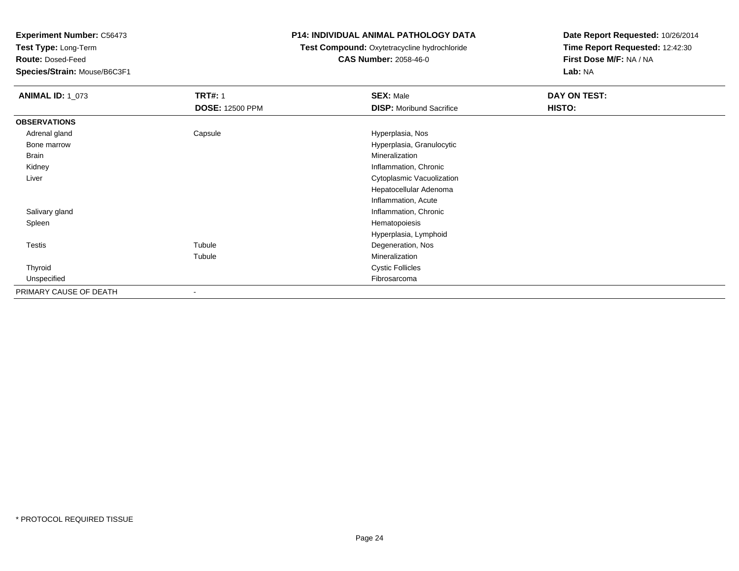**Test Type:** Long-Term

**Route:** Dosed-Feed

**Species/Strain:** Mouse/B6C3F1

## **P14: INDIVIDUAL ANIMAL PATHOLOGY DATA**

# **Test Compound:** Oxytetracycline hydrochloride**CAS Number:** 2058-46-0

| <b>ANIMAL ID: 1_073</b> | <b>TRT#: 1</b>         | <b>SEX: Male</b>                | DAY ON TEST: |
|-------------------------|------------------------|---------------------------------|--------------|
|                         | <b>DOSE: 12500 PPM</b> | <b>DISP:</b> Moribund Sacrifice | HISTO:       |
| <b>OBSERVATIONS</b>     |                        |                                 |              |
| Adrenal gland           | Capsule                | Hyperplasia, Nos                |              |
| Bone marrow             |                        | Hyperplasia, Granulocytic       |              |
| Brain                   |                        | Mineralization                  |              |
| Kidney                  |                        | Inflammation, Chronic           |              |
| Liver                   |                        | Cytoplasmic Vacuolization       |              |
|                         |                        | Hepatocellular Adenoma          |              |
|                         |                        | Inflammation, Acute             |              |
| Salivary gland          |                        | Inflammation, Chronic           |              |
| Spleen                  |                        | Hematopoiesis                   |              |
|                         |                        | Hyperplasia, Lymphoid           |              |
| Testis                  | Tubule                 | Degeneration, Nos               |              |
|                         | Tubule                 | Mineralization                  |              |
| Thyroid                 |                        | <b>Cystic Follicles</b>         |              |
| Unspecified             |                        | Fibrosarcoma                    |              |
| PRIMARY CAUSE OF DEATH  | $\blacksquare$         |                                 |              |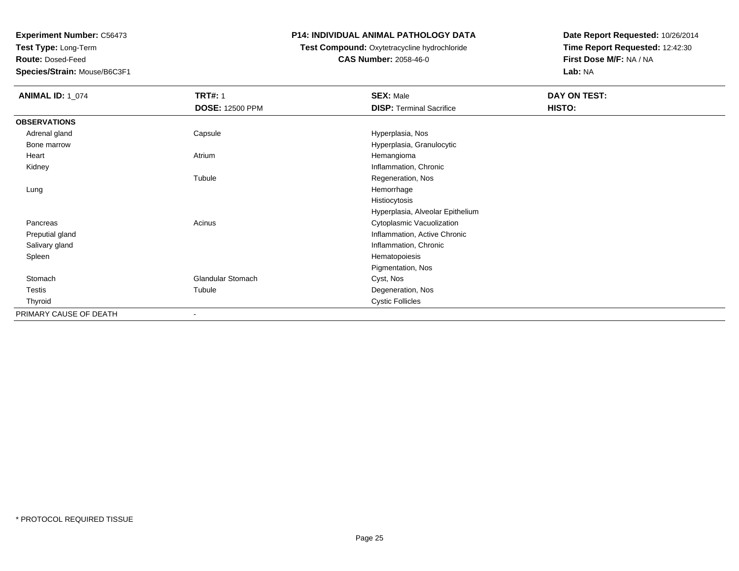**Test Type:** Long-Term

**Route:** Dosed-Feed

**Species/Strain:** Mouse/B6C3F1

## **P14: INDIVIDUAL ANIMAL PATHOLOGY DATA**

# **Test Compound:** Oxytetracycline hydrochloride**CAS Number:** 2058-46-0

| <b>ANIMAL ID: 1_074</b> | <b>TRT#: 1</b>           | <b>SEX: Male</b>                 | DAY ON TEST: |  |
|-------------------------|--------------------------|----------------------------------|--------------|--|
|                         | <b>DOSE: 12500 PPM</b>   | <b>DISP: Terminal Sacrifice</b>  | HISTO:       |  |
| <b>OBSERVATIONS</b>     |                          |                                  |              |  |
| Adrenal gland           | Capsule                  | Hyperplasia, Nos                 |              |  |
| Bone marrow             |                          | Hyperplasia, Granulocytic        |              |  |
| Heart                   | Atrium                   | Hemangioma                       |              |  |
| Kidney                  |                          | Inflammation, Chronic            |              |  |
|                         | Tubule                   | Regeneration, Nos                |              |  |
| Lung                    |                          | Hemorrhage                       |              |  |
|                         |                          | Histiocytosis                    |              |  |
|                         |                          | Hyperplasia, Alveolar Epithelium |              |  |
| Pancreas                | Acinus                   | Cytoplasmic Vacuolization        |              |  |
| Preputial gland         |                          | Inflammation, Active Chronic     |              |  |
| Salivary gland          |                          | Inflammation, Chronic            |              |  |
| Spleen                  |                          | Hematopoiesis                    |              |  |
|                         |                          | Pigmentation, Nos                |              |  |
| Stomach                 | Glandular Stomach        | Cyst, Nos                        |              |  |
| Testis                  | Tubule                   | Degeneration, Nos                |              |  |
| Thyroid                 |                          | <b>Cystic Follicles</b>          |              |  |
| PRIMARY CAUSE OF DEATH  | $\overline{\phantom{a}}$ |                                  |              |  |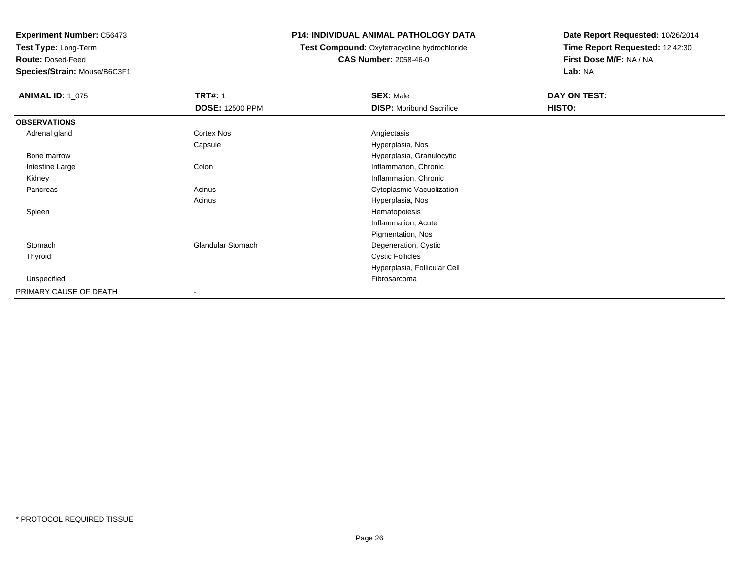**Test Type:** Long-Term

**Route:** Dosed-Feed

**Species/Strain:** Mouse/B6C3F1

## **P14: INDIVIDUAL ANIMAL PATHOLOGY DATA**

### **Test Compound:** Oxytetracycline hydrochloride**CAS Number:** 2058-46-0

| <b>ANIMAL ID: 1_075</b> | <b>TRT#: 1</b>           | <b>SEX: Male</b>                | DAY ON TEST: |  |
|-------------------------|--------------------------|---------------------------------|--------------|--|
|                         | <b>DOSE: 12500 PPM</b>   | <b>DISP:</b> Moribund Sacrifice | HISTO:       |  |
| <b>OBSERVATIONS</b>     |                          |                                 |              |  |
| Adrenal gland           | Cortex Nos               | Angiectasis                     |              |  |
|                         | Capsule                  | Hyperplasia, Nos                |              |  |
| Bone marrow             |                          | Hyperplasia, Granulocytic       |              |  |
| Intestine Large         | Colon                    | Inflammation, Chronic           |              |  |
| Kidney                  |                          | Inflammation, Chronic           |              |  |
| Pancreas                | Acinus                   | Cytoplasmic Vacuolization       |              |  |
|                         | Acinus                   | Hyperplasia, Nos                |              |  |
| Spleen                  |                          | Hematopoiesis                   |              |  |
|                         |                          | Inflammation, Acute             |              |  |
|                         |                          | Pigmentation, Nos               |              |  |
| Stomach                 | <b>Glandular Stomach</b> | Degeneration, Cystic            |              |  |
| Thyroid                 |                          | <b>Cystic Follicles</b>         |              |  |
|                         |                          | Hyperplasia, Follicular Cell    |              |  |
| Unspecified             |                          | Fibrosarcoma                    |              |  |
| PRIMARY CAUSE OF DEATH  | $\overline{\phantom{a}}$ |                                 |              |  |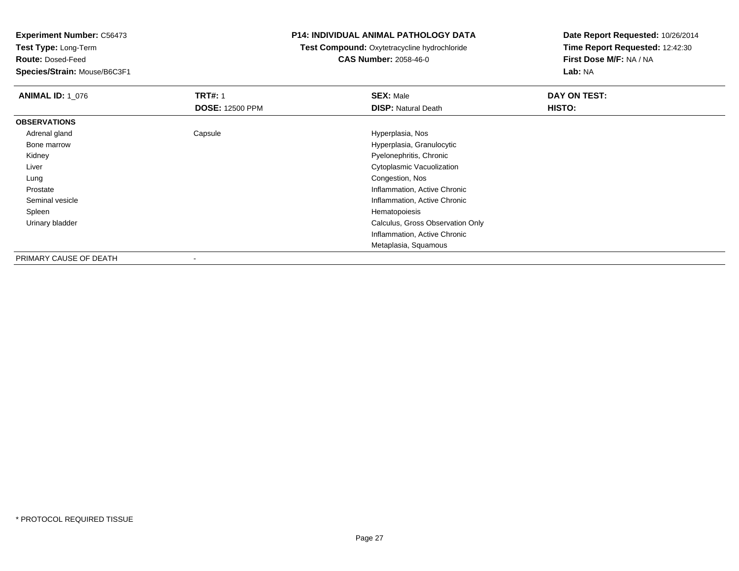**Test Type:** Long-Term

**Route:** Dosed-Feed

**Species/Strain:** Mouse/B6C3F1

### **P14: INDIVIDUAL ANIMAL PATHOLOGY DATA**

# **Test Compound:** Oxytetracycline hydrochloride**CAS Number:** 2058-46-0

| <b>ANIMAL ID: 1 076</b> | <b>TRT#: 1</b>           | <b>SEX: Male</b>                 | DAY ON TEST: |
|-------------------------|--------------------------|----------------------------------|--------------|
|                         | <b>DOSE: 12500 PPM</b>   | <b>DISP: Natural Death</b>       | HISTO:       |
| <b>OBSERVATIONS</b>     |                          |                                  |              |
| Adrenal gland           | Capsule                  | Hyperplasia, Nos                 |              |
| Bone marrow             |                          | Hyperplasia, Granulocytic        |              |
| Kidney                  |                          | Pyelonephritis, Chronic          |              |
| Liver                   |                          | Cytoplasmic Vacuolization        |              |
| Lung                    |                          | Congestion, Nos                  |              |
| Prostate                |                          | Inflammation, Active Chronic     |              |
| Seminal vesicle         |                          | Inflammation, Active Chronic     |              |
| Spleen                  |                          | Hematopoiesis                    |              |
| Urinary bladder         |                          | Calculus, Gross Observation Only |              |
|                         |                          | Inflammation, Active Chronic     |              |
|                         |                          | Metaplasia, Squamous             |              |
| PRIMARY CAUSE OF DEATH  | $\overline{\phantom{a}}$ |                                  |              |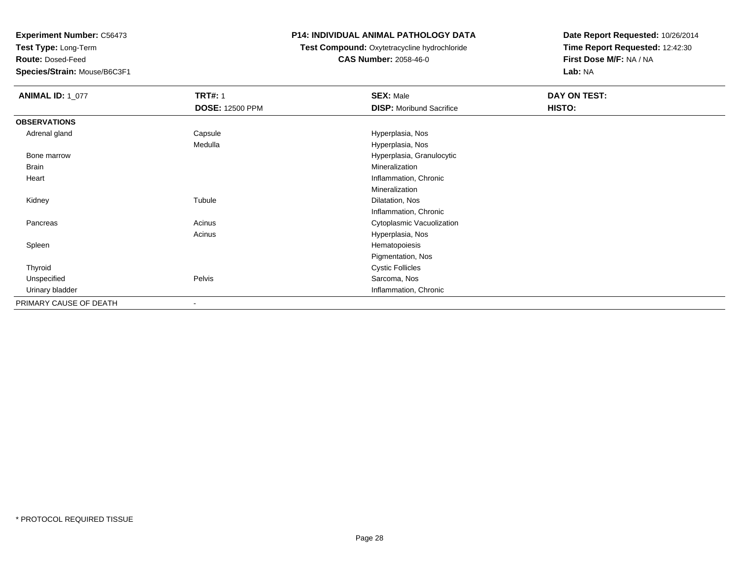**Test Type:** Long-Term

**Route:** Dosed-Feed

**Species/Strain:** Mouse/B6C3F1

## **P14: INDIVIDUAL ANIMAL PATHOLOGY DATA**

## **Test Compound:** Oxytetracycline hydrochloride**CAS Number:** 2058-46-0

| <b>ANIMAL ID: 1_077</b> | <b>TRT#: 1</b>         | <b>SEX: Male</b>                | DAY ON TEST: |
|-------------------------|------------------------|---------------------------------|--------------|
|                         | <b>DOSE: 12500 PPM</b> | <b>DISP:</b> Moribund Sacrifice | HISTO:       |
| <b>OBSERVATIONS</b>     |                        |                                 |              |
| Adrenal gland           | Capsule                | Hyperplasia, Nos                |              |
|                         | Medulla                | Hyperplasia, Nos                |              |
| Bone marrow             |                        | Hyperplasia, Granulocytic       |              |
| Brain                   |                        | Mineralization                  |              |
| Heart                   |                        | Inflammation, Chronic           |              |
|                         |                        | Mineralization                  |              |
| Kidney                  | Tubule                 | Dilatation, Nos                 |              |
|                         |                        | Inflammation, Chronic           |              |
| Pancreas                | Acinus                 | Cytoplasmic Vacuolization       |              |
|                         | Acinus                 | Hyperplasia, Nos                |              |
| Spleen                  |                        | Hematopoiesis                   |              |
|                         |                        | Pigmentation, Nos               |              |
| Thyroid                 |                        | <b>Cystic Follicles</b>         |              |
| Unspecified             | Pelvis                 | Sarcoma, Nos                    |              |
| Urinary bladder         |                        | Inflammation, Chronic           |              |
| PRIMARY CAUSE OF DEATH  | $\blacksquare$         |                                 |              |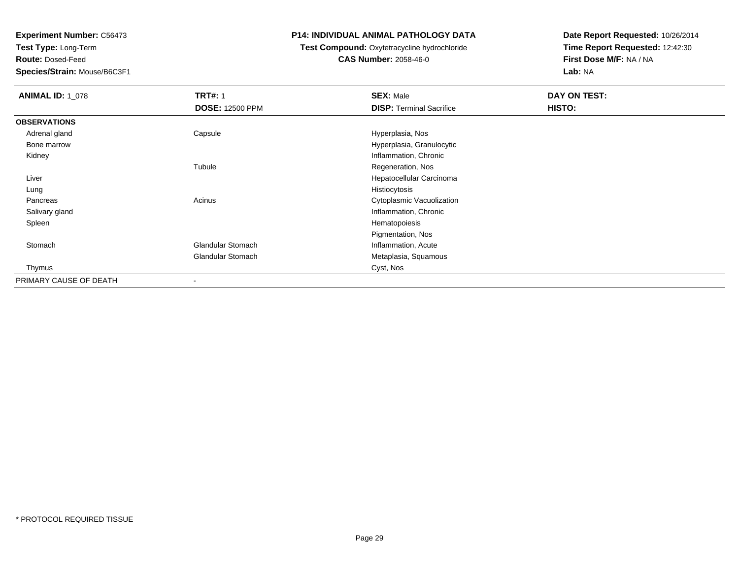**Test Type:** Long-Term

**Route:** Dosed-Feed

**Species/Strain:** Mouse/B6C3F1

### **P14: INDIVIDUAL ANIMAL PATHOLOGY DATA**

# **Test Compound:** Oxytetracycline hydrochloride**CAS Number:** 2058-46-0

| <b>ANIMAL ID: 1_078</b> | <b>TRT#: 1</b>           | <b>SEX: Male</b>                | DAY ON TEST: |
|-------------------------|--------------------------|---------------------------------|--------------|
|                         | <b>DOSE: 12500 PPM</b>   | <b>DISP: Terminal Sacrifice</b> | HISTO:       |
| <b>OBSERVATIONS</b>     |                          |                                 |              |
| Adrenal gland           | Capsule                  | Hyperplasia, Nos                |              |
| Bone marrow             |                          | Hyperplasia, Granulocytic       |              |
| Kidney                  |                          | Inflammation, Chronic           |              |
|                         | Tubule                   | Regeneration, Nos               |              |
| Liver                   |                          | Hepatocellular Carcinoma        |              |
| Lung                    |                          | Histiocytosis                   |              |
| Pancreas                | Acinus                   | Cytoplasmic Vacuolization       |              |
| Salivary gland          |                          | Inflammation, Chronic           |              |
| Spleen                  |                          | Hematopoiesis                   |              |
|                         |                          | Pigmentation, Nos               |              |
| Stomach                 | Glandular Stomach        | Inflammation, Acute             |              |
|                         | Glandular Stomach        | Metaplasia, Squamous            |              |
| Thymus                  |                          | Cyst, Nos                       |              |
| PRIMARY CAUSE OF DEATH  | $\overline{\phantom{a}}$ |                                 |              |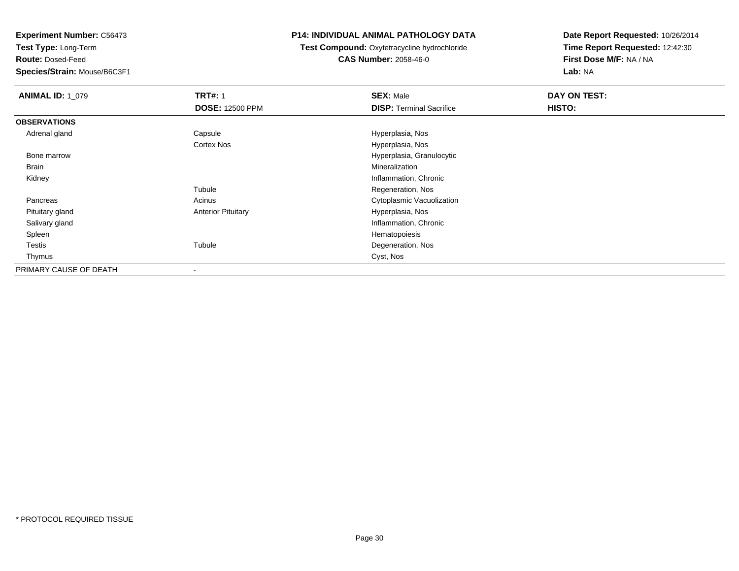**Test Type:** Long-Term

**Route:** Dosed-Feed

**Species/Strain:** Mouse/B6C3F1

### **P14: INDIVIDUAL ANIMAL PATHOLOGY DATA**

**Test Compound:** Oxytetracycline hydrochloride**CAS Number:** 2058-46-0

| <b>ANIMAL ID: 1 079</b> | <b>TRT#: 1</b>            | <b>SEX: Male</b>                | <b>DAY ON TEST:</b> |
|-------------------------|---------------------------|---------------------------------|---------------------|
|                         | <b>DOSE: 12500 PPM</b>    | <b>DISP: Terminal Sacrifice</b> | HISTO:              |
| <b>OBSERVATIONS</b>     |                           |                                 |                     |
| Adrenal gland           | Capsule                   | Hyperplasia, Nos                |                     |
|                         | Cortex Nos                | Hyperplasia, Nos                |                     |
| Bone marrow             |                           | Hyperplasia, Granulocytic       |                     |
| Brain                   |                           | Mineralization                  |                     |
| Kidney                  |                           | Inflammation, Chronic           |                     |
|                         | Tubule                    | Regeneration, Nos               |                     |
| Pancreas                | Acinus                    | Cytoplasmic Vacuolization       |                     |
| Pituitary gland         | <b>Anterior Pituitary</b> | Hyperplasia, Nos                |                     |
| Salivary gland          |                           | Inflammation, Chronic           |                     |
| Spleen                  |                           | Hematopoiesis                   |                     |
| Testis                  | Tubule                    | Degeneration, Nos               |                     |
| Thymus                  |                           | Cyst, Nos                       |                     |
| PRIMARY CAUSE OF DEATH  | $\overline{\phantom{a}}$  |                                 |                     |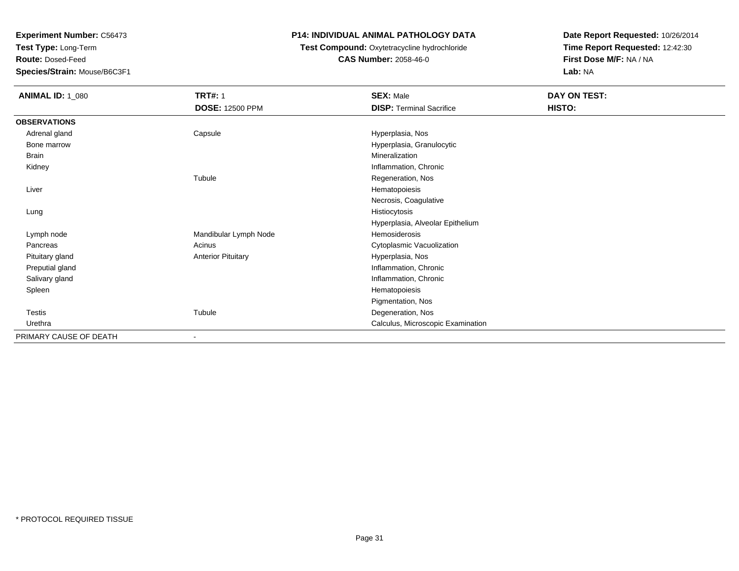**Test Type:** Long-Term

**Route:** Dosed-Feed

**Species/Strain:** Mouse/B6C3F1

## **P14: INDIVIDUAL ANIMAL PATHOLOGY DATA**

# **Test Compound:** Oxytetracycline hydrochloride**CAS Number:** 2058-46-0

| <b>ANIMAL ID: 1_080</b> | <b>TRT#: 1</b>            | <b>SEX: Male</b>                  | DAY ON TEST: |
|-------------------------|---------------------------|-----------------------------------|--------------|
|                         | <b>DOSE: 12500 PPM</b>    | <b>DISP: Terminal Sacrifice</b>   | HISTO:       |
| <b>OBSERVATIONS</b>     |                           |                                   |              |
| Adrenal gland           | Capsule                   | Hyperplasia, Nos                  |              |
| Bone marrow             |                           | Hyperplasia, Granulocytic         |              |
| Brain                   |                           | Mineralization                    |              |
| Kidney                  |                           | Inflammation, Chronic             |              |
|                         | Tubule                    | Regeneration, Nos                 |              |
| Liver                   |                           | Hematopoiesis                     |              |
|                         |                           | Necrosis, Coagulative             |              |
| Lung                    |                           | Histiocytosis                     |              |
|                         |                           | Hyperplasia, Alveolar Epithelium  |              |
| Lymph node              | Mandibular Lymph Node     | Hemosiderosis                     |              |
| Pancreas                | Acinus                    | Cytoplasmic Vacuolization         |              |
| Pituitary gland         | <b>Anterior Pituitary</b> | Hyperplasia, Nos                  |              |
| Preputial gland         |                           | Inflammation, Chronic             |              |
| Salivary gland          |                           | Inflammation, Chronic             |              |
| Spleen                  |                           | Hematopoiesis                     |              |
|                         |                           | Pigmentation, Nos                 |              |
| Testis                  | Tubule                    | Degeneration, Nos                 |              |
| Urethra                 |                           | Calculus, Microscopic Examination |              |
| PRIMARY CAUSE OF DEATH  | ٠                         |                                   |              |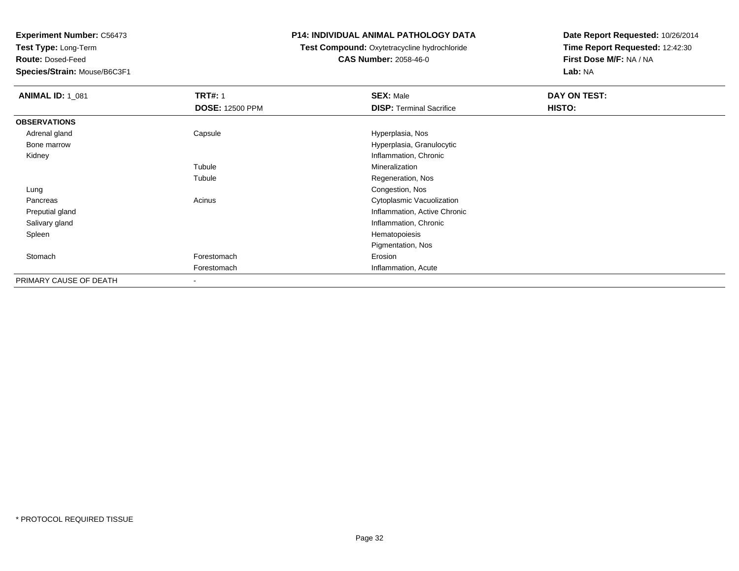**Test Type:** Long-Term

**Route:** Dosed-Feed

**Species/Strain:** Mouse/B6C3F1

## **P14: INDIVIDUAL ANIMAL PATHOLOGY DATA**

# **Test Compound:** Oxytetracycline hydrochloride**CAS Number:** 2058-46-0

| <b>ANIMAL ID: 1_081</b> | <b>TRT#: 1</b><br><b>DOSE: 12500 PPM</b> | <b>SEX: Male</b><br><b>DISP: Terminal Sacrifice</b> | DAY ON TEST:<br><b>HISTO:</b> |
|-------------------------|------------------------------------------|-----------------------------------------------------|-------------------------------|
| <b>OBSERVATIONS</b>     |                                          |                                                     |                               |
| Adrenal gland           | Capsule                                  | Hyperplasia, Nos                                    |                               |
| Bone marrow             |                                          | Hyperplasia, Granulocytic                           |                               |
| Kidney                  |                                          | Inflammation, Chronic                               |                               |
|                         | Tubule                                   | Mineralization                                      |                               |
|                         | Tubule                                   | Regeneration, Nos                                   |                               |
| Lung                    |                                          | Congestion, Nos                                     |                               |
| Pancreas                | Acinus                                   | Cytoplasmic Vacuolization                           |                               |
| Preputial gland         |                                          | Inflammation, Active Chronic                        |                               |
| Salivary gland          |                                          | Inflammation, Chronic                               |                               |
| Spleen                  |                                          | Hematopoiesis                                       |                               |
|                         |                                          | Pigmentation, Nos                                   |                               |
| Stomach                 | Forestomach                              | Erosion                                             |                               |
|                         | Forestomach                              | Inflammation, Acute                                 |                               |
| PRIMARY CAUSE OF DEATH  | $\blacksquare$                           |                                                     |                               |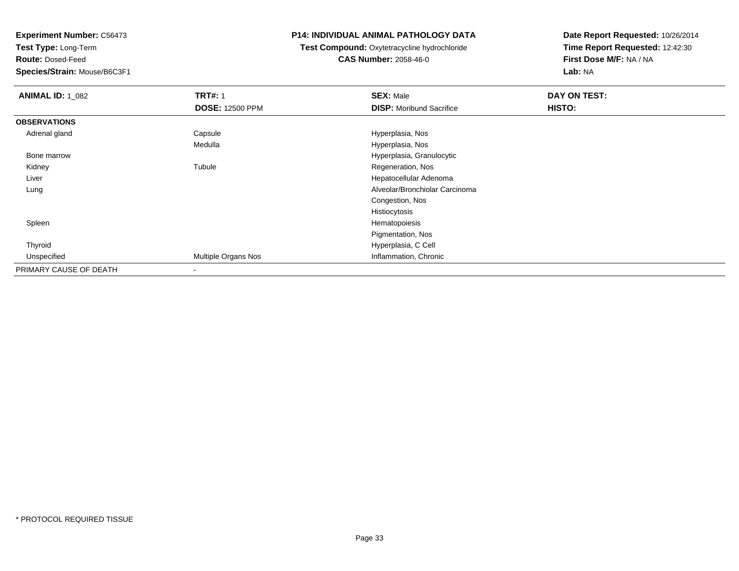**Test Type:** Long-Term

**Route:** Dosed-Feed

**Species/Strain:** Mouse/B6C3F1

### **P14: INDIVIDUAL ANIMAL PATHOLOGY DATA**

**Test Compound:** Oxytetracycline hydrochloride**CAS Number:** 2058-46-0

| <b>ANIMAL ID: 1_082</b> | <b>TRT#: 1</b>         | <b>SEX: Male</b>                | DAY ON TEST: |  |
|-------------------------|------------------------|---------------------------------|--------------|--|
|                         | <b>DOSE: 12500 PPM</b> | <b>DISP:</b> Moribund Sacrifice | HISTO:       |  |
| <b>OBSERVATIONS</b>     |                        |                                 |              |  |
| Adrenal gland           | Capsule                | Hyperplasia, Nos                |              |  |
|                         | Medulla                | Hyperplasia, Nos                |              |  |
| Bone marrow             |                        | Hyperplasia, Granulocytic       |              |  |
| Kidney                  | Tubule                 | Regeneration, Nos               |              |  |
| Liver                   |                        | Hepatocellular Adenoma          |              |  |
| Lung                    |                        | Alveolar/Bronchiolar Carcinoma  |              |  |
|                         |                        | Congestion, Nos                 |              |  |
|                         |                        | Histiocytosis                   |              |  |
| Spleen                  |                        | Hematopoiesis                   |              |  |
|                         |                        | Pigmentation, Nos               |              |  |
| Thyroid                 |                        | Hyperplasia, C Cell             |              |  |
| Unspecified             | Multiple Organs Nos    | Inflammation, Chronic           |              |  |
| PRIMARY CAUSE OF DEATH  |                        |                                 |              |  |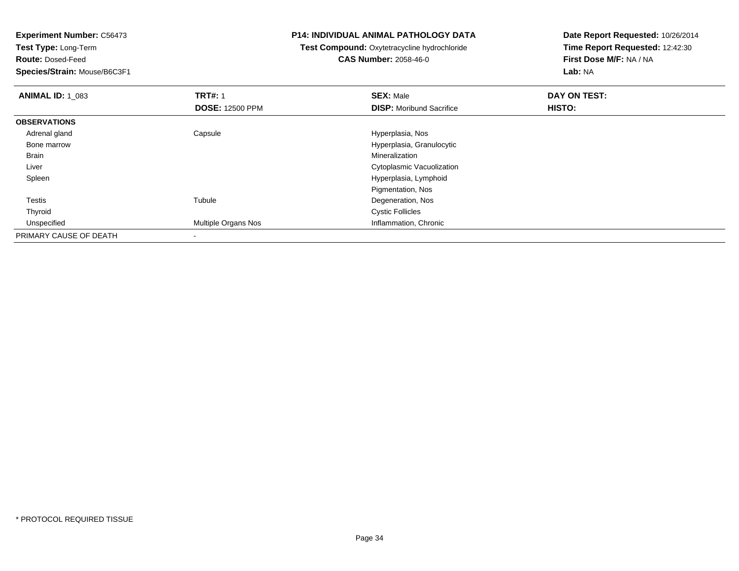**Test Type:** Long-Term

**Route:** Dosed-Feed

**Species/Strain:** Mouse/B6C3F1

### **P14: INDIVIDUAL ANIMAL PATHOLOGY DATA**

# **Test Compound:** Oxytetracycline hydrochloride**CAS Number:** 2058-46-0

| <b>ANIMAL ID: 1 083</b> | <b>TRT#: 1</b>         | <b>SEX: Male</b>                 | DAY ON TEST: |  |
|-------------------------|------------------------|----------------------------------|--------------|--|
|                         | <b>DOSE: 12500 PPM</b> | <b>DISP:</b> Moribund Sacrifice  | HISTO:       |  |
| <b>OBSERVATIONS</b>     |                        |                                  |              |  |
| Adrenal gland           | Capsule                | Hyperplasia, Nos                 |              |  |
| Bone marrow             |                        | Hyperplasia, Granulocytic        |              |  |
| <b>Brain</b>            |                        | Mineralization                   |              |  |
| Liver                   |                        | <b>Cytoplasmic Vacuolization</b> |              |  |
| Spleen                  |                        | Hyperplasia, Lymphoid            |              |  |
|                         |                        | Pigmentation, Nos                |              |  |
| <b>Testis</b>           | Tubule                 | Degeneration, Nos                |              |  |
| Thyroid                 |                        | <b>Cystic Follicles</b>          |              |  |
| Unspecified             | Multiple Organs Nos    | Inflammation, Chronic            |              |  |
| PRIMARY CAUSE OF DEATH  |                        |                                  |              |  |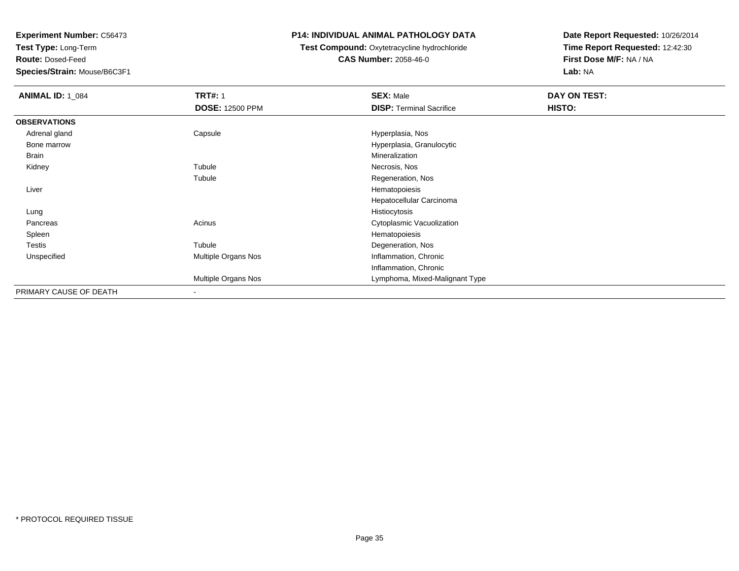**Test Type:** Long-Term

**Route:** Dosed-Feed

**Species/Strain:** Mouse/B6C3F1

### **P14: INDIVIDUAL ANIMAL PATHOLOGY DATA**

## **Test Compound:** Oxytetracycline hydrochloride**CAS Number:** 2058-46-0

| <b>ANIMAL ID: 1 084</b> | <b>TRT#: 1</b>         | <b>SEX: Male</b>                | DAY ON TEST: |
|-------------------------|------------------------|---------------------------------|--------------|
|                         | <b>DOSE: 12500 PPM</b> | <b>DISP: Terminal Sacrifice</b> | HISTO:       |
| <b>OBSERVATIONS</b>     |                        |                                 |              |
| Adrenal gland           | Capsule                | Hyperplasia, Nos                |              |
| Bone marrow             |                        | Hyperplasia, Granulocytic       |              |
| Brain                   |                        | Mineralization                  |              |
| Kidney                  | Tubule                 | Necrosis, Nos                   |              |
|                         | Tubule                 | Regeneration, Nos               |              |
| Liver                   |                        | Hematopoiesis                   |              |
|                         |                        | Hepatocellular Carcinoma        |              |
| Lung                    |                        | Histiocytosis                   |              |
| Pancreas                | Acinus                 | Cytoplasmic Vacuolization       |              |
| Spleen                  |                        | Hematopoiesis                   |              |
| <b>Testis</b>           | Tubule                 | Degeneration, Nos               |              |
| Unspecified             | Multiple Organs Nos    | Inflammation, Chronic           |              |
|                         |                        | Inflammation, Chronic           |              |
|                         | Multiple Organs Nos    | Lymphoma, Mixed-Malignant Type  |              |
| PRIMARY CAUSE OF DEATH  | $\blacksquare$         |                                 |              |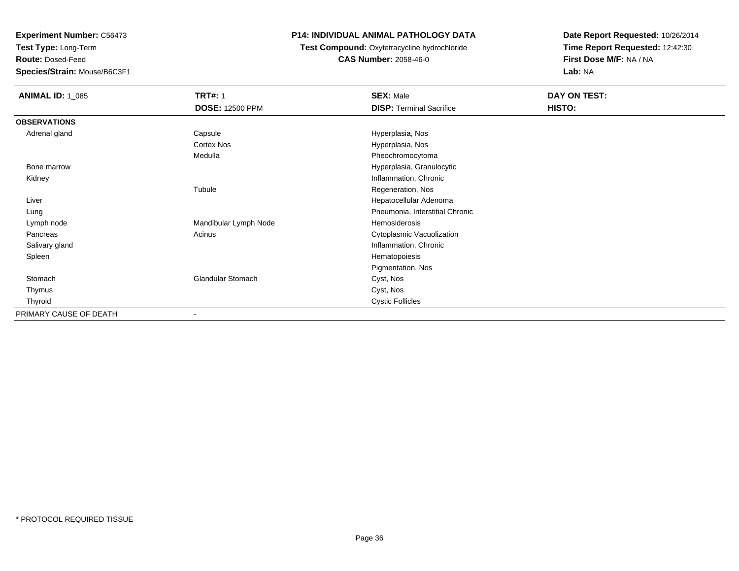**Test Type:** Long-Term

**Route:** Dosed-Feed

**Species/Strain:** Mouse/B6C3F1

## **P14: INDIVIDUAL ANIMAL PATHOLOGY DATA**

**Test Compound:** Oxytetracycline hydrochloride**CAS Number:** 2058-46-0

| <b>ANIMAL ID: 1_085</b> | <b>TRT#: 1</b>         | <b>SEX: Male</b>                | DAY ON TEST: |
|-------------------------|------------------------|---------------------------------|--------------|
|                         | <b>DOSE: 12500 PPM</b> | <b>DISP: Terminal Sacrifice</b> | HISTO:       |
| <b>OBSERVATIONS</b>     |                        |                                 |              |
| Adrenal gland           | Capsule                | Hyperplasia, Nos                |              |
|                         | Cortex Nos             | Hyperplasia, Nos                |              |
|                         | Medulla                | Pheochromocytoma                |              |
| Bone marrow             |                        | Hyperplasia, Granulocytic       |              |
| Kidney                  |                        | Inflammation, Chronic           |              |
|                         | Tubule                 | Regeneration, Nos               |              |
| Liver                   |                        | Hepatocellular Adenoma          |              |
| Lung                    |                        | Pneumonia, Interstitial Chronic |              |
| Lymph node              | Mandibular Lymph Node  | Hemosiderosis                   |              |
| Pancreas                | Acinus                 | Cytoplasmic Vacuolization       |              |
| Salivary gland          |                        | Inflammation, Chronic           |              |
| Spleen                  |                        | Hematopoiesis                   |              |
|                         |                        | Pigmentation, Nos               |              |
| Stomach                 | Glandular Stomach      | Cyst, Nos                       |              |
| Thymus                  |                        | Cyst, Nos                       |              |
| Thyroid                 |                        | <b>Cystic Follicles</b>         |              |
| PRIMARY CAUSE OF DEATH  | ۰                      |                                 |              |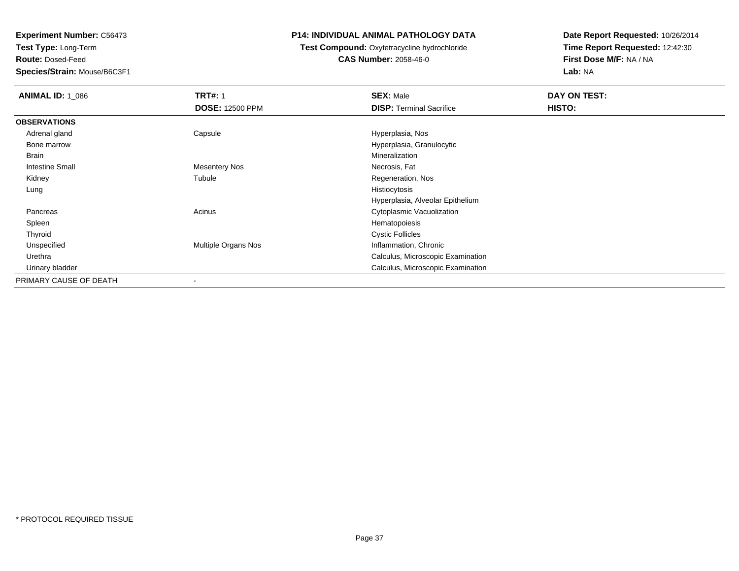**Test Type:** Long-Term

**Route:** Dosed-Feed

**Species/Strain:** Mouse/B6C3F1

### **P14: INDIVIDUAL ANIMAL PATHOLOGY DATA**

**Test Compound:** Oxytetracycline hydrochloride**CAS Number:** 2058-46-0

| <b>ANIMAL ID: 1_086</b> | <b>TRT#: 1</b>             | <b>SEX: Male</b>                  | DAY ON TEST: |  |
|-------------------------|----------------------------|-----------------------------------|--------------|--|
|                         | <b>DOSE: 12500 PPM</b>     | <b>DISP:</b> Terminal Sacrifice   | HISTO:       |  |
| <b>OBSERVATIONS</b>     |                            |                                   |              |  |
| Adrenal gland           | Capsule                    | Hyperplasia, Nos                  |              |  |
| Bone marrow             |                            | Hyperplasia, Granulocytic         |              |  |
| Brain                   |                            | Mineralization                    |              |  |
| <b>Intestine Small</b>  | Mesentery Nos              | Necrosis, Fat                     |              |  |
| Kidney                  | Tubule                     | Regeneration, Nos                 |              |  |
| Lung                    |                            | Histiocytosis                     |              |  |
|                         |                            | Hyperplasia, Alveolar Epithelium  |              |  |
| Pancreas                | Acinus                     | Cytoplasmic Vacuolization         |              |  |
| Spleen                  |                            | Hematopoiesis                     |              |  |
| Thyroid                 |                            | <b>Cystic Follicles</b>           |              |  |
| Unspecified             | <b>Multiple Organs Nos</b> | Inflammation, Chronic             |              |  |
| Urethra                 |                            | Calculus, Microscopic Examination |              |  |
| Urinary bladder         |                            | Calculus, Microscopic Examination |              |  |
| PRIMARY CAUSE OF DEATH  |                            |                                   |              |  |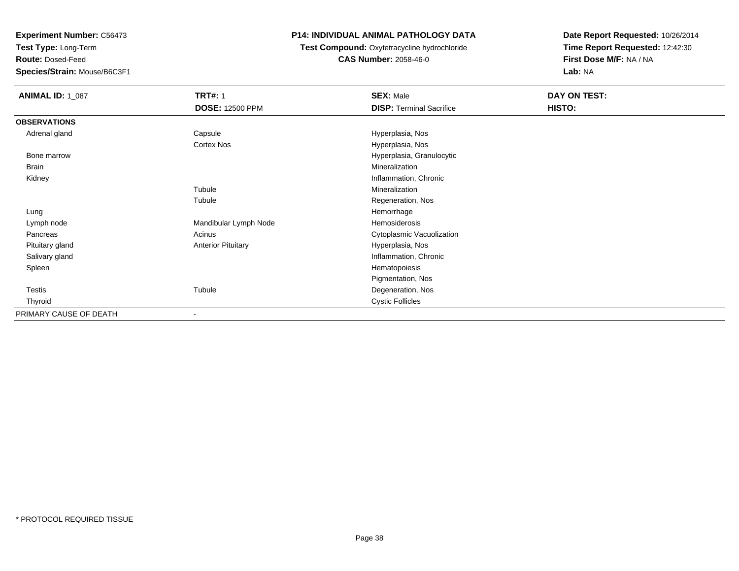**Test Type:** Long-Term

**Route:** Dosed-Feed

**Species/Strain:** Mouse/B6C3F1

## **P14: INDIVIDUAL ANIMAL PATHOLOGY DATA**

**Test Compound:** Oxytetracycline hydrochloride**CAS Number:** 2058-46-0

| <b>ANIMAL ID: 1_087</b> | <b>TRT#: 1</b>            | <b>SEX: Male</b>                | DAY ON TEST: |  |
|-------------------------|---------------------------|---------------------------------|--------------|--|
|                         | <b>DOSE: 12500 PPM</b>    | <b>DISP: Terminal Sacrifice</b> | HISTO:       |  |
| <b>OBSERVATIONS</b>     |                           |                                 |              |  |
| Adrenal gland           | Capsule                   | Hyperplasia, Nos                |              |  |
|                         | Cortex Nos                | Hyperplasia, Nos                |              |  |
| Bone marrow             |                           | Hyperplasia, Granulocytic       |              |  |
| Brain                   |                           | Mineralization                  |              |  |
| Kidney                  |                           | Inflammation, Chronic           |              |  |
|                         | Tubule                    | Mineralization                  |              |  |
|                         | Tubule                    | Regeneration, Nos               |              |  |
| Lung                    |                           | Hemorrhage                      |              |  |
| Lymph node              | Mandibular Lymph Node     | Hemosiderosis                   |              |  |
| Pancreas                | Acinus                    | Cytoplasmic Vacuolization       |              |  |
| Pituitary gland         | <b>Anterior Pituitary</b> | Hyperplasia, Nos                |              |  |
| Salivary gland          |                           | Inflammation, Chronic           |              |  |
| Spleen                  |                           | Hematopoiesis                   |              |  |
|                         |                           | Pigmentation, Nos               |              |  |
| <b>Testis</b>           | Tubule                    | Degeneration, Nos               |              |  |
| Thyroid                 |                           | <b>Cystic Follicles</b>         |              |  |
| PRIMARY CAUSE OF DEATH  | ۰                         |                                 |              |  |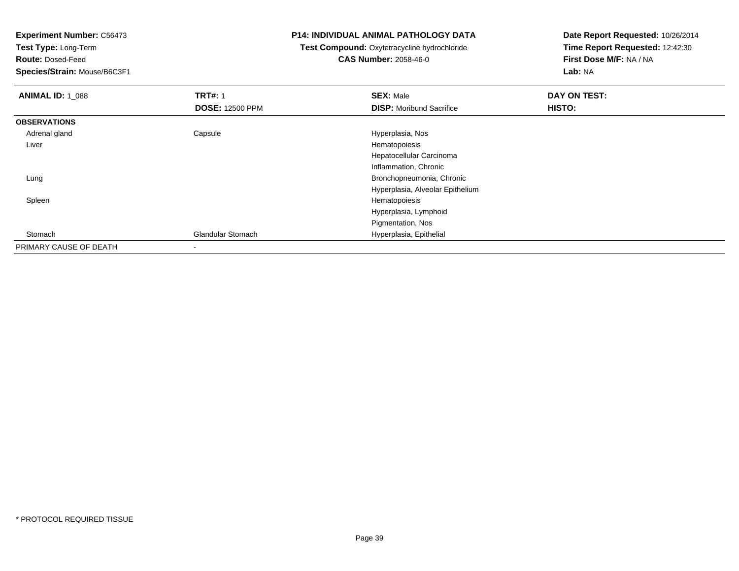**Test Type:** Long-Term

**Route:** Dosed-Feed

**Species/Strain:** Mouse/B6C3F1

#### **P14: INDIVIDUAL ANIMAL PATHOLOGY DATA**

 **Test Compound:** Oxytetracycline hydrochloride**CAS Number:** 2058-46-0

| <b>ANIMAL ID: 1_088</b> | <b>TRT#: 1</b>           | <b>SEX: Male</b>                 | DAY ON TEST: |  |
|-------------------------|--------------------------|----------------------------------|--------------|--|
|                         | <b>DOSE: 12500 PPM</b>   | <b>DISP:</b> Moribund Sacrifice  | HISTO:       |  |
| <b>OBSERVATIONS</b>     |                          |                                  |              |  |
| Adrenal gland           | Capsule                  | Hyperplasia, Nos                 |              |  |
| Liver                   |                          | Hematopoiesis                    |              |  |
|                         |                          | Hepatocellular Carcinoma         |              |  |
|                         |                          | Inflammation, Chronic            |              |  |
| Lung                    |                          | Bronchopneumonia, Chronic        |              |  |
|                         |                          | Hyperplasia, Alveolar Epithelium |              |  |
| Spleen                  |                          | Hematopoiesis                    |              |  |
|                         |                          | Hyperplasia, Lymphoid            |              |  |
|                         |                          | Pigmentation, Nos                |              |  |
| Stomach                 | <b>Glandular Stomach</b> | Hyperplasia, Epithelial          |              |  |
| PRIMARY CAUSE OF DEATH  |                          |                                  |              |  |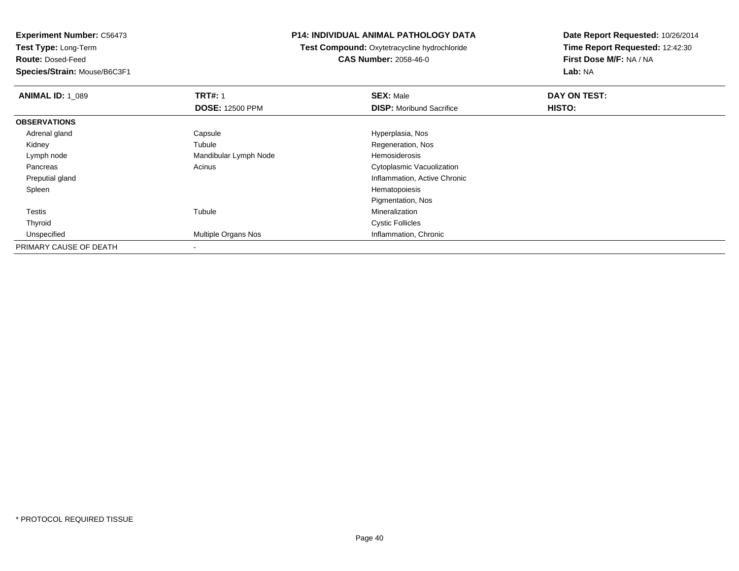**Test Type:** Long-Term

**Route:** Dosed-Feed

**Species/Strain:** Mouse/B6C3F1

### **P14: INDIVIDUAL ANIMAL PATHOLOGY DATA**

**Test Compound:** Oxytetracycline hydrochloride**CAS Number:** 2058-46-0

| <b>ANIMAL ID: 1_089</b> | <b>TRT#: 1</b>             | <b>SEX: Male</b>                | DAY ON TEST: |  |
|-------------------------|----------------------------|---------------------------------|--------------|--|
|                         | <b>DOSE: 12500 PPM</b>     | <b>DISP:</b> Moribund Sacrifice | HISTO:       |  |
| <b>OBSERVATIONS</b>     |                            |                                 |              |  |
| Adrenal gland           | Capsule                    | Hyperplasia, Nos                |              |  |
| Kidney                  | Tubule                     | Regeneration, Nos               |              |  |
| Lymph node              | Mandibular Lymph Node      | Hemosiderosis                   |              |  |
| Pancreas                | Acinus                     | Cytoplasmic Vacuolization       |              |  |
| Preputial gland         |                            | Inflammation, Active Chronic    |              |  |
| Spleen                  |                            | Hematopoiesis                   |              |  |
|                         |                            | Pigmentation, Nos               |              |  |
| Testis                  | Tubule                     | Mineralization                  |              |  |
| Thyroid                 |                            | <b>Cystic Follicles</b>         |              |  |
| Unspecified             | <b>Multiple Organs Nos</b> | Inflammation, Chronic           |              |  |
| PRIMARY CAUSE OF DEATH  |                            |                                 |              |  |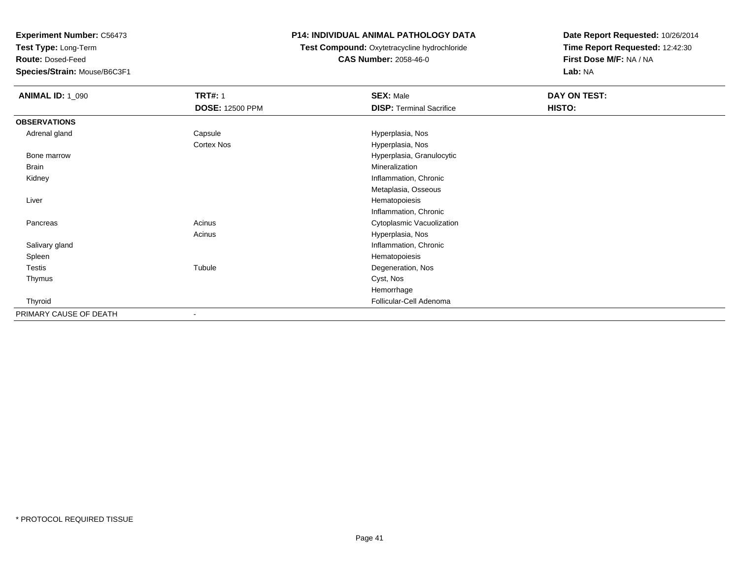**Test Type:** Long-Term

**Route:** Dosed-Feed

**Species/Strain:** Mouse/B6C3F1

## **P14: INDIVIDUAL ANIMAL PATHOLOGY DATA**

#### **Test Compound:** Oxytetracycline hydrochloride**CAS Number:** 2058-46-0

| <b>ANIMAL ID: 1_090</b> | <b>TRT#: 1</b>         | <b>SEX: Male</b>                | DAY ON TEST: |  |
|-------------------------|------------------------|---------------------------------|--------------|--|
|                         | <b>DOSE: 12500 PPM</b> | <b>DISP: Terminal Sacrifice</b> | HISTO:       |  |
| <b>OBSERVATIONS</b>     |                        |                                 |              |  |
| Adrenal gland           | Capsule                | Hyperplasia, Nos                |              |  |
|                         | <b>Cortex Nos</b>      | Hyperplasia, Nos                |              |  |
| Bone marrow             |                        | Hyperplasia, Granulocytic       |              |  |
| <b>Brain</b>            |                        | Mineralization                  |              |  |
| Kidney                  |                        | Inflammation, Chronic           |              |  |
|                         |                        | Metaplasia, Osseous             |              |  |
| Liver                   |                        | Hematopoiesis                   |              |  |
|                         |                        | Inflammation, Chronic           |              |  |
| Pancreas                | Acinus                 | Cytoplasmic Vacuolization       |              |  |
|                         | Acinus                 | Hyperplasia, Nos                |              |  |
| Salivary gland          |                        | Inflammation, Chronic           |              |  |
| Spleen                  |                        | Hematopoiesis                   |              |  |
| Testis                  | Tubule                 | Degeneration, Nos               |              |  |
| Thymus                  |                        | Cyst, Nos                       |              |  |
|                         |                        | Hemorrhage                      |              |  |
| Thyroid                 |                        | Follicular-Cell Adenoma         |              |  |
| PRIMARY CAUSE OF DEATH  |                        |                                 |              |  |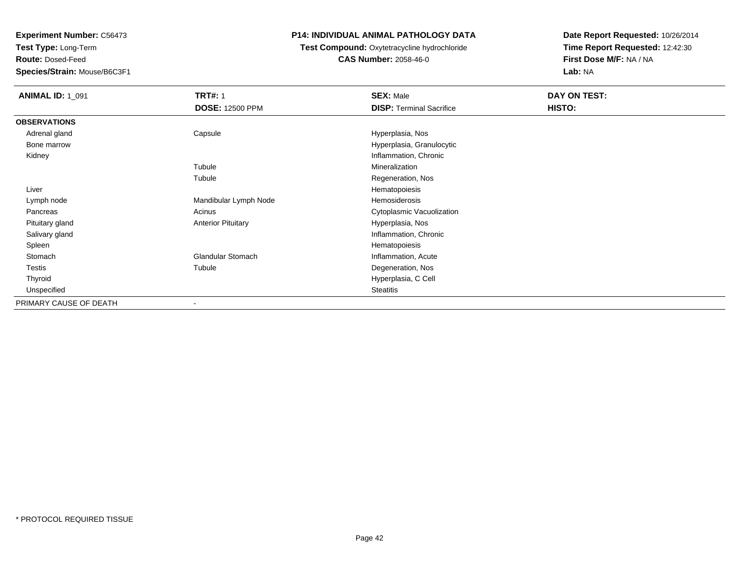**Test Type:** Long-Term

**Route:** Dosed-Feed

**Species/Strain:** Mouse/B6C3F1

## **P14: INDIVIDUAL ANIMAL PATHOLOGY DATA**

**Test Compound:** Oxytetracycline hydrochloride**CAS Number:** 2058-46-0

| <b>ANIMAL ID: 1_091</b> | <b>TRT#: 1</b><br><b>DOSE: 12500 PPM</b> | <b>SEX: Male</b><br><b>DISP: Terminal Sacrifice</b> | DAY ON TEST:<br>HISTO: |
|-------------------------|------------------------------------------|-----------------------------------------------------|------------------------|
|                         |                                          |                                                     |                        |
| <b>OBSERVATIONS</b>     |                                          |                                                     |                        |
| Adrenal gland           | Capsule                                  | Hyperplasia, Nos                                    |                        |
| Bone marrow             |                                          | Hyperplasia, Granulocytic                           |                        |
| Kidney                  |                                          | Inflammation, Chronic                               |                        |
|                         | Tubule                                   | Mineralization                                      |                        |
|                         | Tubule                                   | Regeneration, Nos                                   |                        |
| Liver                   |                                          | Hematopoiesis                                       |                        |
| Lymph node              | Mandibular Lymph Node                    | Hemosiderosis                                       |                        |
| Pancreas                | Acinus                                   | Cytoplasmic Vacuolization                           |                        |
| Pituitary gland         | <b>Anterior Pituitary</b>                | Hyperplasia, Nos                                    |                        |
| Salivary gland          |                                          | Inflammation, Chronic                               |                        |
| Spleen                  |                                          | Hematopoiesis                                       |                        |
| Stomach                 | Glandular Stomach                        | Inflammation, Acute                                 |                        |
| Testis                  | Tubule                                   | Degeneration, Nos                                   |                        |
| Thyroid                 |                                          | Hyperplasia, C Cell                                 |                        |
| Unspecified             |                                          | <b>Steatitis</b>                                    |                        |
| PRIMARY CAUSE OF DEATH  | $\overline{\phantom{a}}$                 |                                                     |                        |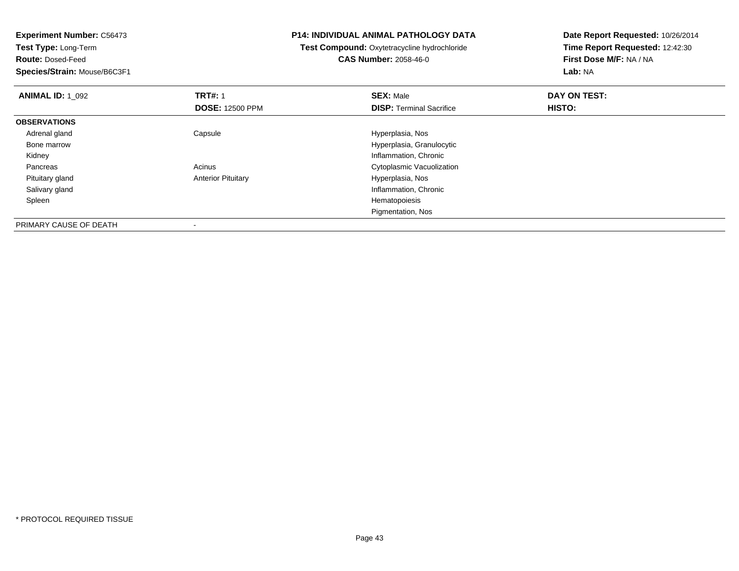**Test Type:** Long-Term

**Route:** Dosed-Feed

**Species/Strain:** Mouse/B6C3F1

-

#### **P14: INDIVIDUAL ANIMAL PATHOLOGY DATA**

## **Test Compound:** Oxytetracycline hydrochloride**CAS Number:** 2058-46-0

| <b>ANIMAL ID: 1 092</b> | <b>TRT#: 1</b>            | <b>SEX: Male</b>                | DAY ON TEST: |  |
|-------------------------|---------------------------|---------------------------------|--------------|--|
|                         | <b>DOSE: 12500 PPM</b>    | <b>DISP: Terminal Sacrifice</b> | HISTO:       |  |
| <b>OBSERVATIONS</b>     |                           |                                 |              |  |
| Adrenal gland           | Capsule                   | Hyperplasia, Nos                |              |  |
| Bone marrow             |                           | Hyperplasia, Granulocytic       |              |  |
| Kidney                  |                           | Inflammation, Chronic           |              |  |
| Pancreas                | Acinus                    | Cytoplasmic Vacuolization       |              |  |
| Pituitary gland         | <b>Anterior Pituitary</b> | Hyperplasia, Nos                |              |  |
| Salivary gland          |                           | Inflammation, Chronic           |              |  |
| Spleen                  |                           | Hematopoiesis                   |              |  |
|                         |                           | Pigmentation, Nos               |              |  |
| PRIMARY CAUSE OF DEATH  | $\overline{\phantom{a}}$  |                                 |              |  |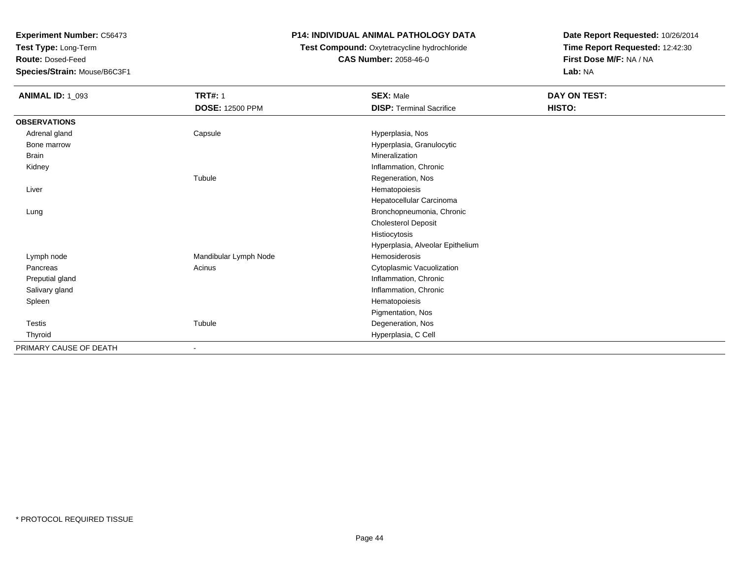**Test Type:** Long-Term

**Route:** Dosed-Feed

**Species/Strain:** Mouse/B6C3F1

## **P14: INDIVIDUAL ANIMAL PATHOLOGY DATA**

# **Test Compound:** Oxytetracycline hydrochloride**CAS Number:** 2058-46-0

| <b>ANIMAL ID: 1_093</b> | <b>TRT#: 1</b>           | <b>SEX: Male</b>                 | DAY ON TEST: |  |
|-------------------------|--------------------------|----------------------------------|--------------|--|
|                         | <b>DOSE: 12500 PPM</b>   | <b>DISP: Terminal Sacrifice</b>  | HISTO:       |  |
| <b>OBSERVATIONS</b>     |                          |                                  |              |  |
| Adrenal gland           | Capsule                  | Hyperplasia, Nos                 |              |  |
| Bone marrow             |                          | Hyperplasia, Granulocytic        |              |  |
| <b>Brain</b>            |                          | Mineralization                   |              |  |
| Kidney                  |                          | Inflammation, Chronic            |              |  |
|                         | Tubule                   | Regeneration, Nos                |              |  |
| Liver                   |                          | Hematopoiesis                    |              |  |
|                         |                          | Hepatocellular Carcinoma         |              |  |
| Lung                    |                          | Bronchopneumonia, Chronic        |              |  |
|                         |                          | <b>Cholesterol Deposit</b>       |              |  |
|                         |                          | Histiocytosis                    |              |  |
|                         |                          | Hyperplasia, Alveolar Epithelium |              |  |
| Lymph node              | Mandibular Lymph Node    | Hemosiderosis                    |              |  |
| Pancreas                | Acinus                   | Cytoplasmic Vacuolization        |              |  |
| Preputial gland         |                          | Inflammation, Chronic            |              |  |
| Salivary gland          |                          | Inflammation, Chronic            |              |  |
| Spleen                  |                          | Hematopoiesis                    |              |  |
|                         |                          | Pigmentation, Nos                |              |  |
| Testis                  | Tubule                   | Degeneration, Nos                |              |  |
| Thyroid                 |                          | Hyperplasia, C Cell              |              |  |
| PRIMARY CAUSE OF DEATH  | $\overline{\phantom{a}}$ |                                  |              |  |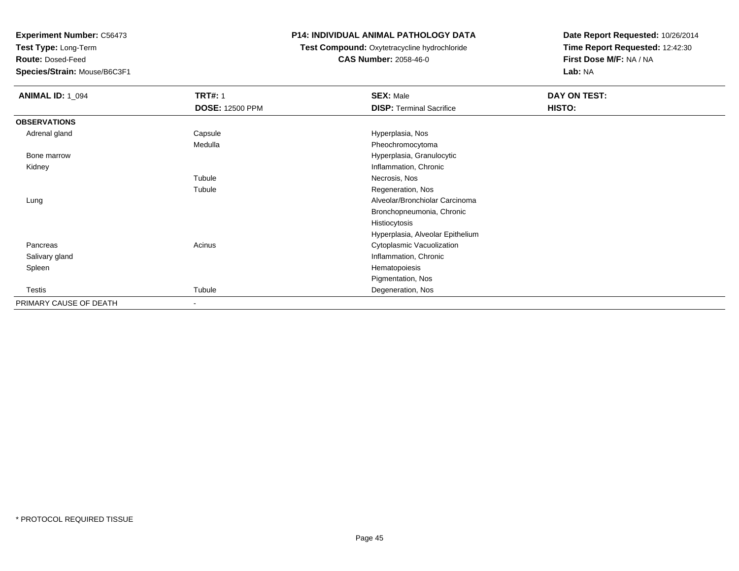**Test Type:** Long-Term

**Route:** Dosed-Feed

**Species/Strain:** Mouse/B6C3F1

### **P14: INDIVIDUAL ANIMAL PATHOLOGY DATA**

### **Test Compound:** Oxytetracycline hydrochloride**CAS Number:** 2058-46-0

| <b>ANIMAL ID: 1_094</b> | <b>TRT#: 1</b>           | <b>SEX: Male</b>                 | DAY ON TEST: |
|-------------------------|--------------------------|----------------------------------|--------------|
|                         | <b>DOSE: 12500 PPM</b>   | <b>DISP: Terminal Sacrifice</b>  | HISTO:       |
| <b>OBSERVATIONS</b>     |                          |                                  |              |
| Adrenal gland           | Capsule                  | Hyperplasia, Nos                 |              |
|                         | Medulla                  | Pheochromocytoma                 |              |
| Bone marrow             |                          | Hyperplasia, Granulocytic        |              |
| Kidney                  |                          | Inflammation, Chronic            |              |
|                         | Tubule                   | Necrosis, Nos                    |              |
|                         | Tubule                   | Regeneration, Nos                |              |
| Lung                    |                          | Alveolar/Bronchiolar Carcinoma   |              |
|                         |                          | Bronchopneumonia, Chronic        |              |
|                         |                          | Histiocytosis                    |              |
|                         |                          | Hyperplasia, Alveolar Epithelium |              |
| Pancreas                | Acinus                   | Cytoplasmic Vacuolization        |              |
| Salivary gland          |                          | Inflammation, Chronic            |              |
| Spleen                  |                          | Hematopoiesis                    |              |
|                         |                          | Pigmentation, Nos                |              |
| Testis                  | Tubule                   | Degeneration, Nos                |              |
| PRIMARY CAUSE OF DEATH  | $\overline{\phantom{a}}$ |                                  |              |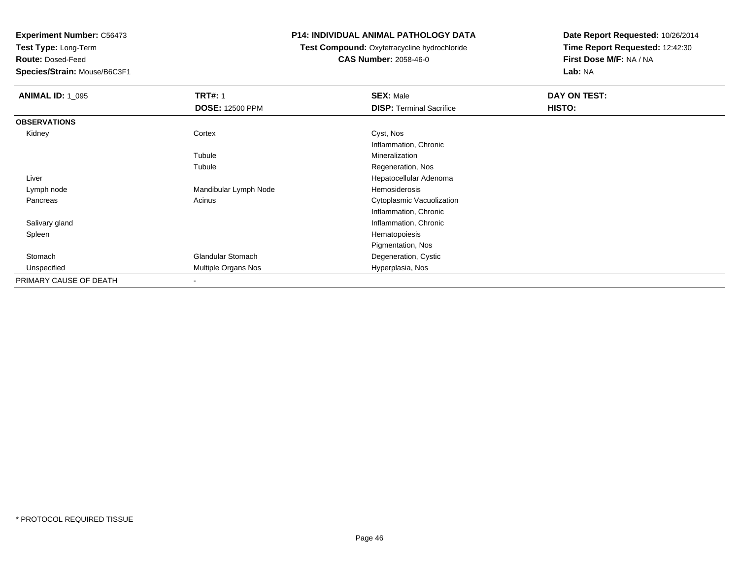**Test Type:** Long-Term

**Route:** Dosed-Feed

**Species/Strain:** Mouse/B6C3F1

### **P14: INDIVIDUAL ANIMAL PATHOLOGY DATA**

**Test Compound:** Oxytetracycline hydrochloride**CAS Number:** 2058-46-0

| <b>ANIMAL ID: 1_095</b> | <b>TRT#: 1</b><br><b>DOSE: 12500 PPM</b> | <b>SEX: Male</b><br><b>DISP: Terminal Sacrifice</b> | DAY ON TEST:<br>HISTO: |
|-------------------------|------------------------------------------|-----------------------------------------------------|------------------------|
| <b>OBSERVATIONS</b>     |                                          |                                                     |                        |
| Kidney                  | Cortex                                   | Cyst, Nos                                           |                        |
|                         |                                          | Inflammation, Chronic                               |                        |
|                         | Tubule                                   | Mineralization                                      |                        |
|                         | Tubule                                   | Regeneration, Nos                                   |                        |
| Liver                   |                                          | Hepatocellular Adenoma                              |                        |
| Lymph node              | Mandibular Lymph Node                    | Hemosiderosis                                       |                        |
| Pancreas                | Acinus                                   | Cytoplasmic Vacuolization                           |                        |
|                         |                                          | Inflammation, Chronic                               |                        |
| Salivary gland          |                                          | Inflammation, Chronic                               |                        |
| Spleen                  |                                          | Hematopoiesis                                       |                        |
|                         |                                          | Pigmentation, Nos                                   |                        |
| Stomach                 | <b>Glandular Stomach</b>                 | Degeneration, Cystic                                |                        |
| Unspecified             | Multiple Organs Nos                      | Hyperplasia, Nos                                    |                        |
| PRIMARY CAUSE OF DEATH  | $\blacksquare$                           |                                                     |                        |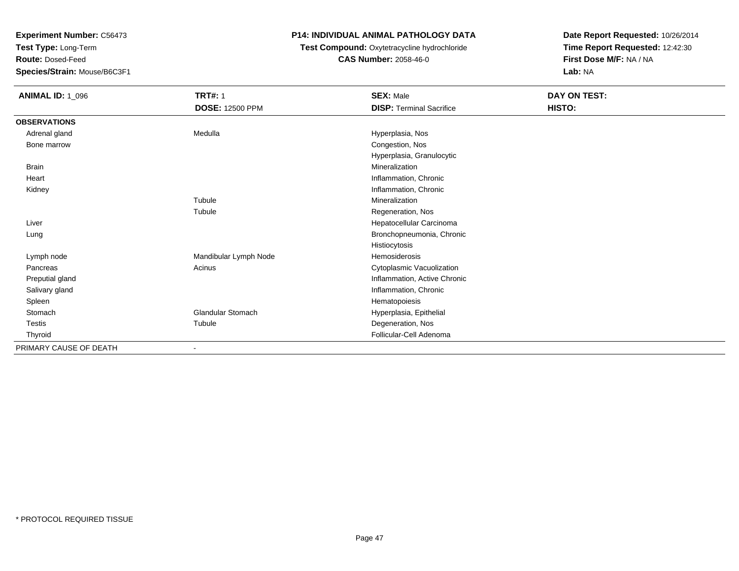**Test Type:** Long-Term

**Route:** Dosed-Feed

**Species/Strain:** Mouse/B6C3F1

## **P14: INDIVIDUAL ANIMAL PATHOLOGY DATA**

# **Test Compound:** Oxytetracycline hydrochloride**CAS Number:** 2058-46-0

| <b>ANIMAL ID: 1_096</b> | <b>TRT#: 1</b>           | <b>SEX: Male</b>                | DAY ON TEST: |
|-------------------------|--------------------------|---------------------------------|--------------|
|                         | <b>DOSE: 12500 PPM</b>   | <b>DISP: Terminal Sacrifice</b> | HISTO:       |
| <b>OBSERVATIONS</b>     |                          |                                 |              |
| Adrenal gland           | Medulla                  | Hyperplasia, Nos                |              |
| Bone marrow             |                          | Congestion, Nos                 |              |
|                         |                          | Hyperplasia, Granulocytic       |              |
| <b>Brain</b>            |                          | Mineralization                  |              |
| Heart                   |                          | Inflammation, Chronic           |              |
| Kidney                  |                          | Inflammation, Chronic           |              |
|                         | Tubule                   | Mineralization                  |              |
|                         | Tubule                   | Regeneration, Nos               |              |
| Liver                   |                          | Hepatocellular Carcinoma        |              |
| Lung                    |                          | Bronchopneumonia, Chronic       |              |
|                         |                          | Histiocytosis                   |              |
| Lymph node              | Mandibular Lymph Node    | Hemosiderosis                   |              |
| Pancreas                | Acinus                   | Cytoplasmic Vacuolization       |              |
| Preputial gland         |                          | Inflammation, Active Chronic    |              |
| Salivary gland          |                          | Inflammation, Chronic           |              |
| Spleen                  |                          | Hematopoiesis                   |              |
| Stomach                 | Glandular Stomach        | Hyperplasia, Epithelial         |              |
| Testis                  | Tubule                   | Degeneration, Nos               |              |
| Thyroid                 |                          | Follicular-Cell Adenoma         |              |
| PRIMARY CAUSE OF DEATH  | $\overline{\phantom{0}}$ |                                 |              |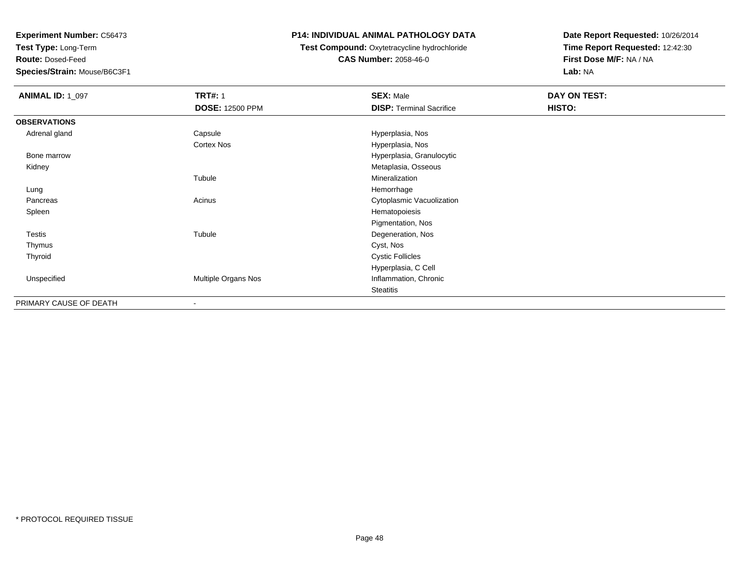**Test Type:** Long-Term

**Route:** Dosed-Feed

**Species/Strain:** Mouse/B6C3F1

### **P14: INDIVIDUAL ANIMAL PATHOLOGY DATA**

**Test Compound:** Oxytetracycline hydrochloride**CAS Number:** 2058-46-0

| <b>ANIMAL ID: 1_097</b> | <b>TRT#: 1</b>         | <b>SEX: Male</b>                | DAY ON TEST: |
|-------------------------|------------------------|---------------------------------|--------------|
|                         | <b>DOSE: 12500 PPM</b> | <b>DISP: Terminal Sacrifice</b> | HISTO:       |
| <b>OBSERVATIONS</b>     |                        |                                 |              |
| Adrenal gland           | Capsule                | Hyperplasia, Nos                |              |
|                         | Cortex Nos             | Hyperplasia, Nos                |              |
| Bone marrow             |                        | Hyperplasia, Granulocytic       |              |
| Kidney                  |                        | Metaplasia, Osseous             |              |
|                         | Tubule                 | Mineralization                  |              |
| Lung                    |                        | Hemorrhage                      |              |
| Pancreas                | Acinus                 | Cytoplasmic Vacuolization       |              |
| Spleen                  |                        | Hematopoiesis                   |              |
|                         |                        | Pigmentation, Nos               |              |
| <b>Testis</b>           | Tubule                 | Degeneration, Nos               |              |
| Thymus                  |                        | Cyst, Nos                       |              |
| Thyroid                 |                        | <b>Cystic Follicles</b>         |              |
|                         |                        | Hyperplasia, C Cell             |              |
| Unspecified             | Multiple Organs Nos    | Inflammation, Chronic           |              |
|                         |                        | <b>Steatitis</b>                |              |
| PRIMARY CAUSE OF DEATH  |                        |                                 |              |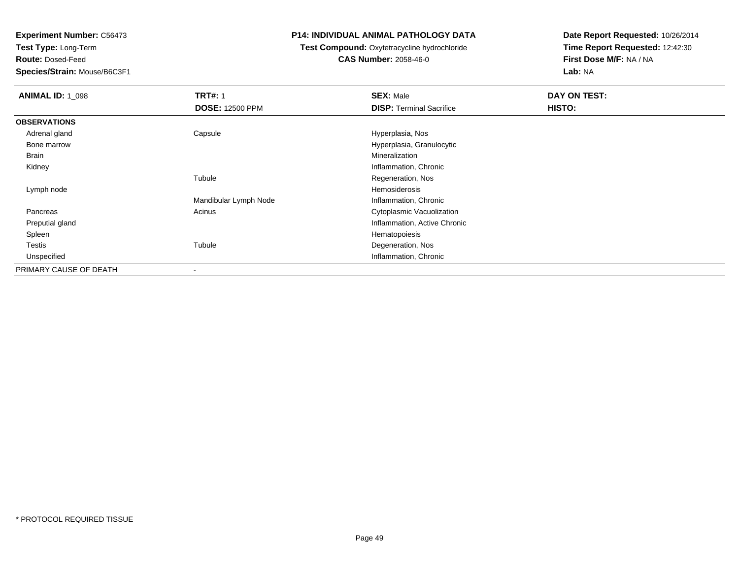**Test Type:** Long-Term

**Route:** Dosed-Feed

**Species/Strain:** Mouse/B6C3F1

### **P14: INDIVIDUAL ANIMAL PATHOLOGY DATA**

## **Test Compound:** Oxytetracycline hydrochloride**CAS Number:** 2058-46-0

| <b>ANIMAL ID: 1_098</b> | <b>TRT#: 1</b>         | <b>SEX: Male</b>                | DAY ON TEST: |
|-------------------------|------------------------|---------------------------------|--------------|
|                         | <b>DOSE: 12500 PPM</b> | <b>DISP: Terminal Sacrifice</b> | HISTO:       |
| <b>OBSERVATIONS</b>     |                        |                                 |              |
| Adrenal gland           | Capsule                | Hyperplasia, Nos                |              |
| Bone marrow             |                        | Hyperplasia, Granulocytic       |              |
| Brain                   |                        | Mineralization                  |              |
| Kidney                  |                        | Inflammation, Chronic           |              |
|                         | Tubule                 | Regeneration, Nos               |              |
| Lymph node              |                        | Hemosiderosis                   |              |
|                         | Mandibular Lymph Node  | Inflammation, Chronic           |              |
| Pancreas                | Acinus                 | Cytoplasmic Vacuolization       |              |
| Preputial gland         |                        | Inflammation, Active Chronic    |              |
| Spleen                  |                        | Hematopoiesis                   |              |
| Testis                  | Tubule                 | Degeneration, Nos               |              |
| Unspecified             |                        | Inflammation, Chronic           |              |
| PRIMARY CAUSE OF DEATH  |                        |                                 |              |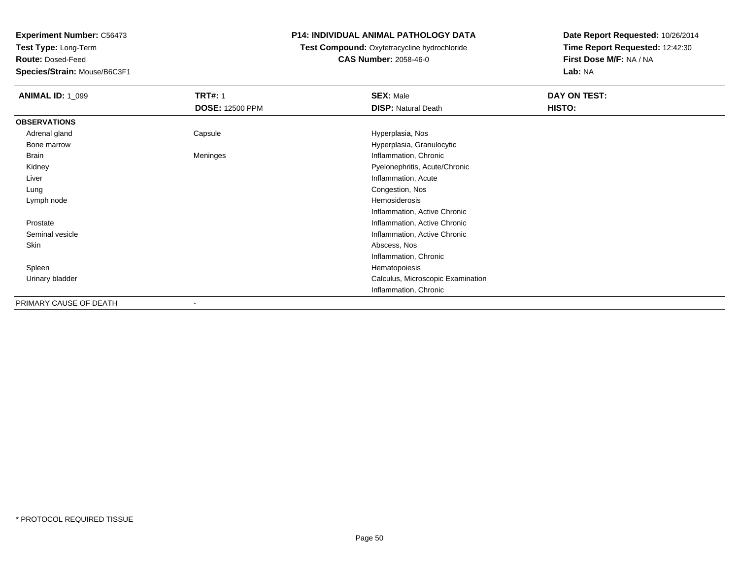**Test Type:** Long-Term

**Route:** Dosed-Feed

**Species/Strain:** Mouse/B6C3F1

## **P14: INDIVIDUAL ANIMAL PATHOLOGY DATA**

## **Test Compound:** Oxytetracycline hydrochloride**CAS Number:** 2058-46-0

| <b>ANIMAL ID: 1_099</b> | <b>TRT#: 1</b>         | <b>SEX: Male</b>                  | DAY ON TEST: |
|-------------------------|------------------------|-----------------------------------|--------------|
|                         | <b>DOSE: 12500 PPM</b> | <b>DISP: Natural Death</b>        | HISTO:       |
| <b>OBSERVATIONS</b>     |                        |                                   |              |
| Adrenal gland           | Capsule                | Hyperplasia, Nos                  |              |
| Bone marrow             |                        | Hyperplasia, Granulocytic         |              |
| Brain                   | Meninges               | Inflammation, Chronic             |              |
| Kidney                  |                        | Pyelonephritis, Acute/Chronic     |              |
| Liver                   |                        | Inflammation, Acute               |              |
| Lung                    |                        | Congestion, Nos                   |              |
| Lymph node              |                        | Hemosiderosis                     |              |
|                         |                        | Inflammation, Active Chronic      |              |
| Prostate                |                        | Inflammation, Active Chronic      |              |
| Seminal vesicle         |                        | Inflammation, Active Chronic      |              |
| Skin                    |                        | Abscess, Nos                      |              |
|                         |                        | Inflammation, Chronic             |              |
| Spleen                  |                        | Hematopoiesis                     |              |
| Urinary bladder         |                        | Calculus, Microscopic Examination |              |
|                         |                        | Inflammation, Chronic             |              |
| PRIMARY CAUSE OF DEATH  | $\blacksquare$         |                                   |              |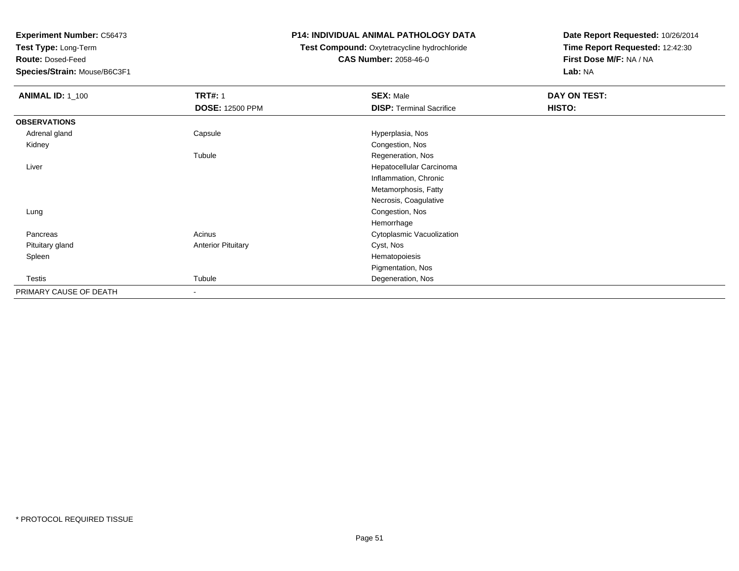**Test Type:** Long-Term

**Route:** Dosed-Feed

**Species/Strain:** Mouse/B6C3F1

### **P14: INDIVIDUAL ANIMAL PATHOLOGY DATA**

### **Test Compound:** Oxytetracycline hydrochloride**CAS Number:** 2058-46-0

| <b>ANIMAL ID: 1_100</b> | <b>TRT#: 1</b>            | <b>SEX: Male</b>                | DAY ON TEST: |  |
|-------------------------|---------------------------|---------------------------------|--------------|--|
|                         | <b>DOSE: 12500 PPM</b>    | <b>DISP: Terminal Sacrifice</b> | HISTO:       |  |
| <b>OBSERVATIONS</b>     |                           |                                 |              |  |
| Adrenal gland           | Capsule                   | Hyperplasia, Nos                |              |  |
| Kidney                  |                           | Congestion, Nos                 |              |  |
|                         | Tubule                    | Regeneration, Nos               |              |  |
| Liver                   |                           | Hepatocellular Carcinoma        |              |  |
|                         |                           | Inflammation, Chronic           |              |  |
|                         |                           | Metamorphosis, Fatty            |              |  |
|                         |                           | Necrosis, Coagulative           |              |  |
| Lung                    |                           | Congestion, Nos                 |              |  |
|                         |                           | Hemorrhage                      |              |  |
| Pancreas                | Acinus                    | Cytoplasmic Vacuolization       |              |  |
| Pituitary gland         | <b>Anterior Pituitary</b> | Cyst, Nos                       |              |  |
| Spleen                  |                           | Hematopoiesis                   |              |  |
|                         |                           | Pigmentation, Nos               |              |  |
| Testis                  | Tubule                    | Degeneration, Nos               |              |  |
| PRIMARY CAUSE OF DEATH  | $\overline{\phantom{a}}$  |                                 |              |  |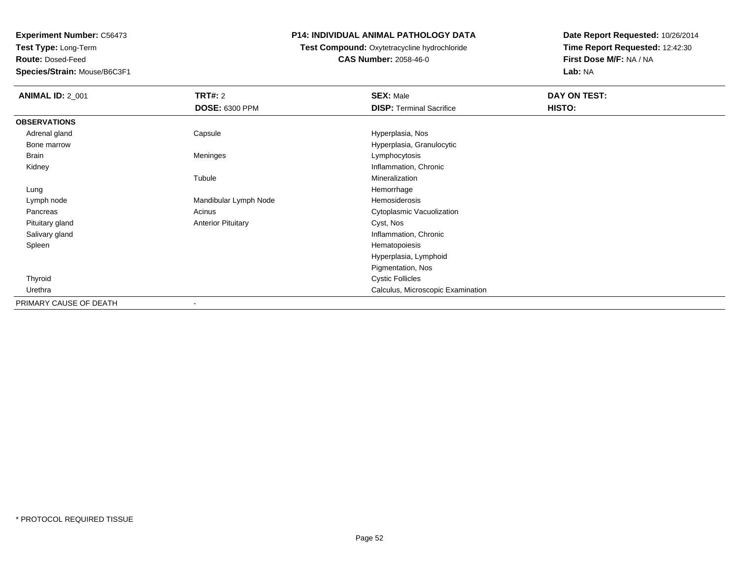**Test Type:** Long-Term

**Route:** Dosed-Feed

**Species/Strain:** Mouse/B6C3F1

### **P14: INDIVIDUAL ANIMAL PATHOLOGY DATA**

**Test Compound:** Oxytetracycline hydrochloride**CAS Number:** 2058-46-0

| <b>ANIMAL ID: 2_001</b> | <b>TRT#: 2</b>            | <b>SEX: Male</b>                  | DAY ON TEST: |
|-------------------------|---------------------------|-----------------------------------|--------------|
|                         | <b>DOSE: 6300 PPM</b>     | <b>DISP: Terminal Sacrifice</b>   | HISTO:       |
| <b>OBSERVATIONS</b>     |                           |                                   |              |
| Adrenal gland           | Capsule                   | Hyperplasia, Nos                  |              |
| Bone marrow             |                           | Hyperplasia, Granulocytic         |              |
| <b>Brain</b>            | Meninges                  | Lymphocytosis                     |              |
| Kidney                  |                           | Inflammation, Chronic             |              |
|                         | Tubule                    | Mineralization                    |              |
| Lung                    |                           | Hemorrhage                        |              |
| Lymph node              | Mandibular Lymph Node     | Hemosiderosis                     |              |
| Pancreas                | Acinus                    | Cytoplasmic Vacuolization         |              |
| Pituitary gland         | <b>Anterior Pituitary</b> | Cyst, Nos                         |              |
| Salivary gland          |                           | Inflammation, Chronic             |              |
| Spleen                  |                           | Hematopoiesis                     |              |
|                         |                           | Hyperplasia, Lymphoid             |              |
|                         |                           | Pigmentation, Nos                 |              |
| Thyroid                 |                           | <b>Cystic Follicles</b>           |              |
| Urethra                 |                           | Calculus, Microscopic Examination |              |
| PRIMARY CAUSE OF DEATH  | ۰                         |                                   |              |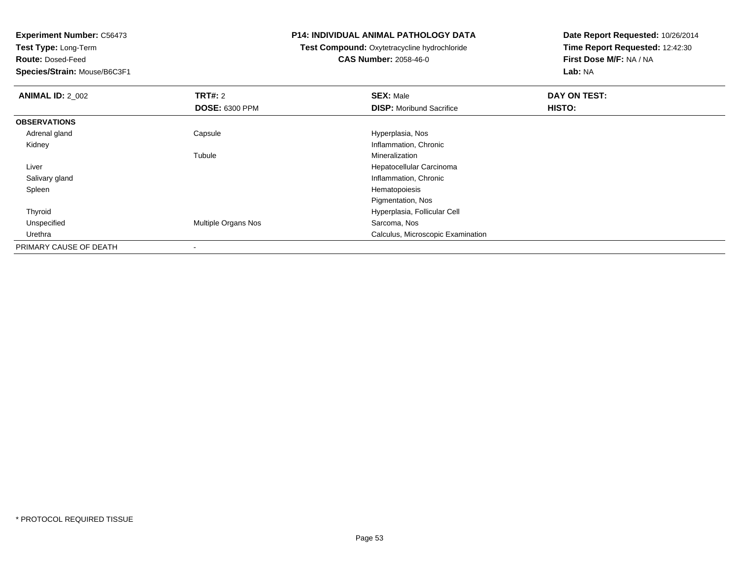**Test Type:** Long-Term

**Route:** Dosed-Feed

**Species/Strain:** Mouse/B6C3F1

#### **P14: INDIVIDUAL ANIMAL PATHOLOGY DATA**

 **Test Compound:** Oxytetracycline hydrochloride**CAS Number:** 2058-46-0

| <b>ANIMAL ID: 2_002</b> | TRT#: 2               | <b>SEX: Male</b>                  | DAY ON TEST: |  |
|-------------------------|-----------------------|-----------------------------------|--------------|--|
|                         | <b>DOSE: 6300 PPM</b> | <b>DISP:</b> Moribund Sacrifice   | HISTO:       |  |
| <b>OBSERVATIONS</b>     |                       |                                   |              |  |
| Adrenal gland           | Capsule               | Hyperplasia, Nos                  |              |  |
| Kidney                  |                       | Inflammation, Chronic             |              |  |
|                         | Tubule                | Mineralization                    |              |  |
| Liver                   |                       | Hepatocellular Carcinoma          |              |  |
| Salivary gland          |                       | Inflammation, Chronic             |              |  |
| Spleen                  |                       | Hematopoiesis                     |              |  |
|                         |                       | Pigmentation, Nos                 |              |  |
| Thyroid                 |                       | Hyperplasia, Follicular Cell      |              |  |
| Unspecified             | Multiple Organs Nos   | Sarcoma, Nos                      |              |  |
| Urethra                 |                       | Calculus, Microscopic Examination |              |  |
| PRIMARY CAUSE OF DEATH  | $\,$                  |                                   |              |  |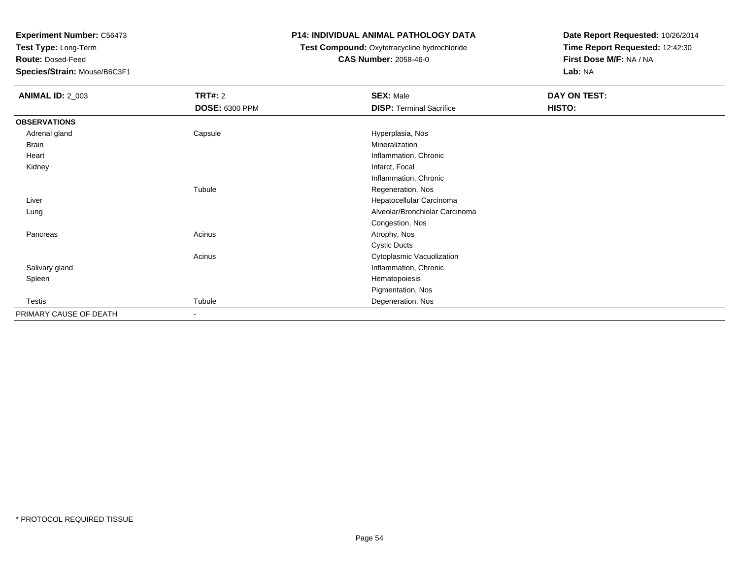**Test Type:** Long-Term

**Route:** Dosed-Feed

**Species/Strain:** Mouse/B6C3F1

### **P14: INDIVIDUAL ANIMAL PATHOLOGY DATA**

## **Test Compound:** Oxytetracycline hydrochloride**CAS Number:** 2058-46-0

| <b>ANIMAL ID: 2_003</b> | <b>TRT#: 2</b>           | <b>SEX: Male</b>                | DAY ON TEST: |  |
|-------------------------|--------------------------|---------------------------------|--------------|--|
|                         | <b>DOSE: 6300 PPM</b>    | <b>DISP: Terminal Sacrifice</b> | HISTO:       |  |
| <b>OBSERVATIONS</b>     |                          |                                 |              |  |
| Adrenal gland           | Capsule                  | Hyperplasia, Nos                |              |  |
| Brain                   |                          | Mineralization                  |              |  |
| Heart                   |                          | Inflammation, Chronic           |              |  |
| Kidney                  |                          | Infarct, Focal                  |              |  |
|                         |                          | Inflammation, Chronic           |              |  |
|                         | Tubule                   | Regeneration, Nos               |              |  |
| Liver                   |                          | Hepatocellular Carcinoma        |              |  |
| Lung                    |                          | Alveolar/Bronchiolar Carcinoma  |              |  |
|                         |                          | Congestion, Nos                 |              |  |
| Pancreas                | Acinus                   | Atrophy, Nos                    |              |  |
|                         |                          | <b>Cystic Ducts</b>             |              |  |
|                         | Acinus                   | Cytoplasmic Vacuolization       |              |  |
| Salivary gland          |                          | Inflammation, Chronic           |              |  |
| Spleen                  |                          | Hematopoiesis                   |              |  |
|                         |                          | Pigmentation, Nos               |              |  |
| Testis                  | Tubule                   | Degeneration, Nos               |              |  |
| PRIMARY CAUSE OF DEATH  | $\overline{\phantom{a}}$ |                                 |              |  |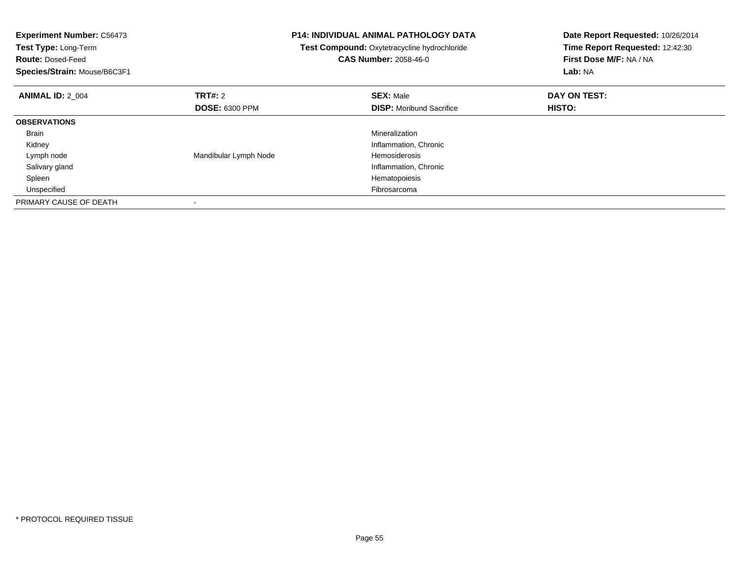| <b>Experiment Number: C56473</b><br><b>Test Type: Long-Term</b><br><b>Route: Dosed-Feed</b><br>Species/Strain: Mouse/B6C3F1 |                       | <b>P14: INDIVIDUAL ANIMAL PATHOLOGY DATA</b><br>Test Compound: Oxytetracycline hydrochloride<br><b>CAS Number: 2058-46-0</b> | Date Report Requested: 10/26/2014<br>Time Report Requested: 12:42:30<br>First Dose M/F: NA / NA<br>Lab: NA |
|-----------------------------------------------------------------------------------------------------------------------------|-----------------------|------------------------------------------------------------------------------------------------------------------------------|------------------------------------------------------------------------------------------------------------|
| <b>ANIMAL ID: 2 004</b>                                                                                                     | <b>TRT#: 2</b>        | <b>SEX: Male</b>                                                                                                             | DAY ON TEST:                                                                                               |
|                                                                                                                             | <b>DOSE: 6300 PPM</b> | <b>DISP:</b> Moribund Sacrifice                                                                                              | <b>HISTO:</b>                                                                                              |
| <b>OBSERVATIONS</b>                                                                                                         |                       |                                                                                                                              |                                                                                                            |
| Brain                                                                                                                       |                       | Mineralization                                                                                                               |                                                                                                            |
| Kidney                                                                                                                      |                       | Inflammation, Chronic                                                                                                        |                                                                                                            |
| Lymph node                                                                                                                  | Mandibular Lymph Node | Hemosiderosis                                                                                                                |                                                                                                            |
| Salivary gland                                                                                                              |                       | Inflammation, Chronic                                                                                                        |                                                                                                            |
| Spleen                                                                                                                      |                       | Hematopoiesis                                                                                                                |                                                                                                            |
| Unspecified                                                                                                                 |                       | Fibrosarcoma                                                                                                                 |                                                                                                            |
| PRIMARY CAUSE OF DEATH                                                                                                      |                       |                                                                                                                              |                                                                                                            |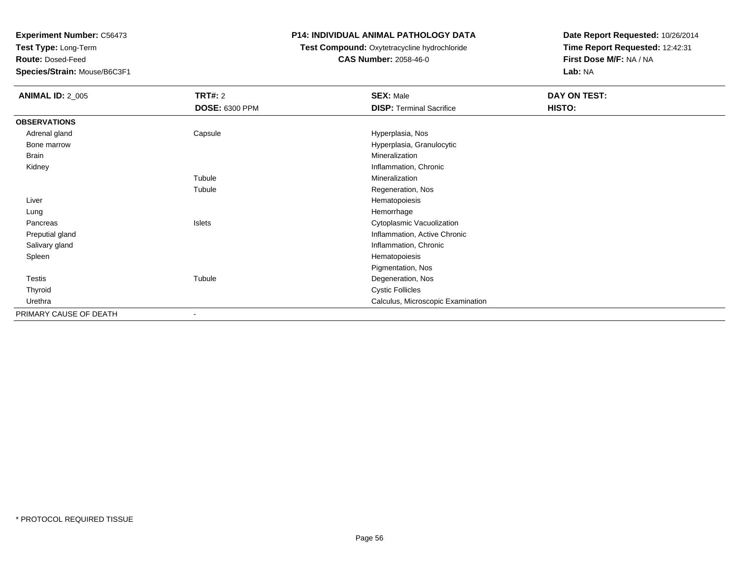**Test Type:** Long-Term

**Route:** Dosed-Feed

**Species/Strain:** Mouse/B6C3F1

## **P14: INDIVIDUAL ANIMAL PATHOLOGY DATA**

## **Test Compound:** Oxytetracycline hydrochloride**CAS Number:** 2058-46-0

| <b>ANIMAL ID: 2_005</b> | <b>TRT#: 2</b>        | <b>SEX: Male</b>                  | DAY ON TEST: |  |
|-------------------------|-----------------------|-----------------------------------|--------------|--|
|                         | <b>DOSE: 6300 PPM</b> | <b>DISP: Terminal Sacrifice</b>   | HISTO:       |  |
| <b>OBSERVATIONS</b>     |                       |                                   |              |  |
| Adrenal gland           | Capsule               | Hyperplasia, Nos                  |              |  |
| Bone marrow             |                       | Hyperplasia, Granulocytic         |              |  |
| <b>Brain</b>            |                       | Mineralization                    |              |  |
| Kidney                  |                       | Inflammation, Chronic             |              |  |
|                         | Tubule                | Mineralization                    |              |  |
|                         | Tubule                | Regeneration, Nos                 |              |  |
| Liver                   |                       | Hematopoiesis                     |              |  |
| Lung                    |                       | Hemorrhage                        |              |  |
| Pancreas                | Islets                | Cytoplasmic Vacuolization         |              |  |
| Preputial gland         |                       | Inflammation, Active Chronic      |              |  |
| Salivary gland          |                       | Inflammation, Chronic             |              |  |
| Spleen                  |                       | Hematopoiesis                     |              |  |
|                         |                       | Pigmentation, Nos                 |              |  |
| Testis                  | Tubule                | Degeneration, Nos                 |              |  |
| Thyroid                 |                       | <b>Cystic Follicles</b>           |              |  |
| Urethra                 |                       | Calculus, Microscopic Examination |              |  |
| PRIMARY CAUSE OF DEATH  | $\blacksquare$        |                                   |              |  |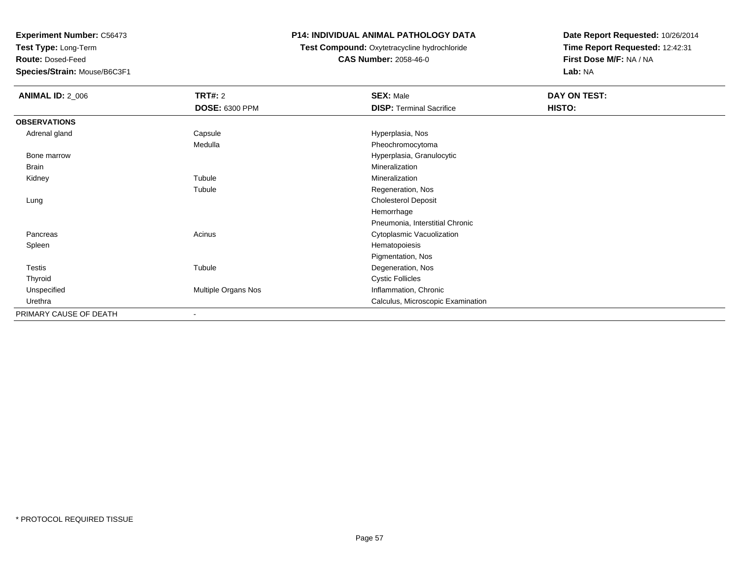**Test Type:** Long-Term

**Route:** Dosed-Feed

**Species/Strain:** Mouse/B6C3F1

## **P14: INDIVIDUAL ANIMAL PATHOLOGY DATA**

## **Test Compound:** Oxytetracycline hydrochloride**CAS Number:** 2058-46-0

| <b>ANIMAL ID: 2_006</b> | <b>TRT#: 2</b>        | <b>SEX: Male</b>                  | DAY ON TEST: |  |
|-------------------------|-----------------------|-----------------------------------|--------------|--|
|                         | <b>DOSE: 6300 PPM</b> | <b>DISP: Terminal Sacrifice</b>   | HISTO:       |  |
| <b>OBSERVATIONS</b>     |                       |                                   |              |  |
| Adrenal gland           | Capsule               | Hyperplasia, Nos                  |              |  |
|                         | Medulla               | Pheochromocytoma                  |              |  |
| Bone marrow             |                       | Hyperplasia, Granulocytic         |              |  |
| Brain                   |                       | Mineralization                    |              |  |
| Kidney                  | Tubule                | Mineralization                    |              |  |
|                         | Tubule                | Regeneration, Nos                 |              |  |
| Lung                    |                       | <b>Cholesterol Deposit</b>        |              |  |
|                         |                       | Hemorrhage                        |              |  |
|                         |                       | Pneumonia, Interstitial Chronic   |              |  |
| Pancreas                | Acinus                | Cytoplasmic Vacuolization         |              |  |
| Spleen                  |                       | Hematopoiesis                     |              |  |
|                         |                       | Pigmentation, Nos                 |              |  |
| Testis                  | Tubule                | Degeneration, Nos                 |              |  |
| Thyroid                 |                       | <b>Cystic Follicles</b>           |              |  |
| Unspecified             | Multiple Organs Nos   | Inflammation, Chronic             |              |  |
| Urethra                 |                       | Calculus, Microscopic Examination |              |  |
| PRIMARY CAUSE OF DEATH  |                       |                                   |              |  |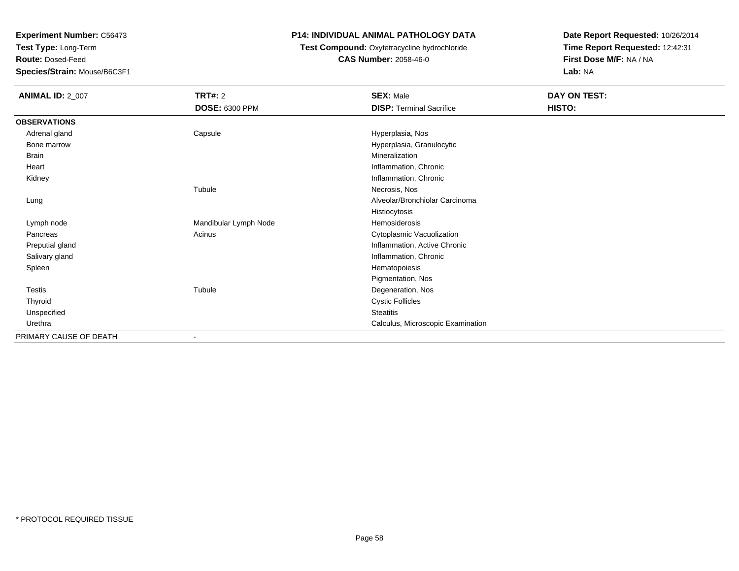**Test Type:** Long-Term

**Route:** Dosed-Feed

**Species/Strain:** Mouse/B6C3F1

### **P14: INDIVIDUAL ANIMAL PATHOLOGY DATA**

### **Test Compound:** Oxytetracycline hydrochloride**CAS Number:** 2058-46-0

| <b>ANIMAL ID: 2_007</b> | TRT#: 2<br><b>DOSE: 6300 PPM</b> | <b>SEX: Male</b><br><b>DISP: Terminal Sacrifice</b> | <b>DAY ON TEST:</b><br>HISTO: |
|-------------------------|----------------------------------|-----------------------------------------------------|-------------------------------|
|                         |                                  |                                                     |                               |
| <b>OBSERVATIONS</b>     |                                  |                                                     |                               |
| Adrenal gland           | Capsule                          | Hyperplasia, Nos                                    |                               |
| Bone marrow             |                                  | Hyperplasia, Granulocytic                           |                               |
| <b>Brain</b>            |                                  | Mineralization                                      |                               |
| Heart                   |                                  | Inflammation, Chronic                               |                               |
| Kidney                  |                                  | Inflammation, Chronic                               |                               |
|                         | Tubule                           | Necrosis, Nos                                       |                               |
| Lung                    |                                  | Alveolar/Bronchiolar Carcinoma                      |                               |
|                         |                                  | Histiocytosis                                       |                               |
| Lymph node              | Mandibular Lymph Node            | Hemosiderosis                                       |                               |
| Pancreas                | Acinus                           | Cytoplasmic Vacuolization                           |                               |
| Preputial gland         |                                  | Inflammation, Active Chronic                        |                               |
| Salivary gland          |                                  | Inflammation, Chronic                               |                               |
| Spleen                  |                                  | Hematopoiesis                                       |                               |
|                         |                                  | Pigmentation, Nos                                   |                               |
| Testis                  | Tubule                           | Degeneration, Nos                                   |                               |
| Thyroid                 |                                  | <b>Cystic Follicles</b>                             |                               |
| Unspecified             |                                  | <b>Steatitis</b>                                    |                               |
| Urethra                 |                                  | Calculus, Microscopic Examination                   |                               |
| PRIMARY CAUSE OF DEATH  | ٠                                |                                                     |                               |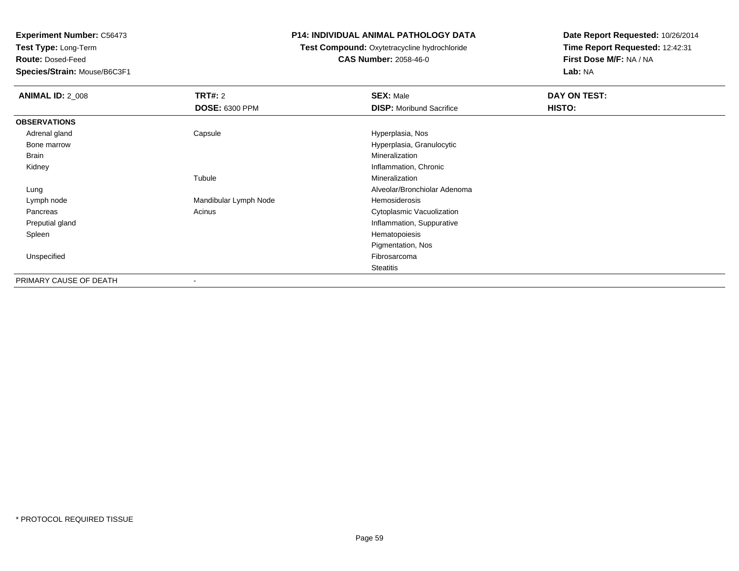**Test Type:** Long-Term

**Route:** Dosed-Feed

**Species/Strain:** Mouse/B6C3F1

### **P14: INDIVIDUAL ANIMAL PATHOLOGY DATA**

## **Test Compound:** Oxytetracycline hydrochloride**CAS Number:** 2058-46-0

| <b>ANIMAL ID: 2_008</b> | <b>TRT#:</b> 2           | <b>SEX: Male</b>                | DAY ON TEST: |
|-------------------------|--------------------------|---------------------------------|--------------|
|                         | <b>DOSE: 6300 PPM</b>    | <b>DISP:</b> Moribund Sacrifice | HISTO:       |
| <b>OBSERVATIONS</b>     |                          |                                 |              |
| Adrenal gland           | Capsule                  | Hyperplasia, Nos                |              |
| Bone marrow             |                          | Hyperplasia, Granulocytic       |              |
| Brain                   |                          | Mineralization                  |              |
| Kidney                  |                          | Inflammation, Chronic           |              |
|                         | Tubule                   | Mineralization                  |              |
| Lung                    |                          | Alveolar/Bronchiolar Adenoma    |              |
| Lymph node              | Mandibular Lymph Node    | Hemosiderosis                   |              |
| Pancreas                | Acinus                   | Cytoplasmic Vacuolization       |              |
| Preputial gland         |                          | Inflammation, Suppurative       |              |
| Spleen                  |                          | Hematopoiesis                   |              |
|                         |                          | Pigmentation, Nos               |              |
| Unspecified             |                          | Fibrosarcoma                    |              |
|                         |                          | <b>Steatitis</b>                |              |
| PRIMARY CAUSE OF DEATH  | $\overline{\phantom{a}}$ |                                 |              |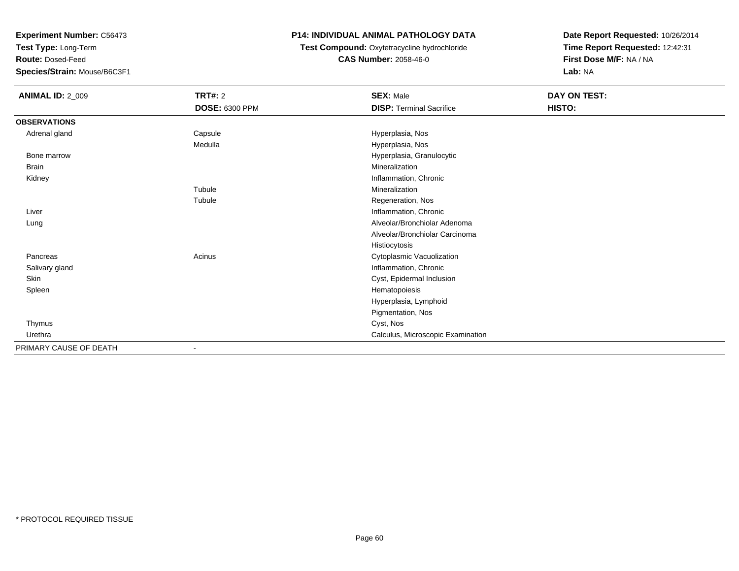**Test Type:** Long-Term

**Route:** Dosed-Feed

**Species/Strain:** Mouse/B6C3F1

## **P14: INDIVIDUAL ANIMAL PATHOLOGY DATA**

# **Test Compound:** Oxytetracycline hydrochloride**CAS Number:** 2058-46-0

| <b>ANIMAL ID: 2_009</b> | <b>TRT#: 2</b>        | <b>SEX: Male</b>                  | DAY ON TEST: |  |
|-------------------------|-----------------------|-----------------------------------|--------------|--|
|                         | <b>DOSE: 6300 PPM</b> | <b>DISP: Terminal Sacrifice</b>   | HISTO:       |  |
| <b>OBSERVATIONS</b>     |                       |                                   |              |  |
| Adrenal gland           | Capsule               | Hyperplasia, Nos                  |              |  |
|                         | Medulla               | Hyperplasia, Nos                  |              |  |
| Bone marrow             |                       | Hyperplasia, Granulocytic         |              |  |
| <b>Brain</b>            |                       | Mineralization                    |              |  |
| Kidney                  |                       | Inflammation, Chronic             |              |  |
|                         | Tubule                | Mineralization                    |              |  |
|                         | Tubule                | Regeneration, Nos                 |              |  |
| Liver                   |                       | Inflammation, Chronic             |              |  |
| Lung                    |                       | Alveolar/Bronchiolar Adenoma      |              |  |
|                         |                       | Alveolar/Bronchiolar Carcinoma    |              |  |
|                         |                       | Histiocytosis                     |              |  |
| Pancreas                | Acinus                | Cytoplasmic Vacuolization         |              |  |
| Salivary gland          |                       | Inflammation, Chronic             |              |  |
| Skin                    |                       | Cyst, Epidermal Inclusion         |              |  |
| Spleen                  |                       | Hematopoiesis                     |              |  |
|                         |                       | Hyperplasia, Lymphoid             |              |  |
|                         |                       | Pigmentation, Nos                 |              |  |
| Thymus                  |                       | Cyst, Nos                         |              |  |
| Urethra                 |                       | Calculus, Microscopic Examination |              |  |
| PRIMARY CAUSE OF DEATH  |                       |                                   |              |  |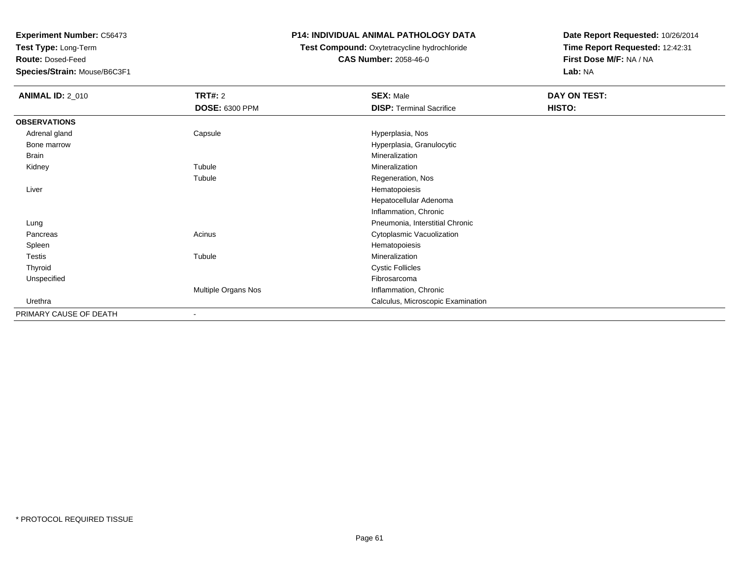**Test Type:** Long-Term

**Route:** Dosed-Feed

**Species/Strain:** Mouse/B6C3F1

### **P14: INDIVIDUAL ANIMAL PATHOLOGY DATA**

### **Test Compound:** Oxytetracycline hydrochloride**CAS Number:** 2058-46-0

| <b>ANIMAL ID: 2_010</b> | <b>TRT#:</b> 2        | <b>SEX: Male</b>                  | DAY ON TEST: |  |
|-------------------------|-----------------------|-----------------------------------|--------------|--|
|                         | <b>DOSE: 6300 PPM</b> | <b>DISP: Terminal Sacrifice</b>   | HISTO:       |  |
| <b>OBSERVATIONS</b>     |                       |                                   |              |  |
| Adrenal gland           | Capsule               | Hyperplasia, Nos                  |              |  |
| Bone marrow             |                       | Hyperplasia, Granulocytic         |              |  |
| Brain                   |                       | Mineralization                    |              |  |
| Kidney                  | Tubule                | Mineralization                    |              |  |
|                         | Tubule                | Regeneration, Nos                 |              |  |
| Liver                   |                       | Hematopoiesis                     |              |  |
|                         |                       | Hepatocellular Adenoma            |              |  |
|                         |                       | Inflammation, Chronic             |              |  |
| Lung                    |                       | Pneumonia, Interstitial Chronic   |              |  |
| Pancreas                | Acinus                | Cytoplasmic Vacuolization         |              |  |
| Spleen                  |                       | Hematopoiesis                     |              |  |
| Testis                  | Tubule                | Mineralization                    |              |  |
| Thyroid                 |                       | <b>Cystic Follicles</b>           |              |  |
| Unspecified             |                       | Fibrosarcoma                      |              |  |
|                         | Multiple Organs Nos   | Inflammation, Chronic             |              |  |
| Urethra                 |                       | Calculus, Microscopic Examination |              |  |
| PRIMARY CAUSE OF DEATH  | ٠                     |                                   |              |  |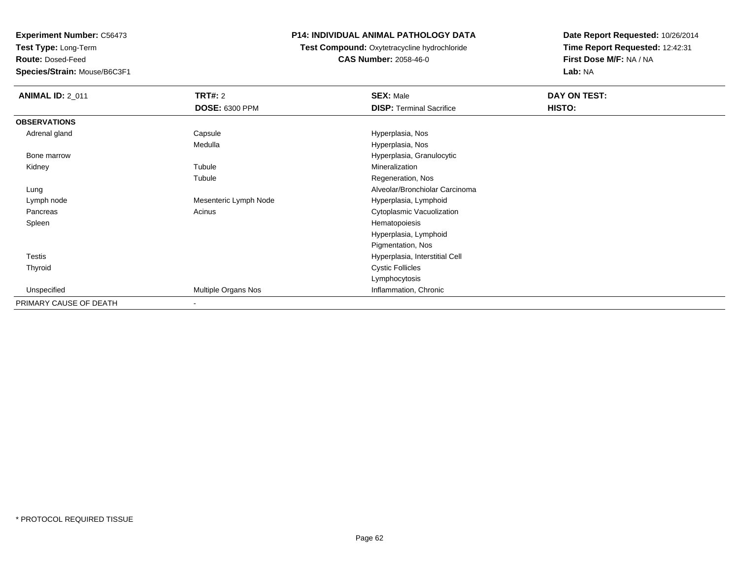**Test Type:** Long-Term

**Route:** Dosed-Feed

**Species/Strain:** Mouse/B6C3F1

### **P14: INDIVIDUAL ANIMAL PATHOLOGY DATA**

**Test Compound:** Oxytetracycline hydrochloride**CAS Number:** 2058-46-0

| <b>ANIMAL ID: 2_011</b> | <b>TRT#: 2</b>           | <b>SEX: Male</b>                | DAY ON TEST: |
|-------------------------|--------------------------|---------------------------------|--------------|
|                         | <b>DOSE: 6300 PPM</b>    | <b>DISP: Terminal Sacrifice</b> | HISTO:       |
| <b>OBSERVATIONS</b>     |                          |                                 |              |
| Adrenal gland           | Capsule                  | Hyperplasia, Nos                |              |
|                         | Medulla                  | Hyperplasia, Nos                |              |
| Bone marrow             |                          | Hyperplasia, Granulocytic       |              |
| Kidney                  | Tubule                   | Mineralization                  |              |
|                         | Tubule                   | Regeneration, Nos               |              |
| Lung                    |                          | Alveolar/Bronchiolar Carcinoma  |              |
| Lymph node              | Mesenteric Lymph Node    | Hyperplasia, Lymphoid           |              |
| Pancreas                | Acinus                   | Cytoplasmic Vacuolization       |              |
| Spleen                  |                          | Hematopoiesis                   |              |
|                         |                          | Hyperplasia, Lymphoid           |              |
|                         |                          | Pigmentation, Nos               |              |
| <b>Testis</b>           |                          | Hyperplasia, Interstitial Cell  |              |
| Thyroid                 |                          | <b>Cystic Follicles</b>         |              |
|                         |                          | Lymphocytosis                   |              |
| Unspecified             | Multiple Organs Nos      | Inflammation, Chronic           |              |
| PRIMARY CAUSE OF DEATH  | $\overline{\phantom{a}}$ |                                 |              |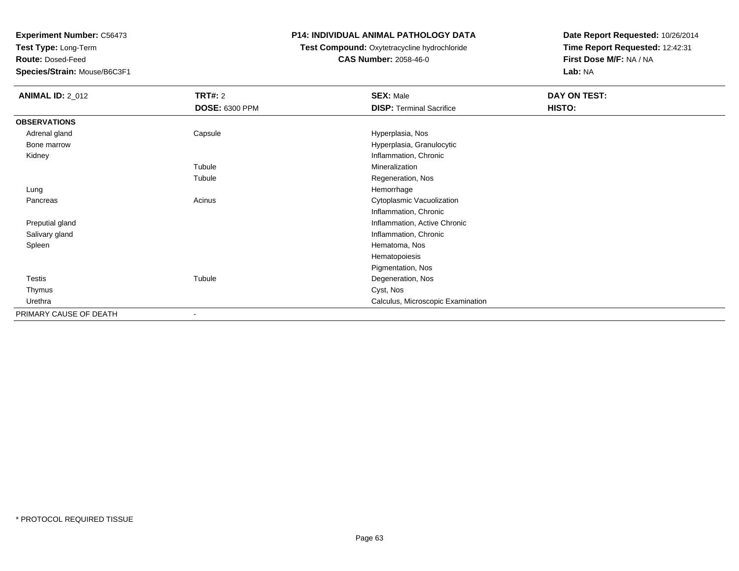**Test Type:** Long-Term

**Route:** Dosed-Feed

**Species/Strain:** Mouse/B6C3F1

## **P14: INDIVIDUAL ANIMAL PATHOLOGY DATA**

## **Test Compound:** Oxytetracycline hydrochloride**CAS Number:** 2058-46-0

| <b>ANIMAL ID: 2_012</b> | <b>TRT#: 2</b>        | <b>SEX: Male</b>                  | DAY ON TEST: |  |
|-------------------------|-----------------------|-----------------------------------|--------------|--|
|                         | <b>DOSE: 6300 PPM</b> | <b>DISP: Terminal Sacrifice</b>   | HISTO:       |  |
| <b>OBSERVATIONS</b>     |                       |                                   |              |  |
| Adrenal gland           | Capsule               | Hyperplasia, Nos                  |              |  |
| Bone marrow             |                       | Hyperplasia, Granulocytic         |              |  |
| Kidney                  |                       | Inflammation, Chronic             |              |  |
|                         | Tubule                | Mineralization                    |              |  |
|                         | Tubule                | Regeneration, Nos                 |              |  |
| Lung                    |                       | Hemorrhage                        |              |  |
| Pancreas                | Acinus                | Cytoplasmic Vacuolization         |              |  |
|                         |                       | Inflammation, Chronic             |              |  |
| Preputial gland         |                       | Inflammation, Active Chronic      |              |  |
| Salivary gland          |                       | Inflammation, Chronic             |              |  |
| Spleen                  |                       | Hematoma, Nos                     |              |  |
|                         |                       | Hematopoiesis                     |              |  |
|                         |                       | Pigmentation, Nos                 |              |  |
| Testis                  | Tubule                | Degeneration, Nos                 |              |  |
| Thymus                  |                       | Cyst, Nos                         |              |  |
| Urethra                 |                       | Calculus, Microscopic Examination |              |  |
| PRIMARY CAUSE OF DEATH  | $\blacksquare$        |                                   |              |  |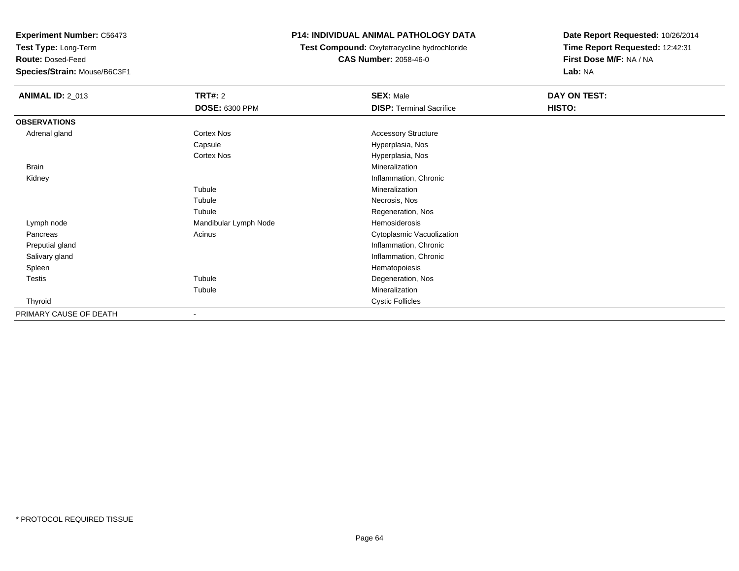**Test Type:** Long-Term

**Route:** Dosed-Feed

**Species/Strain:** Mouse/B6C3F1

## **P14: INDIVIDUAL ANIMAL PATHOLOGY DATA**

**Test Compound:** Oxytetracycline hydrochloride**CAS Number:** 2058-46-0

| <b>ANIMAL ID: 2_013</b> | <b>TRT#: 2</b>        | <b>SEX: Male</b>                | DAY ON TEST: |  |
|-------------------------|-----------------------|---------------------------------|--------------|--|
|                         | <b>DOSE: 6300 PPM</b> | <b>DISP: Terminal Sacrifice</b> | HISTO:       |  |
| <b>OBSERVATIONS</b>     |                       |                                 |              |  |
| Adrenal gland           | Cortex Nos            | <b>Accessory Structure</b>      |              |  |
|                         | Capsule               | Hyperplasia, Nos                |              |  |
|                         | Cortex Nos            | Hyperplasia, Nos                |              |  |
| Brain                   |                       | Mineralization                  |              |  |
| Kidney                  |                       | Inflammation, Chronic           |              |  |
|                         | Tubule                | Mineralization                  |              |  |
|                         | Tubule                | Necrosis, Nos                   |              |  |
|                         | Tubule                | Regeneration, Nos               |              |  |
| Lymph node              | Mandibular Lymph Node | Hemosiderosis                   |              |  |
| Pancreas                | Acinus                | Cytoplasmic Vacuolization       |              |  |
| Preputial gland         |                       | Inflammation, Chronic           |              |  |
| Salivary gland          |                       | Inflammation, Chronic           |              |  |
| Spleen                  |                       | Hematopoiesis                   |              |  |
| <b>Testis</b>           | Tubule                | Degeneration, Nos               |              |  |
|                         | Tubule                | Mineralization                  |              |  |
| Thyroid                 |                       | <b>Cystic Follicles</b>         |              |  |
| PRIMARY CAUSE OF DEATH  | ۰                     |                                 |              |  |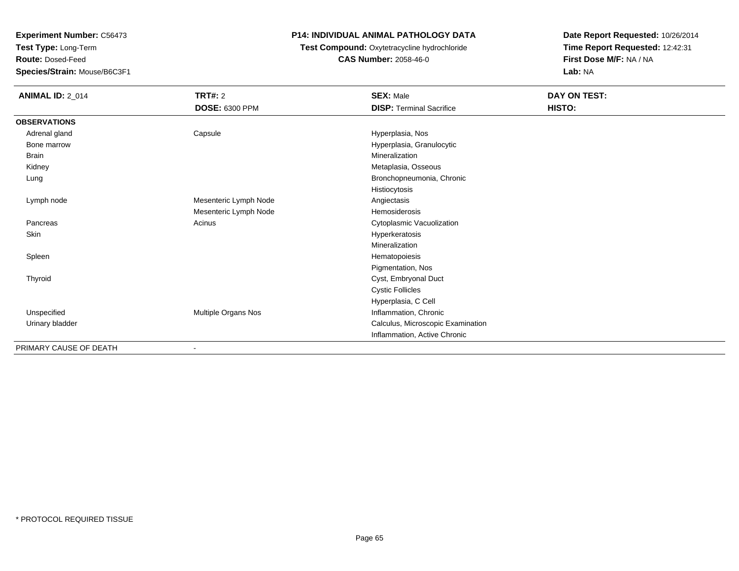**Test Type:** Long-Term

**Route:** Dosed-Feed

**Species/Strain:** Mouse/B6C3F1

## **P14: INDIVIDUAL ANIMAL PATHOLOGY DATA**

**Test Compound:** Oxytetracycline hydrochloride**CAS Number:** 2058-46-0

| <b>ANIMAL ID: 2_014</b> | <b>TRT#: 2</b>        | <b>SEX: Male</b>                  | DAY ON TEST: |  |
|-------------------------|-----------------------|-----------------------------------|--------------|--|
|                         | DOSE: 6300 PPM        | <b>DISP: Terminal Sacrifice</b>   | HISTO:       |  |
| <b>OBSERVATIONS</b>     |                       |                                   |              |  |
| Adrenal gland           | Capsule               | Hyperplasia, Nos                  |              |  |
| Bone marrow             |                       | Hyperplasia, Granulocytic         |              |  |
| <b>Brain</b>            |                       | Mineralization                    |              |  |
| Kidney                  |                       | Metaplasia, Osseous               |              |  |
| Lung                    |                       | Bronchopneumonia, Chronic         |              |  |
|                         |                       | Histiocytosis                     |              |  |
| Lymph node              | Mesenteric Lymph Node | Angiectasis                       |              |  |
|                         | Mesenteric Lymph Node | Hemosiderosis                     |              |  |
| Pancreas                | Acinus                | Cytoplasmic Vacuolization         |              |  |
| Skin                    |                       | Hyperkeratosis                    |              |  |
|                         |                       | Mineralization                    |              |  |
| Spleen                  |                       | Hematopoiesis                     |              |  |
|                         |                       | Pigmentation, Nos                 |              |  |
| Thyroid                 |                       | Cyst, Embryonal Duct              |              |  |
|                         |                       | <b>Cystic Follicles</b>           |              |  |
|                         |                       | Hyperplasia, C Cell               |              |  |
| Unspecified             | Multiple Organs Nos   | Inflammation, Chronic             |              |  |
| Urinary bladder         |                       | Calculus, Microscopic Examination |              |  |
|                         |                       | Inflammation, Active Chronic      |              |  |
| PRIMARY CAUSE OF DEATH  |                       |                                   |              |  |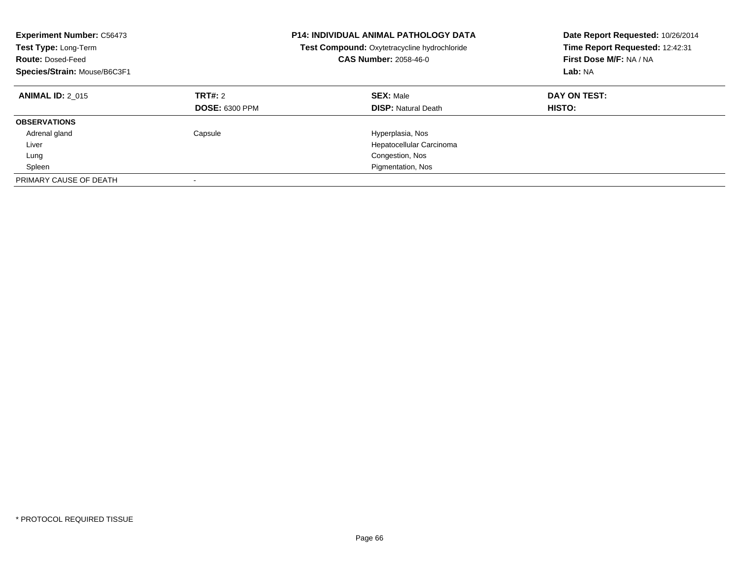| <b>Experiment Number: C56473</b><br>Test Type: Long-Term<br><b>Route: Dosed-Feed</b><br>Species/Strain: Mouse/B6C3F1 |                                  | <b>P14: INDIVIDUAL ANIMAL PATHOLOGY DATA</b><br>Test Compound: Oxytetracycline hydrochloride<br><b>CAS Number: 2058-46-0</b> | Date Report Requested: 10/26/2014<br>Time Report Requested: 12:42:31<br>First Dose M/F: NA / NA<br>Lab: NA |
|----------------------------------------------------------------------------------------------------------------------|----------------------------------|------------------------------------------------------------------------------------------------------------------------------|------------------------------------------------------------------------------------------------------------|
| <b>ANIMAL ID: 2 015</b>                                                                                              | TRT#: 2<br><b>DOSE: 6300 PPM</b> | <b>SEX: Male</b><br><b>DISP: Natural Death</b>                                                                               | DAY ON TEST:<br><b>HISTO:</b>                                                                              |
| <b>OBSERVATIONS</b>                                                                                                  |                                  |                                                                                                                              |                                                                                                            |
| Adrenal gland                                                                                                        | Capsule                          | Hyperplasia, Nos                                                                                                             |                                                                                                            |
| Liver                                                                                                                |                                  | Hepatocellular Carcinoma                                                                                                     |                                                                                                            |
| Lung                                                                                                                 |                                  | Congestion, Nos                                                                                                              |                                                                                                            |
| Spleen                                                                                                               |                                  | Pigmentation, Nos                                                                                                            |                                                                                                            |
| PRIMARY CAUSE OF DEATH                                                                                               |                                  |                                                                                                                              |                                                                                                            |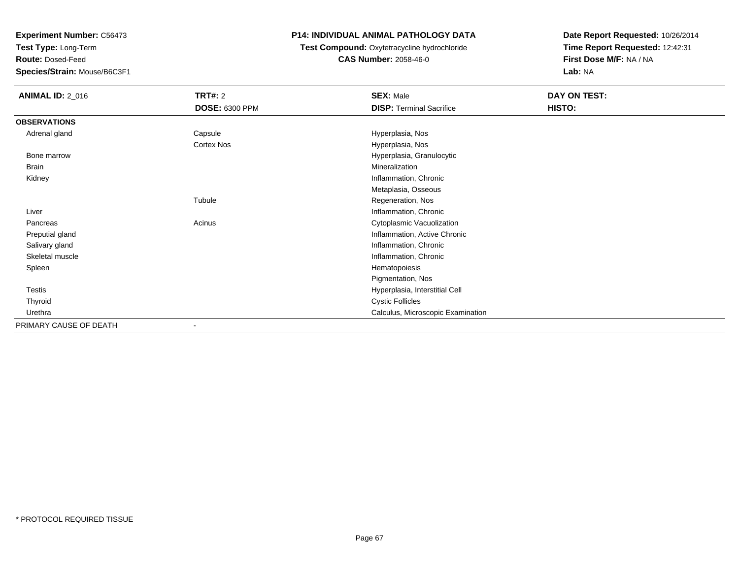**Test Type:** Long-Term

**Route:** Dosed-Feed

**Species/Strain:** Mouse/B6C3F1

## **P14: INDIVIDUAL ANIMAL PATHOLOGY DATA**

**Test Compound:** Oxytetracycline hydrochloride**CAS Number:** 2058-46-0

| <b>ANIMAL ID: 2_016</b> | <b>TRT#: 2</b>        | <b>SEX: Male</b>                  | DAY ON TEST: |
|-------------------------|-----------------------|-----------------------------------|--------------|
|                         | <b>DOSE: 6300 PPM</b> | <b>DISP: Terminal Sacrifice</b>   | HISTO:       |
| <b>OBSERVATIONS</b>     |                       |                                   |              |
| Adrenal gland           | Capsule               | Hyperplasia, Nos                  |              |
|                         | Cortex Nos            | Hyperplasia, Nos                  |              |
| Bone marrow             |                       | Hyperplasia, Granulocytic         |              |
| Brain                   |                       | Mineralization                    |              |
| Kidney                  |                       | Inflammation, Chronic             |              |
|                         |                       | Metaplasia, Osseous               |              |
|                         | Tubule                | Regeneration, Nos                 |              |
| Liver                   |                       | Inflammation, Chronic             |              |
| Pancreas                | Acinus                | Cytoplasmic Vacuolization         |              |
| Preputial gland         |                       | Inflammation, Active Chronic      |              |
| Salivary gland          |                       | Inflammation, Chronic             |              |
| Skeletal muscle         |                       | Inflammation, Chronic             |              |
| Spleen                  |                       | Hematopoiesis                     |              |
|                         |                       | Pigmentation, Nos                 |              |
| Testis                  |                       | Hyperplasia, Interstitial Cell    |              |
| Thyroid                 |                       | <b>Cystic Follicles</b>           |              |
| Urethra                 |                       | Calculus, Microscopic Examination |              |
| PRIMARY CAUSE OF DEATH  |                       |                                   |              |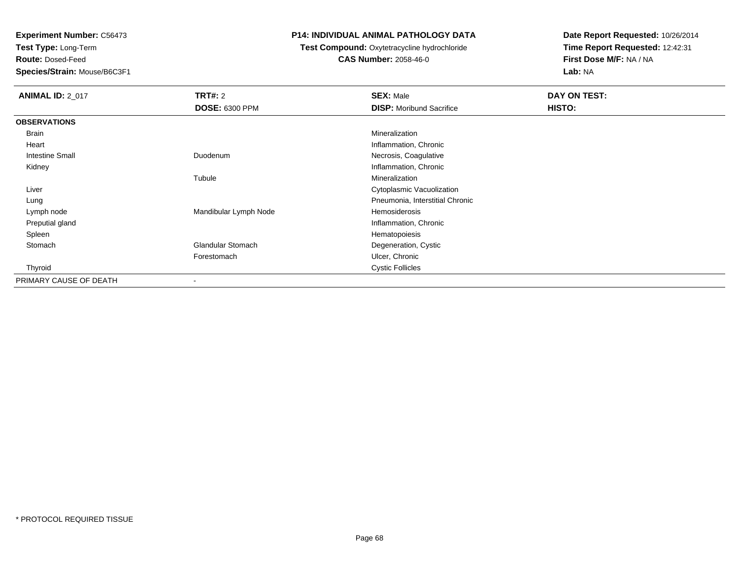**Test Type:** Long-Term

**Route:** Dosed-Feed

**Species/Strain:** Mouse/B6C3F1

## **P14: INDIVIDUAL ANIMAL PATHOLOGY DATA**

**Test Compound:** Oxytetracycline hydrochloride**CAS Number:** 2058-46-0

| <b>ANIMAL ID: 2_017</b> | TRT#: 2                  | <b>SEX: Male</b>                | DAY ON TEST: |
|-------------------------|--------------------------|---------------------------------|--------------|
|                         | <b>DOSE: 6300 PPM</b>    | <b>DISP: Moribund Sacrifice</b> | HISTO:       |
| <b>OBSERVATIONS</b>     |                          |                                 |              |
| Brain                   |                          | Mineralization                  |              |
| Heart                   |                          | Inflammation, Chronic           |              |
| <b>Intestine Small</b>  | Duodenum                 | Necrosis, Coagulative           |              |
| Kidney                  |                          | Inflammation, Chronic           |              |
|                         | Tubule                   | Mineralization                  |              |
| Liver                   |                          | Cytoplasmic Vacuolization       |              |
| Lung                    |                          | Pneumonia, Interstitial Chronic |              |
| Lymph node              | Mandibular Lymph Node    | Hemosiderosis                   |              |
| Preputial gland         |                          | Inflammation, Chronic           |              |
| Spleen                  |                          | Hematopoiesis                   |              |
| Stomach                 | <b>Glandular Stomach</b> | Degeneration, Cystic            |              |
|                         | Forestomach              | Ulcer, Chronic                  |              |
| Thyroid                 |                          | <b>Cystic Follicles</b>         |              |
| PRIMARY CAUSE OF DEATH  |                          |                                 |              |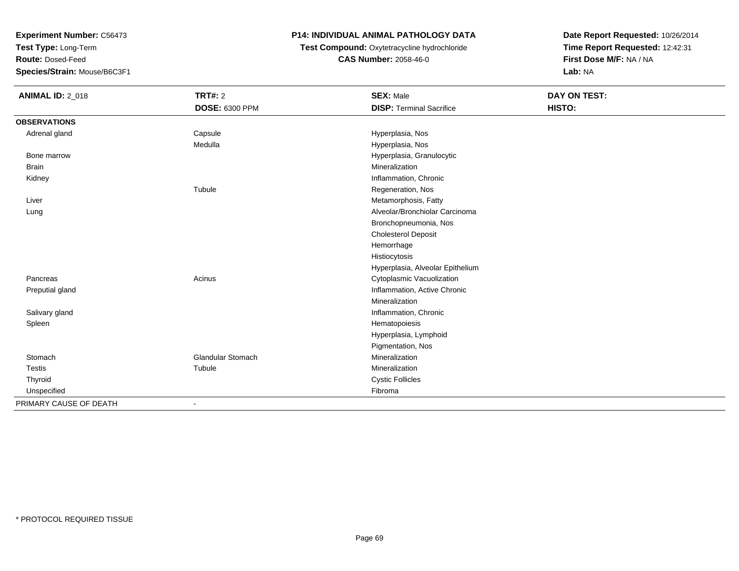**Test Type:** Long-Term

**Route:** Dosed-Feed

**Species/Strain:** Mouse/B6C3F1

### **P14: INDIVIDUAL ANIMAL PATHOLOGY DATA**

**Test Compound:** Oxytetracycline hydrochloride**CAS Number:** 2058-46-0

| <b>ANIMAL ID: 2_018</b> | <b>TRT#: 2</b>           | <b>SEX: Male</b>                 | DAY ON TEST: |  |
|-------------------------|--------------------------|----------------------------------|--------------|--|
|                         | DOSE: 6300 PPM           | <b>DISP: Terminal Sacrifice</b>  | HISTO:       |  |
| <b>OBSERVATIONS</b>     |                          |                                  |              |  |
| Adrenal gland           | Capsule                  | Hyperplasia, Nos                 |              |  |
|                         | Medulla                  | Hyperplasia, Nos                 |              |  |
| Bone marrow             |                          | Hyperplasia, Granulocytic        |              |  |
| <b>Brain</b>            |                          | Mineralization                   |              |  |
| Kidney                  |                          | Inflammation, Chronic            |              |  |
|                         | Tubule                   | Regeneration, Nos                |              |  |
| Liver                   |                          | Metamorphosis, Fatty             |              |  |
| Lung                    |                          | Alveolar/Bronchiolar Carcinoma   |              |  |
|                         |                          | Bronchopneumonia, Nos            |              |  |
|                         |                          | <b>Cholesterol Deposit</b>       |              |  |
|                         |                          | Hemorrhage                       |              |  |
|                         |                          | Histiocytosis                    |              |  |
|                         |                          | Hyperplasia, Alveolar Epithelium |              |  |
| Pancreas                | Acinus                   | Cytoplasmic Vacuolization        |              |  |
| Preputial gland         |                          | Inflammation, Active Chronic     |              |  |
|                         |                          | Mineralization                   |              |  |
| Salivary gland          |                          | Inflammation, Chronic            |              |  |
| Spleen                  |                          | Hematopoiesis                    |              |  |
|                         |                          | Hyperplasia, Lymphoid            |              |  |
|                         |                          | Pigmentation, Nos                |              |  |
| Stomach                 | <b>Glandular Stomach</b> | Mineralization                   |              |  |
| <b>Testis</b>           | Tubule                   | Mineralization                   |              |  |
| Thyroid                 |                          | <b>Cystic Follicles</b>          |              |  |
| Unspecified             |                          | Fibroma                          |              |  |
| PRIMARY CAUSE OF DEATH  | $\overline{\phantom{a}}$ |                                  |              |  |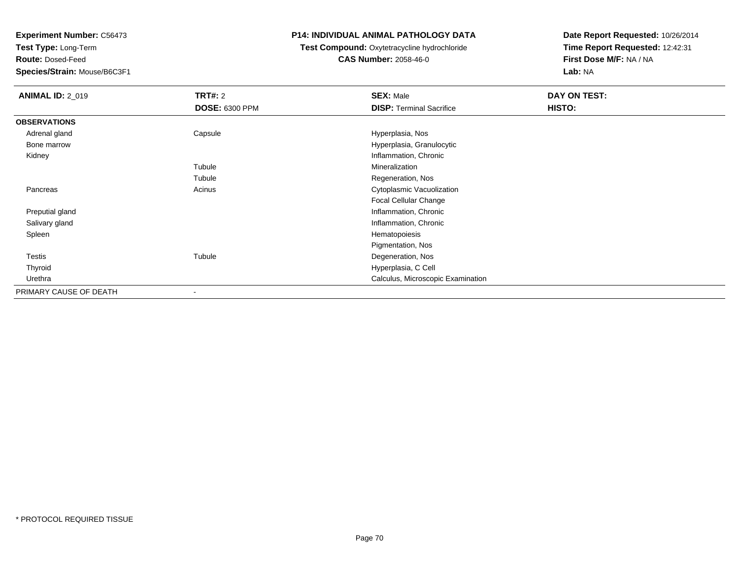**Test Type:** Long-Term

**Route:** Dosed-Feed

**Species/Strain:** Mouse/B6C3F1

### **P14: INDIVIDUAL ANIMAL PATHOLOGY DATA**

## **Test Compound:** Oxytetracycline hydrochloride**CAS Number:** 2058-46-0

| <b>ANIMAL ID: 2_019</b> | <b>TRT#: 2</b>        | <b>SEX: Male</b>                  | DAY ON TEST: |  |
|-------------------------|-----------------------|-----------------------------------|--------------|--|
|                         | <b>DOSE: 6300 PPM</b> | <b>DISP: Terminal Sacrifice</b>   | HISTO:       |  |
| <b>OBSERVATIONS</b>     |                       |                                   |              |  |
| Adrenal gland           | Capsule               | Hyperplasia, Nos                  |              |  |
| Bone marrow             |                       | Hyperplasia, Granulocytic         |              |  |
| Kidney                  |                       | Inflammation, Chronic             |              |  |
|                         | Tubule                | Mineralization                    |              |  |
|                         | Tubule                | Regeneration, Nos                 |              |  |
| Pancreas                | Acinus                | Cytoplasmic Vacuolization         |              |  |
|                         |                       | Focal Cellular Change             |              |  |
| Preputial gland         |                       | Inflammation, Chronic             |              |  |
| Salivary gland          |                       | Inflammation, Chronic             |              |  |
| Spleen                  |                       | Hematopoiesis                     |              |  |
|                         |                       | Pigmentation, Nos                 |              |  |
| <b>Testis</b>           | Tubule                | Degeneration, Nos                 |              |  |
| Thyroid                 |                       | Hyperplasia, C Cell               |              |  |
| Urethra                 |                       | Calculus, Microscopic Examination |              |  |
| PRIMARY CAUSE OF DEATH  | $\blacksquare$        |                                   |              |  |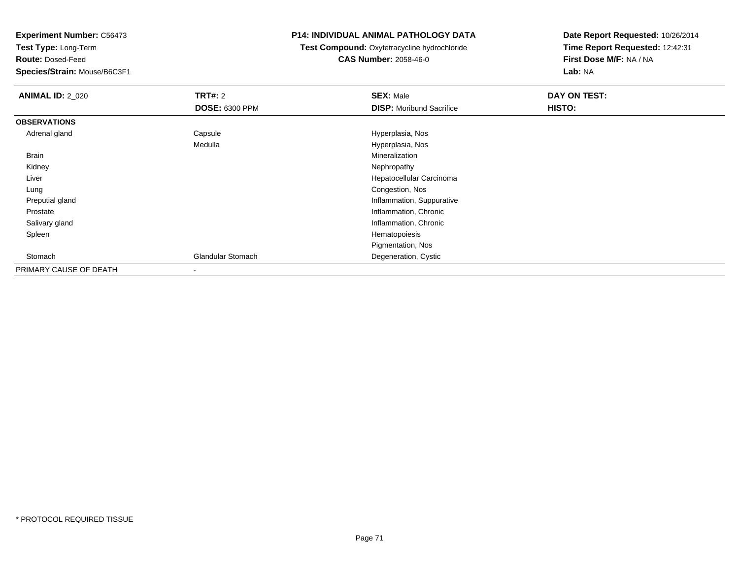**Test Type:** Long-Term

**Route:** Dosed-Feed

**Species/Strain:** Mouse/B6C3F1

### **P14: INDIVIDUAL ANIMAL PATHOLOGY DATA**

**Test Compound:** Oxytetracycline hydrochloride**CAS Number:** 2058-46-0

| <b>ANIMAL ID: 2_020</b> | <b>TRT#: 2</b>           | <b>SEX: Male</b>                | DAY ON TEST: |
|-------------------------|--------------------------|---------------------------------|--------------|
|                         | <b>DOSE: 6300 PPM</b>    | <b>DISP:</b> Moribund Sacrifice | HISTO:       |
| <b>OBSERVATIONS</b>     |                          |                                 |              |
| Adrenal gland           | Capsule                  | Hyperplasia, Nos                |              |
|                         | Medulla                  | Hyperplasia, Nos                |              |
| <b>Brain</b>            |                          | Mineralization                  |              |
| Kidney                  |                          | Nephropathy                     |              |
| Liver                   |                          | Hepatocellular Carcinoma        |              |
| Lung                    |                          | Congestion, Nos                 |              |
| Preputial gland         |                          | Inflammation, Suppurative       |              |
| Prostate                |                          | Inflammation, Chronic           |              |
| Salivary gland          |                          | Inflammation, Chronic           |              |
| Spleen                  |                          | Hematopoiesis                   |              |
|                         |                          | Pigmentation, Nos               |              |
| Stomach                 | <b>Glandular Stomach</b> | Degeneration, Cystic            |              |
| PRIMARY CAUSE OF DEATH  |                          |                                 |              |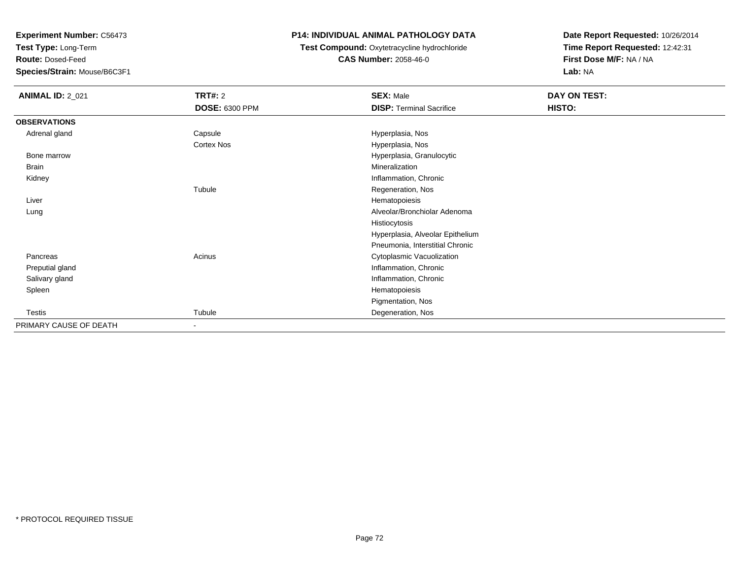**Test Type:** Long-Term

**Route:** Dosed-Feed

**Species/Strain:** Mouse/B6C3F1

## **P14: INDIVIDUAL ANIMAL PATHOLOGY DATA**

## **Test Compound:** Oxytetracycline hydrochloride**CAS Number:** 2058-46-0

| <b>ANIMAL ID: 2_021</b> | TRT#: 2                  | <b>SEX: Male</b>                 | DAY ON TEST: |  |
|-------------------------|--------------------------|----------------------------------|--------------|--|
|                         | <b>DOSE: 6300 PPM</b>    | <b>DISP: Terminal Sacrifice</b>  | HISTO:       |  |
| <b>OBSERVATIONS</b>     |                          |                                  |              |  |
| Adrenal gland           | Capsule                  | Hyperplasia, Nos                 |              |  |
|                         | <b>Cortex Nos</b>        | Hyperplasia, Nos                 |              |  |
| Bone marrow             |                          | Hyperplasia, Granulocytic        |              |  |
| Brain                   |                          | Mineralization                   |              |  |
| Kidney                  |                          | Inflammation, Chronic            |              |  |
|                         | Tubule                   | Regeneration, Nos                |              |  |
| Liver                   |                          | Hematopoiesis                    |              |  |
| Lung                    |                          | Alveolar/Bronchiolar Adenoma     |              |  |
|                         |                          | Histiocytosis                    |              |  |
|                         |                          | Hyperplasia, Alveolar Epithelium |              |  |
|                         |                          | Pneumonia, Interstitial Chronic  |              |  |
| Pancreas                | Acinus                   | Cytoplasmic Vacuolization        |              |  |
| Preputial gland         |                          | Inflammation, Chronic            |              |  |
| Salivary gland          |                          | Inflammation, Chronic            |              |  |
| Spleen                  |                          | Hematopoiesis                    |              |  |
|                         |                          | Pigmentation, Nos                |              |  |
| <b>Testis</b>           | Tubule                   | Degeneration, Nos                |              |  |
| PRIMARY CAUSE OF DEATH  | $\overline{\phantom{0}}$ |                                  |              |  |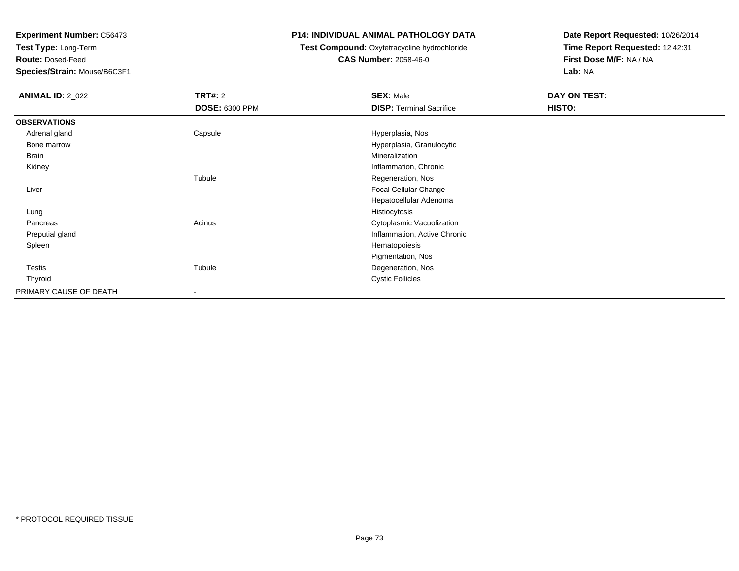**Test Type:** Long-Term

**Route:** Dosed-Feed

**Species/Strain:** Mouse/B6C3F1

### **P14: INDIVIDUAL ANIMAL PATHOLOGY DATA**

## **Test Compound:** Oxytetracycline hydrochloride**CAS Number:** 2058-46-0

| <b>ANIMAL ID: 2_022</b> | <b>TRT#: 2</b> | <b>SEX: Male</b>                | DAY ON TEST: |  |
|-------------------------|----------------|---------------------------------|--------------|--|
|                         | DOSE: 6300 PPM | <b>DISP: Terminal Sacrifice</b> | HISTO:       |  |
| <b>OBSERVATIONS</b>     |                |                                 |              |  |
| Adrenal gland           | Capsule        | Hyperplasia, Nos                |              |  |
| Bone marrow             |                | Hyperplasia, Granulocytic       |              |  |
| <b>Brain</b>            |                | Mineralization                  |              |  |
| Kidney                  |                | Inflammation, Chronic           |              |  |
|                         | Tubule         | Regeneration, Nos               |              |  |
| Liver                   |                | Focal Cellular Change           |              |  |
|                         |                | Hepatocellular Adenoma          |              |  |
| Lung                    |                | Histiocytosis                   |              |  |
| Pancreas                | Acinus         | Cytoplasmic Vacuolization       |              |  |
| Preputial gland         |                | Inflammation, Active Chronic    |              |  |
| Spleen                  |                | Hematopoiesis                   |              |  |
|                         |                | Pigmentation, Nos               |              |  |
| Testis                  | Tubule         | Degeneration, Nos               |              |  |
| Thyroid                 |                | <b>Cystic Follicles</b>         |              |  |
| PRIMARY CAUSE OF DEATH  | -              |                                 |              |  |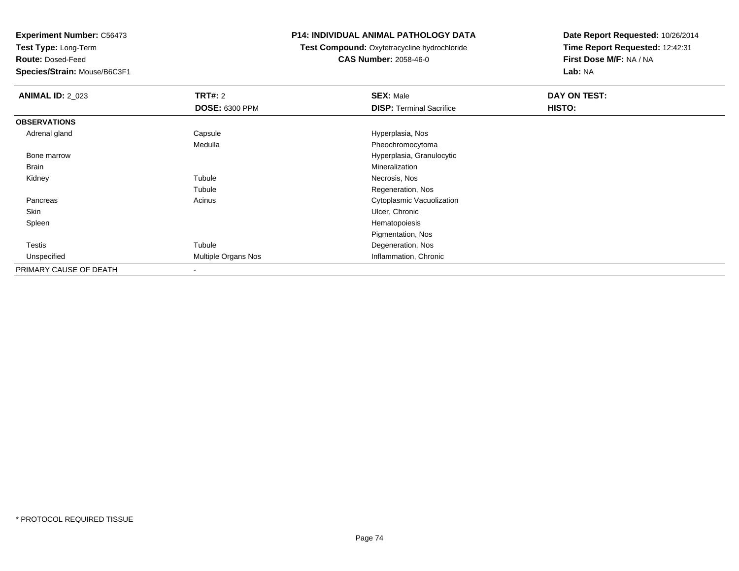**Test Type:** Long-Term

**Route:** Dosed-Feed

**Species/Strain:** Mouse/B6C3F1

## **P14: INDIVIDUAL ANIMAL PATHOLOGY DATA**

**Test Compound:** Oxytetracycline hydrochloride**CAS Number:** 2058-46-0

| <b>ANIMAL ID: 2 023</b> | TRT#: 2                  | <b>SEX: Male</b>                | DAY ON TEST: |
|-------------------------|--------------------------|---------------------------------|--------------|
|                         | <b>DOSE: 6300 PPM</b>    | <b>DISP: Terminal Sacrifice</b> | HISTO:       |
| <b>OBSERVATIONS</b>     |                          |                                 |              |
| Adrenal gland           | Capsule                  | Hyperplasia, Nos                |              |
|                         | Medulla                  | Pheochromocytoma                |              |
| Bone marrow             |                          | Hyperplasia, Granulocytic       |              |
| Brain                   |                          | Mineralization                  |              |
| Kidney                  | Tubule                   | Necrosis, Nos                   |              |
|                         | Tubule                   | Regeneration, Nos               |              |
| Pancreas                | Acinus                   | Cytoplasmic Vacuolization       |              |
| Skin                    |                          | Ulcer, Chronic                  |              |
| Spleen                  |                          | Hematopoiesis                   |              |
|                         |                          | Pigmentation, Nos               |              |
| <b>Testis</b>           | Tubule                   | Degeneration, Nos               |              |
| Unspecified             | Multiple Organs Nos      | Inflammation, Chronic           |              |
| PRIMARY CAUSE OF DEATH  | $\overline{\phantom{a}}$ |                                 |              |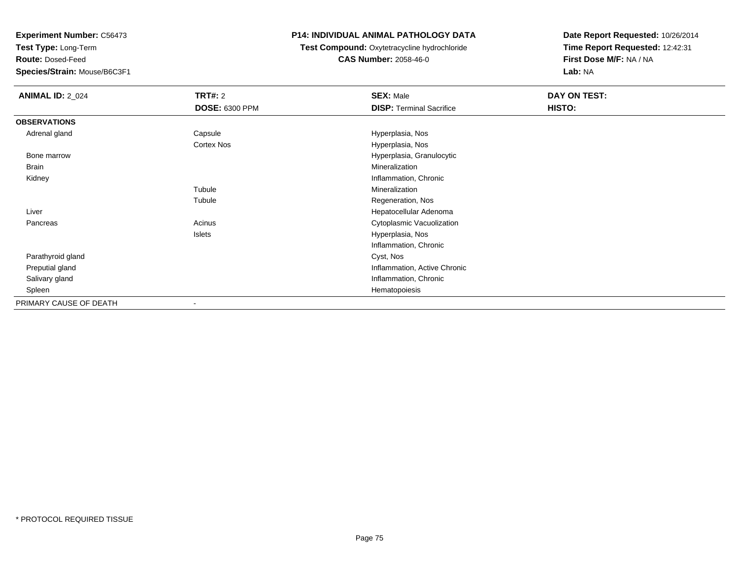**Test Type:** Long-Term

**Route:** Dosed-Feed

**Species/Strain:** Mouse/B6C3F1

## **P14: INDIVIDUAL ANIMAL PATHOLOGY DATA**

**Test Compound:** Oxytetracycline hydrochloride**CAS Number:** 2058-46-0

| <b>ANIMAL ID: 2_024</b> | TRT#: 2               | <b>SEX: Male</b>                | DAY ON TEST: |
|-------------------------|-----------------------|---------------------------------|--------------|
|                         | <b>DOSE: 6300 PPM</b> | <b>DISP: Terminal Sacrifice</b> | HISTO:       |
| <b>OBSERVATIONS</b>     |                       |                                 |              |
| Adrenal gland           | Capsule               | Hyperplasia, Nos                |              |
|                         | Cortex Nos            | Hyperplasia, Nos                |              |
| Bone marrow             |                       | Hyperplasia, Granulocytic       |              |
| Brain                   |                       | Mineralization                  |              |
| Kidney                  |                       | Inflammation, Chronic           |              |
|                         | Tubule                | Mineralization                  |              |
|                         | Tubule                | Regeneration, Nos               |              |
| Liver                   |                       | Hepatocellular Adenoma          |              |
| Pancreas                | Acinus                | Cytoplasmic Vacuolization       |              |
|                         | Islets                | Hyperplasia, Nos                |              |
|                         |                       | Inflammation, Chronic           |              |
| Parathyroid gland       |                       | Cyst, Nos                       |              |
| Preputial gland         |                       | Inflammation, Active Chronic    |              |
| Salivary gland          |                       | Inflammation, Chronic           |              |
| Spleen                  |                       | Hematopoiesis                   |              |
| PRIMARY CAUSE OF DEATH  | $\blacksquare$        |                                 |              |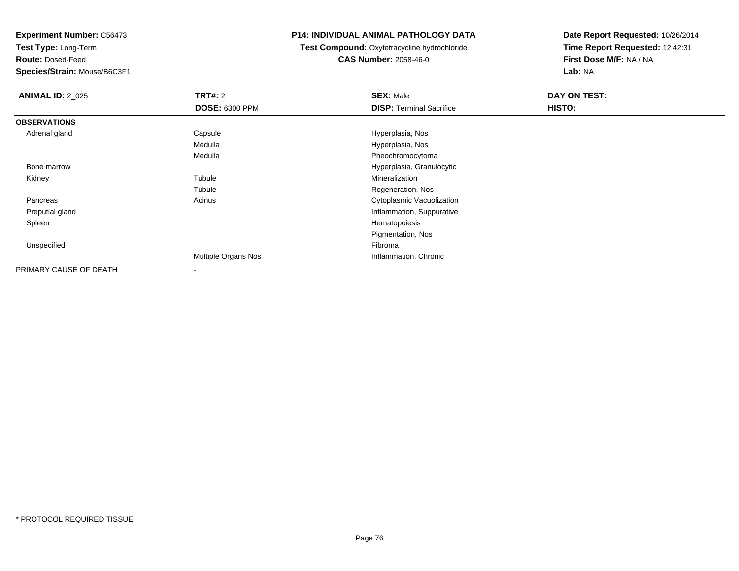**Test Type:** Long-Term

**Route:** Dosed-Feed

**Species/Strain:** Mouse/B6C3F1

### **P14: INDIVIDUAL ANIMAL PATHOLOGY DATA**

**Test Compound:** Oxytetracycline hydrochloride**CAS Number:** 2058-46-0

| <b>ANIMAL ID: 2_025</b> | <b>TRT#: 2</b>        | <b>SEX: Male</b>                | DAY ON TEST: |
|-------------------------|-----------------------|---------------------------------|--------------|
|                         | <b>DOSE: 6300 PPM</b> | <b>DISP: Terminal Sacrifice</b> | HISTO:       |
| <b>OBSERVATIONS</b>     |                       |                                 |              |
| Adrenal gland           | Capsule               | Hyperplasia, Nos                |              |
|                         | Medulla               | Hyperplasia, Nos                |              |
|                         | Medulla               | Pheochromocytoma                |              |
| Bone marrow             |                       | Hyperplasia, Granulocytic       |              |
| Kidney                  | Tubule                | Mineralization                  |              |
|                         | Tubule                | Regeneration, Nos               |              |
| Pancreas                | Acinus                | Cytoplasmic Vacuolization       |              |
| Preputial gland         |                       | Inflammation, Suppurative       |              |
| Spleen                  |                       | Hematopoiesis                   |              |
|                         |                       | Pigmentation, Nos               |              |
| Unspecified             |                       | Fibroma                         |              |
|                         | Multiple Organs Nos   | Inflammation, Chronic           |              |
| PRIMARY CAUSE OF DEATH  |                       |                                 |              |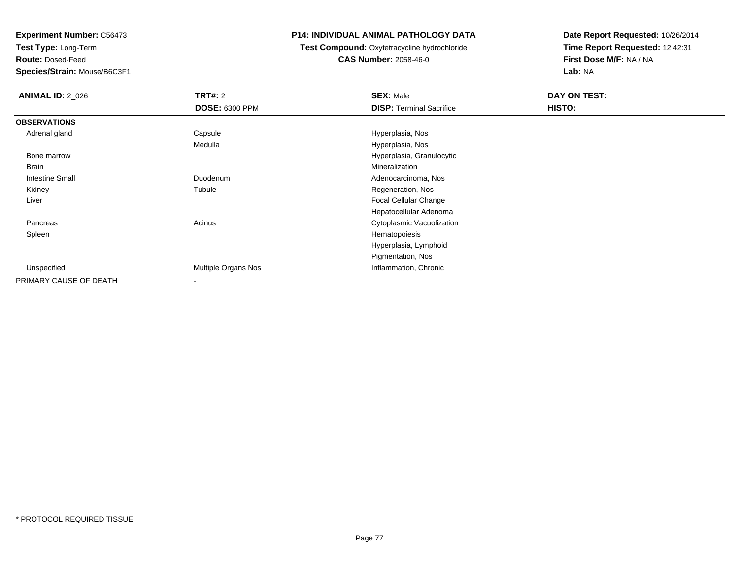**Test Type:** Long-Term

**Route:** Dosed-Feed

**Species/Strain:** Mouse/B6C3F1

### **P14: INDIVIDUAL ANIMAL PATHOLOGY DATA**

**Test Compound:** Oxytetracycline hydrochloride**CAS Number:** 2058-46-0

| <b>ANIMAL ID: 2_026</b> | <b>TRT#: 2</b>        | <b>SEX: Male</b>                | DAY ON TEST: |  |
|-------------------------|-----------------------|---------------------------------|--------------|--|
|                         | <b>DOSE: 6300 PPM</b> | <b>DISP: Terminal Sacrifice</b> | HISTO:       |  |
| <b>OBSERVATIONS</b>     |                       |                                 |              |  |
| Adrenal gland           | Capsule               | Hyperplasia, Nos                |              |  |
|                         | Medulla               | Hyperplasia, Nos                |              |  |
| Bone marrow             |                       | Hyperplasia, Granulocytic       |              |  |
| <b>Brain</b>            |                       | Mineralization                  |              |  |
| Intestine Small         | Duodenum              | Adenocarcinoma, Nos             |              |  |
| Kidney                  | Tubule                | Regeneration, Nos               |              |  |
| Liver                   |                       | <b>Focal Cellular Change</b>    |              |  |
|                         |                       | Hepatocellular Adenoma          |              |  |
| Pancreas                | Acinus                | Cytoplasmic Vacuolization       |              |  |
| Spleen                  |                       | Hematopoiesis                   |              |  |
|                         |                       | Hyperplasia, Lymphoid           |              |  |
|                         |                       | Pigmentation, Nos               |              |  |
| Unspecified             | Multiple Organs Nos   | Inflammation, Chronic           |              |  |
| PRIMARY CAUSE OF DEATH  |                       |                                 |              |  |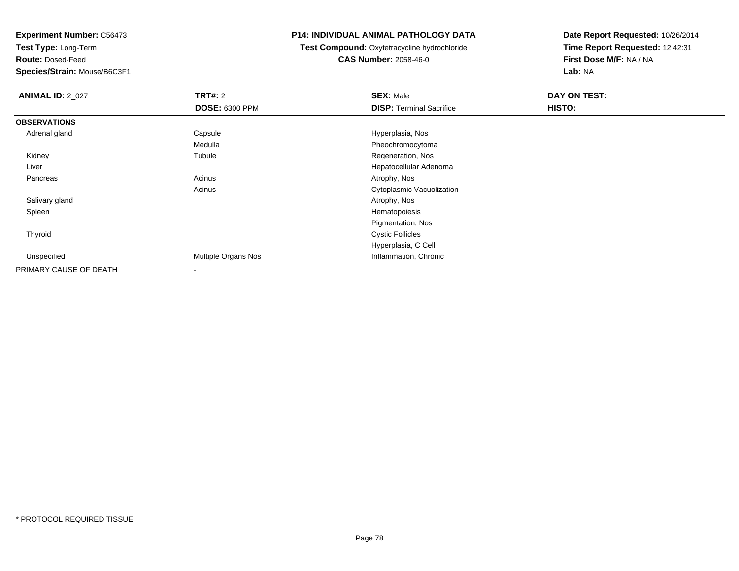**Test Type:** Long-Term

**Route:** Dosed-Feed

**Species/Strain:** Mouse/B6C3F1

### **P14: INDIVIDUAL ANIMAL PATHOLOGY DATA**

 **Test Compound:** Oxytetracycline hydrochloride**CAS Number:** 2058-46-0

| <b>ANIMAL ID: 2_027</b> | <b>TRT#: 2</b>        | <b>SEX: Male</b>                | DAY ON TEST: |  |
|-------------------------|-----------------------|---------------------------------|--------------|--|
|                         | <b>DOSE: 6300 PPM</b> | <b>DISP: Terminal Sacrifice</b> | HISTO:       |  |
| <b>OBSERVATIONS</b>     |                       |                                 |              |  |
| Adrenal gland           | Capsule               | Hyperplasia, Nos                |              |  |
|                         | Medulla               | Pheochromocytoma                |              |  |
| Kidney                  | Tubule                | Regeneration, Nos               |              |  |
| Liver                   |                       | Hepatocellular Adenoma          |              |  |
| Pancreas                | Acinus                | Atrophy, Nos                    |              |  |
|                         | Acinus                | Cytoplasmic Vacuolization       |              |  |
| Salivary gland          |                       | Atrophy, Nos                    |              |  |
| Spleen                  |                       | Hematopoiesis                   |              |  |
|                         |                       | Pigmentation, Nos               |              |  |
| Thyroid                 |                       | <b>Cystic Follicles</b>         |              |  |
|                         |                       | Hyperplasia, C Cell             |              |  |
| Unspecified             | Multiple Organs Nos   | Inflammation, Chronic           |              |  |
| PRIMARY CAUSE OF DEATH  | $\,$ $\,$             |                                 |              |  |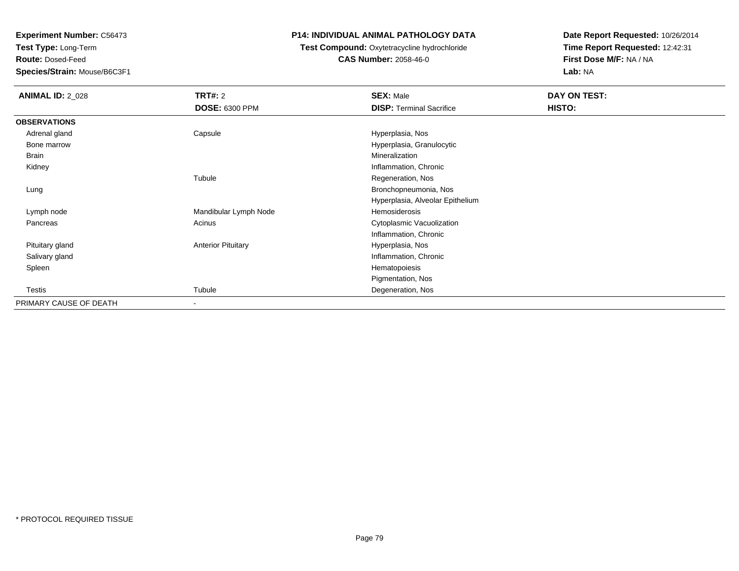**Test Type:** Long-Term

**Route:** Dosed-Feed

**Species/Strain:** Mouse/B6C3F1

### **P14: INDIVIDUAL ANIMAL PATHOLOGY DATA**

## **Test Compound:** Oxytetracycline hydrochloride**CAS Number:** 2058-46-0

| <b>ANIMAL ID: 2_028</b> | <b>TRT#: 2</b>            | <b>SEX: Male</b>                 | DAY ON TEST: |
|-------------------------|---------------------------|----------------------------------|--------------|
|                         | <b>DOSE: 6300 PPM</b>     | <b>DISP: Terminal Sacrifice</b>  | HISTO:       |
| <b>OBSERVATIONS</b>     |                           |                                  |              |
| Adrenal gland           | Capsule                   | Hyperplasia, Nos                 |              |
| Bone marrow             |                           | Hyperplasia, Granulocytic        |              |
| Brain                   |                           | Mineralization                   |              |
| Kidney                  |                           | Inflammation, Chronic            |              |
|                         | Tubule                    | Regeneration, Nos                |              |
| Lung                    |                           | Bronchopneumonia, Nos            |              |
|                         |                           | Hyperplasia, Alveolar Epithelium |              |
| Lymph node              | Mandibular Lymph Node     | Hemosiderosis                    |              |
| Pancreas                | Acinus                    | Cytoplasmic Vacuolization        |              |
|                         |                           | Inflammation, Chronic            |              |
| Pituitary gland         | <b>Anterior Pituitary</b> | Hyperplasia, Nos                 |              |
| Salivary gland          |                           | Inflammation, Chronic            |              |
| Spleen                  |                           | Hematopoiesis                    |              |
|                         |                           | Pigmentation, Nos                |              |
| Testis                  | Tubule                    | Degeneration, Nos                |              |
| PRIMARY CAUSE OF DEATH  | $\overline{\phantom{a}}$  |                                  |              |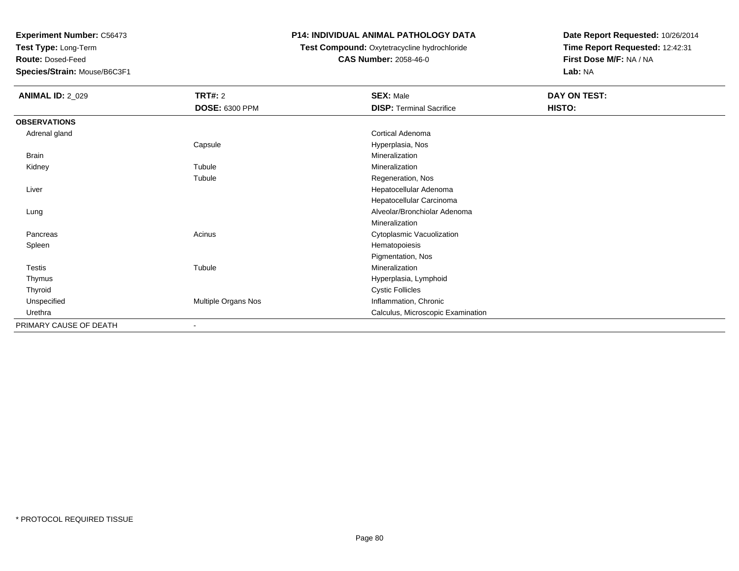**Test Type:** Long-Term

**Route:** Dosed-Feed

**Species/Strain:** Mouse/B6C3F1

## **P14: INDIVIDUAL ANIMAL PATHOLOGY DATA**

**Test Compound:** Oxytetracycline hydrochloride**CAS Number:** 2058-46-0

| <b>ANIMAL ID: 2_029</b> | <b>TRT#: 2</b>        | <b>SEX: Male</b>                  | DAY ON TEST: |  |
|-------------------------|-----------------------|-----------------------------------|--------------|--|
|                         | <b>DOSE: 6300 PPM</b> | <b>DISP: Terminal Sacrifice</b>   | HISTO:       |  |
| <b>OBSERVATIONS</b>     |                       |                                   |              |  |
| Adrenal gland           |                       | Cortical Adenoma                  |              |  |
|                         | Capsule               | Hyperplasia, Nos                  |              |  |
| Brain                   |                       | Mineralization                    |              |  |
| Kidney                  | Tubule                | Mineralization                    |              |  |
|                         | Tubule                | Regeneration, Nos                 |              |  |
| Liver                   |                       | Hepatocellular Adenoma            |              |  |
|                         |                       | Hepatocellular Carcinoma          |              |  |
| Lung                    |                       | Alveolar/Bronchiolar Adenoma      |              |  |
|                         |                       | Mineralization                    |              |  |
| Pancreas                | Acinus                | Cytoplasmic Vacuolization         |              |  |
| Spleen                  |                       | Hematopoiesis                     |              |  |
|                         |                       | Pigmentation, Nos                 |              |  |
| Testis                  | Tubule                | Mineralization                    |              |  |
| Thymus                  |                       | Hyperplasia, Lymphoid             |              |  |
| Thyroid                 |                       | <b>Cystic Follicles</b>           |              |  |
| Unspecified             | Multiple Organs Nos   | Inflammation, Chronic             |              |  |
| Urethra                 |                       | Calculus, Microscopic Examination |              |  |
| PRIMARY CAUSE OF DEATH  | $\blacksquare$        |                                   |              |  |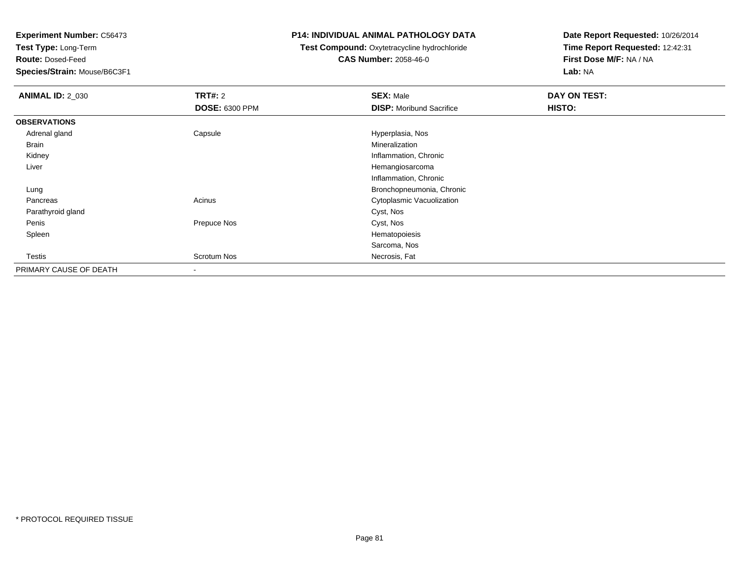**Test Type:** Long-Term

**Route:** Dosed-Feed

**Species/Strain:** Mouse/B6C3F1

### **P14: INDIVIDUAL ANIMAL PATHOLOGY DATA**

## **Test Compound:** Oxytetracycline hydrochloride**CAS Number:** 2058-46-0

| <b>ANIMAL ID: 2_030</b> | <b>TRT#: 2</b>        | <b>SEX: Male</b>                | DAY ON TEST: |  |
|-------------------------|-----------------------|---------------------------------|--------------|--|
|                         | <b>DOSE: 6300 PPM</b> | <b>DISP:</b> Moribund Sacrifice | HISTO:       |  |
| <b>OBSERVATIONS</b>     |                       |                                 |              |  |
| Adrenal gland           | Capsule               | Hyperplasia, Nos                |              |  |
| Brain                   |                       | Mineralization                  |              |  |
| Kidney                  |                       | Inflammation, Chronic           |              |  |
| Liver                   |                       | Hemangiosarcoma                 |              |  |
|                         |                       | Inflammation, Chronic           |              |  |
| Lung                    |                       | Bronchopneumonia, Chronic       |              |  |
| Pancreas                | Acinus                | Cytoplasmic Vacuolization       |              |  |
| Parathyroid gland       |                       | Cyst, Nos                       |              |  |
| Penis                   | Prepuce Nos           | Cyst, Nos                       |              |  |
| Spleen                  |                       | Hematopoiesis                   |              |  |
|                         |                       | Sarcoma, Nos                    |              |  |
| Testis                  | Scrotum Nos           | Necrosis, Fat                   |              |  |
| PRIMARY CAUSE OF DEATH  | -                     |                                 |              |  |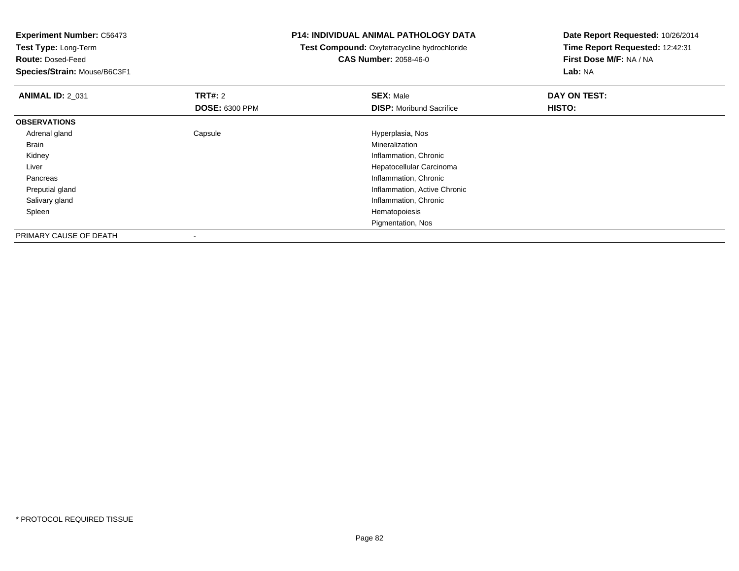**Experiment Number:** C56473**Test Type:** Long-Term**Route:** Dosed-Feed **Species/Strain:** Mouse/B6C3F1**P14: INDIVIDUAL ANIMAL PATHOLOGY DATATest Compound:** Oxytetracycline hydrochloride**CAS Number:** 2058-46-0**Date Report Requested:** 10/26/2014**Time Report Requested:** 12:42:31**First Dose M/F:** NA / NA**Lab:** NA**ANIMAL ID: 2 031 TRT#:** 2 **SEX:** Male **DAY ON TEST: DOSE:** 6300 PPM**DISP:** Moribund Sacrifice **HISTO: OBSERVATIONS** Adrenal glandCapsule **Capsule Capsule Capsule Capsule** Hyperplasia, Nos<br>
Mineralization Brainn and the control of the control of the control of the control of the control of the control of the control of the control of the control of the control of the control of the control of the control of the control of the co Kidney Inflammation, Chronic Liver Hepatocellular Carcinoma Pancreas Inflammation, Chronic Preputial gland Inflammation, Active Chronic Salivary glandInflammation, Chronic<br>Hematopoiesis Spleenn and the state of the state of the state of the state of the state of the state of the state of the state of the state of the state of the state of the state of the state of the state of the state of the state of the stat Pigmentation, NosPRIMARY CAUSE OF DEATH-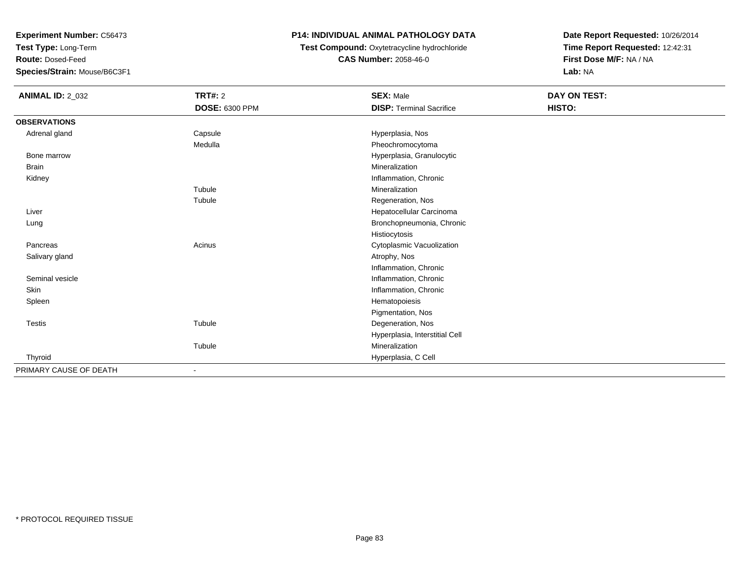**Test Type:** Long-Term

**Route:** Dosed-Feed

**Species/Strain:** Mouse/B6C3F1

## **P14: INDIVIDUAL ANIMAL PATHOLOGY DATA**

# **Test Compound:** Oxytetracycline hydrochloride**CAS Number:** 2058-46-0

| <b>ANIMAL ID: 2_032</b> | <b>TRT#: 2</b>        | <b>SEX: Male</b>                | DAY ON TEST: |  |
|-------------------------|-----------------------|---------------------------------|--------------|--|
|                         | <b>DOSE: 6300 PPM</b> | <b>DISP: Terminal Sacrifice</b> | HISTO:       |  |
| <b>OBSERVATIONS</b>     |                       |                                 |              |  |
| Adrenal gland           | Capsule               | Hyperplasia, Nos                |              |  |
|                         | Medulla               | Pheochromocytoma                |              |  |
| Bone marrow             |                       | Hyperplasia, Granulocytic       |              |  |
| Brain                   |                       | Mineralization                  |              |  |
| Kidney                  |                       | Inflammation, Chronic           |              |  |
|                         | Tubule                | Mineralization                  |              |  |
|                         | Tubule                | Regeneration, Nos               |              |  |
| Liver                   |                       | Hepatocellular Carcinoma        |              |  |
| Lung                    |                       | Bronchopneumonia, Chronic       |              |  |
|                         |                       | Histiocytosis                   |              |  |
| Pancreas                | Acinus                | Cytoplasmic Vacuolization       |              |  |
| Salivary gland          |                       | Atrophy, Nos                    |              |  |
|                         |                       | Inflammation, Chronic           |              |  |
| Seminal vesicle         |                       | Inflammation, Chronic           |              |  |
| Skin                    |                       | Inflammation, Chronic           |              |  |
| Spleen                  |                       | Hematopoiesis                   |              |  |
|                         |                       | Pigmentation, Nos               |              |  |
| Testis                  | Tubule                | Degeneration, Nos               |              |  |
|                         |                       | Hyperplasia, Interstitial Cell  |              |  |
|                         | Tubule                | Mineralization                  |              |  |
| Thyroid                 |                       | Hyperplasia, C Cell             |              |  |
| PRIMARY CAUSE OF DEATH  |                       |                                 |              |  |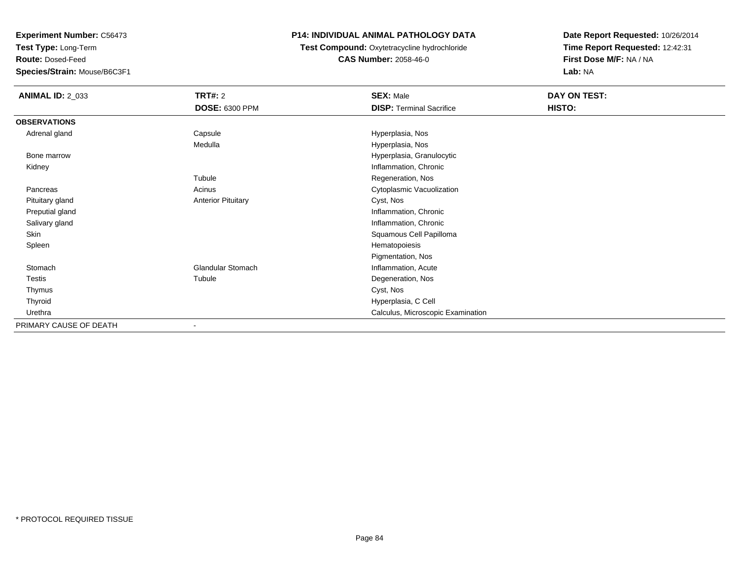**Test Type:** Long-Term

**Route:** Dosed-Feed

**Species/Strain:** Mouse/B6C3F1

## **P14: INDIVIDUAL ANIMAL PATHOLOGY DATA**

**Test Compound:** Oxytetracycline hydrochloride**CAS Number:** 2058-46-0

| <b>ANIMAL ID: 2_033</b> | TRT#: 2                   | <b>SEX: Male</b>                  | DAY ON TEST: |
|-------------------------|---------------------------|-----------------------------------|--------------|
|                         | <b>DOSE: 6300 PPM</b>     | <b>DISP: Terminal Sacrifice</b>   | HISTO:       |
| <b>OBSERVATIONS</b>     |                           |                                   |              |
| Adrenal gland           | Capsule                   | Hyperplasia, Nos                  |              |
|                         | Medulla                   | Hyperplasia, Nos                  |              |
| Bone marrow             |                           | Hyperplasia, Granulocytic         |              |
| Kidney                  |                           | Inflammation, Chronic             |              |
|                         | Tubule                    | Regeneration, Nos                 |              |
| Pancreas                | Acinus                    | Cytoplasmic Vacuolization         |              |
| Pituitary gland         | <b>Anterior Pituitary</b> | Cyst, Nos                         |              |
| Preputial gland         |                           | Inflammation, Chronic             |              |
| Salivary gland          |                           | Inflammation, Chronic             |              |
| Skin                    |                           | Squamous Cell Papilloma           |              |
| Spleen                  |                           | Hematopoiesis                     |              |
|                         |                           | Pigmentation, Nos                 |              |
| Stomach                 | <b>Glandular Stomach</b>  | Inflammation, Acute               |              |
| Testis                  | Tubule                    | Degeneration, Nos                 |              |
| Thymus                  |                           | Cyst, Nos                         |              |
| Thyroid                 |                           | Hyperplasia, C Cell               |              |
| Urethra                 |                           | Calculus, Microscopic Examination |              |
| PRIMARY CAUSE OF DEATH  |                           |                                   |              |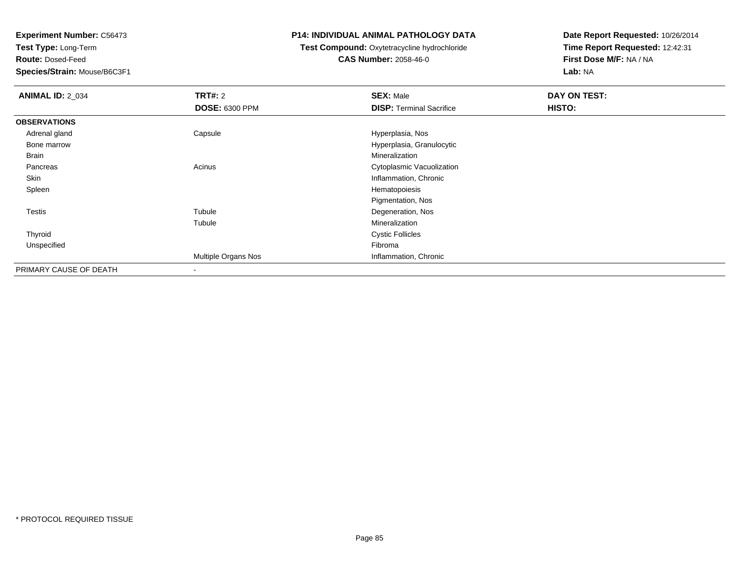**Test Type:** Long-Term

**Route:** Dosed-Feed

**Species/Strain:** Mouse/B6C3F1

### **P14: INDIVIDUAL ANIMAL PATHOLOGY DATA**

## **Test Compound:** Oxytetracycline hydrochloride**CAS Number:** 2058-46-0

| <b>ANIMAL ID: 2_034</b> | TRT#: 2               | <b>SEX: Male</b>                | DAY ON TEST: |  |
|-------------------------|-----------------------|---------------------------------|--------------|--|
|                         | <b>DOSE: 6300 PPM</b> | <b>DISP: Terminal Sacrifice</b> | HISTO:       |  |
| <b>OBSERVATIONS</b>     |                       |                                 |              |  |
| Adrenal gland           | Capsule               | Hyperplasia, Nos                |              |  |
| Bone marrow             |                       | Hyperplasia, Granulocytic       |              |  |
| Brain                   |                       | Mineralization                  |              |  |
| Pancreas                | Acinus                | Cytoplasmic Vacuolization       |              |  |
| Skin                    |                       | Inflammation, Chronic           |              |  |
| Spleen                  |                       | Hematopoiesis                   |              |  |
|                         |                       | Pigmentation, Nos               |              |  |
| Testis                  | Tubule                | Degeneration, Nos               |              |  |
|                         | Tubule                | Mineralization                  |              |  |
| Thyroid                 |                       | <b>Cystic Follicles</b>         |              |  |
| Unspecified             |                       | Fibroma                         |              |  |
|                         | Multiple Organs Nos   | Inflammation, Chronic           |              |  |
| PRIMARY CAUSE OF DEATH  | $\,$                  |                                 |              |  |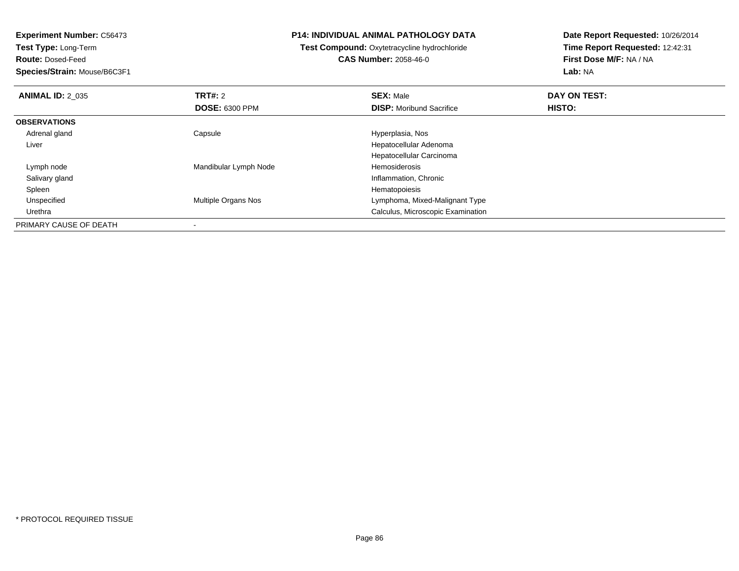**Test Type:** Long-Term

**Route:** Dosed-Feed

**Species/Strain:** Mouse/B6C3F1

### **P14: INDIVIDUAL ANIMAL PATHOLOGY DATA**

**Test Compound:** Oxytetracycline hydrochloride**CAS Number:** 2058-46-0

| <b>ANIMAL ID: 2 035</b> | TRT#: 2                    | <b>SEX: Male</b>                  | DAY ON TEST: |  |
|-------------------------|----------------------------|-----------------------------------|--------------|--|
|                         | <b>DOSE: 6300 PPM</b>      | <b>DISP:</b> Moribund Sacrifice   | HISTO:       |  |
| <b>OBSERVATIONS</b>     |                            |                                   |              |  |
| Adrenal gland           | Capsule                    | Hyperplasia, Nos                  |              |  |
| Liver                   |                            | Hepatocellular Adenoma            |              |  |
|                         |                            | Hepatocellular Carcinoma          |              |  |
| Lymph node              | Mandibular Lymph Node      | Hemosiderosis                     |              |  |
| Salivary gland          |                            | Inflammation, Chronic             |              |  |
| Spleen                  |                            | Hematopoiesis                     |              |  |
| Unspecified             | <b>Multiple Organs Nos</b> | Lymphoma, Mixed-Malignant Type    |              |  |
| Urethra                 |                            | Calculus, Microscopic Examination |              |  |
| PRIMARY CAUSE OF DEATH  |                            |                                   |              |  |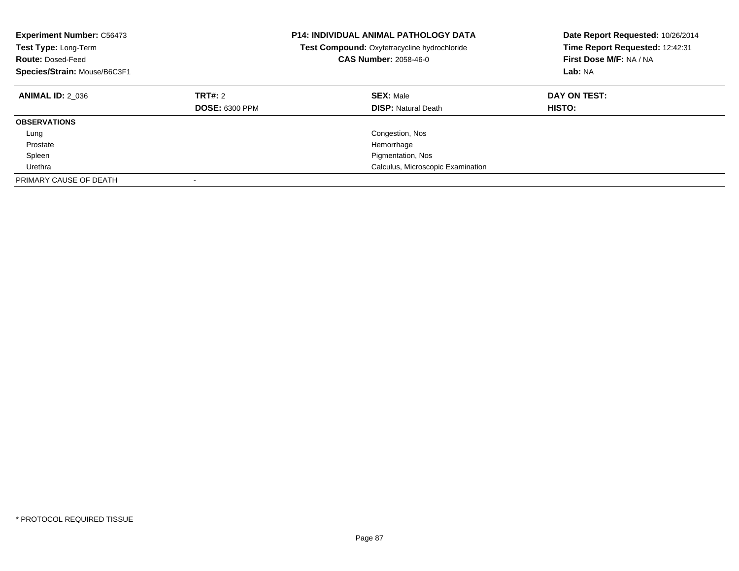| <b>Experiment Number: C56473</b><br>Test Type: Long-Term<br><b>Route: Dosed-Feed</b><br>Species/Strain: Mouse/B6C3F1 |                                  | <b>P14: INDIVIDUAL ANIMAL PATHOLOGY DATA</b><br>Test Compound: Oxytetracycline hydrochloride<br><b>CAS Number: 2058-46-0</b> | Date Report Requested: 10/26/2014<br>Time Report Requested: 12:42:31<br>First Dose M/F: NA / NA<br>Lab: NA |
|----------------------------------------------------------------------------------------------------------------------|----------------------------------|------------------------------------------------------------------------------------------------------------------------------|------------------------------------------------------------------------------------------------------------|
| <b>ANIMAL ID: 2 036</b>                                                                                              | TRT#: 2<br><b>DOSE: 6300 PPM</b> | <b>SEX: Male</b><br><b>DISP:</b> Natural Death                                                                               | DAY ON TEST:<br>HISTO:                                                                                     |
| <b>OBSERVATIONS</b>                                                                                                  |                                  |                                                                                                                              |                                                                                                            |
| Lung                                                                                                                 |                                  | Congestion, Nos                                                                                                              |                                                                                                            |
| Prostate                                                                                                             |                                  | Hemorrhage                                                                                                                   |                                                                                                            |
| Spleen                                                                                                               |                                  | Pigmentation, Nos                                                                                                            |                                                                                                            |
| Urethra                                                                                                              |                                  | Calculus, Microscopic Examination                                                                                            |                                                                                                            |
| PRIMARY CAUSE OF DEATH                                                                                               |                                  |                                                                                                                              |                                                                                                            |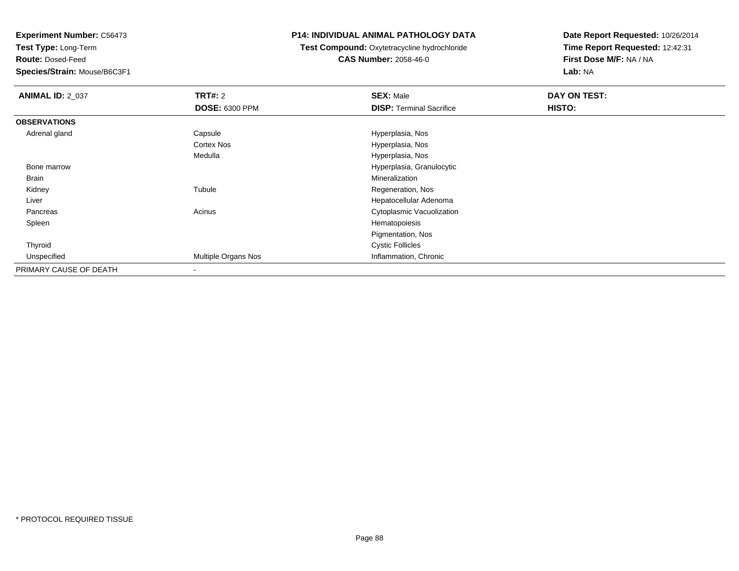**Test Type:** Long-Term

**Route:** Dosed-Feed

**Species/Strain:** Mouse/B6C3F1

### **P14: INDIVIDUAL ANIMAL PATHOLOGY DATA**

**Test Compound:** Oxytetracycline hydrochloride**CAS Number:** 2058-46-0

| <b>ANIMAL ID: 2 037</b> | TRT#: 2                  | <b>SEX: Male</b>                | DAY ON TEST: |  |
|-------------------------|--------------------------|---------------------------------|--------------|--|
|                         | <b>DOSE: 6300 PPM</b>    | <b>DISP: Terminal Sacrifice</b> | HISTO:       |  |
| <b>OBSERVATIONS</b>     |                          |                                 |              |  |
| Adrenal gland           | Capsule                  | Hyperplasia, Nos                |              |  |
|                         | Cortex Nos               | Hyperplasia, Nos                |              |  |
|                         | Medulla                  | Hyperplasia, Nos                |              |  |
| Bone marrow             |                          | Hyperplasia, Granulocytic       |              |  |
| Brain                   |                          | Mineralization                  |              |  |
| Kidney                  | Tubule                   | Regeneration, Nos               |              |  |
| Liver                   |                          | Hepatocellular Adenoma          |              |  |
| Pancreas                | Acinus                   | Cytoplasmic Vacuolization       |              |  |
| Spleen                  |                          | Hematopoiesis                   |              |  |
|                         |                          | Pigmentation, Nos               |              |  |
| Thyroid                 |                          | <b>Cystic Follicles</b>         |              |  |
| Unspecified             | Multiple Organs Nos      | Inflammation, Chronic           |              |  |
| PRIMARY CAUSE OF DEATH  | $\overline{\phantom{a}}$ |                                 |              |  |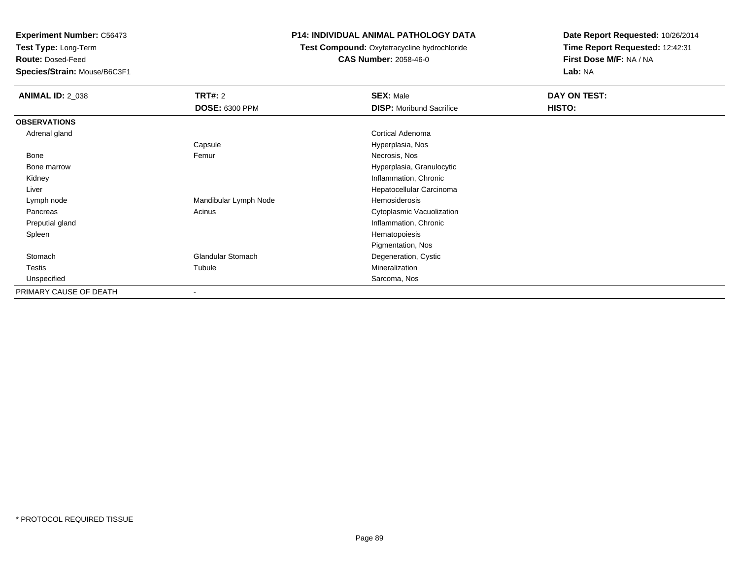**Test Type:** Long-Term

**Route:** Dosed-Feed

**Species/Strain:** Mouse/B6C3F1

## **P14: INDIVIDUAL ANIMAL PATHOLOGY DATA**

 **Test Compound:** Oxytetracycline hydrochloride**CAS Number:** 2058-46-0

| <b>ANIMAL ID: 2_038</b> | <b>TRT#:</b> 2           | <b>SEX: Male</b>                | DAY ON TEST: |
|-------------------------|--------------------------|---------------------------------|--------------|
|                         | <b>DOSE: 6300 PPM</b>    | <b>DISP:</b> Moribund Sacrifice | HISTO:       |
| <b>OBSERVATIONS</b>     |                          |                                 |              |
| Adrenal gland           |                          | <b>Cortical Adenoma</b>         |              |
|                         | Capsule                  | Hyperplasia, Nos                |              |
| Bone                    | Femur                    | Necrosis, Nos                   |              |
| Bone marrow             |                          | Hyperplasia, Granulocytic       |              |
| Kidney                  |                          | Inflammation, Chronic           |              |
| Liver                   |                          | Hepatocellular Carcinoma        |              |
| Lymph node              | Mandibular Lymph Node    | Hemosiderosis                   |              |
| Pancreas                | Acinus                   | Cytoplasmic Vacuolization       |              |
| Preputial gland         |                          | Inflammation, Chronic           |              |
| Spleen                  |                          | Hematopoiesis                   |              |
|                         |                          | Pigmentation, Nos               |              |
| Stomach                 | <b>Glandular Stomach</b> | Degeneration, Cystic            |              |
| Testis                  | Tubule                   | Mineralization                  |              |
| Unspecified             |                          | Sarcoma, Nos                    |              |
| PRIMARY CAUSE OF DEATH  | ۰                        |                                 |              |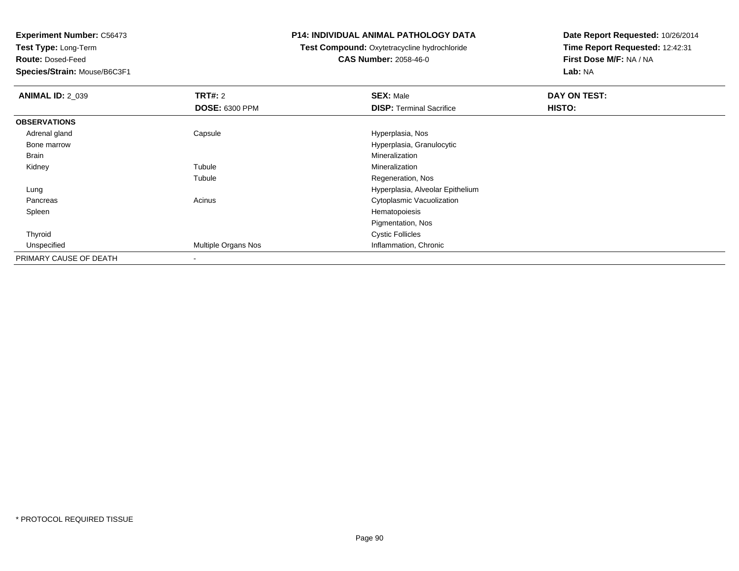**Test Type:** Long-Term

**Route:** Dosed-Feed

**Species/Strain:** Mouse/B6C3F1

### **P14: INDIVIDUAL ANIMAL PATHOLOGY DATA**

## **Test Compound:** Oxytetracycline hydrochloride**CAS Number:** 2058-46-0

| <b>ANIMAL ID: 2_039</b> | <b>TRT#: 2</b>        | <b>SEX: Male</b>                 | DAY ON TEST: |  |
|-------------------------|-----------------------|----------------------------------|--------------|--|
|                         | <b>DOSE: 6300 PPM</b> | <b>DISP:</b> Terminal Sacrifice  | HISTO:       |  |
| <b>OBSERVATIONS</b>     |                       |                                  |              |  |
| Adrenal gland           | Capsule               | Hyperplasia, Nos                 |              |  |
| Bone marrow             |                       | Hyperplasia, Granulocytic        |              |  |
| Brain                   |                       | Mineralization                   |              |  |
| Kidney                  | Tubule                | Mineralization                   |              |  |
|                         | Tubule                | Regeneration, Nos                |              |  |
| Lung                    |                       | Hyperplasia, Alveolar Epithelium |              |  |
| Pancreas                | Acinus                | Cytoplasmic Vacuolization        |              |  |
| Spleen                  |                       | Hematopoiesis                    |              |  |
|                         |                       | Pigmentation, Nos                |              |  |
| Thyroid                 |                       | <b>Cystic Follicles</b>          |              |  |
| Unspecified             | Multiple Organs Nos   | Inflammation, Chronic            |              |  |
| PRIMARY CAUSE OF DEATH  |                       |                                  |              |  |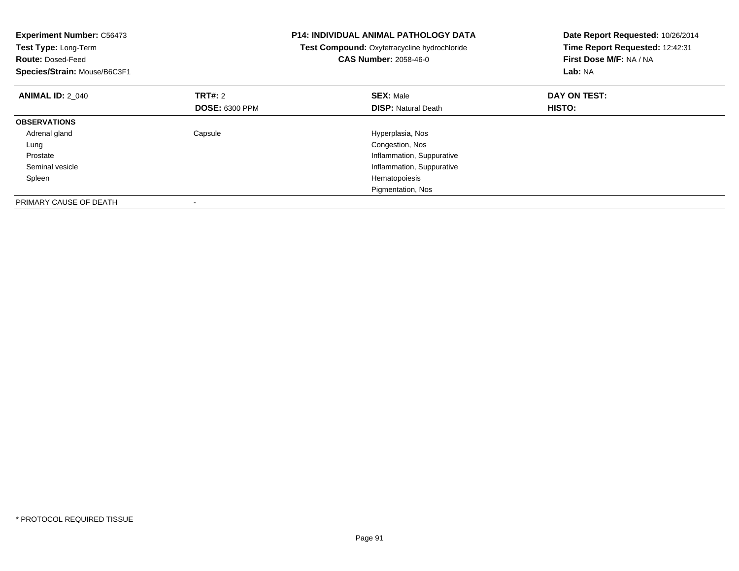| <b>Experiment Number: C56473</b><br>Test Type: Long-Term<br><b>Route: Dosed-Feed</b><br>Species/Strain: Mouse/B6C3F1 |                       | <b>P14: INDIVIDUAL ANIMAL PATHOLOGY DATA</b><br>Test Compound: Oxytetracycline hydrochloride<br><b>CAS Number: 2058-46-0</b> | Date Report Requested: 10/26/2014<br>Time Report Requested: 12:42:31<br>First Dose M/F: NA / NA<br>Lab: NA |
|----------------------------------------------------------------------------------------------------------------------|-----------------------|------------------------------------------------------------------------------------------------------------------------------|------------------------------------------------------------------------------------------------------------|
| <b>ANIMAL ID: 2 040</b>                                                                                              | TRT#: 2               | <b>SEX: Male</b>                                                                                                             | DAY ON TEST:                                                                                               |
|                                                                                                                      | <b>DOSE: 6300 PPM</b> | <b>DISP:</b> Natural Death                                                                                                   | HISTO:                                                                                                     |
| <b>OBSERVATIONS</b>                                                                                                  |                       |                                                                                                                              |                                                                                                            |
| Adrenal gland                                                                                                        | Capsule               | Hyperplasia, Nos                                                                                                             |                                                                                                            |
| Lung                                                                                                                 |                       | Congestion, Nos                                                                                                              |                                                                                                            |
| Prostate                                                                                                             |                       | Inflammation, Suppurative                                                                                                    |                                                                                                            |
| Seminal vesicle                                                                                                      |                       | Inflammation, Suppurative                                                                                                    |                                                                                                            |
| Spleen                                                                                                               |                       | Hematopoiesis                                                                                                                |                                                                                                            |
|                                                                                                                      |                       | Pigmentation, Nos                                                                                                            |                                                                                                            |
| PRIMARY CAUSE OF DEATH                                                                                               |                       |                                                                                                                              |                                                                                                            |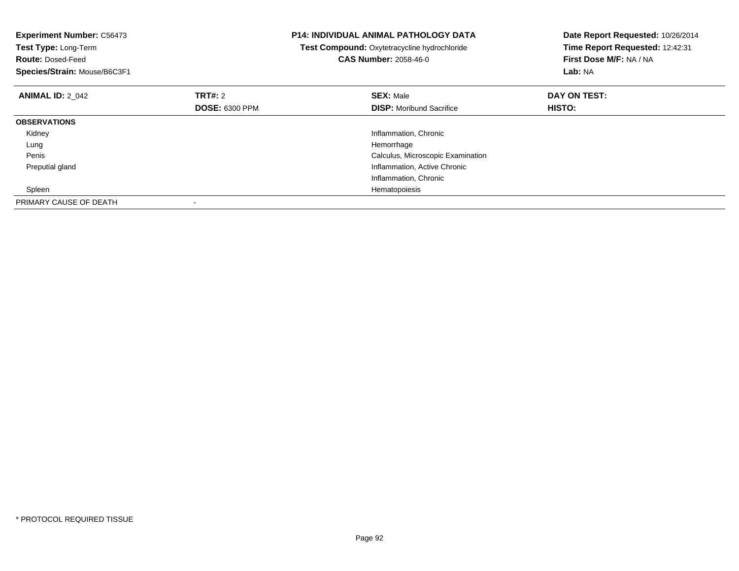| <b>Experiment Number: C56473</b><br>Test Type: Long-Term<br><b>Route: Dosed-Feed</b><br>Species/Strain: Mouse/B6C3F1 |                       | <b>P14: INDIVIDUAL ANIMAL PATHOLOGY DATA</b><br>Test Compound: Oxytetracycline hydrochloride<br><b>CAS Number: 2058-46-0</b> | Date Report Requested: 10/26/2014<br>Time Report Requested: 12:42:31<br>First Dose M/F: NA / NA<br>Lab: NA |
|----------------------------------------------------------------------------------------------------------------------|-----------------------|------------------------------------------------------------------------------------------------------------------------------|------------------------------------------------------------------------------------------------------------|
| <b>ANIMAL ID: 2 042</b>                                                                                              | TRT#: 2               | <b>SEX: Male</b>                                                                                                             | DAY ON TEST:                                                                                               |
|                                                                                                                      | <b>DOSE: 6300 PPM</b> | <b>DISP:</b> Moribund Sacrifice                                                                                              | <b>HISTO:</b>                                                                                              |
| <b>OBSERVATIONS</b>                                                                                                  |                       |                                                                                                                              |                                                                                                            |
| Kidney                                                                                                               |                       | Inflammation, Chronic                                                                                                        |                                                                                                            |
| Lung                                                                                                                 |                       | Hemorrhage                                                                                                                   |                                                                                                            |
| Penis                                                                                                                |                       | Calculus, Microscopic Examination                                                                                            |                                                                                                            |
| Preputial gland                                                                                                      |                       | Inflammation, Active Chronic                                                                                                 |                                                                                                            |
|                                                                                                                      |                       | Inflammation, Chronic                                                                                                        |                                                                                                            |
| Spleen                                                                                                               |                       | Hematopoiesis                                                                                                                |                                                                                                            |
| PRIMARY CAUSE OF DEATH                                                                                               |                       |                                                                                                                              |                                                                                                            |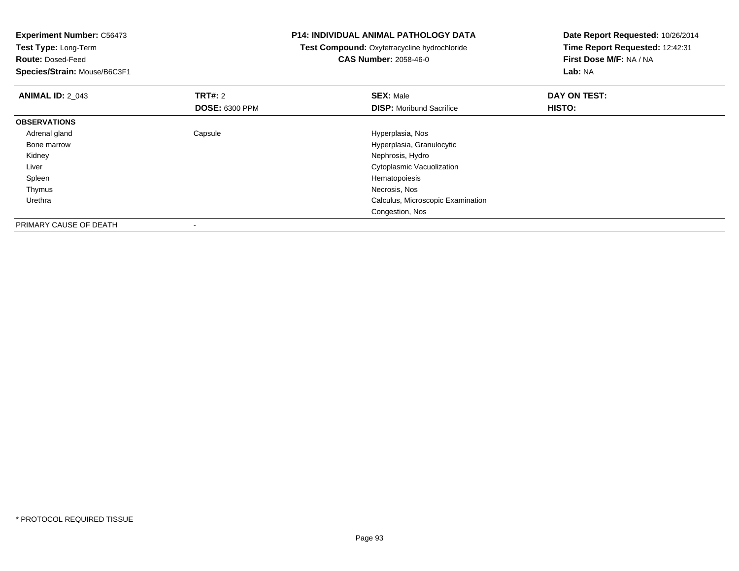| <b>Experiment Number: C56473</b>                 |                       | <b>P14: INDIVIDUAL ANIMAL PATHOLOGY DATA</b> | Date Report Requested: 10/26/2014 |  |
|--------------------------------------------------|-----------------------|----------------------------------------------|-----------------------------------|--|
| Test Type: Long-Term<br><b>Route: Dosed-Feed</b> |                       | Test Compound: Oxytetracycline hydrochloride | Time Report Requested: 12:42:31   |  |
|                                                  |                       | <b>CAS Number: 2058-46-0</b>                 | First Dose M/F: NA / NA           |  |
| Species/Strain: Mouse/B6C3F1                     |                       |                                              | Lab: NA                           |  |
| <b>ANIMAL ID: 2 043</b>                          | <b>TRT#:</b> 2        | <b>SEX: Male</b>                             | DAY ON TEST:                      |  |
|                                                  | <b>DOSE: 6300 PPM</b> | <b>DISP:</b> Moribund Sacrifice              | <b>HISTO:</b>                     |  |
| <b>OBSERVATIONS</b>                              |                       |                                              |                                   |  |
| Adrenal gland                                    | Capsule               | Hyperplasia, Nos                             |                                   |  |
| Bone marrow                                      |                       | Hyperplasia, Granulocytic                    |                                   |  |
| Kidney                                           |                       | Nephrosis, Hydro                             |                                   |  |
| Liver                                            |                       | Cytoplasmic Vacuolization                    |                                   |  |
| Spleen                                           |                       | Hematopoiesis                                |                                   |  |
| Thymus                                           |                       | Necrosis, Nos                                |                                   |  |
| Urethra                                          |                       | Calculus, Microscopic Examination            |                                   |  |
|                                                  |                       | Congestion, Nos                              |                                   |  |
| PRIMARY CAUSE OF DEATH                           |                       |                                              |                                   |  |

-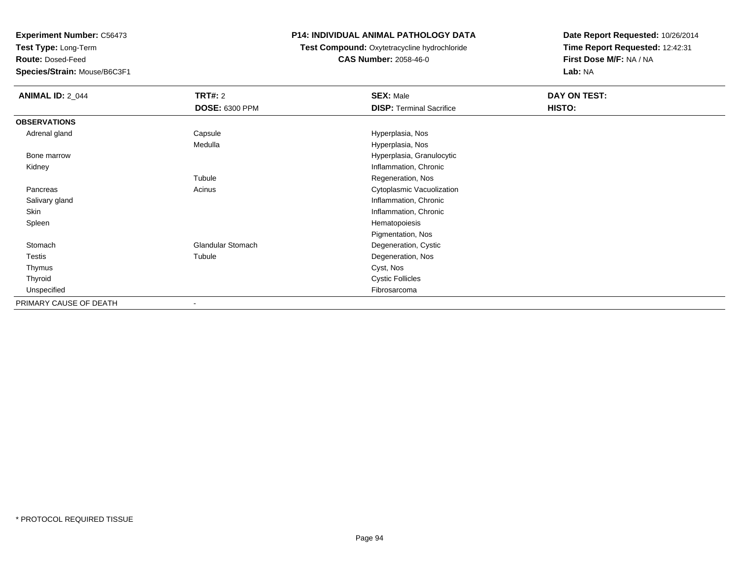**Test Type:** Long-Term

**Route:** Dosed-Feed

**Species/Strain:** Mouse/B6C3F1

## **P14: INDIVIDUAL ANIMAL PATHOLOGY DATA**

**Test Compound:** Oxytetracycline hydrochloride**CAS Number:** 2058-46-0

| <b>ANIMAL ID: 2_044</b> | <b>TRT#: 2</b>           | <b>SEX: Male</b>                | DAY ON TEST:  |  |
|-------------------------|--------------------------|---------------------------------|---------------|--|
|                         | <b>DOSE: 6300 PPM</b>    | <b>DISP: Terminal Sacrifice</b> | <b>HISTO:</b> |  |
| <b>OBSERVATIONS</b>     |                          |                                 |               |  |
| Adrenal gland           | Capsule                  | Hyperplasia, Nos                |               |  |
|                         | Medulla                  | Hyperplasia, Nos                |               |  |
| Bone marrow             |                          | Hyperplasia, Granulocytic       |               |  |
| Kidney                  |                          | Inflammation, Chronic           |               |  |
|                         | Tubule                   | Regeneration, Nos               |               |  |
| Pancreas                | Acinus                   | Cytoplasmic Vacuolization       |               |  |
| Salivary gland          |                          | Inflammation, Chronic           |               |  |
| Skin                    |                          | Inflammation, Chronic           |               |  |
| Spleen                  |                          | Hematopoiesis                   |               |  |
|                         |                          | Pigmentation, Nos               |               |  |
| Stomach                 | <b>Glandular Stomach</b> | Degeneration, Cystic            |               |  |
| Testis                  | Tubule                   | Degeneration, Nos               |               |  |
| Thymus                  |                          | Cyst, Nos                       |               |  |
| Thyroid                 |                          | <b>Cystic Follicles</b>         |               |  |
| Unspecified             |                          | Fibrosarcoma                    |               |  |
| PRIMARY CAUSE OF DEATH  |                          |                                 |               |  |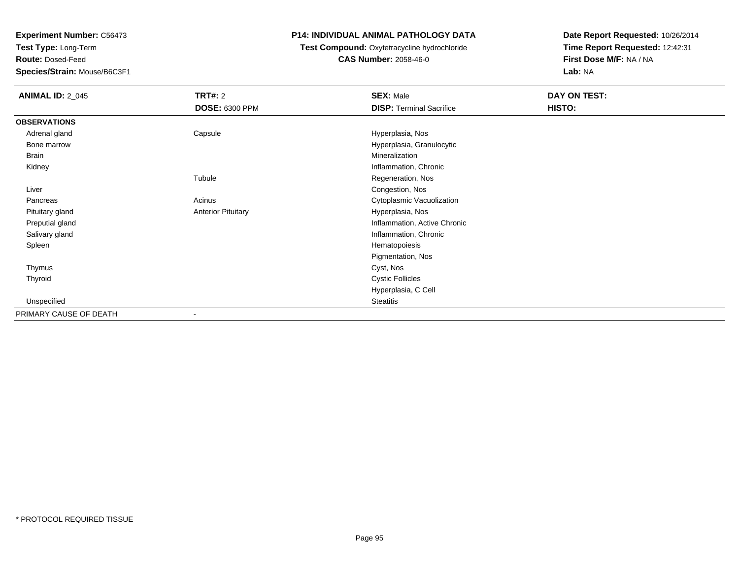**Test Type:** Long-Term

**Route:** Dosed-Feed

**Species/Strain:** Mouse/B6C3F1

## **P14: INDIVIDUAL ANIMAL PATHOLOGY DATA**

### **Test Compound:** Oxytetracycline hydrochloride**CAS Number:** 2058-46-0

| <b>ANIMAL ID: 2_045</b> | <b>TRT#: 2</b><br>DOSE: 6300 PPM | <b>SEX: Male</b><br><b>DISP: Terminal Sacrifice</b> | <b>DAY ON TEST:</b><br>HISTO: |
|-------------------------|----------------------------------|-----------------------------------------------------|-------------------------------|
| <b>OBSERVATIONS</b>     |                                  |                                                     |                               |
| Adrenal gland           | Capsule                          | Hyperplasia, Nos                                    |                               |
| Bone marrow             |                                  | Hyperplasia, Granulocytic                           |                               |
| Brain                   |                                  | Mineralization                                      |                               |
| Kidney                  |                                  | Inflammation, Chronic                               |                               |
|                         | Tubule                           | Regeneration, Nos                                   |                               |
| Liver                   |                                  | Congestion, Nos                                     |                               |
| Pancreas                | Acinus                           | Cytoplasmic Vacuolization                           |                               |
| Pituitary gland         | <b>Anterior Pituitary</b>        | Hyperplasia, Nos                                    |                               |
| Preputial gland         |                                  | Inflammation, Active Chronic                        |                               |
| Salivary gland          |                                  | Inflammation, Chronic                               |                               |
| Spleen                  |                                  | Hematopoiesis                                       |                               |
|                         |                                  | Pigmentation, Nos                                   |                               |
| Thymus                  |                                  | Cyst, Nos                                           |                               |
| Thyroid                 |                                  | <b>Cystic Follicles</b>                             |                               |
|                         |                                  | Hyperplasia, C Cell                                 |                               |
| Unspecified             |                                  | Steatitis                                           |                               |
| PRIMARY CAUSE OF DEATH  |                                  |                                                     |                               |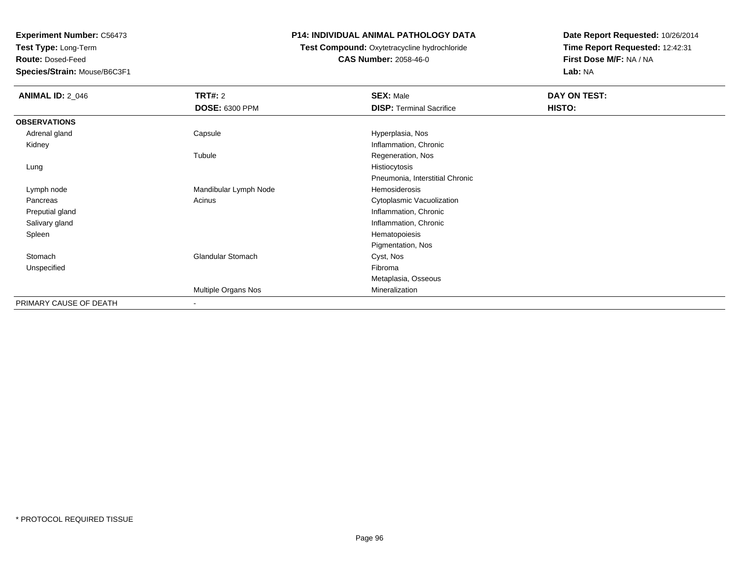**Test Type:** Long-Term

**Route:** Dosed-Feed

**Species/Strain:** Mouse/B6C3F1

## **P14: INDIVIDUAL ANIMAL PATHOLOGY DATA**

**Test Compound:** Oxytetracycline hydrochloride**CAS Number:** 2058-46-0

| <b>ANIMAL ID: 2_046</b> | <b>TRT#: 2</b>           | <b>SEX: Male</b>                | DAY ON TEST: |
|-------------------------|--------------------------|---------------------------------|--------------|
|                         | <b>DOSE: 6300 PPM</b>    | <b>DISP: Terminal Sacrifice</b> | HISTO:       |
| <b>OBSERVATIONS</b>     |                          |                                 |              |
| Adrenal gland           | Capsule                  | Hyperplasia, Nos                |              |
| Kidney                  |                          | Inflammation, Chronic           |              |
|                         | Tubule                   | Regeneration, Nos               |              |
| Lung                    |                          | Histiocytosis                   |              |
|                         |                          | Pneumonia, Interstitial Chronic |              |
| Lymph node              | Mandibular Lymph Node    | Hemosiderosis                   |              |
| Pancreas                | Acinus                   | Cytoplasmic Vacuolization       |              |
| Preputial gland         |                          | Inflammation, Chronic           |              |
| Salivary gland          |                          | Inflammation, Chronic           |              |
| Spleen                  |                          | Hematopoiesis                   |              |
|                         |                          | Pigmentation, Nos               |              |
| Stomach                 | Glandular Stomach        | Cyst, Nos                       |              |
| Unspecified             |                          | Fibroma                         |              |
|                         |                          | Metaplasia, Osseous             |              |
|                         | Multiple Organs Nos      | Mineralization                  |              |
| PRIMARY CAUSE OF DEATH  | $\overline{\phantom{a}}$ |                                 |              |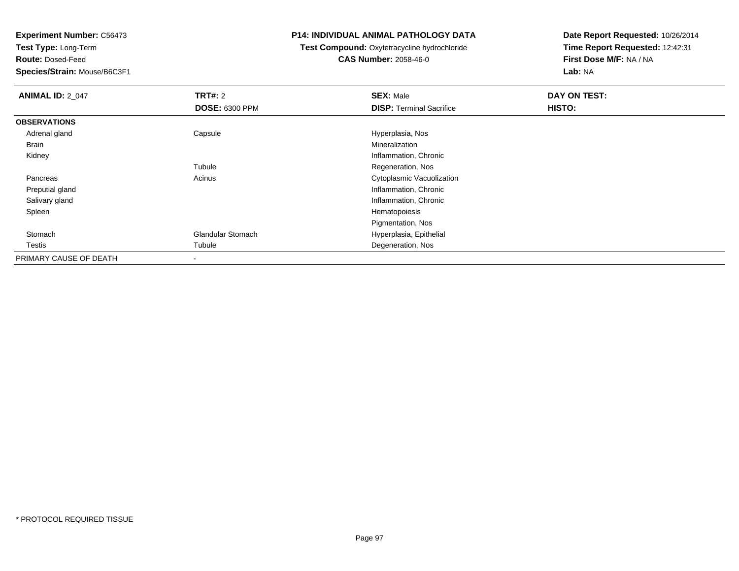**Test Type:** Long-Term

**Route:** Dosed-Feed

**Species/Strain:** Mouse/B6C3F1

### **P14: INDIVIDUAL ANIMAL PATHOLOGY DATA**

**Test Compound:** Oxytetracycline hydrochloride**CAS Number:** 2058-46-0

| <b>ANIMAL ID: 2_047</b> | TRT#: 2                  | <b>SEX: Male</b>                | DAY ON TEST: |  |
|-------------------------|--------------------------|---------------------------------|--------------|--|
|                         | <b>DOSE: 6300 PPM</b>    | <b>DISP: Terminal Sacrifice</b> | HISTO:       |  |
| <b>OBSERVATIONS</b>     |                          |                                 |              |  |
| Adrenal gland           | Capsule                  | Hyperplasia, Nos                |              |  |
| Brain                   |                          | Mineralization                  |              |  |
| Kidney                  |                          | Inflammation, Chronic           |              |  |
|                         | Tubule                   | Regeneration, Nos               |              |  |
| Pancreas                | Acinus                   | Cytoplasmic Vacuolization       |              |  |
| Preputial gland         |                          | Inflammation, Chronic           |              |  |
| Salivary gland          |                          | Inflammation, Chronic           |              |  |
| Spleen                  |                          | Hematopoiesis                   |              |  |
|                         |                          | Pigmentation, Nos               |              |  |
| Stomach                 | <b>Glandular Stomach</b> | Hyperplasia, Epithelial         |              |  |
| Testis                  | Tubule                   | Degeneration, Nos               |              |  |
| PRIMARY CAUSE OF DEATH  | $\,$ $\,$                |                                 |              |  |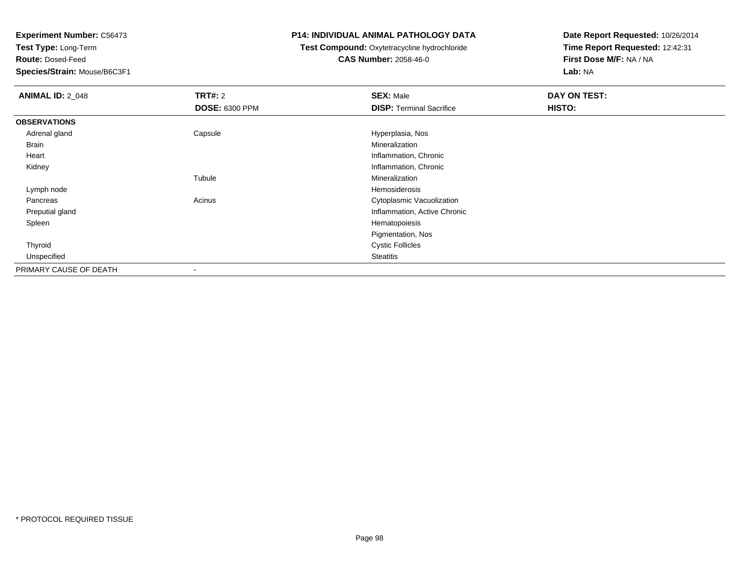**Test Type:** Long-Term

**Route:** Dosed-Feed

**Species/Strain:** Mouse/B6C3F1

### **P14: INDIVIDUAL ANIMAL PATHOLOGY DATA**

## **Test Compound:** Oxytetracycline hydrochloride**CAS Number:** 2058-46-0

| <b>ANIMAL ID: 2_048</b> | TRT#: 2               | <b>SEX: Male</b>                | DAY ON TEST: |
|-------------------------|-----------------------|---------------------------------|--------------|
|                         | <b>DOSE: 6300 PPM</b> | <b>DISP: Terminal Sacrifice</b> | HISTO:       |
| <b>OBSERVATIONS</b>     |                       |                                 |              |
| Adrenal gland           | Capsule               | Hyperplasia, Nos                |              |
| Brain                   |                       | Mineralization                  |              |
| Heart                   |                       | Inflammation, Chronic           |              |
| Kidney                  |                       | Inflammation, Chronic           |              |
|                         | Tubule                | Mineralization                  |              |
| Lymph node              |                       | Hemosiderosis                   |              |
| Pancreas                | Acinus                | Cytoplasmic Vacuolization       |              |
| Preputial gland         |                       | Inflammation, Active Chronic    |              |
| Spleen                  |                       | Hematopoiesis                   |              |
|                         |                       | Pigmentation, Nos               |              |
| Thyroid                 |                       | <b>Cystic Follicles</b>         |              |
| Unspecified             |                       | Steatitis                       |              |
| PRIMARY CAUSE OF DEATH  | $\,$                  |                                 |              |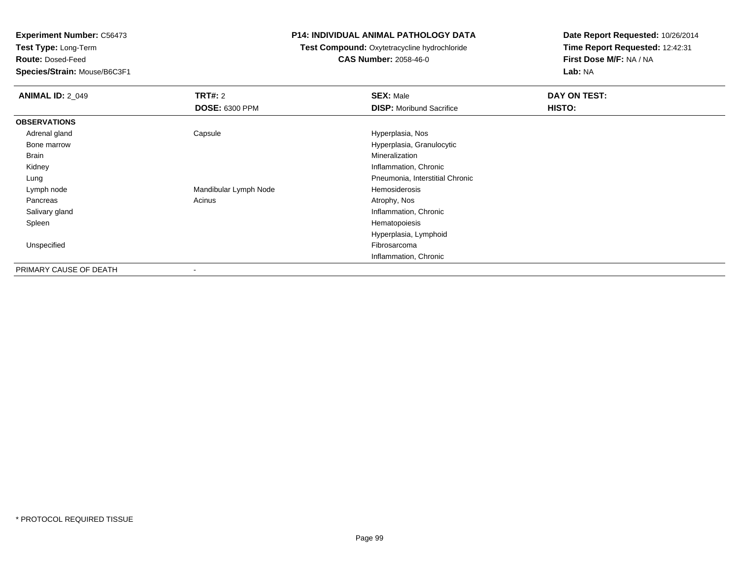**Test Type:** Long-Term

**Route:** Dosed-Feed

**Species/Strain:** Mouse/B6C3F1

### **P14: INDIVIDUAL ANIMAL PATHOLOGY DATA**

## **Test Compound:** Oxytetracycline hydrochloride**CAS Number:** 2058-46-0

| <b>ANIMAL ID: 2_049</b> | TRT#: 2               | <b>SEX: Male</b>                | DAY ON TEST: |
|-------------------------|-----------------------|---------------------------------|--------------|
|                         | <b>DOSE: 6300 PPM</b> | <b>DISP:</b> Moribund Sacrifice | HISTO:       |
| <b>OBSERVATIONS</b>     |                       |                                 |              |
| Adrenal gland           | Capsule               | Hyperplasia, Nos                |              |
| Bone marrow             |                       | Hyperplasia, Granulocytic       |              |
| Brain                   |                       | Mineralization                  |              |
| Kidney                  |                       | Inflammation, Chronic           |              |
| Lung                    |                       | Pneumonia, Interstitial Chronic |              |
| Lymph node              | Mandibular Lymph Node | Hemosiderosis                   |              |
| Pancreas                | Acinus                | Atrophy, Nos                    |              |
| Salivary gland          |                       | Inflammation, Chronic           |              |
| Spleen                  |                       | Hematopoiesis                   |              |
|                         |                       | Hyperplasia, Lymphoid           |              |
| Unspecified             |                       | Fibrosarcoma                    |              |
|                         |                       | Inflammation, Chronic           |              |
| PRIMARY CAUSE OF DEATH  |                       |                                 |              |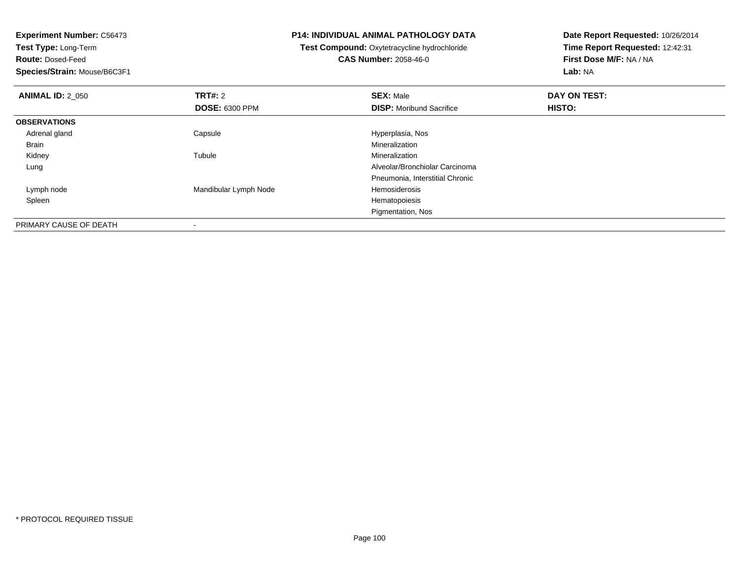**Test Type:** Long-Term

**Route:** Dosed-Feed

**Species/Strain:** Mouse/B6C3F1

-

### **P14: INDIVIDUAL ANIMAL PATHOLOGY DATA**

**Test Compound:** Oxytetracycline hydrochloride**CAS Number:** 2058-46-0

| <b>ANIMAL ID: 2_050</b> | TRT#: 2                  | <b>SEX: Male</b>                | DAY ON TEST: |  |
|-------------------------|--------------------------|---------------------------------|--------------|--|
|                         | <b>DOSE: 6300 PPM</b>    | <b>DISP:</b> Moribund Sacrifice | HISTO:       |  |
| <b>OBSERVATIONS</b>     |                          |                                 |              |  |
| Adrenal gland           | Capsule                  | Hyperplasia, Nos                |              |  |
| Brain                   |                          | Mineralization                  |              |  |
| Kidney                  | Tubule                   | Mineralization                  |              |  |
| Lung                    |                          | Alveolar/Bronchiolar Carcinoma  |              |  |
|                         |                          | Pneumonia, Interstitial Chronic |              |  |
| Lymph node              | Mandibular Lymph Node    | Hemosiderosis                   |              |  |
| Spleen                  |                          | Hematopoiesis                   |              |  |
|                         |                          | Pigmentation, Nos               |              |  |
| PRIMARY CAUSE OF DEATH  | $\overline{\phantom{a}}$ |                                 |              |  |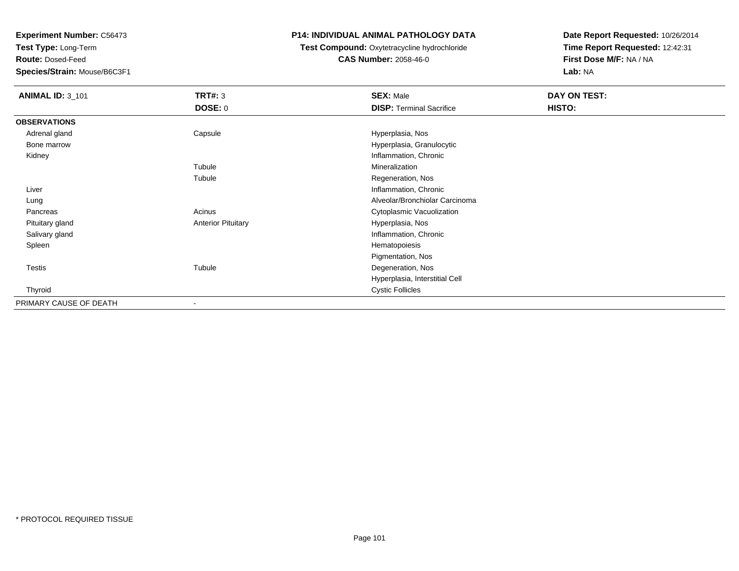**Test Type:** Long-Term

**Route:** Dosed-Feed

**Species/Strain:** Mouse/B6C3F1

## **P14: INDIVIDUAL ANIMAL PATHOLOGY DATA**

**Test Compound:** Oxytetracycline hydrochloride**CAS Number:** 2058-46-0

| <b>ANIMAL ID: 3_101</b> | <b>TRT#: 3</b>            | <b>SEX: Male</b>                | DAY ON TEST: |  |
|-------------------------|---------------------------|---------------------------------|--------------|--|
|                         | <b>DOSE: 0</b>            | <b>DISP: Terminal Sacrifice</b> | HISTO:       |  |
| <b>OBSERVATIONS</b>     |                           |                                 |              |  |
| Adrenal gland           | Capsule                   | Hyperplasia, Nos                |              |  |
| Bone marrow             |                           | Hyperplasia, Granulocytic       |              |  |
| Kidney                  |                           | Inflammation, Chronic           |              |  |
|                         | Tubule                    | Mineralization                  |              |  |
|                         | Tubule                    | Regeneration, Nos               |              |  |
| Liver                   |                           | Inflammation, Chronic           |              |  |
| Lung                    |                           | Alveolar/Bronchiolar Carcinoma  |              |  |
| Pancreas                | Acinus                    | Cytoplasmic Vacuolization       |              |  |
| Pituitary gland         | <b>Anterior Pituitary</b> | Hyperplasia, Nos                |              |  |
| Salivary gland          |                           | Inflammation, Chronic           |              |  |
| Spleen                  |                           | Hematopoiesis                   |              |  |
|                         |                           | Pigmentation, Nos               |              |  |
| Testis                  | Tubule                    | Degeneration, Nos               |              |  |
|                         |                           | Hyperplasia, Interstitial Cell  |              |  |
| Thyroid                 |                           | <b>Cystic Follicles</b>         |              |  |
| PRIMARY CAUSE OF DEATH  | $\overline{\phantom{a}}$  |                                 |              |  |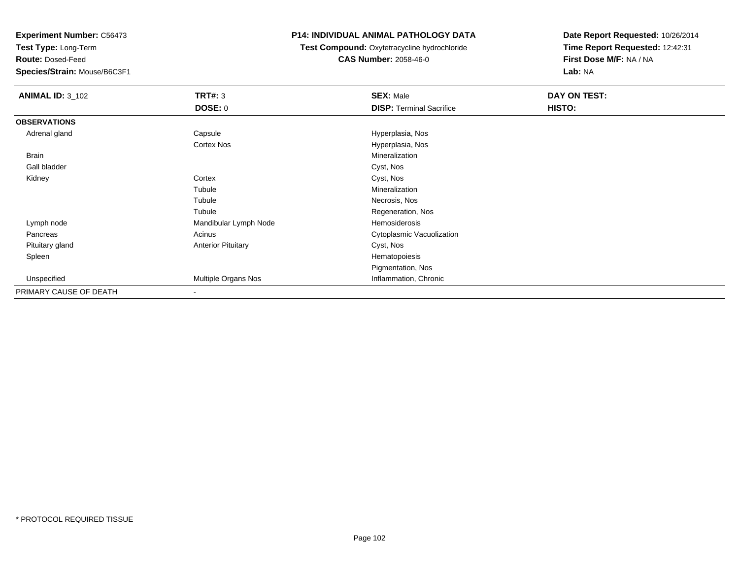**Test Type:** Long-Term

**Route:** Dosed-Feed

**Species/Strain:** Mouse/B6C3F1

## **P14: INDIVIDUAL ANIMAL PATHOLOGY DATA**

 **Test Compound:** Oxytetracycline hydrochloride**CAS Number:** 2058-46-0

| <b>ANIMAL ID: 3_102</b> | <b>TRT#: 3</b>            | <b>SEX: Male</b>                | DAY ON TEST: |  |
|-------------------------|---------------------------|---------------------------------|--------------|--|
|                         | DOSE: 0                   | <b>DISP: Terminal Sacrifice</b> | HISTO:       |  |
| <b>OBSERVATIONS</b>     |                           |                                 |              |  |
| Adrenal gland           | Capsule                   | Hyperplasia, Nos                |              |  |
|                         | <b>Cortex Nos</b>         | Hyperplasia, Nos                |              |  |
| <b>Brain</b>            |                           | Mineralization                  |              |  |
| Gall bladder            |                           | Cyst, Nos                       |              |  |
| Kidney                  | Cortex                    | Cyst, Nos                       |              |  |
|                         | Tubule                    | Mineralization                  |              |  |
|                         | Tubule                    | Necrosis, Nos                   |              |  |
|                         | Tubule                    | Regeneration, Nos               |              |  |
| Lymph node              | Mandibular Lymph Node     | Hemosiderosis                   |              |  |
| Pancreas                | Acinus                    | Cytoplasmic Vacuolization       |              |  |
| Pituitary gland         | <b>Anterior Pituitary</b> | Cyst, Nos                       |              |  |
| Spleen                  |                           | Hematopoiesis                   |              |  |
|                         |                           | Pigmentation, Nos               |              |  |
| Unspecified             | Multiple Organs Nos       | Inflammation, Chronic           |              |  |
| PRIMARY CAUSE OF DEATH  | $\,$                      |                                 |              |  |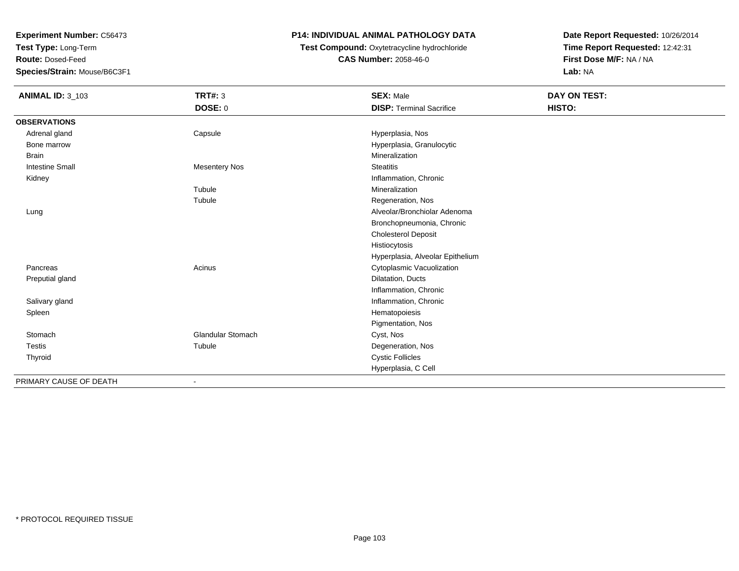**Test Type:** Long-Term

**Route:** Dosed-Feed

**Species/Strain:** Mouse/B6C3F1

## **P14: INDIVIDUAL ANIMAL PATHOLOGY DATA**

**Test Compound:** Oxytetracycline hydrochloride**CAS Number:** 2058-46-0

| <b>ANIMAL ID: 3_103</b> | <b>TRT#: 3</b>           | <b>SEX: Male</b>                 | <b>DAY ON TEST:</b> |
|-------------------------|--------------------------|----------------------------------|---------------------|
|                         | DOSE: 0                  | <b>DISP: Terminal Sacrifice</b>  | HISTO:              |
| <b>OBSERVATIONS</b>     |                          |                                  |                     |
| Adrenal gland           | Capsule                  | Hyperplasia, Nos                 |                     |
| Bone marrow             |                          | Hyperplasia, Granulocytic        |                     |
| <b>Brain</b>            |                          | Mineralization                   |                     |
| <b>Intestine Small</b>  | <b>Mesentery Nos</b>     | <b>Steatitis</b>                 |                     |
| Kidney                  |                          | Inflammation, Chronic            |                     |
|                         | Tubule                   | Mineralization                   |                     |
|                         | Tubule                   | Regeneration, Nos                |                     |
| Lung                    |                          | Alveolar/Bronchiolar Adenoma     |                     |
|                         |                          | Bronchopneumonia, Chronic        |                     |
|                         |                          | <b>Cholesterol Deposit</b>       |                     |
|                         |                          | Histiocytosis                    |                     |
|                         |                          | Hyperplasia, Alveolar Epithelium |                     |
| Pancreas                | Acinus                   | Cytoplasmic Vacuolization        |                     |
| Preputial gland         |                          | Dilatation, Ducts                |                     |
|                         |                          | Inflammation, Chronic            |                     |
| Salivary gland          |                          | Inflammation, Chronic            |                     |
| Spleen                  |                          | Hematopoiesis                    |                     |
|                         |                          | Pigmentation, Nos                |                     |
| Stomach                 | <b>Glandular Stomach</b> | Cyst, Nos                        |                     |
| Testis                  | Tubule                   | Degeneration, Nos                |                     |
| Thyroid                 |                          | <b>Cystic Follicles</b>          |                     |
|                         |                          | Hyperplasia, C Cell              |                     |
| PRIMARY CAUSE OF DEATH  |                          |                                  |                     |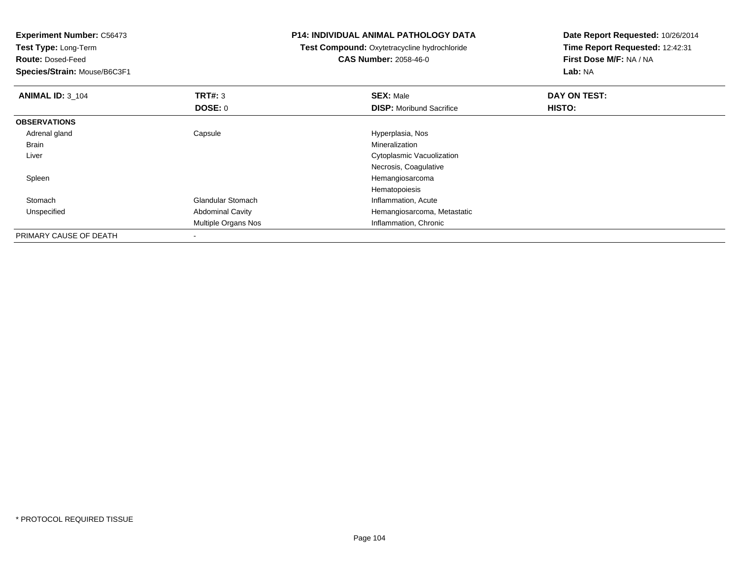**Experiment Number:** C56473**Test Type:** Long-Term**Route:** Dosed-Feed **Species/Strain:** Mouse/B6C3F1**P14: INDIVIDUAL ANIMAL PATHOLOGY DATATest Compound:** Oxytetracycline hydrochloride**CAS Number:** 2058-46-0**Date Report Requested:** 10/26/2014**Time Report Requested:** 12:42:31**First Dose M/F:** NA / NA**Lab:** NA**ANIMAL ID:** 3\_104 **TRT#:** <sup>3</sup> **SEX:** Male **DAY ON TEST: DOSE:** 0**DISP:** Moribund Sacrifice **HISTO: OBSERVATIONS** Adrenal glandCapsule **Capsule Capsule Capsule Capsule** Hyperplasia, Nos<br>
Mineralization Brainn and the control of the control of the control of the control of the control of the control of the control of the control of the control of the control of the control of the control of the control of the control of the co Liver Cytoplasmic VacuolizationNecrosis, Coagulative Spleen Hemangiosarcoma Hematopoiesish Clandular Stomach **Inflammation**, Acute Stomach UnspecifiedAbdominal Cavity **Abdominal Cavity Hemangiosarcoma, Metastatic** Multiple Organs Nos Inflammation, Chronic PRIMARY CAUSE OF DEATH-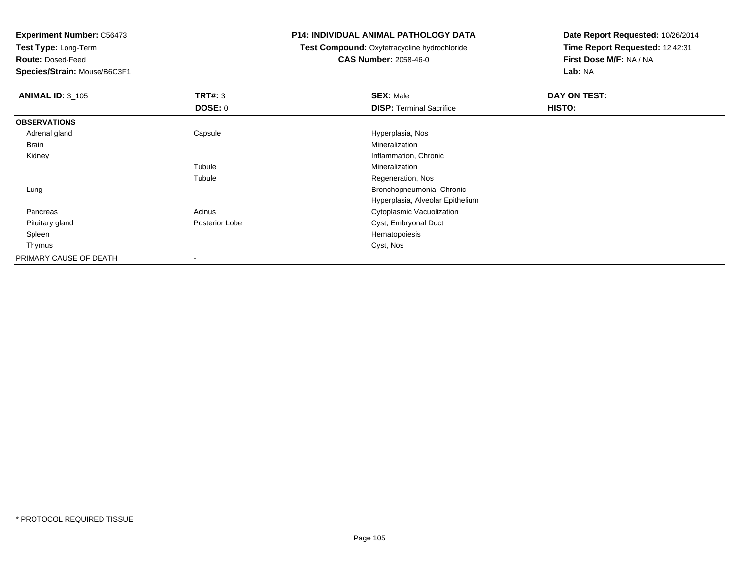**Test Type:** Long-Term

**Route:** Dosed-Feed

**Species/Strain:** Mouse/B6C3F1

### **P14: INDIVIDUAL ANIMAL PATHOLOGY DATA**

**Test Compound:** Oxytetracycline hydrochloride**CAS Number:** 2058-46-0

| <b>ANIMAL ID: 3_105</b> | TRT#: 3        | <b>SEX: Male</b>                 | DAY ON TEST: |
|-------------------------|----------------|----------------------------------|--------------|
|                         | DOSE: 0        | <b>DISP: Terminal Sacrifice</b>  | HISTO:       |
| <b>OBSERVATIONS</b>     |                |                                  |              |
| Adrenal gland           | Capsule        | Hyperplasia, Nos                 |              |
| Brain                   |                | Mineralization                   |              |
| Kidney                  |                | Inflammation, Chronic            |              |
|                         | Tubule         | Mineralization                   |              |
|                         | Tubule         | Regeneration, Nos                |              |
| Lung                    |                | Bronchopneumonia, Chronic        |              |
|                         |                | Hyperplasia, Alveolar Epithelium |              |
| Pancreas                | Acinus         | Cytoplasmic Vacuolization        |              |
| Pituitary gland         | Posterior Lobe | Cyst, Embryonal Duct             |              |
| Spleen                  |                | Hematopoiesis                    |              |
| Thymus                  |                | Cyst, Nos                        |              |
| PRIMARY CAUSE OF DEATH  |                |                                  |              |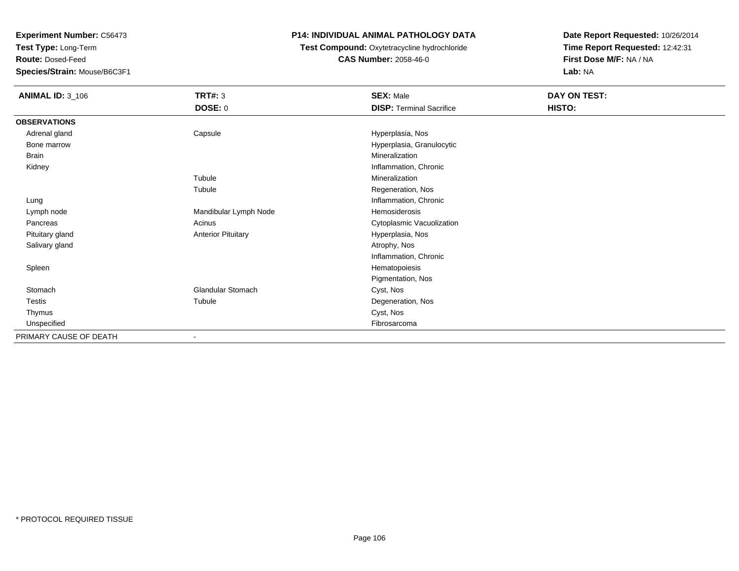**Test Type:** Long-Term

**Route:** Dosed-Feed

**Species/Strain:** Mouse/B6C3F1

### **P14: INDIVIDUAL ANIMAL PATHOLOGY DATA**

 **Test Compound:** Oxytetracycline hydrochloride**CAS Number:** 2058-46-0

| <b>ANIMAL ID: 3_106</b> | <b>TRT#: 3</b>            | <b>SEX: Male</b>                | DAY ON TEST: |  |
|-------------------------|---------------------------|---------------------------------|--------------|--|
|                         | <b>DOSE: 0</b>            | <b>DISP: Terminal Sacrifice</b> | HISTO:       |  |
| <b>OBSERVATIONS</b>     |                           |                                 |              |  |
| Adrenal gland           | Capsule                   | Hyperplasia, Nos                |              |  |
| Bone marrow             |                           | Hyperplasia, Granulocytic       |              |  |
| Brain                   |                           | Mineralization                  |              |  |
| Kidney                  |                           | Inflammation, Chronic           |              |  |
|                         | Tubule                    | Mineralization                  |              |  |
|                         | Tubule                    | Regeneration, Nos               |              |  |
| Lung                    |                           | Inflammation, Chronic           |              |  |
| Lymph node              | Mandibular Lymph Node     | Hemosiderosis                   |              |  |
| Pancreas                | Acinus                    | Cytoplasmic Vacuolization       |              |  |
| Pituitary gland         | <b>Anterior Pituitary</b> | Hyperplasia, Nos                |              |  |
| Salivary gland          |                           | Atrophy, Nos                    |              |  |
|                         |                           | Inflammation, Chronic           |              |  |
| Spleen                  |                           | Hematopoiesis                   |              |  |
|                         |                           | Pigmentation, Nos               |              |  |
| Stomach                 | Glandular Stomach         | Cyst, Nos                       |              |  |
| Testis                  | Tubule                    | Degeneration, Nos               |              |  |
| Thymus                  |                           | Cyst, Nos                       |              |  |
| Unspecified             |                           | Fibrosarcoma                    |              |  |
| PRIMARY CAUSE OF DEATH  |                           |                                 |              |  |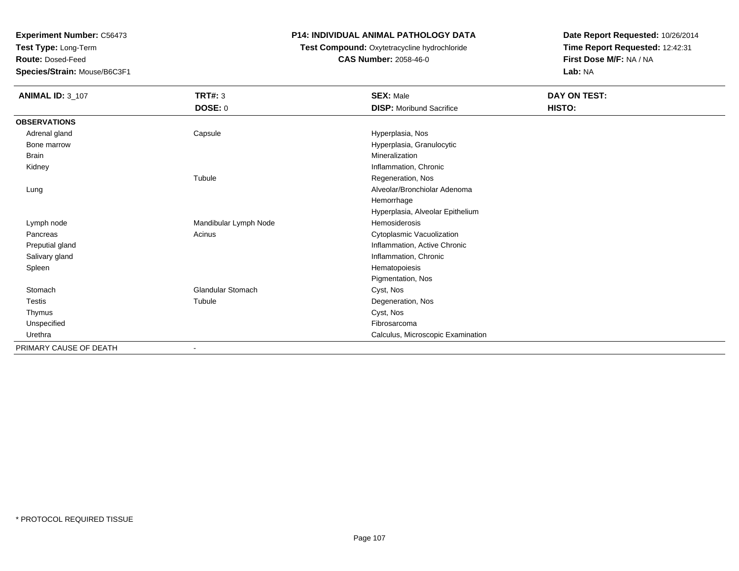**Test Type:** Long-Term

**Route:** Dosed-Feed

**Species/Strain:** Mouse/B6C3F1

### **P14: INDIVIDUAL ANIMAL PATHOLOGY DATA**

## **Test Compound:** Oxytetracycline hydrochloride**CAS Number:** 2058-46-0

| <b>ANIMAL ID: 3_107</b> | <b>TRT#: 3</b>           | <b>SEX: Male</b>                  | DAY ON TEST: |  |
|-------------------------|--------------------------|-----------------------------------|--------------|--|
|                         | <b>DOSE: 0</b>           | <b>DISP:</b> Moribund Sacrifice   | HISTO:       |  |
| <b>OBSERVATIONS</b>     |                          |                                   |              |  |
| Adrenal gland           | Capsule                  | Hyperplasia, Nos                  |              |  |
| Bone marrow             |                          | Hyperplasia, Granulocytic         |              |  |
| <b>Brain</b>            |                          | Mineralization                    |              |  |
| Kidney                  |                          | Inflammation, Chronic             |              |  |
|                         | Tubule                   | Regeneration, Nos                 |              |  |
| Lung                    |                          | Alveolar/Bronchiolar Adenoma      |              |  |
|                         |                          | Hemorrhage                        |              |  |
|                         |                          | Hyperplasia, Alveolar Epithelium  |              |  |
| Lymph node              | Mandibular Lymph Node    | Hemosiderosis                     |              |  |
| Pancreas                | Acinus                   | Cytoplasmic Vacuolization         |              |  |
| Preputial gland         |                          | Inflammation, Active Chronic      |              |  |
| Salivary gland          |                          | Inflammation, Chronic             |              |  |
| Spleen                  |                          | Hematopoiesis                     |              |  |
|                         |                          | Pigmentation, Nos                 |              |  |
| Stomach                 | <b>Glandular Stomach</b> | Cyst, Nos                         |              |  |
| Testis                  | Tubule                   | Degeneration, Nos                 |              |  |
| Thymus                  |                          | Cyst, Nos                         |              |  |
| Unspecified             |                          | Fibrosarcoma                      |              |  |
| Urethra                 |                          | Calculus, Microscopic Examination |              |  |
| PRIMARY CAUSE OF DEATH  | $\overline{\phantom{a}}$ |                                   |              |  |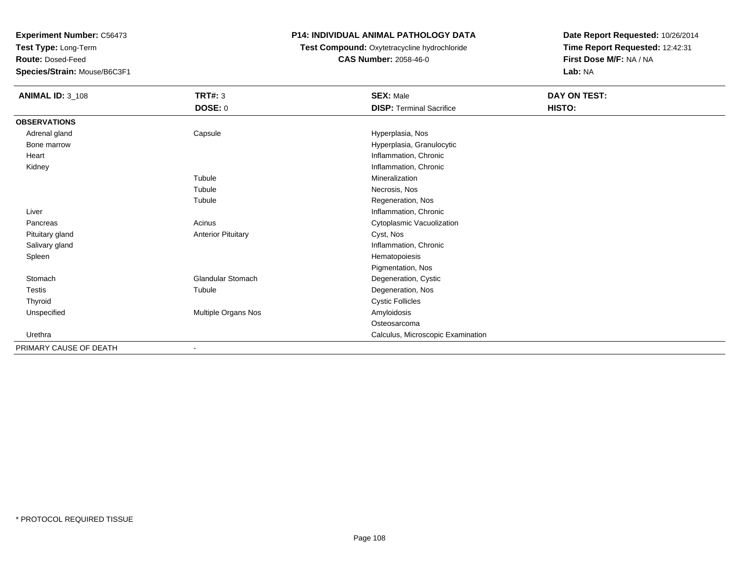**Test Type:** Long-Term

**Route:** Dosed-Feed

**Species/Strain:** Mouse/B6C3F1

## **P14: INDIVIDUAL ANIMAL PATHOLOGY DATA**

**Test Compound:** Oxytetracycline hydrochloride**CAS Number:** 2058-46-0

| <b>ANIMAL ID: 3_108</b> | <b>TRT#: 3</b>            | <b>SEX: Male</b>                  | DAY ON TEST: |  |
|-------------------------|---------------------------|-----------------------------------|--------------|--|
|                         | DOSE: 0                   | <b>DISP: Terminal Sacrifice</b>   | HISTO:       |  |
| <b>OBSERVATIONS</b>     |                           |                                   |              |  |
| Adrenal gland           | Capsule                   | Hyperplasia, Nos                  |              |  |
| Bone marrow             |                           | Hyperplasia, Granulocytic         |              |  |
| Heart                   |                           | Inflammation, Chronic             |              |  |
| Kidney                  |                           | Inflammation, Chronic             |              |  |
|                         | Tubule                    | Mineralization                    |              |  |
|                         | Tubule                    | Necrosis, Nos                     |              |  |
|                         | Tubule                    | Regeneration, Nos                 |              |  |
| Liver                   |                           | Inflammation, Chronic             |              |  |
| Pancreas                | Acinus                    | Cytoplasmic Vacuolization         |              |  |
| Pituitary gland         | <b>Anterior Pituitary</b> | Cyst, Nos                         |              |  |
| Salivary gland          |                           | Inflammation, Chronic             |              |  |
| Spleen                  |                           | Hematopoiesis                     |              |  |
|                         |                           | Pigmentation, Nos                 |              |  |
| Stomach                 | <b>Glandular Stomach</b>  | Degeneration, Cystic              |              |  |
| <b>Testis</b>           | Tubule                    | Degeneration, Nos                 |              |  |
| Thyroid                 |                           | <b>Cystic Follicles</b>           |              |  |
| Unspecified             | Multiple Organs Nos       | Amyloidosis                       |              |  |
|                         |                           | Osteosarcoma                      |              |  |
| Urethra                 |                           | Calculus, Microscopic Examination |              |  |
| PRIMARY CAUSE OF DEATH  | $\overline{\phantom{a}}$  |                                   |              |  |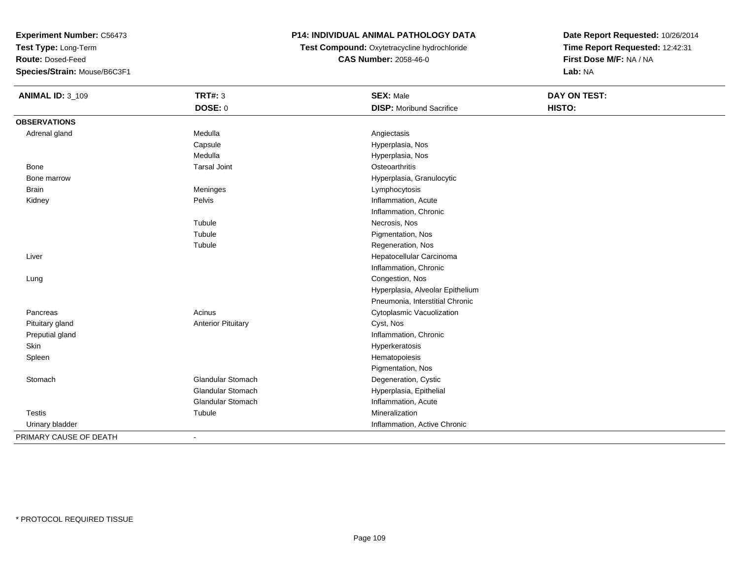**Test Type:** Long-Term

**Route:** Dosed-Feed

**Species/Strain:** Mouse/B6C3F1

# **P14: INDIVIDUAL ANIMAL PATHOLOGY DATA**

**Test Compound:** Oxytetracycline hydrochloride**CAS Number:** 2058-46-0

| <b>ANIMAL ID: 3_109</b> | <b>TRT#: 3</b>            | <b>SEX: Male</b>                 | DAY ON TEST: |  |
|-------------------------|---------------------------|----------------------------------|--------------|--|
|                         | <b>DOSE: 0</b>            | <b>DISP: Moribund Sacrifice</b>  | HISTO:       |  |
| <b>OBSERVATIONS</b>     |                           |                                  |              |  |
| Adrenal gland           | Medulla                   | Angiectasis                      |              |  |
|                         | Capsule                   | Hyperplasia, Nos                 |              |  |
|                         | Medulla                   | Hyperplasia, Nos                 |              |  |
| Bone                    | <b>Tarsal Joint</b>       | Osteoarthritis                   |              |  |
| Bone marrow             |                           | Hyperplasia, Granulocytic        |              |  |
| <b>Brain</b>            | Meninges                  | Lymphocytosis                    |              |  |
| Kidney                  | Pelvis                    | Inflammation, Acute              |              |  |
|                         |                           | Inflammation, Chronic            |              |  |
|                         | Tubule                    | Necrosis, Nos                    |              |  |
|                         | Tubule                    | Pigmentation, Nos                |              |  |
|                         | Tubule                    | Regeneration, Nos                |              |  |
| Liver                   |                           | Hepatocellular Carcinoma         |              |  |
|                         |                           | Inflammation, Chronic            |              |  |
| Lung                    |                           | Congestion, Nos                  |              |  |
|                         |                           | Hyperplasia, Alveolar Epithelium |              |  |
|                         |                           | Pneumonia, Interstitial Chronic  |              |  |
| Pancreas                | Acinus                    | Cytoplasmic Vacuolization        |              |  |
| Pituitary gland         | <b>Anterior Pituitary</b> | Cyst, Nos                        |              |  |
| Preputial gland         |                           | Inflammation, Chronic            |              |  |
| Skin                    |                           | Hyperkeratosis                   |              |  |
| Spleen                  |                           | Hematopoiesis                    |              |  |
|                         |                           | Pigmentation, Nos                |              |  |
| Stomach                 | Glandular Stomach         | Degeneration, Cystic             |              |  |
|                         | <b>Glandular Stomach</b>  | Hyperplasia, Epithelial          |              |  |
|                         | Glandular Stomach         | Inflammation, Acute              |              |  |
| <b>Testis</b>           | Tubule                    | Mineralization                   |              |  |
| Urinary bladder         |                           | Inflammation, Active Chronic     |              |  |
| PRIMARY CAUSE OF DEATH  | $\blacksquare$            |                                  |              |  |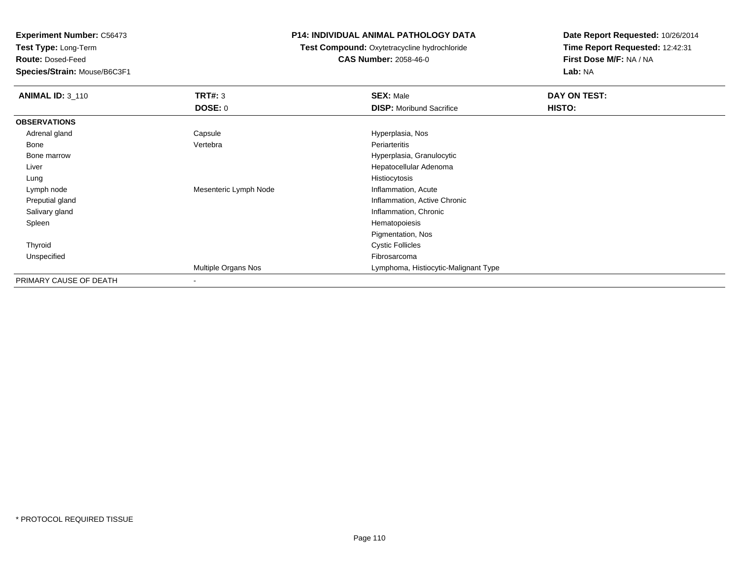**Test Type:** Long-Term

**Route:** Dosed-Feed

**Species/Strain:** Mouse/B6C3F1

### **P14: INDIVIDUAL ANIMAL PATHOLOGY DATA**

**Test Compound:** Oxytetracycline hydrochloride**CAS Number:** 2058-46-0

| <b>ANIMAL ID: 3_110</b> | <b>TRT#: 3</b>        | <b>SEX: Male</b>                     | DAY ON TEST: |  |
|-------------------------|-----------------------|--------------------------------------|--------------|--|
|                         | <b>DOSE: 0</b>        | <b>DISP:</b> Moribund Sacrifice      | HISTO:       |  |
| <b>OBSERVATIONS</b>     |                       |                                      |              |  |
| Adrenal gland           | Capsule               | Hyperplasia, Nos                     |              |  |
| Bone                    | Vertebra              | Periarteritis                        |              |  |
| Bone marrow             |                       | Hyperplasia, Granulocytic            |              |  |
| Liver                   |                       | Hepatocellular Adenoma               |              |  |
| Lung                    |                       | Histiocytosis                        |              |  |
| Lymph node              | Mesenteric Lymph Node | Inflammation, Acute                  |              |  |
| Preputial gland         |                       | Inflammation, Active Chronic         |              |  |
| Salivary gland          |                       | Inflammation, Chronic                |              |  |
| Spleen                  |                       | Hematopoiesis                        |              |  |
|                         |                       | Pigmentation, Nos                    |              |  |
| Thyroid                 |                       | <b>Cystic Follicles</b>              |              |  |
| Unspecified             |                       | Fibrosarcoma                         |              |  |
|                         | Multiple Organs Nos   | Lymphoma, Histiocytic-Malignant Type |              |  |
| PRIMARY CAUSE OF DEATH  |                       |                                      |              |  |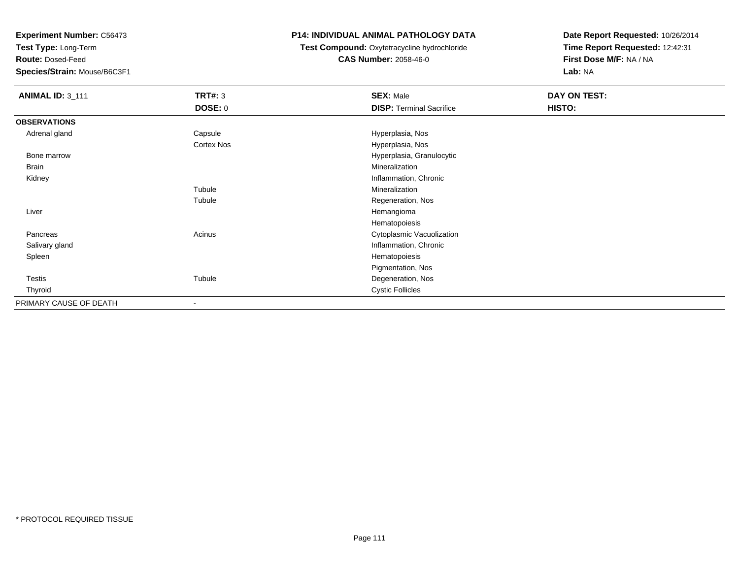**Test Type:** Long-Term

**Route:** Dosed-Feed

**Species/Strain:** Mouse/B6C3F1

# **P14: INDIVIDUAL ANIMAL PATHOLOGY DATA**

**Test Compound:** Oxytetracycline hydrochloride**CAS Number:** 2058-46-0

| <b>ANIMAL ID: 3_111</b> | <b>TRT#: 3</b>           | <b>SEX: Male</b>                | DAY ON TEST: |
|-------------------------|--------------------------|---------------------------------|--------------|
|                         | <b>DOSE: 0</b>           | <b>DISP: Terminal Sacrifice</b> | HISTO:       |
| <b>OBSERVATIONS</b>     |                          |                                 |              |
| Adrenal gland           | Capsule                  | Hyperplasia, Nos                |              |
|                         | <b>Cortex Nos</b>        | Hyperplasia, Nos                |              |
| Bone marrow             |                          | Hyperplasia, Granulocytic       |              |
| Brain                   |                          | Mineralization                  |              |
| Kidney                  |                          | Inflammation, Chronic           |              |
|                         | Tubule                   | Mineralization                  |              |
|                         | Tubule                   | Regeneration, Nos               |              |
| Liver                   |                          | Hemangioma                      |              |
|                         |                          | Hematopoiesis                   |              |
| Pancreas                | Acinus                   | Cytoplasmic Vacuolization       |              |
| Salivary gland          |                          | Inflammation, Chronic           |              |
| Spleen                  |                          | Hematopoiesis                   |              |
|                         |                          | Pigmentation, Nos               |              |
| Testis                  | Tubule                   | Degeneration, Nos               |              |
| Thyroid                 |                          | <b>Cystic Follicles</b>         |              |
| PRIMARY CAUSE OF DEATH  | $\overline{\phantom{a}}$ |                                 |              |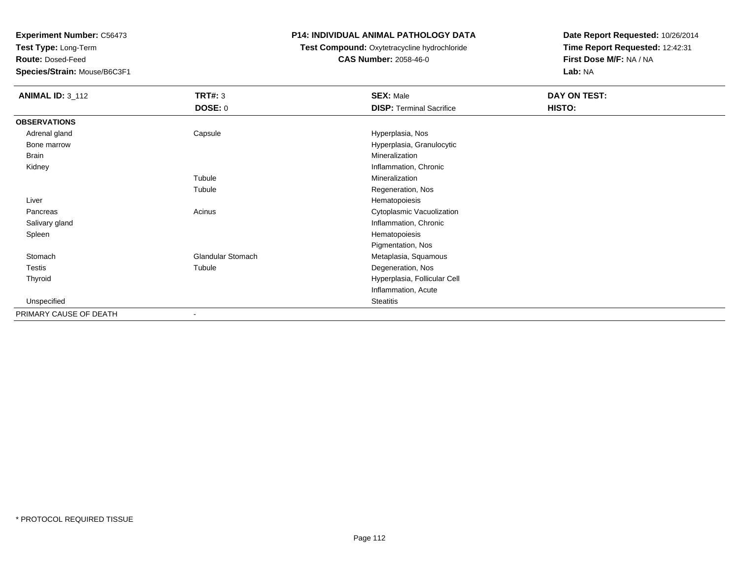**Test Type:** Long-Term

**Route:** Dosed-Feed

**Species/Strain:** Mouse/B6C3F1

# **P14: INDIVIDUAL ANIMAL PATHOLOGY DATA**

# **Test Compound:** Oxytetracycline hydrochloride**CAS Number:** 2058-46-0

| <b>ANIMAL ID: 3_112</b> | <b>TRT#: 3</b>           | <b>SEX: Male</b>                | DAY ON TEST: |  |
|-------------------------|--------------------------|---------------------------------|--------------|--|
|                         | <b>DOSE: 0</b>           | <b>DISP: Terminal Sacrifice</b> | HISTO:       |  |
| <b>OBSERVATIONS</b>     |                          |                                 |              |  |
| Adrenal gland           | Capsule                  | Hyperplasia, Nos                |              |  |
| Bone marrow             |                          | Hyperplasia, Granulocytic       |              |  |
| <b>Brain</b>            |                          | Mineralization                  |              |  |
| Kidney                  |                          | Inflammation, Chronic           |              |  |
|                         | Tubule                   | Mineralization                  |              |  |
|                         | Tubule                   | Regeneration, Nos               |              |  |
| Liver                   |                          | Hematopoiesis                   |              |  |
| Pancreas                | Acinus                   | Cytoplasmic Vacuolization       |              |  |
| Salivary gland          |                          | Inflammation, Chronic           |              |  |
| Spleen                  |                          | Hematopoiesis                   |              |  |
|                         |                          | Pigmentation, Nos               |              |  |
| Stomach                 | <b>Glandular Stomach</b> | Metaplasia, Squamous            |              |  |
| Testis                  | Tubule                   | Degeneration, Nos               |              |  |
| Thyroid                 |                          | Hyperplasia, Follicular Cell    |              |  |
|                         |                          | Inflammation, Acute             |              |  |
| Unspecified             |                          | <b>Steatitis</b>                |              |  |
| PRIMARY CAUSE OF DEATH  | $\blacksquare$           |                                 |              |  |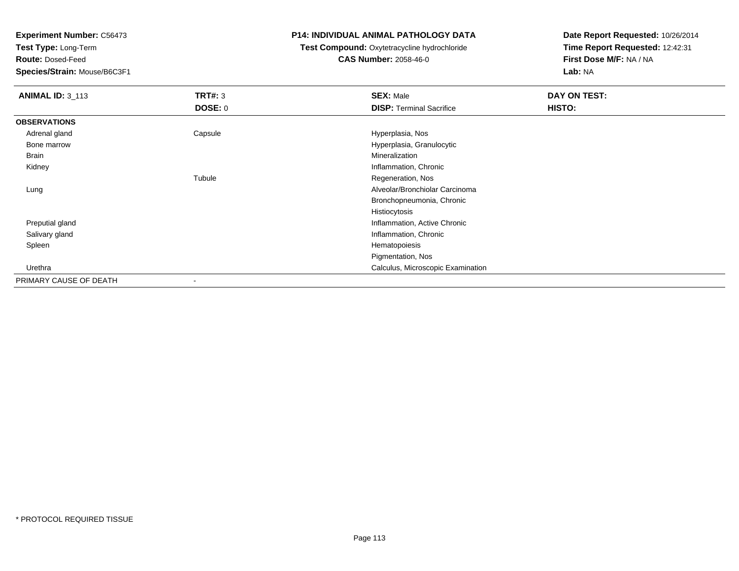**Test Type:** Long-Term

**Route:** Dosed-Feed

**Species/Strain:** Mouse/B6C3F1

### **P14: INDIVIDUAL ANIMAL PATHOLOGY DATA**

# **Test Compound:** Oxytetracycline hydrochloride**CAS Number:** 2058-46-0

| <b>ANIMAL ID: 3_113</b> | TRT#: 3                  | <b>SEX: Male</b>                  | DAY ON TEST: |  |
|-------------------------|--------------------------|-----------------------------------|--------------|--|
|                         | <b>DOSE: 0</b>           | <b>DISP: Terminal Sacrifice</b>   | HISTO:       |  |
| <b>OBSERVATIONS</b>     |                          |                                   |              |  |
| Adrenal gland           | Capsule                  | Hyperplasia, Nos                  |              |  |
| Bone marrow             |                          | Hyperplasia, Granulocytic         |              |  |
| Brain                   |                          | Mineralization                    |              |  |
| Kidney                  |                          | Inflammation, Chronic             |              |  |
|                         | Tubule                   | Regeneration, Nos                 |              |  |
| Lung                    |                          | Alveolar/Bronchiolar Carcinoma    |              |  |
|                         |                          | Bronchopneumonia, Chronic         |              |  |
|                         |                          | Histiocytosis                     |              |  |
| Preputial gland         |                          | Inflammation, Active Chronic      |              |  |
| Salivary gland          |                          | Inflammation, Chronic             |              |  |
| Spleen                  |                          | Hematopoiesis                     |              |  |
|                         |                          | Pigmentation, Nos                 |              |  |
| Urethra                 |                          | Calculus, Microscopic Examination |              |  |
| PRIMARY CAUSE OF DEATH  | $\overline{\phantom{a}}$ |                                   |              |  |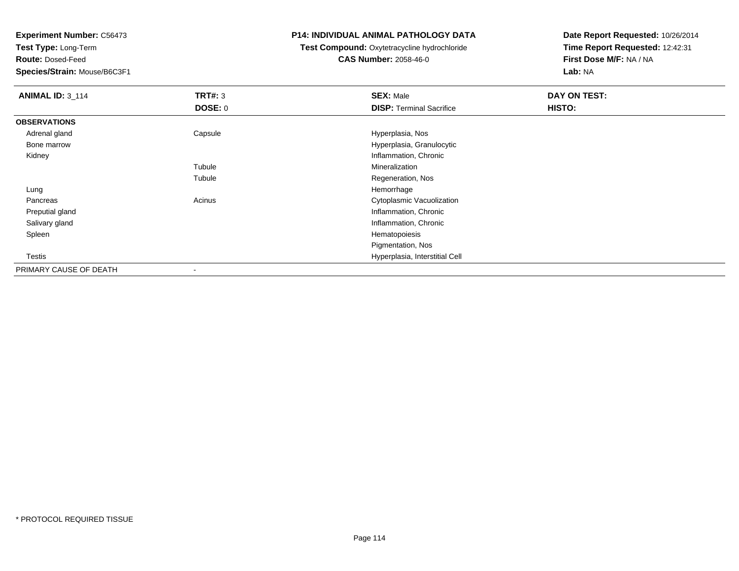**Test Type:** Long-Term

**Route:** Dosed-Feed

**Species/Strain:** Mouse/B6C3F1

### **P14: INDIVIDUAL ANIMAL PATHOLOGY DATA**

# **Test Compound:** Oxytetracycline hydrochloride**CAS Number:** 2058-46-0

| <b>ANIMAL ID: 3_114</b> | <b>TRT#: 3</b> | <b>SEX: Male</b>                | DAY ON TEST: |
|-------------------------|----------------|---------------------------------|--------------|
|                         | <b>DOSE: 0</b> | <b>DISP: Terminal Sacrifice</b> | HISTO:       |
| <b>OBSERVATIONS</b>     |                |                                 |              |
| Adrenal gland           | Capsule        | Hyperplasia, Nos                |              |
| Bone marrow             |                | Hyperplasia, Granulocytic       |              |
| Kidney                  |                | Inflammation, Chronic           |              |
|                         | Tubule         | Mineralization                  |              |
|                         | Tubule         | Regeneration, Nos               |              |
| Lung                    |                | Hemorrhage                      |              |
| Pancreas                | Acinus         | Cytoplasmic Vacuolization       |              |
| Preputial gland         |                | Inflammation, Chronic           |              |
| Salivary gland          |                | Inflammation, Chronic           |              |
| Spleen                  |                | Hematopoiesis                   |              |
|                         |                | Pigmentation, Nos               |              |
| <b>Testis</b>           |                | Hyperplasia, Interstitial Cell  |              |
| PRIMARY CAUSE OF DEATH  | -              |                                 |              |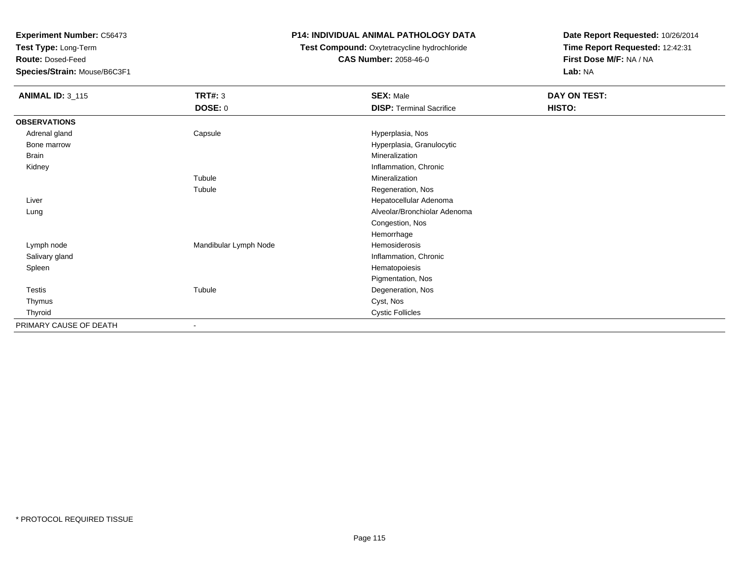**Test Type:** Long-Term

**Route:** Dosed-Feed

**Species/Strain:** Mouse/B6C3F1

# **P14: INDIVIDUAL ANIMAL PATHOLOGY DATA**

# **Test Compound:** Oxytetracycline hydrochloride**CAS Number:** 2058-46-0

| <b>ANIMAL ID: 3_115</b> | <b>TRT#: 3</b>        | <b>SEX: Male</b>                | DAY ON TEST: |  |
|-------------------------|-----------------------|---------------------------------|--------------|--|
|                         | <b>DOSE: 0</b>        | <b>DISP: Terminal Sacrifice</b> | HISTO:       |  |
| <b>OBSERVATIONS</b>     |                       |                                 |              |  |
| Adrenal gland           | Capsule               | Hyperplasia, Nos                |              |  |
| Bone marrow             |                       | Hyperplasia, Granulocytic       |              |  |
| <b>Brain</b>            |                       | Mineralization                  |              |  |
| Kidney                  |                       | Inflammation, Chronic           |              |  |
|                         | Tubule                | Mineralization                  |              |  |
|                         | Tubule                | Regeneration, Nos               |              |  |
| Liver                   |                       | Hepatocellular Adenoma          |              |  |
| Lung                    |                       | Alveolar/Bronchiolar Adenoma    |              |  |
|                         |                       | Congestion, Nos                 |              |  |
|                         |                       | Hemorrhage                      |              |  |
| Lymph node              | Mandibular Lymph Node | Hemosiderosis                   |              |  |
| Salivary gland          |                       | Inflammation, Chronic           |              |  |
| Spleen                  |                       | Hematopoiesis                   |              |  |
|                         |                       | Pigmentation, Nos               |              |  |
| Testis                  | Tubule                | Degeneration, Nos               |              |  |
| Thymus                  |                       | Cyst, Nos                       |              |  |
| Thyroid                 |                       | <b>Cystic Follicles</b>         |              |  |
| PRIMARY CAUSE OF DEATH  | $\blacksquare$        |                                 |              |  |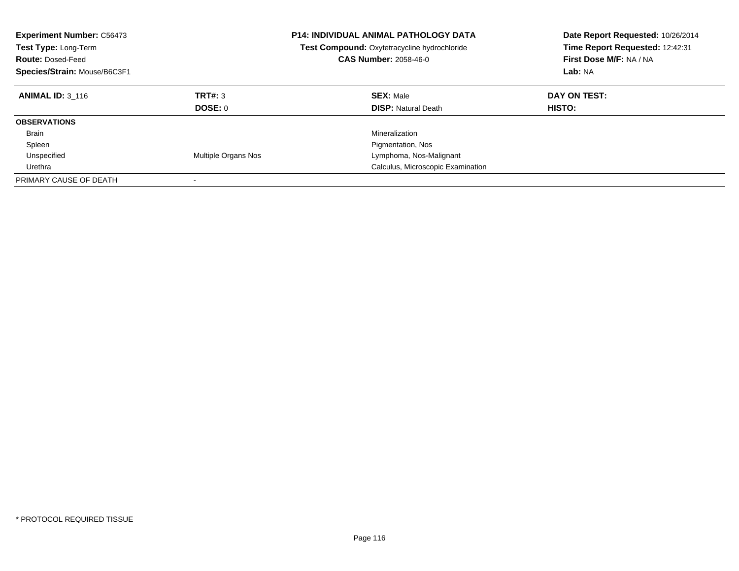| <b>Experiment Number: C56473</b><br>Test Type: Long-Term<br><b>Route: Dosed-Feed</b><br>Species/Strain: Mouse/B6C3F1 |                          | P14: INDIVIDUAL ANIMAL PATHOLOGY DATA<br>Test Compound: Oxytetracycline hydrochloride<br><b>CAS Number: 2058-46-0</b> | Date Report Requested: 10/26/2014<br>Time Report Requested: 12:42:31<br>First Dose M/F: NA / NA<br>Lab: NA |
|----------------------------------------------------------------------------------------------------------------------|--------------------------|-----------------------------------------------------------------------------------------------------------------------|------------------------------------------------------------------------------------------------------------|
| <b>ANIMAL ID: 3 116</b>                                                                                              | TRT#: 3<br>DOSE: 0       | <b>SEX: Male</b><br><b>DISP: Natural Death</b>                                                                        | DAY ON TEST:<br>HISTO:                                                                                     |
|                                                                                                                      |                          |                                                                                                                       |                                                                                                            |
| <b>OBSERVATIONS</b>                                                                                                  |                          |                                                                                                                       |                                                                                                            |
| <b>Brain</b>                                                                                                         |                          | Mineralization                                                                                                        |                                                                                                            |
| Spleen                                                                                                               |                          | Pigmentation, Nos                                                                                                     |                                                                                                            |
| Unspecified                                                                                                          | Multiple Organs Nos      | Lymphoma, Nos-Malignant                                                                                               |                                                                                                            |
| Urethra                                                                                                              |                          | Calculus, Microscopic Examination                                                                                     |                                                                                                            |
| PRIMARY CAUSE OF DEATH                                                                                               | $\overline{\phantom{a}}$ |                                                                                                                       |                                                                                                            |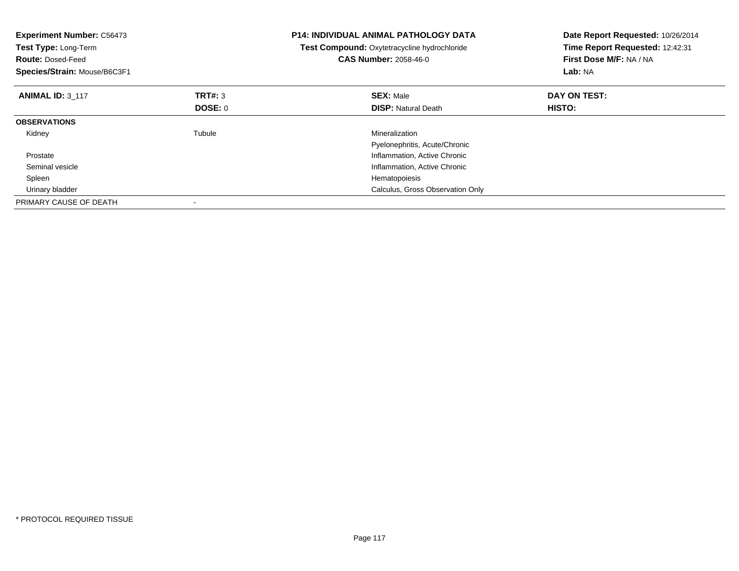| <b>Experiment Number: C56473</b><br>Test Type: Long-Term<br><b>Route: Dosed-Feed</b><br>Species/Strain: Mouse/B6C3F1 |                | <b>P14: INDIVIDUAL ANIMAL PATHOLOGY DATA</b><br>Test Compound: Oxytetracycline hydrochloride<br><b>CAS Number: 2058-46-0</b> | Date Report Requested: 10/26/2014<br>Time Report Requested: 12:42:31<br>First Dose M/F: NA / NA<br>Lab: NA |
|----------------------------------------------------------------------------------------------------------------------|----------------|------------------------------------------------------------------------------------------------------------------------------|------------------------------------------------------------------------------------------------------------|
| <b>ANIMAL ID: 3 117</b>                                                                                              | TRT#: 3        | <b>SEX: Male</b>                                                                                                             | DAY ON TEST:                                                                                               |
|                                                                                                                      | <b>DOSE: 0</b> | <b>DISP:</b> Natural Death                                                                                                   | HISTO:                                                                                                     |
| <b>OBSERVATIONS</b>                                                                                                  |                |                                                                                                                              |                                                                                                            |
| Kidney                                                                                                               | Tubule         | Mineralization                                                                                                               |                                                                                                            |
|                                                                                                                      |                | Pyelonephritis, Acute/Chronic                                                                                                |                                                                                                            |
| Prostate                                                                                                             |                | Inflammation, Active Chronic                                                                                                 |                                                                                                            |
| Seminal vesicle                                                                                                      |                | Inflammation, Active Chronic                                                                                                 |                                                                                                            |
| Spleen                                                                                                               |                | Hematopoiesis                                                                                                                |                                                                                                            |
| Urinary bladder                                                                                                      |                | Calculus, Gross Observation Only                                                                                             |                                                                                                            |
| PRIMARY CAUSE OF DEATH                                                                                               |                |                                                                                                                              |                                                                                                            |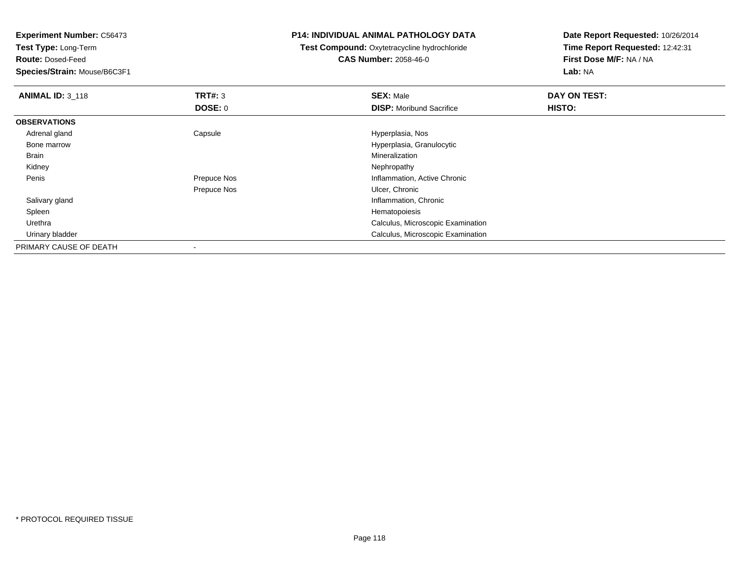**Test Type:** Long-Term

**Route:** Dosed-Feed

**Species/Strain:** Mouse/B6C3F1

### **P14: INDIVIDUAL ANIMAL PATHOLOGY DATA**

 **Test Compound:** Oxytetracycline hydrochloride**CAS Number:** 2058-46-0

| <b>ANIMAL ID: 3 118</b> | TRT#: 3     | <b>SEX: Male</b>                  | DAY ON TEST: |  |
|-------------------------|-------------|-----------------------------------|--------------|--|
|                         | DOSE: 0     | <b>DISP:</b> Moribund Sacrifice   | HISTO:       |  |
| <b>OBSERVATIONS</b>     |             |                                   |              |  |
| Adrenal gland           | Capsule     | Hyperplasia, Nos                  |              |  |
| Bone marrow             |             | Hyperplasia, Granulocytic         |              |  |
| Brain                   |             | Mineralization                    |              |  |
| Kidney                  |             | Nephropathy                       |              |  |
| Penis                   | Prepuce Nos | Inflammation, Active Chronic      |              |  |
|                         | Prepuce Nos | Ulcer, Chronic                    |              |  |
| Salivary gland          |             | Inflammation, Chronic             |              |  |
| Spleen                  |             | Hematopoiesis                     |              |  |
| Urethra                 |             | Calculus, Microscopic Examination |              |  |
| Urinary bladder         |             | Calculus, Microscopic Examination |              |  |
| PRIMARY CAUSE OF DEATH  |             |                                   |              |  |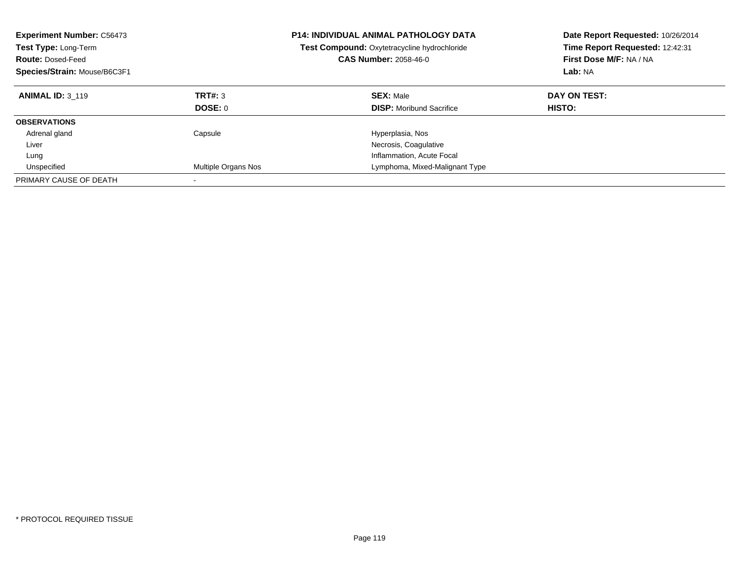| <b>Experiment Number: C56473</b><br><b>Test Type: Long-Term</b><br><b>Route: Dosed-Feed</b><br>Species/Strain: Mouse/B6C3F1 |                           | <b>P14: INDIVIDUAL ANIMAL PATHOLOGY DATA</b><br>Test Compound: Oxytetracycline hydrochloride<br><b>CAS Number: 2058-46-0</b> | Date Report Requested: 10/26/2014<br>Time Report Requested: 12:42:31<br>First Dose M/F: NA / NA<br>Lab: NA |
|-----------------------------------------------------------------------------------------------------------------------------|---------------------------|------------------------------------------------------------------------------------------------------------------------------|------------------------------------------------------------------------------------------------------------|
| <b>ANIMAL ID: 3 119</b>                                                                                                     | <b>TRT#: 3</b><br>DOSE: 0 | <b>SEX: Male</b><br><b>DISP:</b> Moribund Sacrifice                                                                          | DAY ON TEST:<br><b>HISTO:</b>                                                                              |
| <b>OBSERVATIONS</b>                                                                                                         |                           |                                                                                                                              |                                                                                                            |
| Adrenal gland                                                                                                               | Capsule                   | Hyperplasia, Nos                                                                                                             |                                                                                                            |
| Liver                                                                                                                       |                           | Necrosis, Coagulative                                                                                                        |                                                                                                            |
| Lung                                                                                                                        |                           | Inflammation, Acute Focal                                                                                                    |                                                                                                            |
| Unspecified                                                                                                                 | Multiple Organs Nos       | Lymphoma, Mixed-Malignant Type                                                                                               |                                                                                                            |
| PRIMARY CAUSE OF DEATH                                                                                                      |                           |                                                                                                                              |                                                                                                            |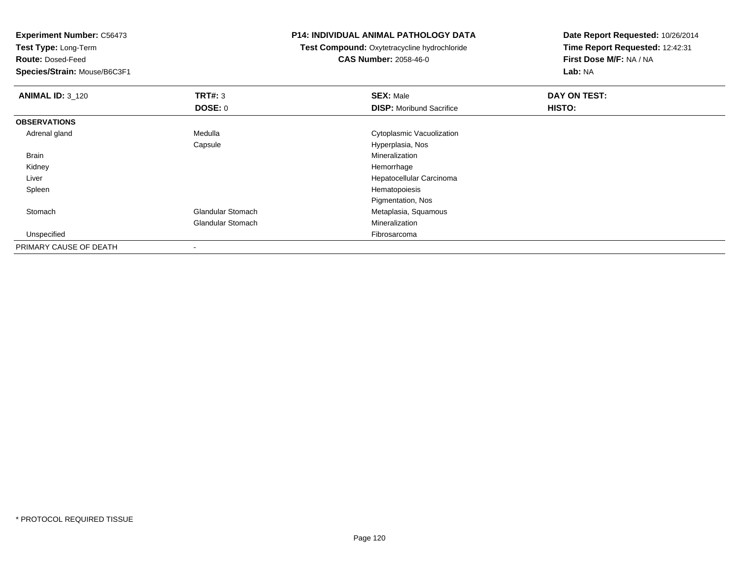**Test Type:** Long-Term

**Route:** Dosed-Feed

**Species/Strain:** Mouse/B6C3F1

### **P14: INDIVIDUAL ANIMAL PATHOLOGY DATA**

 **Test Compound:** Oxytetracycline hydrochloride**CAS Number:** 2058-46-0

| <b>ANIMAL ID: 3_120</b> | TRT#: 3                  | <b>SEX: Male</b>                | DAY ON TEST: |  |
|-------------------------|--------------------------|---------------------------------|--------------|--|
|                         | <b>DOSE: 0</b>           | <b>DISP:</b> Moribund Sacrifice | HISTO:       |  |
| <b>OBSERVATIONS</b>     |                          |                                 |              |  |
| Adrenal gland           | Medulla                  | Cytoplasmic Vacuolization       |              |  |
|                         | Capsule                  | Hyperplasia, Nos                |              |  |
| <b>Brain</b>            |                          | Mineralization                  |              |  |
| Kidney                  |                          | Hemorrhage                      |              |  |
| Liver                   |                          | Hepatocellular Carcinoma        |              |  |
| Spleen                  |                          | Hematopoiesis                   |              |  |
|                         |                          | Pigmentation, Nos               |              |  |
| Stomach                 | <b>Glandular Stomach</b> | Metaplasia, Squamous            |              |  |
|                         | <b>Glandular Stomach</b> | Mineralization                  |              |  |
| Unspecified             |                          | Fibrosarcoma                    |              |  |
| PRIMARY CAUSE OF DEATH  |                          |                                 |              |  |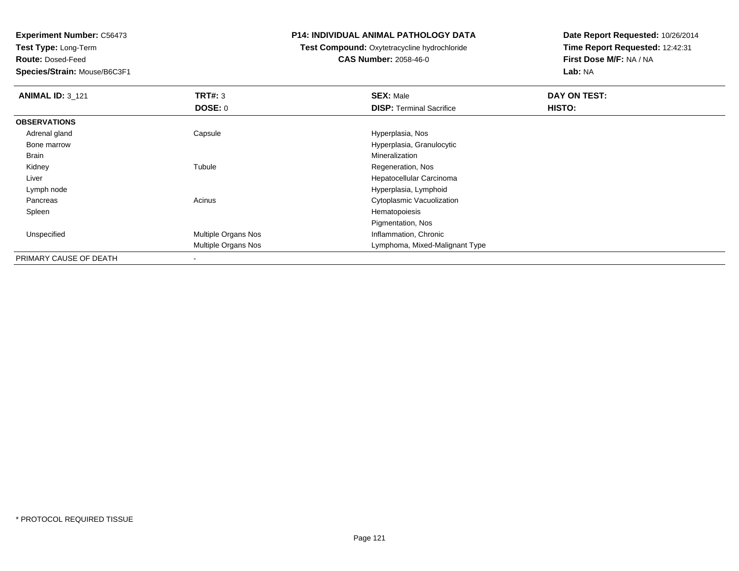**Test Type:** Long-Term

**Route:** Dosed-Feed

**Species/Strain:** Mouse/B6C3F1

### **P14: INDIVIDUAL ANIMAL PATHOLOGY DATA**

# **Test Compound:** Oxytetracycline hydrochloride**CAS Number:** 2058-46-0

| <b>ANIMAL ID: 3 121</b> | TRT#: 3             | <b>SEX: Male</b>                | DAY ON TEST: |
|-------------------------|---------------------|---------------------------------|--------------|
|                         | DOSE: 0             | <b>DISP: Terminal Sacrifice</b> | HISTO:       |
| <b>OBSERVATIONS</b>     |                     |                                 |              |
| Adrenal gland           | Capsule             | Hyperplasia, Nos                |              |
| Bone marrow             |                     | Hyperplasia, Granulocytic       |              |
| Brain                   |                     | Mineralization                  |              |
| Kidney                  | Tubule              | Regeneration, Nos               |              |
| Liver                   |                     | Hepatocellular Carcinoma        |              |
| Lymph node              |                     | Hyperplasia, Lymphoid           |              |
| Pancreas                | Acinus              | Cytoplasmic Vacuolization       |              |
| Spleen                  |                     | Hematopoiesis                   |              |
|                         |                     | Pigmentation, Nos               |              |
| Unspecified             | Multiple Organs Nos | Inflammation, Chronic           |              |
|                         | Multiple Organs Nos | Lymphoma, Mixed-Malignant Type  |              |
| PRIMARY CAUSE OF DEATH  |                     |                                 |              |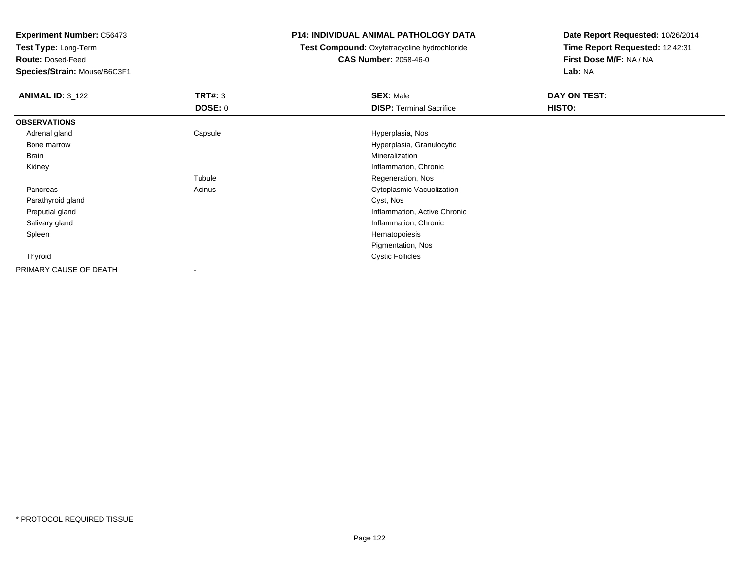**Test Type:** Long-Term

**Route:** Dosed-Feed

**Species/Strain:** Mouse/B6C3F1

### **P14: INDIVIDUAL ANIMAL PATHOLOGY DATA**

 **Test Compound:** Oxytetracycline hydrochloride**CAS Number:** 2058-46-0

| <b>ANIMAL ID: 3_122</b> | TRT#: 3        | <b>SEX: Male</b>                | DAY ON TEST: |  |
|-------------------------|----------------|---------------------------------|--------------|--|
|                         | <b>DOSE: 0</b> | <b>DISP: Terminal Sacrifice</b> | HISTO:       |  |
| <b>OBSERVATIONS</b>     |                |                                 |              |  |
| Adrenal gland           | Capsule        | Hyperplasia, Nos                |              |  |
| Bone marrow             |                | Hyperplasia, Granulocytic       |              |  |
| Brain                   |                | Mineralization                  |              |  |
| Kidney                  |                | Inflammation, Chronic           |              |  |
|                         | Tubule         | Regeneration, Nos               |              |  |
| Pancreas                | Acinus         | Cytoplasmic Vacuolization       |              |  |
| Parathyroid gland       |                | Cyst, Nos                       |              |  |
| Preputial gland         |                | Inflammation, Active Chronic    |              |  |
| Salivary gland          |                | Inflammation, Chronic           |              |  |
| Spleen                  |                | Hematopoiesis                   |              |  |
|                         |                | Pigmentation, Nos               |              |  |
| Thyroid                 |                | <b>Cystic Follicles</b>         |              |  |
| PRIMARY CAUSE OF DEATH  | $\,$           |                                 |              |  |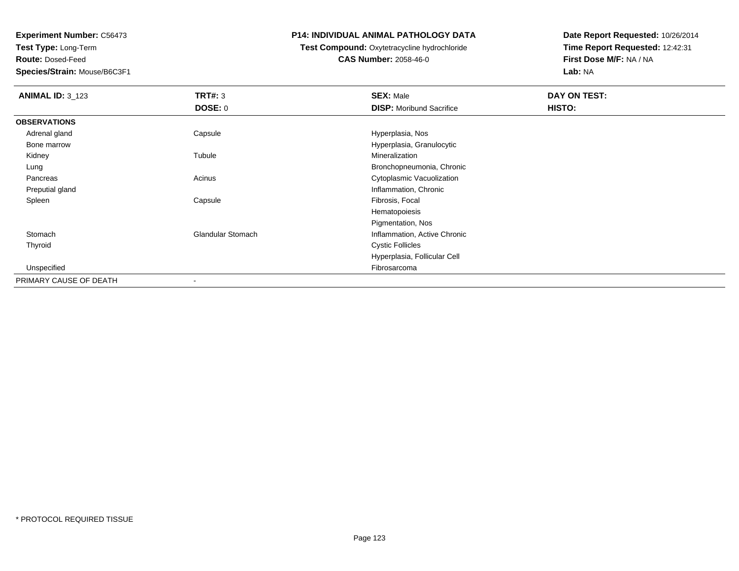**Test Type:** Long-Term

**Route:** Dosed-Feed

**Species/Strain:** Mouse/B6C3F1

### **P14: INDIVIDUAL ANIMAL PATHOLOGY DATA**

**Test Compound:** Oxytetracycline hydrochloride**CAS Number:** 2058-46-0

| <b>ANIMAL ID: 3_123</b> | <b>TRT#: 3</b>           | <b>SEX: Male</b>                | DAY ON TEST: |  |
|-------------------------|--------------------------|---------------------------------|--------------|--|
|                         | <b>DOSE: 0</b>           | <b>DISP:</b> Moribund Sacrifice | HISTO:       |  |
| <b>OBSERVATIONS</b>     |                          |                                 |              |  |
| Adrenal gland           | Capsule                  | Hyperplasia, Nos                |              |  |
| Bone marrow             |                          | Hyperplasia, Granulocytic       |              |  |
| Kidney                  | Tubule                   | Mineralization                  |              |  |
| Lung                    |                          | Bronchopneumonia, Chronic       |              |  |
| Pancreas                | Acinus                   | Cytoplasmic Vacuolization       |              |  |
| Preputial gland         |                          | Inflammation, Chronic           |              |  |
| Spleen                  | Capsule                  | Fibrosis, Focal                 |              |  |
|                         |                          | Hematopoiesis                   |              |  |
|                         |                          | Pigmentation, Nos               |              |  |
| Stomach                 | <b>Glandular Stomach</b> | Inflammation, Active Chronic    |              |  |
| Thyroid                 |                          | <b>Cystic Follicles</b>         |              |  |
|                         |                          | Hyperplasia, Follicular Cell    |              |  |
| Unspecified             |                          | Fibrosarcoma                    |              |  |
| PRIMARY CAUSE OF DEATH  |                          |                                 |              |  |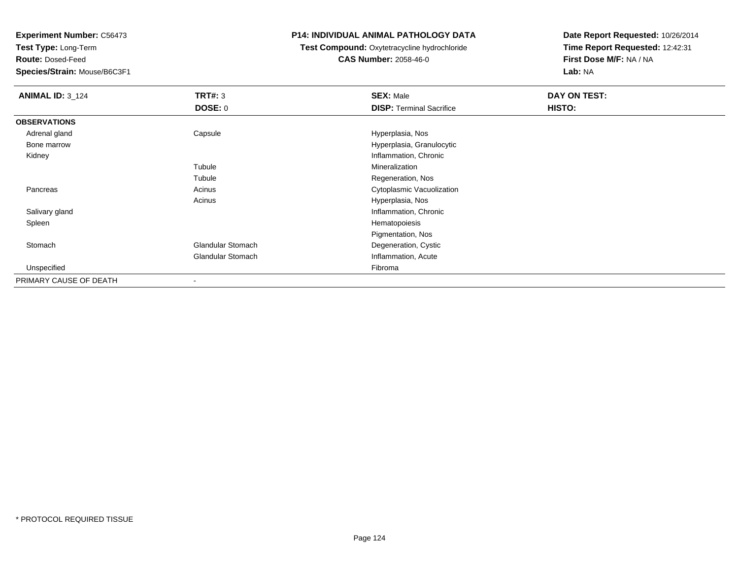**Test Type:** Long-Term

**Route:** Dosed-Feed

**Species/Strain:** Mouse/B6C3F1

### **P14: INDIVIDUAL ANIMAL PATHOLOGY DATA**

 **Test Compound:** Oxytetracycline hydrochloride**CAS Number:** 2058-46-0

| <b>ANIMAL ID: 3_124</b> | TRT#: 3                  | <b>SEX: Male</b>                | DAY ON TEST: |  |
|-------------------------|--------------------------|---------------------------------|--------------|--|
|                         | DOSE: 0                  | <b>DISP: Terminal Sacrifice</b> | HISTO:       |  |
| <b>OBSERVATIONS</b>     |                          |                                 |              |  |
| Adrenal gland           | Capsule                  | Hyperplasia, Nos                |              |  |
| Bone marrow             |                          | Hyperplasia, Granulocytic       |              |  |
| Kidney                  |                          | Inflammation, Chronic           |              |  |
|                         | Tubule                   | Mineralization                  |              |  |
|                         | Tubule                   | Regeneration, Nos               |              |  |
| Pancreas                | Acinus                   | Cytoplasmic Vacuolization       |              |  |
|                         | Acinus                   | Hyperplasia, Nos                |              |  |
| Salivary gland          |                          | Inflammation, Chronic           |              |  |
| Spleen                  |                          | Hematopoiesis                   |              |  |
|                         |                          | Pigmentation, Nos               |              |  |
| Stomach                 | <b>Glandular Stomach</b> | Degeneration, Cystic            |              |  |
|                         | <b>Glandular Stomach</b> | Inflammation, Acute             |              |  |
| Unspecified             |                          | Fibroma                         |              |  |
| PRIMARY CAUSE OF DEATH  |                          |                                 |              |  |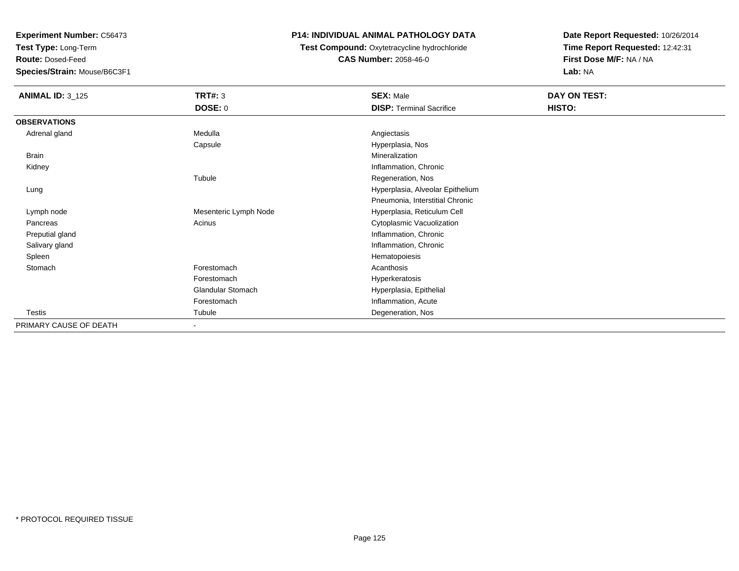**Test Type:** Long-Term

**Route:** Dosed-Feed

**Species/Strain:** Mouse/B6C3F1

# **P14: INDIVIDUAL ANIMAL PATHOLOGY DATA**

**Test Compound:** Oxytetracycline hydrochloride**CAS Number:** 2058-46-0

| <b>ANIMAL ID: 3_125</b> | <b>TRT#: 3</b>           | <b>SEX: Male</b>                 | DAY ON TEST: |  |
|-------------------------|--------------------------|----------------------------------|--------------|--|
|                         | <b>DOSE: 0</b>           | <b>DISP: Terminal Sacrifice</b>  | HISTO:       |  |
| <b>OBSERVATIONS</b>     |                          |                                  |              |  |
| Adrenal gland           | Medulla                  | Angiectasis                      |              |  |
|                         | Capsule                  | Hyperplasia, Nos                 |              |  |
| <b>Brain</b>            |                          | Mineralization                   |              |  |
| Kidney                  |                          | Inflammation, Chronic            |              |  |
|                         | Tubule                   | Regeneration, Nos                |              |  |
| Lung                    |                          | Hyperplasia, Alveolar Epithelium |              |  |
|                         |                          | Pneumonia, Interstitial Chronic  |              |  |
| Lymph node              | Mesenteric Lymph Node    | Hyperplasia, Reticulum Cell      |              |  |
| Pancreas                | Acinus                   | Cytoplasmic Vacuolization        |              |  |
| Preputial gland         |                          | Inflammation, Chronic            |              |  |
| Salivary gland          |                          | Inflammation, Chronic            |              |  |
| Spleen                  |                          | Hematopoiesis                    |              |  |
| Stomach                 | Forestomach              | Acanthosis                       |              |  |
|                         | Forestomach              | Hyperkeratosis                   |              |  |
|                         | <b>Glandular Stomach</b> | Hyperplasia, Epithelial          |              |  |
|                         | Forestomach              | Inflammation, Acute              |              |  |
| Testis                  | Tubule                   | Degeneration, Nos                |              |  |
| PRIMARY CAUSE OF DEATH  | $\overline{\phantom{a}}$ |                                  |              |  |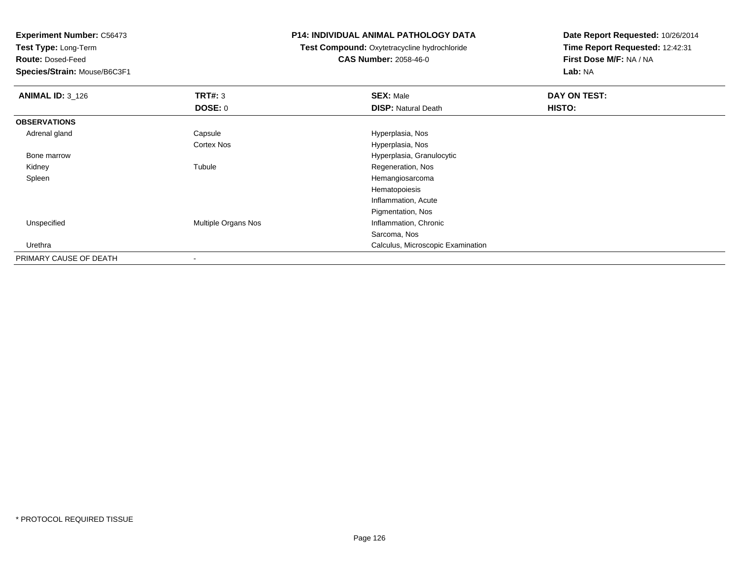**Test Type:** Long-Term

**Route:** Dosed-Feed

**Species/Strain:** Mouse/B6C3F1

### **P14: INDIVIDUAL ANIMAL PATHOLOGY DATA**

**Test Compound:** Oxytetracycline hydrochloride**CAS Number:** 2058-46-0

| <b>ANIMAL ID: 3_126</b> | TRT#: 3             | <b>SEX: Male</b>                  | DAY ON TEST: |  |
|-------------------------|---------------------|-----------------------------------|--------------|--|
|                         | <b>DOSE: 0</b>      | <b>DISP: Natural Death</b>        | HISTO:       |  |
| <b>OBSERVATIONS</b>     |                     |                                   |              |  |
| Adrenal gland           | Capsule             | Hyperplasia, Nos                  |              |  |
|                         | <b>Cortex Nos</b>   | Hyperplasia, Nos                  |              |  |
| Bone marrow             |                     | Hyperplasia, Granulocytic         |              |  |
| Kidney                  | Tubule              | Regeneration, Nos                 |              |  |
| Spleen                  |                     | Hemangiosarcoma                   |              |  |
|                         |                     | Hematopoiesis                     |              |  |
|                         |                     | Inflammation, Acute               |              |  |
|                         |                     | Pigmentation, Nos                 |              |  |
| Unspecified             | Multiple Organs Nos | Inflammation, Chronic             |              |  |
|                         |                     | Sarcoma, Nos                      |              |  |
| Urethra                 |                     | Calculus, Microscopic Examination |              |  |
| PRIMARY CAUSE OF DEATH  |                     |                                   |              |  |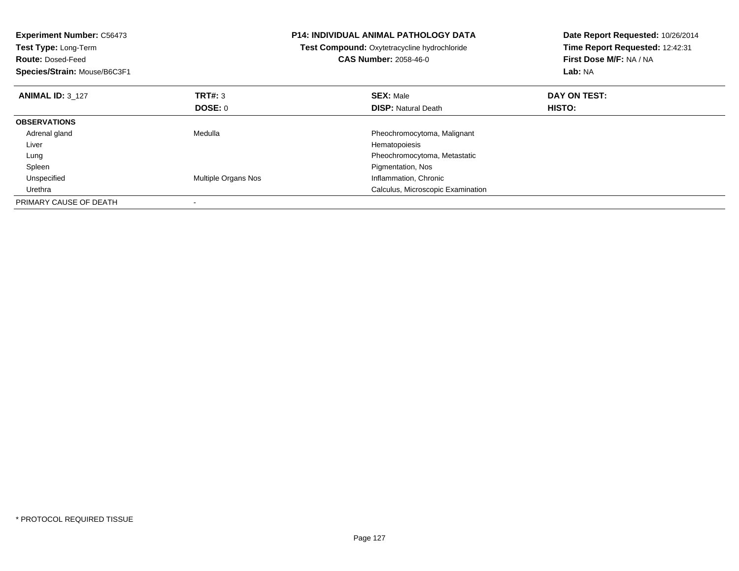| <b>Experiment Number: C56473</b><br><b>Test Type: Long-Term</b><br><b>Route: Dosed-Feed</b><br>Species/Strain: Mouse/B6C3F1 |                     | <b>P14: INDIVIDUAL ANIMAL PATHOLOGY DATA</b><br>Test Compound: Oxytetracycline hydrochloride<br><b>CAS Number: 2058-46-0</b> | Date Report Requested: 10/26/2014<br>Time Report Requested: 12:42:31<br>First Dose M/F: NA / NA<br>Lab: NA |
|-----------------------------------------------------------------------------------------------------------------------------|---------------------|------------------------------------------------------------------------------------------------------------------------------|------------------------------------------------------------------------------------------------------------|
| <b>ANIMAL ID: 3 127</b>                                                                                                     | TRT#: 3             | <b>SEX: Male</b>                                                                                                             | DAY ON TEST:                                                                                               |
|                                                                                                                             | DOSE: 0             | <b>DISP: Natural Death</b>                                                                                                   | <b>HISTO:</b>                                                                                              |
| <b>OBSERVATIONS</b>                                                                                                         |                     |                                                                                                                              |                                                                                                            |
| Adrenal gland                                                                                                               | Medulla             | Pheochromocytoma, Malignant                                                                                                  |                                                                                                            |
| Liver                                                                                                                       |                     | Hematopoiesis                                                                                                                |                                                                                                            |
| Lung                                                                                                                        |                     | Pheochromocytoma, Metastatic                                                                                                 |                                                                                                            |
| Spleen                                                                                                                      |                     | Pigmentation, Nos                                                                                                            |                                                                                                            |
| Unspecified                                                                                                                 | Multiple Organs Nos | Inflammation, Chronic                                                                                                        |                                                                                                            |
| Urethra                                                                                                                     |                     | Calculus, Microscopic Examination                                                                                            |                                                                                                            |
| PRIMARY CAUSE OF DEATH                                                                                                      |                     |                                                                                                                              |                                                                                                            |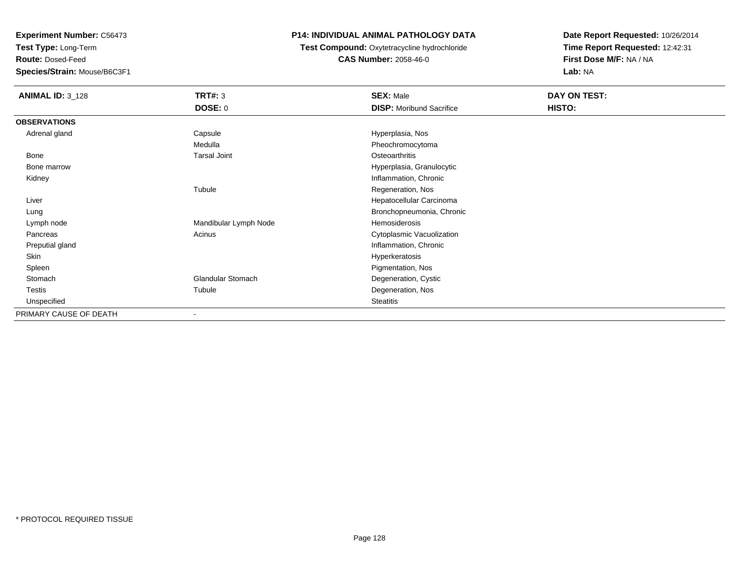**Test Type:** Long-Term

**Route:** Dosed-Feed

**Species/Strain:** Mouse/B6C3F1

# **P14: INDIVIDUAL ANIMAL PATHOLOGY DATA**

 **Test Compound:** Oxytetracycline hydrochloride**CAS Number:** 2058-46-0

| <b>ANIMAL ID: 3_128</b> | TRT#: 3                  | <b>SEX: Male</b>                | DAY ON TEST: |
|-------------------------|--------------------------|---------------------------------|--------------|
|                         | <b>DOSE: 0</b>           | <b>DISP:</b> Moribund Sacrifice | HISTO:       |
| <b>OBSERVATIONS</b>     |                          |                                 |              |
| Adrenal gland           | Capsule                  | Hyperplasia, Nos                |              |
|                         | Medulla                  | Pheochromocytoma                |              |
| Bone                    | <b>Tarsal Joint</b>      | Osteoarthritis                  |              |
| Bone marrow             |                          | Hyperplasia, Granulocytic       |              |
| Kidney                  |                          | Inflammation, Chronic           |              |
|                         | Tubule                   | Regeneration, Nos               |              |
| Liver                   |                          | Hepatocellular Carcinoma        |              |
| Lung                    |                          | Bronchopneumonia, Chronic       |              |
| Lymph node              | Mandibular Lymph Node    | Hemosiderosis                   |              |
| Pancreas                | Acinus                   | Cytoplasmic Vacuolization       |              |
| Preputial gland         |                          | Inflammation, Chronic           |              |
| Skin                    |                          | Hyperkeratosis                  |              |
| Spleen                  |                          | Pigmentation, Nos               |              |
| Stomach                 | <b>Glandular Stomach</b> | Degeneration, Cystic            |              |
| Testis                  | Tubule                   | Degeneration, Nos               |              |
| Unspecified             |                          | <b>Steatitis</b>                |              |
| PRIMARY CAUSE OF DEATH  | $\blacksquare$           |                                 |              |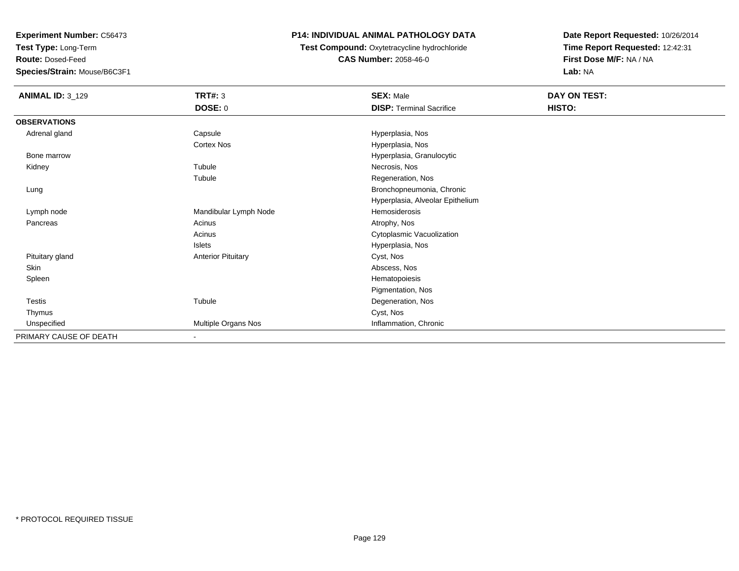**Test Type:** Long-Term

**Route:** Dosed-Feed

**Species/Strain:** Mouse/B6C3F1

# **P14: INDIVIDUAL ANIMAL PATHOLOGY DATA**

**Test Compound:** Oxytetracycline hydrochloride**CAS Number:** 2058-46-0

| <b>ANIMAL ID: 3_129</b> | <b>TRT#: 3</b>            | <b>SEX: Male</b>                 | <b>DAY ON TEST:</b> |  |
|-------------------------|---------------------------|----------------------------------|---------------------|--|
|                         | DOSE: 0                   | <b>DISP: Terminal Sacrifice</b>  | HISTO:              |  |
| <b>OBSERVATIONS</b>     |                           |                                  |                     |  |
| Adrenal gland           | Capsule                   | Hyperplasia, Nos                 |                     |  |
|                         | Cortex Nos                | Hyperplasia, Nos                 |                     |  |
| Bone marrow             |                           | Hyperplasia, Granulocytic        |                     |  |
| Kidney                  | Tubule                    | Necrosis, Nos                    |                     |  |
|                         | Tubule                    | Regeneration, Nos                |                     |  |
| Lung                    |                           | Bronchopneumonia, Chronic        |                     |  |
|                         |                           | Hyperplasia, Alveolar Epithelium |                     |  |
| Lymph node              | Mandibular Lymph Node     | Hemosiderosis                    |                     |  |
| Pancreas                | Acinus                    | Atrophy, Nos                     |                     |  |
|                         | Acinus                    | Cytoplasmic Vacuolization        |                     |  |
|                         | Islets                    | Hyperplasia, Nos                 |                     |  |
| Pituitary gland         | <b>Anterior Pituitary</b> | Cyst, Nos                        |                     |  |
| Skin                    |                           | Abscess, Nos                     |                     |  |
| Spleen                  |                           | Hematopoiesis                    |                     |  |
|                         |                           | Pigmentation, Nos                |                     |  |
| Testis                  | Tubule                    | Degeneration, Nos                |                     |  |
| Thymus                  |                           | Cyst, Nos                        |                     |  |
| Unspecified             | Multiple Organs Nos       | Inflammation, Chronic            |                     |  |
| PRIMARY CAUSE OF DEATH  | ٠                         |                                  |                     |  |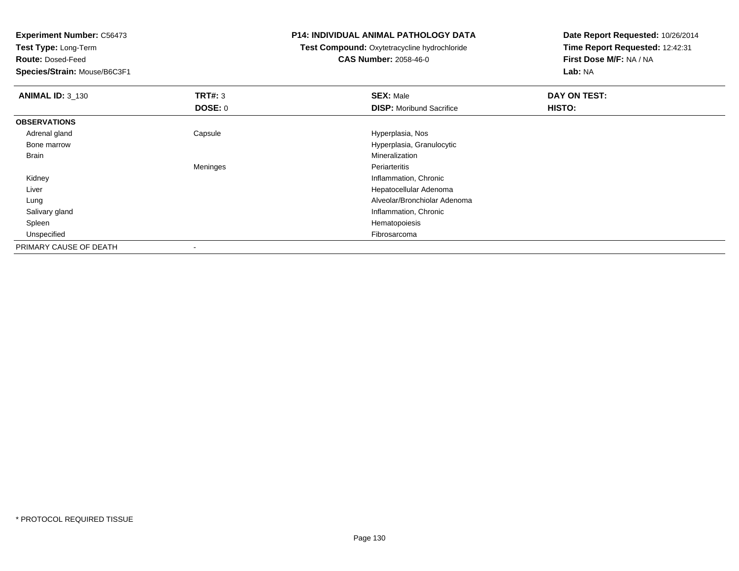**Test Type:** Long-Term

**Route:** Dosed-Feed

**Species/Strain:** Mouse/B6C3F1

### **P14: INDIVIDUAL ANIMAL PATHOLOGY DATA**

 **Test Compound:** Oxytetracycline hydrochloride**CAS Number:** 2058-46-0

| <b>ANIMAL ID: 3_130</b> | TRT#: 3        | <b>SEX: Male</b>                | DAY ON TEST: |
|-------------------------|----------------|---------------------------------|--------------|
|                         | <b>DOSE: 0</b> | <b>DISP:</b> Moribund Sacrifice | HISTO:       |
| <b>OBSERVATIONS</b>     |                |                                 |              |
| Adrenal gland           | Capsule        | Hyperplasia, Nos                |              |
| Bone marrow             |                | Hyperplasia, Granulocytic       |              |
| Brain                   |                | Mineralization                  |              |
|                         | Meninges       | Periarteritis                   |              |
| Kidney                  |                | Inflammation, Chronic           |              |
| Liver                   |                | Hepatocellular Adenoma          |              |
| Lung                    |                | Alveolar/Bronchiolar Adenoma    |              |
| Salivary gland          |                | Inflammation, Chronic           |              |
| Spleen                  |                | Hematopoiesis                   |              |
| Unspecified             |                | Fibrosarcoma                    |              |
| PRIMARY CAUSE OF DEATH  |                |                                 |              |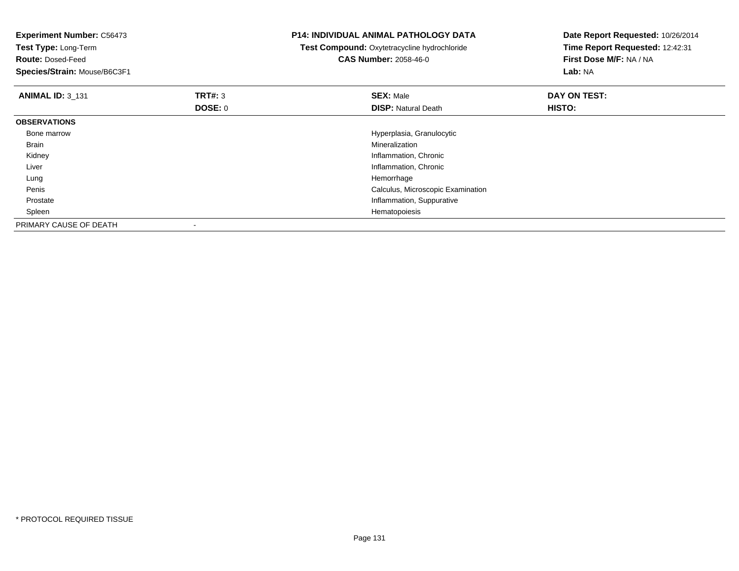| <b>Experiment Number: C56473</b><br>Test Type: Long-Term |                | <b>P14: INDIVIDUAL ANIMAL PATHOLOGY DATA</b><br>Test Compound: Oxytetracycline hydrochloride | Date Report Requested: 10/26/2014<br>Time Report Requested: 12:42:31 |  |
|----------------------------------------------------------|----------------|----------------------------------------------------------------------------------------------|----------------------------------------------------------------------|--|
| <b>Route: Dosed-Feed</b>                                 |                | <b>CAS Number: 2058-46-0</b>                                                                 | First Dose M/F: NA / NA                                              |  |
| Species/Strain: Mouse/B6C3F1                             |                |                                                                                              | Lab: NA                                                              |  |
| <b>ANIMAL ID: 3 131</b>                                  | <b>TRT#:</b> 3 | <b>SEX: Male</b>                                                                             | DAY ON TEST:                                                         |  |
|                                                          | DOSE: 0        | <b>DISP: Natural Death</b>                                                                   | HISTO:                                                               |  |
| <b>OBSERVATIONS</b>                                      |                |                                                                                              |                                                                      |  |
| Bone marrow                                              |                | Hyperplasia, Granulocytic                                                                    |                                                                      |  |
| Brain                                                    |                | Mineralization                                                                               |                                                                      |  |
| Kidney                                                   |                | Inflammation, Chronic                                                                        |                                                                      |  |
| Liver                                                    |                | Inflammation, Chronic                                                                        |                                                                      |  |
| Lung                                                     |                | Hemorrhage                                                                                   |                                                                      |  |
| Penis                                                    |                | Calculus, Microscopic Examination                                                            |                                                                      |  |
| Prostate                                                 |                | Inflammation, Suppurative                                                                    |                                                                      |  |
| Spleen                                                   |                | Hematopoiesis                                                                                |                                                                      |  |
| PRIMARY CAUSE OF DEATH                                   |                |                                                                                              |                                                                      |  |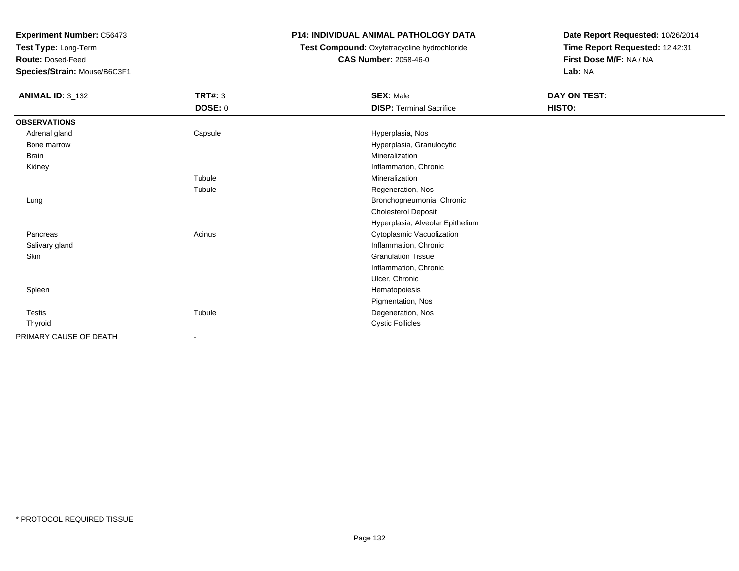**Test Type:** Long-Term

**Route:** Dosed-Feed

**Species/Strain:** Mouse/B6C3F1

# **P14: INDIVIDUAL ANIMAL PATHOLOGY DATA**

**Test Compound:** Oxytetracycline hydrochloride**CAS Number:** 2058-46-0

| <b>ANIMAL ID: 3_132</b> | <b>TRT#: 3</b> | <b>SEX: Male</b>                 | <b>DAY ON TEST:</b> |  |
|-------------------------|----------------|----------------------------------|---------------------|--|
|                         | DOSE: 0        | <b>DISP: Terminal Sacrifice</b>  | HISTO:              |  |
| <b>OBSERVATIONS</b>     |                |                                  |                     |  |
| Adrenal gland           | Capsule        | Hyperplasia, Nos                 |                     |  |
| Bone marrow             |                | Hyperplasia, Granulocytic        |                     |  |
| Brain                   |                | Mineralization                   |                     |  |
| Kidney                  |                | Inflammation, Chronic            |                     |  |
|                         | Tubule         | Mineralization                   |                     |  |
|                         | Tubule         | Regeneration, Nos                |                     |  |
| Lung                    |                | Bronchopneumonia, Chronic        |                     |  |
|                         |                | <b>Cholesterol Deposit</b>       |                     |  |
|                         |                | Hyperplasia, Alveolar Epithelium |                     |  |
| Pancreas                | Acinus         | Cytoplasmic Vacuolization        |                     |  |
| Salivary gland          |                | Inflammation, Chronic            |                     |  |
| Skin                    |                | <b>Granulation Tissue</b>        |                     |  |
|                         |                | Inflammation, Chronic            |                     |  |
|                         |                | Ulcer, Chronic                   |                     |  |
| Spleen                  |                | Hematopoiesis                    |                     |  |
|                         |                | Pigmentation, Nos                |                     |  |
| Testis                  | Tubule         | Degeneration, Nos                |                     |  |
| Thyroid                 |                | <b>Cystic Follicles</b>          |                     |  |
| PRIMARY CAUSE OF DEATH  |                |                                  |                     |  |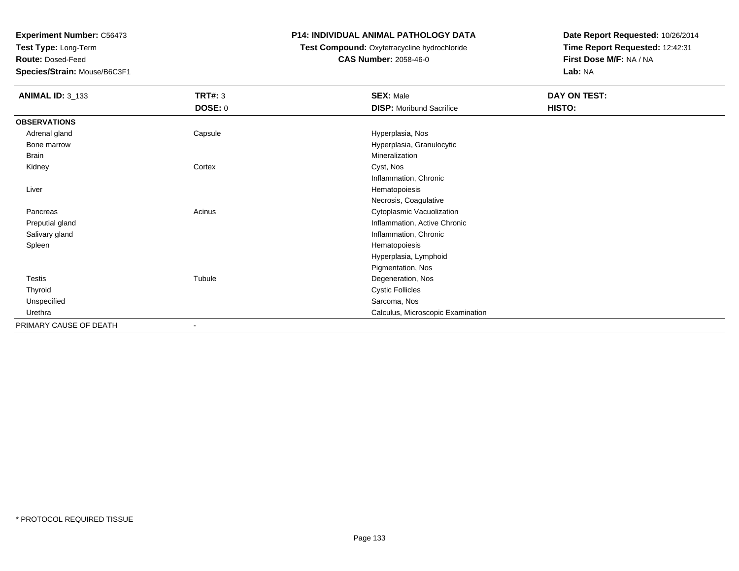**Test Type:** Long-Term

**Route:** Dosed-Feed

**Species/Strain:** Mouse/B6C3F1

# **P14: INDIVIDUAL ANIMAL PATHOLOGY DATA**

**Test Compound:** Oxytetracycline hydrochloride**CAS Number:** 2058-46-0

| <b>ANIMAL ID: 3_133</b> | <b>TRT#: 3</b> | <b>SEX: Male</b>                  | DAY ON TEST: |  |
|-------------------------|----------------|-----------------------------------|--------------|--|
|                         | <b>DOSE: 0</b> | <b>DISP:</b> Moribund Sacrifice   | HISTO:       |  |
| <b>OBSERVATIONS</b>     |                |                                   |              |  |
| Adrenal gland           | Capsule        | Hyperplasia, Nos                  |              |  |
| Bone marrow             |                | Hyperplasia, Granulocytic         |              |  |
| <b>Brain</b>            |                | Mineralization                    |              |  |
| Kidney                  | Cortex         | Cyst, Nos                         |              |  |
|                         |                | Inflammation, Chronic             |              |  |
| Liver                   |                | Hematopoiesis                     |              |  |
|                         |                | Necrosis, Coagulative             |              |  |
| Pancreas                | Acinus         | Cytoplasmic Vacuolization         |              |  |
| Preputial gland         |                | Inflammation, Active Chronic      |              |  |
| Salivary gland          |                | Inflammation, Chronic             |              |  |
| Spleen                  |                | Hematopoiesis                     |              |  |
|                         |                | Hyperplasia, Lymphoid             |              |  |
|                         |                | Pigmentation, Nos                 |              |  |
| Testis                  | Tubule         | Degeneration, Nos                 |              |  |
| Thyroid                 |                | <b>Cystic Follicles</b>           |              |  |
| Unspecified             |                | Sarcoma, Nos                      |              |  |
| Urethra                 |                | Calculus, Microscopic Examination |              |  |
| PRIMARY CAUSE OF DEATH  | ۰              |                                   |              |  |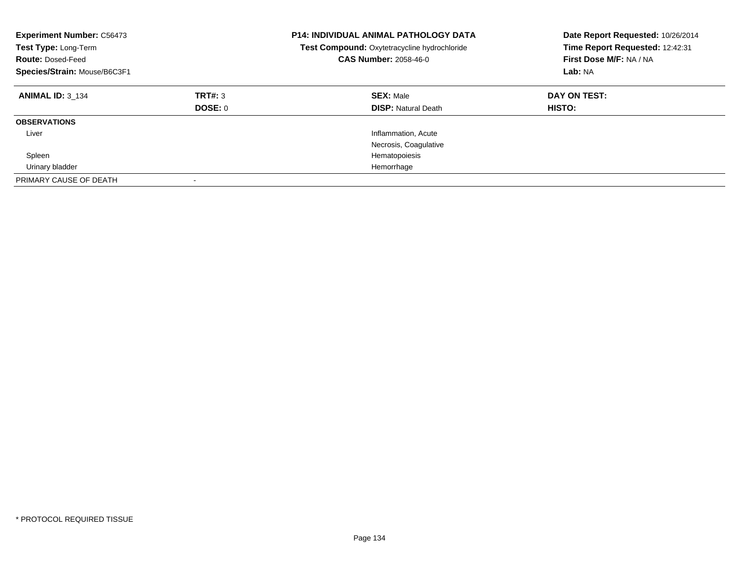| <b>Experiment Number: C56473</b><br>Test Type: Long-Term<br><b>Route: Dosed-Feed</b><br>Species/Strain: Mouse/B6C3F1 |                           | <b>P14: INDIVIDUAL ANIMAL PATHOLOGY DATA</b><br>Test Compound: Oxytetracycline hydrochloride<br><b>CAS Number: 2058-46-0</b> | Date Report Requested: 10/26/2014<br>Time Report Requested: 12:42:31<br>First Dose M/F: NA / NA<br>Lab: NA |
|----------------------------------------------------------------------------------------------------------------------|---------------------------|------------------------------------------------------------------------------------------------------------------------------|------------------------------------------------------------------------------------------------------------|
| <b>ANIMAL ID: 3 134</b>                                                                                              | TRT#: 3<br><b>DOSE: 0</b> | <b>SEX: Male</b><br><b>DISP:</b> Natural Death                                                                               | DAY ON TEST:<br>HISTO:                                                                                     |
| <b>OBSERVATIONS</b>                                                                                                  |                           |                                                                                                                              |                                                                                                            |
| Liver                                                                                                                |                           | Inflammation, Acute                                                                                                          |                                                                                                            |
|                                                                                                                      |                           | Necrosis, Coagulative                                                                                                        |                                                                                                            |
| Spleen                                                                                                               |                           | Hematopoiesis                                                                                                                |                                                                                                            |
| Urinary bladder                                                                                                      |                           | Hemorrhage                                                                                                                   |                                                                                                            |
| PRIMARY CAUSE OF DEATH                                                                                               |                           |                                                                                                                              |                                                                                                            |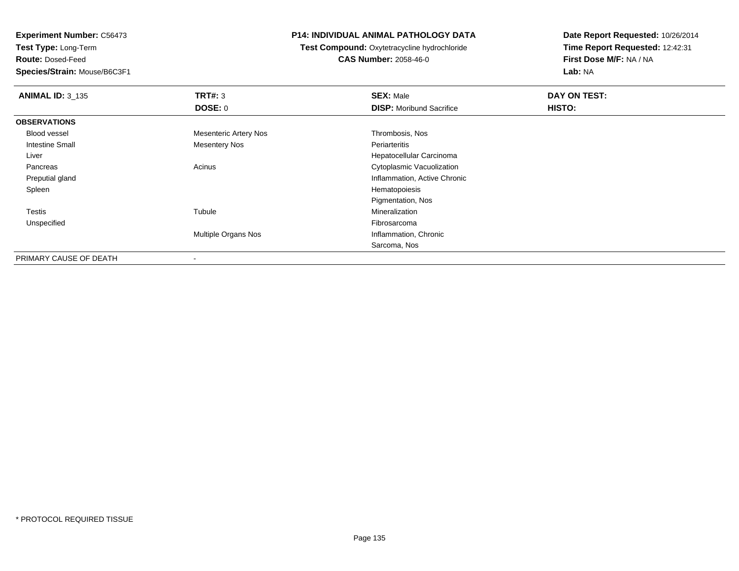**Test Type:** Long-Term

**Route:** Dosed-Feed

**Species/Strain:** Mouse/B6C3F1

# **P14: INDIVIDUAL ANIMAL PATHOLOGY DATA**

**Test Compound:** Oxytetracycline hydrochloride**CAS Number:** 2058-46-0

| <b>ANIMAL ID: 3_135</b> | TRT#: 3                      | <b>SEX: Male</b>                | DAY ON TEST: |  |
|-------------------------|------------------------------|---------------------------------|--------------|--|
|                         | DOSE: 0                      | <b>DISP:</b> Moribund Sacrifice | HISTO:       |  |
| <b>OBSERVATIONS</b>     |                              |                                 |              |  |
| <b>Blood vessel</b>     | <b>Mesenteric Artery Nos</b> | Thrombosis, Nos                 |              |  |
| <b>Intestine Small</b>  | <b>Mesentery Nos</b>         | Periarteritis                   |              |  |
| Liver                   |                              | Hepatocellular Carcinoma        |              |  |
| Pancreas                | Acinus                       | Cytoplasmic Vacuolization       |              |  |
| Preputial gland         |                              | Inflammation, Active Chronic    |              |  |
| Spleen                  |                              | Hematopoiesis                   |              |  |
|                         |                              | Pigmentation, Nos               |              |  |
| Testis                  | Tubule                       | Mineralization                  |              |  |
| Unspecified             |                              | Fibrosarcoma                    |              |  |
|                         | Multiple Organs Nos          | Inflammation, Chronic           |              |  |
|                         |                              | Sarcoma, Nos                    |              |  |
| PRIMARY CAUSE OF DEATH  | $\,$                         |                                 |              |  |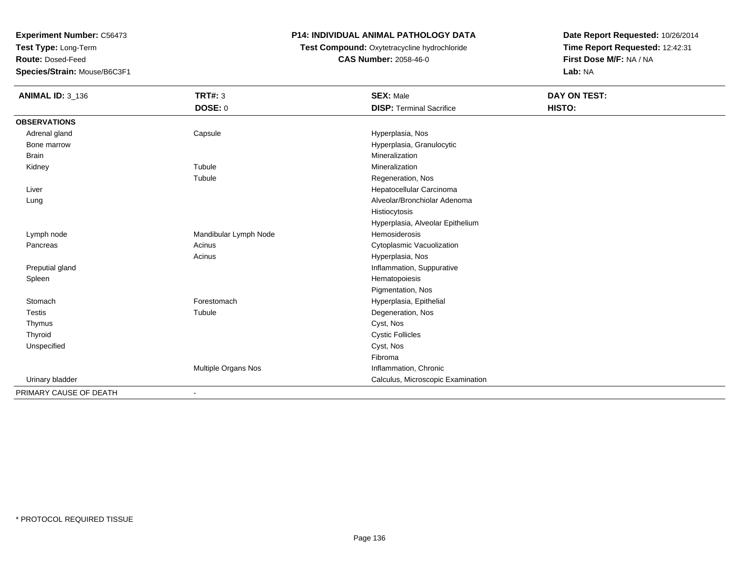**Test Type:** Long-Term

**Route:** Dosed-Feed

**Species/Strain:** Mouse/B6C3F1

# **P14: INDIVIDUAL ANIMAL PATHOLOGY DATA**

**Test Compound:** Oxytetracycline hydrochloride**CAS Number:** 2058-46-0

| <b>ANIMAL ID: 3_136</b> | <b>TRT#: 3</b>        | <b>SEX: Male</b>                  | DAY ON TEST: |  |
|-------------------------|-----------------------|-----------------------------------|--------------|--|
|                         | <b>DOSE: 0</b>        | <b>DISP: Terminal Sacrifice</b>   | HISTO:       |  |
| <b>OBSERVATIONS</b>     |                       |                                   |              |  |
| Adrenal gland           | Capsule               | Hyperplasia, Nos                  |              |  |
| Bone marrow             |                       | Hyperplasia, Granulocytic         |              |  |
| <b>Brain</b>            |                       | Mineralization                    |              |  |
| Kidney                  | Tubule                | Mineralization                    |              |  |
|                         | Tubule                | Regeneration, Nos                 |              |  |
| Liver                   |                       | Hepatocellular Carcinoma          |              |  |
| Lung                    |                       | Alveolar/Bronchiolar Adenoma      |              |  |
|                         |                       | Histiocytosis                     |              |  |
|                         |                       | Hyperplasia, Alveolar Epithelium  |              |  |
| Lymph node              | Mandibular Lymph Node | Hemosiderosis                     |              |  |
| Pancreas                | Acinus                | Cytoplasmic Vacuolization         |              |  |
|                         | Acinus                | Hyperplasia, Nos                  |              |  |
| Preputial gland         |                       | Inflammation, Suppurative         |              |  |
| Spleen                  |                       | Hematopoiesis                     |              |  |
|                         |                       | Pigmentation, Nos                 |              |  |
| Stomach                 | Forestomach           | Hyperplasia, Epithelial           |              |  |
| <b>Testis</b>           | Tubule                | Degeneration, Nos                 |              |  |
| Thymus                  |                       | Cyst, Nos                         |              |  |
| Thyroid                 |                       | <b>Cystic Follicles</b>           |              |  |
| Unspecified             |                       | Cyst, Nos                         |              |  |
|                         |                       | Fibroma                           |              |  |
|                         | Multiple Organs Nos   | Inflammation, Chronic             |              |  |
| Urinary bladder         |                       | Calculus, Microscopic Examination |              |  |
| PRIMARY CAUSE OF DEATH  |                       |                                   |              |  |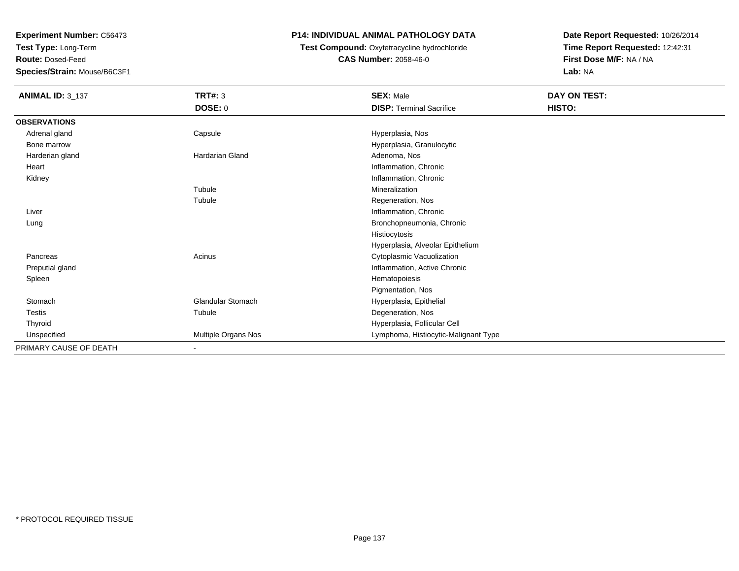**Test Type:** Long-Term

**Route:** Dosed-Feed

**Species/Strain:** Mouse/B6C3F1

# **P14: INDIVIDUAL ANIMAL PATHOLOGY DATA**

 **Test Compound:** Oxytetracycline hydrochloride**CAS Number:** 2058-46-0

| <b>ANIMAL ID: 3_137</b> | <b>TRT#: 3</b>         | <b>SEX: Male</b>                     | DAY ON TEST: |  |
|-------------------------|------------------------|--------------------------------------|--------------|--|
|                         | <b>DOSE: 0</b>         | <b>DISP: Terminal Sacrifice</b>      | HISTO:       |  |
| <b>OBSERVATIONS</b>     |                        |                                      |              |  |
| Adrenal gland           | Capsule                | Hyperplasia, Nos                     |              |  |
| Bone marrow             |                        | Hyperplasia, Granulocytic            |              |  |
| Harderian gland         | <b>Hardarian Gland</b> | Adenoma, Nos                         |              |  |
| Heart                   |                        | Inflammation, Chronic                |              |  |
| Kidney                  |                        | Inflammation, Chronic                |              |  |
|                         | Tubule                 | Mineralization                       |              |  |
|                         | Tubule                 | Regeneration, Nos                    |              |  |
| Liver                   |                        | Inflammation, Chronic                |              |  |
| Lung                    |                        | Bronchopneumonia, Chronic            |              |  |
|                         |                        | Histiocytosis                        |              |  |
|                         |                        | Hyperplasia, Alveolar Epithelium     |              |  |
| Pancreas                | Acinus                 | Cytoplasmic Vacuolization            |              |  |
| Preputial gland         |                        | Inflammation, Active Chronic         |              |  |
| Spleen                  |                        | Hematopoiesis                        |              |  |
|                         |                        | Pigmentation, Nos                    |              |  |
| Stomach                 | Glandular Stomach      | Hyperplasia, Epithelial              |              |  |
| Testis                  | Tubule                 | Degeneration, Nos                    |              |  |
| Thyroid                 |                        | Hyperplasia, Follicular Cell         |              |  |
| Unspecified             | Multiple Organs Nos    | Lymphoma, Histiocytic-Malignant Type |              |  |
| PRIMARY CAUSE OF DEATH  | $\blacksquare$         |                                      |              |  |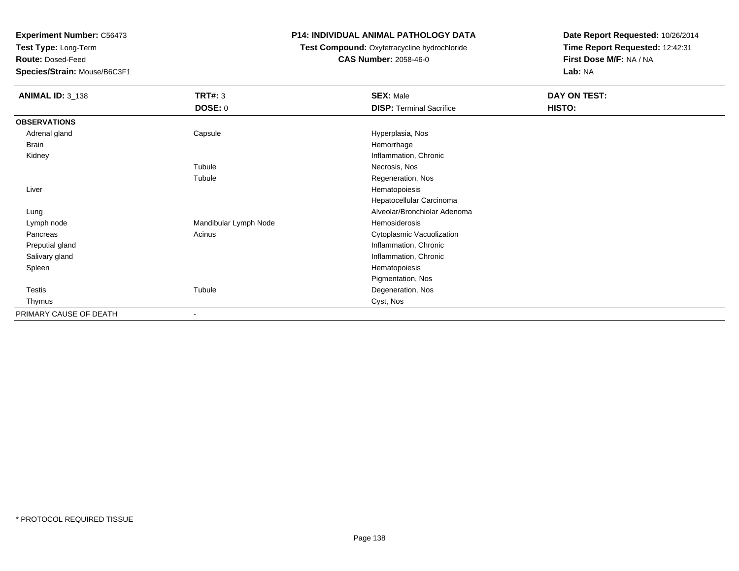**Test Type:** Long-Term

**Route:** Dosed-Feed

**Species/Strain:** Mouse/B6C3F1

# **P14: INDIVIDUAL ANIMAL PATHOLOGY DATA**

**Test Compound:** Oxytetracycline hydrochloride**CAS Number:** 2058-46-0

| <b>ANIMAL ID: 3_138</b> | <b>TRT#: 3</b>        | <b>SEX: Male</b>                | DAY ON TEST: |
|-------------------------|-----------------------|---------------------------------|--------------|
|                         | <b>DOSE: 0</b>        | <b>DISP: Terminal Sacrifice</b> | HISTO:       |
| <b>OBSERVATIONS</b>     |                       |                                 |              |
| Adrenal gland           | Capsule               | Hyperplasia, Nos                |              |
| Brain                   |                       | Hemorrhage                      |              |
| Kidney                  |                       | Inflammation, Chronic           |              |
|                         | Tubule                | Necrosis, Nos                   |              |
|                         | Tubule                | Regeneration, Nos               |              |
| Liver                   |                       | Hematopoiesis                   |              |
|                         |                       | Hepatocellular Carcinoma        |              |
| Lung                    |                       | Alveolar/Bronchiolar Adenoma    |              |
| Lymph node              | Mandibular Lymph Node | Hemosiderosis                   |              |
| Pancreas                | Acinus                | Cytoplasmic Vacuolization       |              |
| Preputial gland         |                       | Inflammation, Chronic           |              |
| Salivary gland          |                       | Inflammation, Chronic           |              |
| Spleen                  |                       | Hematopoiesis                   |              |
|                         |                       | Pigmentation, Nos               |              |
| Testis                  | Tubule                | Degeneration, Nos               |              |
| Thymus                  |                       | Cyst, Nos                       |              |
| PRIMARY CAUSE OF DEATH  | ۰                     |                                 |              |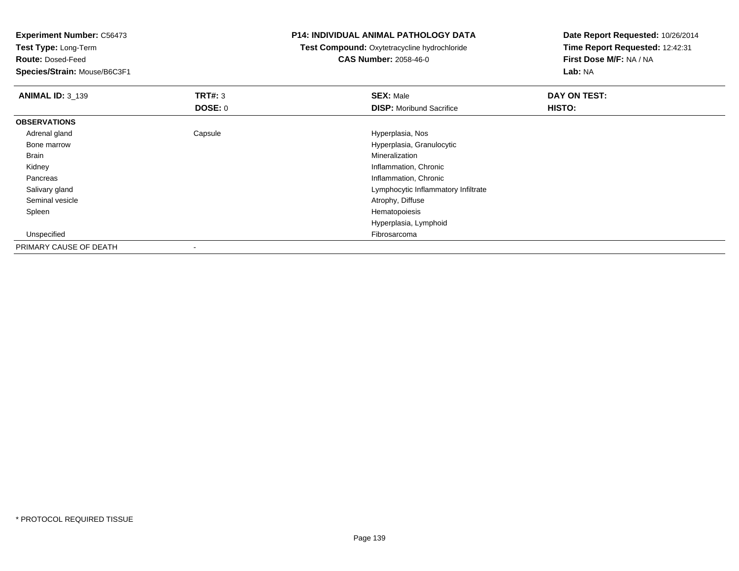**Experiment Number:** C56473**Test Type:** Long-Term

**Route:** Dosed-Feed

**Species/Strain:** Mouse/B6C3F1

### **P14: INDIVIDUAL ANIMAL PATHOLOGY DATA**

 **Test Compound:** Oxytetracycline hydrochloride**CAS Number:** 2058-46-0

| <b>ANIMAL ID: 3_139</b> | TRT#: 3                  | <b>SEX: Male</b>                    | DAY ON TEST: |
|-------------------------|--------------------------|-------------------------------------|--------------|
|                         | <b>DOSE: 0</b>           | <b>DISP:</b> Moribund Sacrifice     | HISTO:       |
| <b>OBSERVATIONS</b>     |                          |                                     |              |
| Adrenal gland           | Capsule                  | Hyperplasia, Nos                    |              |
| Bone marrow             |                          | Hyperplasia, Granulocytic           |              |
| <b>Brain</b>            |                          | Mineralization                      |              |
| Kidney                  |                          | Inflammation, Chronic               |              |
| Pancreas                |                          | Inflammation, Chronic               |              |
| Salivary gland          |                          | Lymphocytic Inflammatory Infiltrate |              |
| Seminal vesicle         |                          | Atrophy, Diffuse                    |              |
| Spleen                  |                          | Hematopoiesis                       |              |
|                         |                          | Hyperplasia, Lymphoid               |              |
| Unspecified             |                          | Fibrosarcoma                        |              |
| PRIMARY CAUSE OF DEATH  | $\overline{\phantom{a}}$ |                                     |              |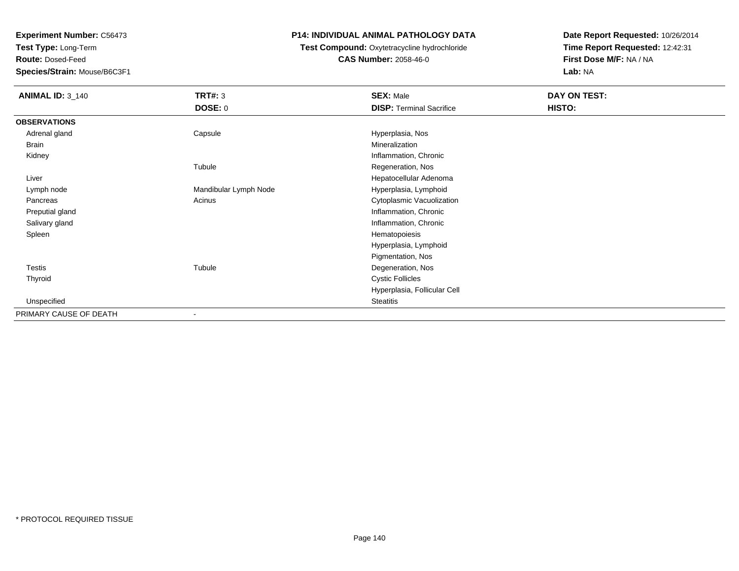**Test Type:** Long-Term

**Route:** Dosed-Feed

**Species/Strain:** Mouse/B6C3F1

# **P14: INDIVIDUAL ANIMAL PATHOLOGY DATA**

 **Test Compound:** Oxytetracycline hydrochloride**CAS Number:** 2058-46-0

| <b>ANIMAL ID: 3_140</b> | <b>TRT#: 3</b>        | <b>SEX: Male</b>                | DAY ON TEST: |
|-------------------------|-----------------------|---------------------------------|--------------|
|                         | <b>DOSE: 0</b>        | <b>DISP: Terminal Sacrifice</b> | HISTO:       |
| <b>OBSERVATIONS</b>     |                       |                                 |              |
| Adrenal gland           | Capsule               | Hyperplasia, Nos                |              |
| <b>Brain</b>            |                       | Mineralization                  |              |
| Kidney                  |                       | Inflammation, Chronic           |              |
|                         | Tubule                | Regeneration, Nos               |              |
| Liver                   |                       | Hepatocellular Adenoma          |              |
| Lymph node              | Mandibular Lymph Node | Hyperplasia, Lymphoid           |              |
| Pancreas                | Acinus                | Cytoplasmic Vacuolization       |              |
| Preputial gland         |                       | Inflammation, Chronic           |              |
| Salivary gland          |                       | Inflammation, Chronic           |              |
| Spleen                  |                       | Hematopoiesis                   |              |
|                         |                       | Hyperplasia, Lymphoid           |              |
|                         |                       | Pigmentation, Nos               |              |
| Testis                  | Tubule                | Degeneration, Nos               |              |
| Thyroid                 |                       | <b>Cystic Follicles</b>         |              |
|                         |                       | Hyperplasia, Follicular Cell    |              |
| Unspecified             |                       | <b>Steatitis</b>                |              |
| PRIMARY CAUSE OF DEATH  |                       |                                 |              |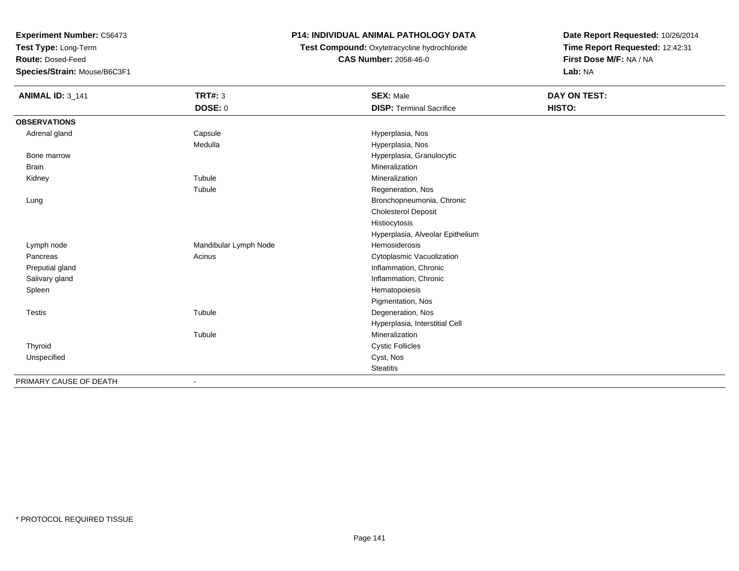**Test Type:** Long-Term

**Route:** Dosed-Feed

**Species/Strain:** Mouse/B6C3F1

# **P14: INDIVIDUAL ANIMAL PATHOLOGY DATA**

**Test Compound:** Oxytetracycline hydrochloride**CAS Number:** 2058-46-0

| <b>ANIMAL ID: 3_141</b> | <b>TRT#: 3</b>        | <b>SEX: Male</b>                 | <b>DAY ON TEST:</b> |  |
|-------------------------|-----------------------|----------------------------------|---------------------|--|
|                         | DOSE: 0               | <b>DISP: Terminal Sacrifice</b>  | HISTO:              |  |
| <b>OBSERVATIONS</b>     |                       |                                  |                     |  |
| Adrenal gland           | Capsule               | Hyperplasia, Nos                 |                     |  |
|                         | Medulla               | Hyperplasia, Nos                 |                     |  |
| Bone marrow             |                       | Hyperplasia, Granulocytic        |                     |  |
| <b>Brain</b>            |                       | Mineralization                   |                     |  |
| Kidney                  | Tubule                | Mineralization                   |                     |  |
|                         | Tubule                | Regeneration, Nos                |                     |  |
| Lung                    |                       | Bronchopneumonia, Chronic        |                     |  |
|                         |                       | <b>Cholesterol Deposit</b>       |                     |  |
|                         |                       | Histiocytosis                    |                     |  |
|                         |                       | Hyperplasia, Alveolar Epithelium |                     |  |
| Lymph node              | Mandibular Lymph Node | <b>Hemosiderosis</b>             |                     |  |
| Pancreas                | Acinus                | Cytoplasmic Vacuolization        |                     |  |
| Preputial gland         |                       | Inflammation, Chronic            |                     |  |
| Salivary gland          |                       | Inflammation, Chronic            |                     |  |
| Spleen                  |                       | Hematopoiesis                    |                     |  |
|                         |                       | Pigmentation, Nos                |                     |  |
| <b>Testis</b>           | Tubule                | Degeneration, Nos                |                     |  |
|                         |                       | Hyperplasia, Interstitial Cell   |                     |  |
|                         | Tubule                | Mineralization                   |                     |  |
| Thyroid                 |                       | <b>Cystic Follicles</b>          |                     |  |
| Unspecified             |                       | Cyst, Nos                        |                     |  |
|                         |                       | <b>Steatitis</b>                 |                     |  |
| PRIMARY CAUSE OF DEATH  | ۰                     |                                  |                     |  |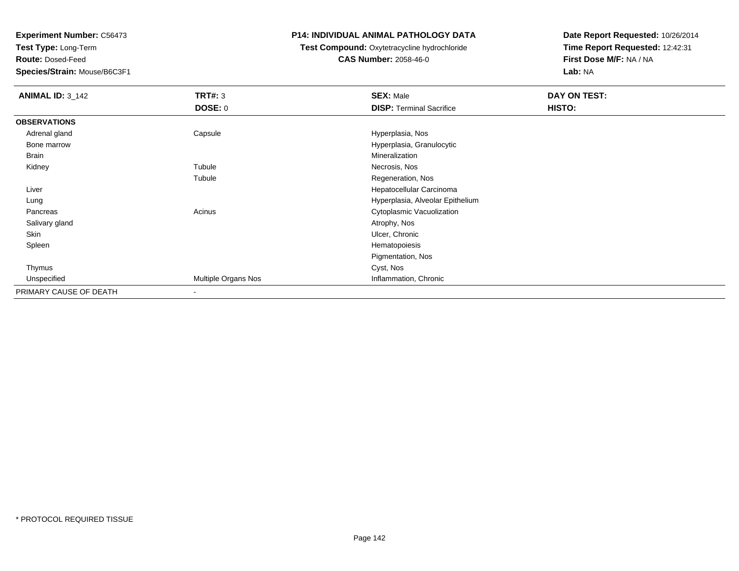**Test Type:** Long-Term

**Route:** Dosed-Feed

**Species/Strain:** Mouse/B6C3F1

# **P14: INDIVIDUAL ANIMAL PATHOLOGY DATA**

# **Test Compound:** Oxytetracycline hydrochloride**CAS Number:** 2058-46-0

| <b>ANIMAL ID: 3_142</b> | <b>TRT#: 3</b>           | <b>SEX: Male</b>                 | DAY ON TEST: |  |
|-------------------------|--------------------------|----------------------------------|--------------|--|
|                         | <b>DOSE: 0</b>           | <b>DISP: Terminal Sacrifice</b>  | HISTO:       |  |
| <b>OBSERVATIONS</b>     |                          |                                  |              |  |
| Adrenal gland           | Capsule                  | Hyperplasia, Nos                 |              |  |
| Bone marrow             |                          | Hyperplasia, Granulocytic        |              |  |
| <b>Brain</b>            |                          | Mineralization                   |              |  |
| Kidney                  | Tubule                   | Necrosis, Nos                    |              |  |
|                         | Tubule                   | Regeneration, Nos                |              |  |
| Liver                   |                          | Hepatocellular Carcinoma         |              |  |
| Lung                    |                          | Hyperplasia, Alveolar Epithelium |              |  |
| Pancreas                | Acinus                   | Cytoplasmic Vacuolization        |              |  |
| Salivary gland          |                          | Atrophy, Nos                     |              |  |
| Skin                    |                          | Ulcer, Chronic                   |              |  |
| Spleen                  |                          | Hematopoiesis                    |              |  |
|                         |                          | Pigmentation, Nos                |              |  |
| Thymus                  |                          | Cyst, Nos                        |              |  |
| Unspecified             | Multiple Organs Nos      | Inflammation, Chronic            |              |  |
| PRIMARY CAUSE OF DEATH  | $\overline{\phantom{a}}$ |                                  |              |  |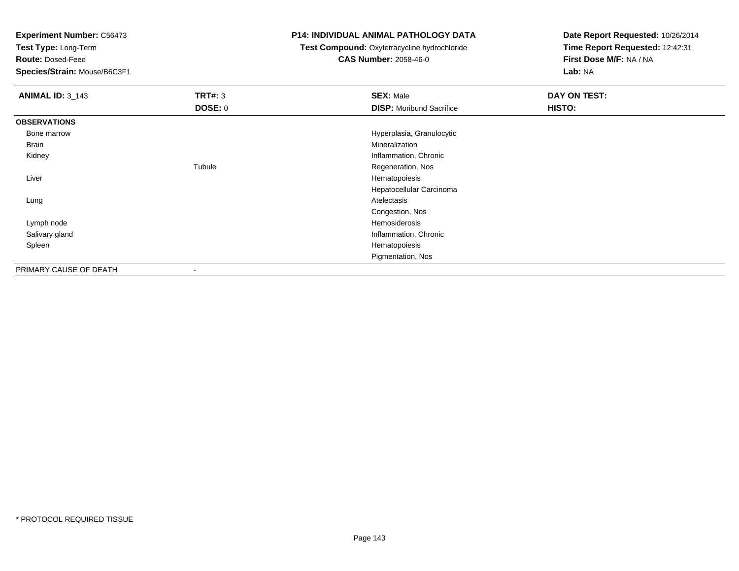**Test Type:** Long-Term

**Route:** Dosed-Feed

**Species/Strain:** Mouse/B6C3F1

# **P14: INDIVIDUAL ANIMAL PATHOLOGY DATA**

**Test Compound:** Oxytetracycline hydrochloride**CAS Number:** 2058-46-0

| <b>ANIMAL ID: 3_143</b> | TRT#: 3        | <b>SEX: Male</b>                | DAY ON TEST: |
|-------------------------|----------------|---------------------------------|--------------|
|                         | <b>DOSE: 0</b> | <b>DISP: Moribund Sacrifice</b> | HISTO:       |
| <b>OBSERVATIONS</b>     |                |                                 |              |
| Bone marrow             |                | Hyperplasia, Granulocytic       |              |
| Brain                   |                | Mineralization                  |              |
| Kidney                  |                | Inflammation, Chronic           |              |
|                         | Tubule         | Regeneration, Nos               |              |
| Liver                   |                | Hematopoiesis                   |              |
|                         |                | Hepatocellular Carcinoma        |              |
| Lung                    |                | Atelectasis                     |              |
|                         |                | Congestion, Nos                 |              |
| Lymph node              |                | Hemosiderosis                   |              |
| Salivary gland          |                | Inflammation, Chronic           |              |
| Spleen                  |                | Hematopoiesis                   |              |
|                         |                | Pigmentation, Nos               |              |
| PRIMARY CAUSE OF DEATH  |                |                                 |              |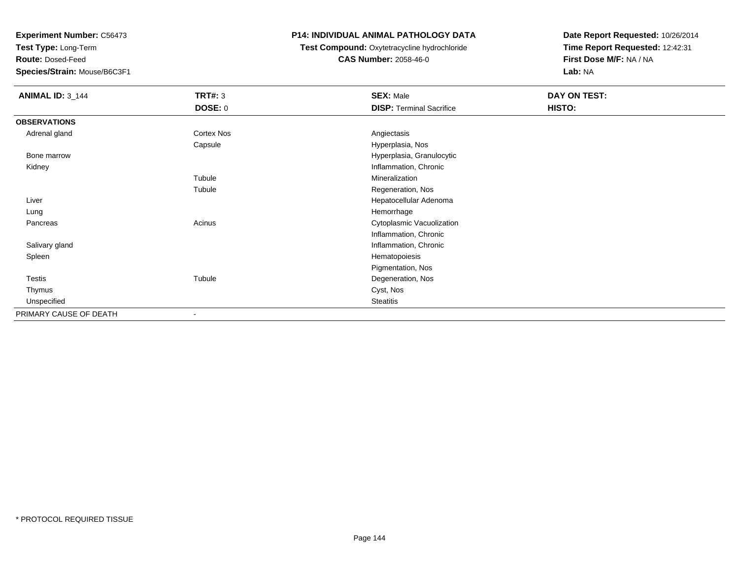**Test Type:** Long-Term

**Route:** Dosed-Feed

**Species/Strain:** Mouse/B6C3F1

# **P14: INDIVIDUAL ANIMAL PATHOLOGY DATA**

 **Test Compound:** Oxytetracycline hydrochloride**CAS Number:** 2058-46-0

| <b>ANIMAL ID: 3_144</b> | <b>TRT#: 3</b><br><b>DOSE: 0</b> | <b>SEX: Male</b><br><b>DISP: Terminal Sacrifice</b> | DAY ON TEST:<br>HISTO: |
|-------------------------|----------------------------------|-----------------------------------------------------|------------------------|
| <b>OBSERVATIONS</b>     |                                  |                                                     |                        |
| Adrenal gland           | Cortex Nos                       | Angiectasis                                         |                        |
|                         | Capsule                          | Hyperplasia, Nos                                    |                        |
| Bone marrow             |                                  | Hyperplasia, Granulocytic                           |                        |
| Kidney                  |                                  | Inflammation, Chronic                               |                        |
|                         | Tubule                           | Mineralization                                      |                        |
|                         | Tubule                           | Regeneration, Nos                                   |                        |
| Liver                   |                                  | Hepatocellular Adenoma                              |                        |
| Lung                    |                                  | Hemorrhage                                          |                        |
| Pancreas                | Acinus                           | Cytoplasmic Vacuolization                           |                        |
|                         |                                  | Inflammation, Chronic                               |                        |
| Salivary gland          |                                  | Inflammation, Chronic                               |                        |
| Spleen                  |                                  | Hematopoiesis                                       |                        |
|                         |                                  | Pigmentation, Nos                                   |                        |
| Testis                  | Tubule                           | Degeneration, Nos                                   |                        |
| Thymus                  |                                  | Cyst, Nos                                           |                        |
| Unspecified             |                                  | <b>Steatitis</b>                                    |                        |
| PRIMARY CAUSE OF DEATH  | $\overline{\phantom{a}}$         |                                                     |                        |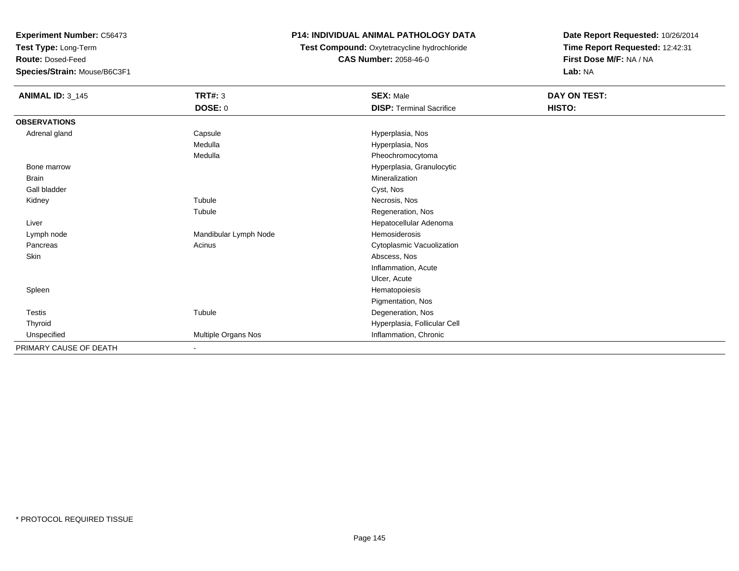**Test Type:** Long-Term

**Route:** Dosed-Feed

**Species/Strain:** Mouse/B6C3F1

# **P14: INDIVIDUAL ANIMAL PATHOLOGY DATA**

**Test Compound:** Oxytetracycline hydrochloride**CAS Number:** 2058-46-0

| <b>ANIMAL ID: 3_145</b> | <b>TRT#: 3</b>        | <b>SEX: Male</b>                | DAY ON TEST: |
|-------------------------|-----------------------|---------------------------------|--------------|
|                         | DOSE: 0               | <b>DISP: Terminal Sacrifice</b> | HISTO:       |
| <b>OBSERVATIONS</b>     |                       |                                 |              |
| Adrenal gland           | Capsule               | Hyperplasia, Nos                |              |
|                         | Medulla               | Hyperplasia, Nos                |              |
|                         | Medulla               | Pheochromocytoma                |              |
| Bone marrow             |                       | Hyperplasia, Granulocytic       |              |
| Brain                   |                       | Mineralization                  |              |
| Gall bladder            |                       | Cyst, Nos                       |              |
| Kidney                  | Tubule                | Necrosis, Nos                   |              |
|                         | Tubule                | Regeneration, Nos               |              |
| Liver                   |                       | Hepatocellular Adenoma          |              |
| Lymph node              | Mandibular Lymph Node | Hemosiderosis                   |              |
| Pancreas                | Acinus                | Cytoplasmic Vacuolization       |              |
| Skin                    |                       | Abscess, Nos                    |              |
|                         |                       | Inflammation, Acute             |              |
|                         |                       | Ulcer, Acute                    |              |
| Spleen                  |                       | Hematopoiesis                   |              |
|                         |                       | Pigmentation, Nos               |              |
| Testis                  | Tubule                | Degeneration, Nos               |              |
| Thyroid                 |                       | Hyperplasia, Follicular Cell    |              |
| Unspecified             | Multiple Organs Nos   | Inflammation, Chronic           |              |
| PRIMARY CAUSE OF DEATH  | ٠                     |                                 |              |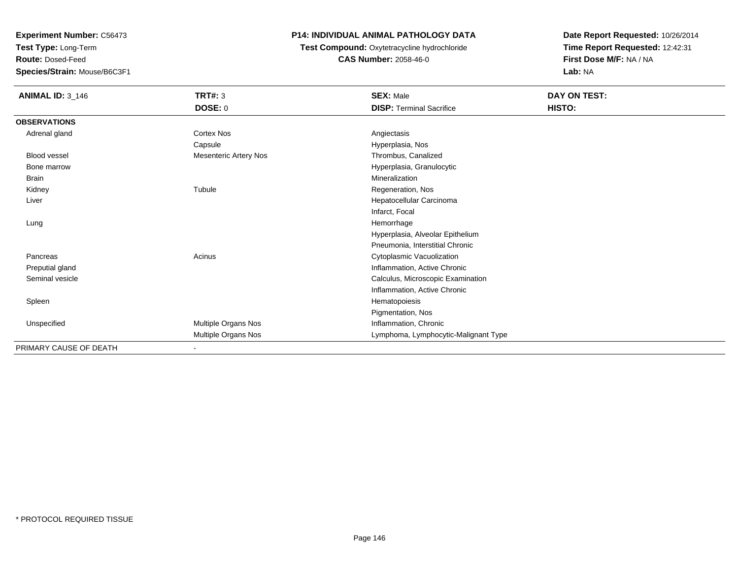**Test Type:** Long-Term

**Route:** Dosed-Feed

**Species/Strain:** Mouse/B6C3F1

# **P14: INDIVIDUAL ANIMAL PATHOLOGY DATA**

**Test Compound:** Oxytetracycline hydrochloride**CAS Number:** 2058-46-0

| <b>ANIMAL ID: 3_146</b> | <b>TRT#: 3</b>               | <b>SEX: Male</b>                     | DAY ON TEST: |  |
|-------------------------|------------------------------|--------------------------------------|--------------|--|
|                         | <b>DOSE: 0</b>               | <b>DISP: Terminal Sacrifice</b>      | HISTO:       |  |
| <b>OBSERVATIONS</b>     |                              |                                      |              |  |
| Adrenal gland           | <b>Cortex Nos</b>            | Angiectasis                          |              |  |
|                         | Capsule                      | Hyperplasia, Nos                     |              |  |
| <b>Blood vessel</b>     | <b>Mesenteric Artery Nos</b> | Thrombus, Canalized                  |              |  |
| Bone marrow             |                              | Hyperplasia, Granulocytic            |              |  |
| <b>Brain</b>            |                              | Mineralization                       |              |  |
| Kidney                  | Tubule                       | Regeneration, Nos                    |              |  |
| Liver                   |                              | Hepatocellular Carcinoma             |              |  |
|                         |                              | Infarct, Focal                       |              |  |
| Lung                    |                              | Hemorrhage                           |              |  |
|                         |                              | Hyperplasia, Alveolar Epithelium     |              |  |
|                         |                              | Pneumonia, Interstitial Chronic      |              |  |
| Pancreas                | Acinus                       | Cytoplasmic Vacuolization            |              |  |
| Preputial gland         |                              | Inflammation, Active Chronic         |              |  |
| Seminal vesicle         |                              | Calculus, Microscopic Examination    |              |  |
|                         |                              | Inflammation, Active Chronic         |              |  |
| Spleen                  |                              | Hematopoiesis                        |              |  |
|                         |                              | Pigmentation, Nos                    |              |  |
| Unspecified             | Multiple Organs Nos          | Inflammation, Chronic                |              |  |
|                         | Multiple Organs Nos          | Lymphoma, Lymphocytic-Malignant Type |              |  |
| PRIMARY CAUSE OF DEATH  | $\blacksquare$               |                                      |              |  |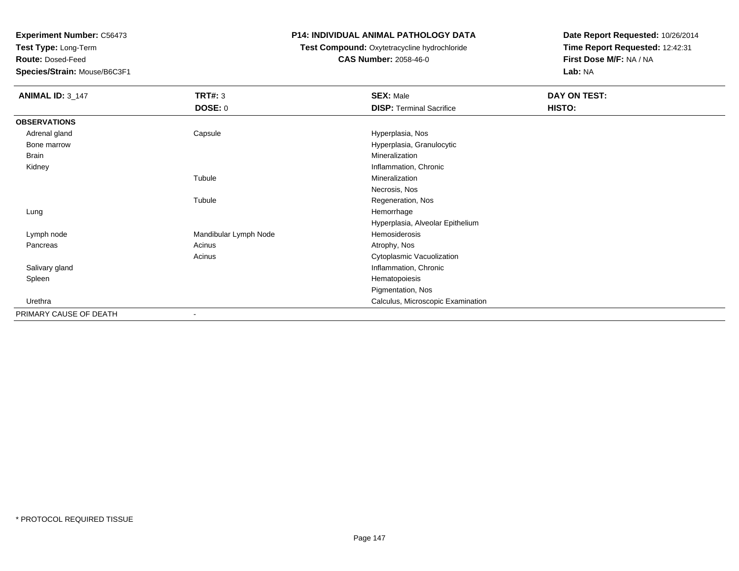**Test Type:** Long-Term

**Route:** Dosed-Feed

**Species/Strain:** Mouse/B6C3F1

### **P14: INDIVIDUAL ANIMAL PATHOLOGY DATA**

# **Test Compound:** Oxytetracycline hydrochloride**CAS Number:** 2058-46-0

| <b>ANIMAL ID: 3_147</b> | <b>TRT#: 3</b>        | <b>SEX: Male</b>                  | DAY ON TEST: |
|-------------------------|-----------------------|-----------------------------------|--------------|
|                         | <b>DOSE: 0</b>        | <b>DISP: Terminal Sacrifice</b>   | HISTO:       |
| <b>OBSERVATIONS</b>     |                       |                                   |              |
| Adrenal gland           | Capsule               | Hyperplasia, Nos                  |              |
| Bone marrow             |                       | Hyperplasia, Granulocytic         |              |
| Brain                   |                       | Mineralization                    |              |
| Kidney                  |                       | Inflammation, Chronic             |              |
|                         | Tubule                | Mineralization                    |              |
|                         |                       | Necrosis, Nos                     |              |
|                         | Tubule                | Regeneration, Nos                 |              |
| Lung                    |                       | Hemorrhage                        |              |
|                         |                       | Hyperplasia, Alveolar Epithelium  |              |
| Lymph node              | Mandibular Lymph Node | Hemosiderosis                     |              |
| Pancreas                | Acinus                | Atrophy, Nos                      |              |
|                         | Acinus                | Cytoplasmic Vacuolization         |              |
| Salivary gland          |                       | Inflammation, Chronic             |              |
| Spleen                  |                       | Hematopoiesis                     |              |
|                         |                       | Pigmentation, Nos                 |              |
| Urethra                 |                       | Calculus, Microscopic Examination |              |
| PRIMARY CAUSE OF DEATH  | ۰                     |                                   |              |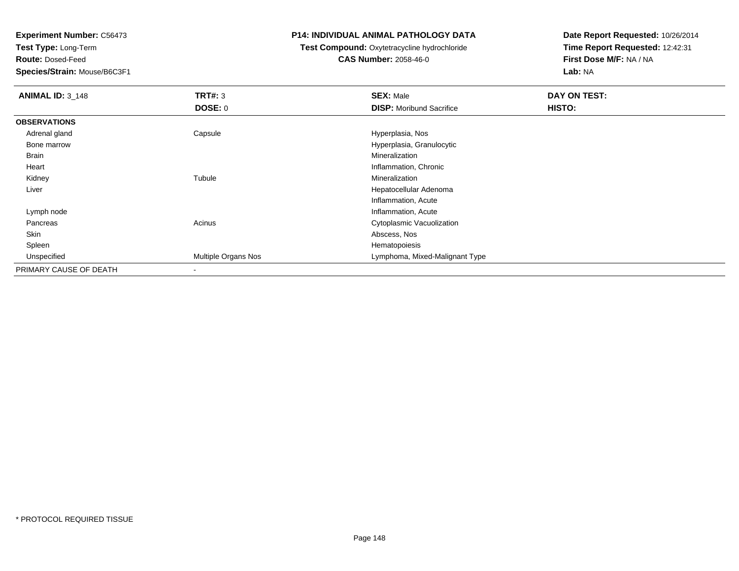**Test Type:** Long-Term

**Route:** Dosed-Feed

**Species/Strain:** Mouse/B6C3F1

#### **P14: INDIVIDUAL ANIMAL PATHOLOGY DATA**

# **Test Compound:** Oxytetracycline hydrochloride**CAS Number:** 2058-46-0

| <b>ANIMAL ID: 3_148</b> | TRT#: 3             | <b>SEX: Male</b>                | DAY ON TEST: |  |
|-------------------------|---------------------|---------------------------------|--------------|--|
|                         | <b>DOSE: 0</b>      | <b>DISP:</b> Moribund Sacrifice | HISTO:       |  |
| <b>OBSERVATIONS</b>     |                     |                                 |              |  |
| Adrenal gland           | Capsule             | Hyperplasia, Nos                |              |  |
| Bone marrow             |                     | Hyperplasia, Granulocytic       |              |  |
| Brain                   |                     | Mineralization                  |              |  |
| Heart                   |                     | Inflammation, Chronic           |              |  |
| Kidney                  | Tubule              | Mineralization                  |              |  |
| Liver                   |                     | Hepatocellular Adenoma          |              |  |
|                         |                     | Inflammation, Acute             |              |  |
| Lymph node              |                     | Inflammation, Acute             |              |  |
| Pancreas                | Acinus              | Cytoplasmic Vacuolization       |              |  |
| Skin                    |                     | Abscess, Nos                    |              |  |
| Spleen                  |                     | Hematopoiesis                   |              |  |
| Unspecified             | Multiple Organs Nos | Lymphoma, Mixed-Malignant Type  |              |  |
| PRIMARY CAUSE OF DEATH  |                     |                                 |              |  |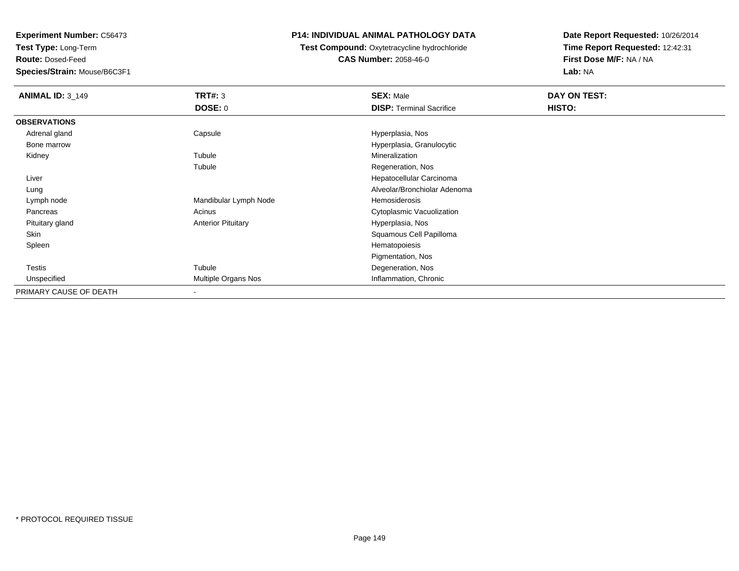**Test Type:** Long-Term

**Route:** Dosed-Feed

**Species/Strain:** Mouse/B6C3F1

# **P14: INDIVIDUAL ANIMAL PATHOLOGY DATA**

 **Test Compound:** Oxytetracycline hydrochloride**CAS Number:** 2058-46-0

| <b>ANIMAL ID: 3 149</b> | TRT#: 3                   | <b>SEX: Male</b>                | DAY ON TEST: |
|-------------------------|---------------------------|---------------------------------|--------------|
|                         | <b>DOSE: 0</b>            | <b>DISP: Terminal Sacrifice</b> | HISTO:       |
| <b>OBSERVATIONS</b>     |                           |                                 |              |
| Adrenal gland           | Capsule                   | Hyperplasia, Nos                |              |
| Bone marrow             |                           | Hyperplasia, Granulocytic       |              |
| Kidney                  | Tubule                    | Mineralization                  |              |
|                         | Tubule                    | Regeneration, Nos               |              |
| Liver                   |                           | Hepatocellular Carcinoma        |              |
| Lung                    |                           | Alveolar/Bronchiolar Adenoma    |              |
| Lymph node              | Mandibular Lymph Node     | Hemosiderosis                   |              |
| Pancreas                | Acinus                    | Cytoplasmic Vacuolization       |              |
| Pituitary gland         | <b>Anterior Pituitary</b> | Hyperplasia, Nos                |              |
| Skin                    |                           | Squamous Cell Papilloma         |              |
| Spleen                  |                           | Hematopoiesis                   |              |
|                         |                           | Pigmentation, Nos               |              |
| Testis                  | Tubule                    | Degeneration, Nos               |              |
| Unspecified             | Multiple Organs Nos       | Inflammation, Chronic           |              |
| PRIMARY CAUSE OF DEATH  | ٠                         |                                 |              |